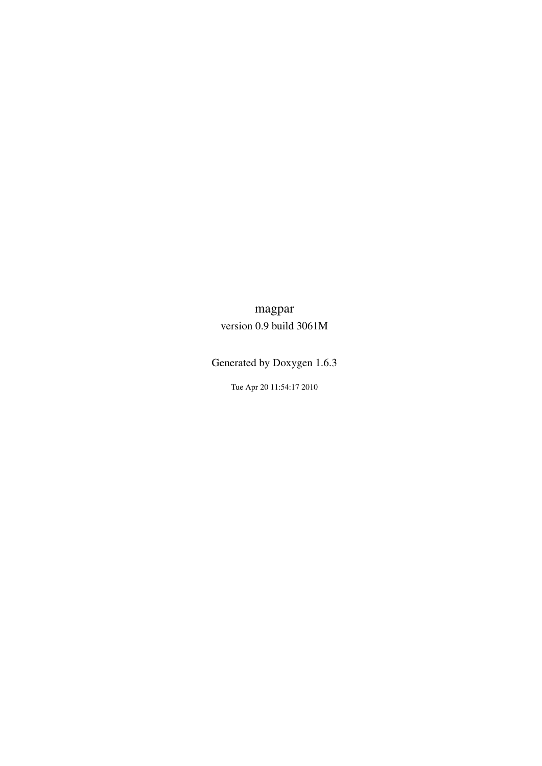## <span id="page-0-0"></span>magpar version 0.9 build 3061M

Generated by Doxygen 1.6.3

Tue Apr 20 11:54:17 2010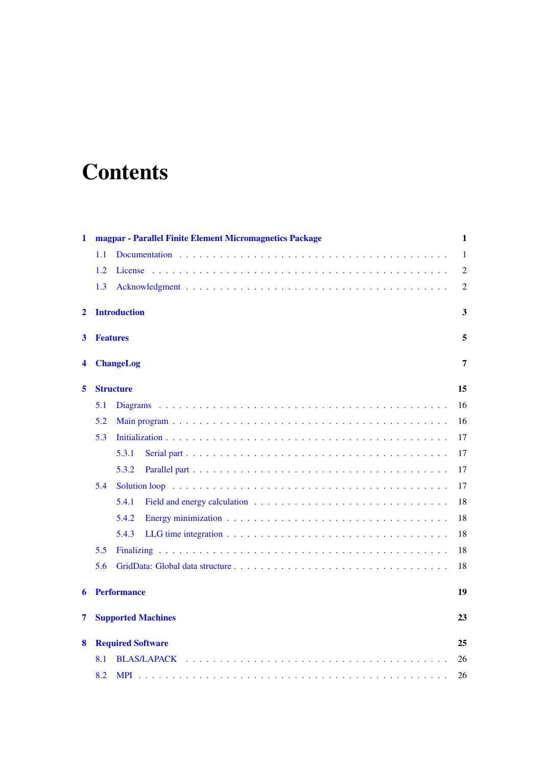# **Contents**

| 1           | magpar - Parallel Finite Element Micromagnetics Package | 1              |
|-------------|---------------------------------------------------------|----------------|
|             | 1.1                                                     | 1              |
|             | 1.2                                                     | $\overline{2}$ |
|             | 1.3                                                     | $\overline{2}$ |
| $\mathbf 2$ | <b>Introduction</b>                                     | 3              |
| 3           | <b>Features</b>                                         | 5              |
| 4           | <b>ChangeLog</b>                                        | 7              |
| 5           | <b>Structure</b>                                        | 15             |
|             | 5.1                                                     | 16             |
|             | 5.2                                                     | 16             |
|             | 5.3                                                     | 17             |
|             | 5.3.1                                                   | 17             |
|             | 5.3.2                                                   | 17             |
|             | 5.4                                                     | 17             |
|             | 5.4.1                                                   | 18             |
|             | 5.4.2                                                   | 18             |
|             | 5.4.3                                                   | 18             |
|             | 5.5                                                     | 18             |
|             | 5.6                                                     | 18             |
| 6           | <b>Performance</b>                                      | 19             |
| 7           | <b>Supported Machines</b>                               | 23             |
| 8           | <b>Required Software</b>                                | 25             |
|             | 8.1                                                     | 26             |
|             | 8.2                                                     | 26             |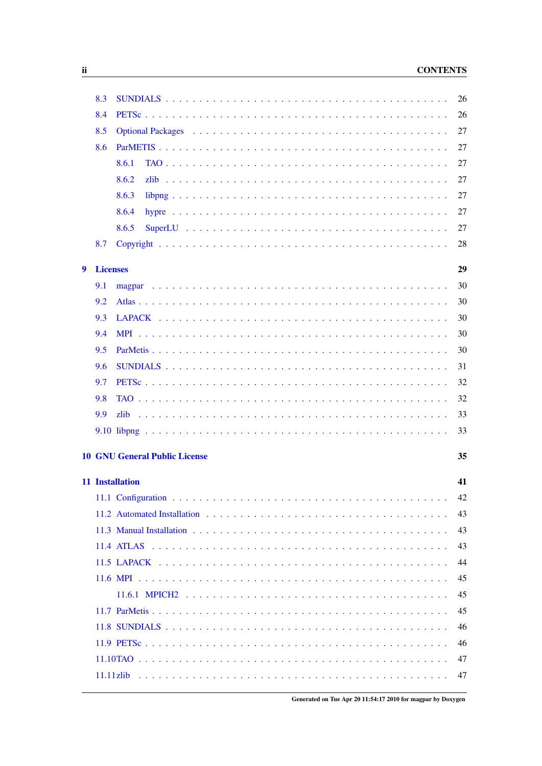#### **CONTENTS**

|   | 8.3             |                                      | 26 |
|---|-----------------|--------------------------------------|----|
|   | 8.4             |                                      | 26 |
|   | 8.5             |                                      | 27 |
|   | 8.6             |                                      | 27 |
|   |                 | 8.6.1                                | 27 |
|   |                 | 8.6.2                                | 27 |
|   |                 | 8.6.3                                | 27 |
|   |                 | 8.6.4                                | 27 |
|   |                 | 8.6.5                                | 27 |
|   | 8.7             |                                      | 28 |
| 9 | <b>Licenses</b> |                                      | 29 |
|   | 9.1             |                                      | 30 |
|   | 9.2             |                                      | 30 |
|   | 9.3             |                                      | 30 |
|   | 9.4             |                                      | 30 |
|   | 9.5             |                                      | 30 |
|   | 9.6             |                                      | 31 |
|   | 9.7             |                                      | 32 |
|   | 9.8             |                                      | 32 |
|   | 9.9             | zlib                                 | 33 |
|   |                 |                                      | 33 |
|   |                 |                                      |    |
|   |                 | <b>10 GNU General Public License</b> | 35 |
|   |                 | 11 Installation                      | 41 |
|   |                 |                                      | 42 |
|   |                 |                                      | 43 |
|   |                 |                                      | 43 |
|   |                 |                                      | 43 |
|   |                 |                                      | 44 |
|   |                 |                                      | 45 |
|   |                 |                                      | 45 |
|   |                 |                                      | 45 |
|   |                 |                                      | 46 |
|   |                 |                                      | 46 |
|   |                 |                                      | 47 |
|   |                 |                                      | 47 |

<u> 1980 - John Stein, Amerikaansk kanton (</u>

Generated on Tue Apr 20 11:54:17 2010 for magpar by Doxygen

 $\mathbf{ii}$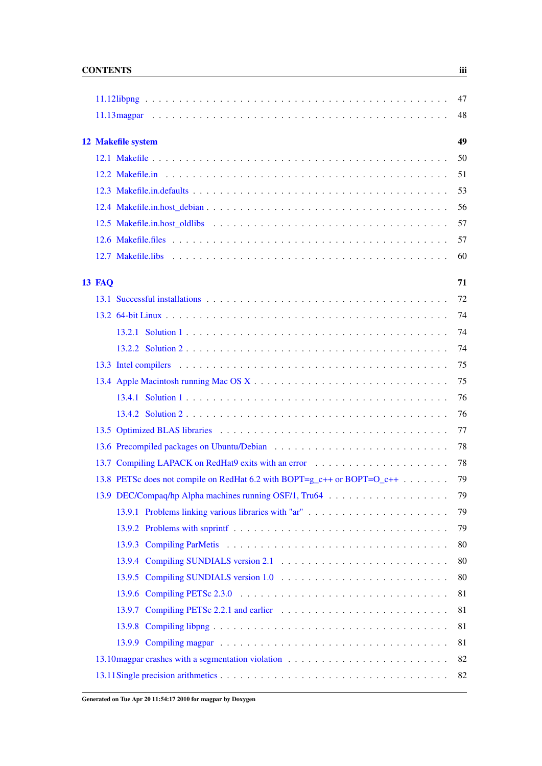|        |                                                                         | 47 |
|--------|-------------------------------------------------------------------------|----|
|        |                                                                         | 48 |
|        |                                                                         | 49 |
|        | 12 Makefile system                                                      |    |
|        |                                                                         | 50 |
|        |                                                                         | 51 |
|        |                                                                         | 53 |
|        |                                                                         | 56 |
|        |                                                                         | 57 |
|        |                                                                         | 57 |
|        |                                                                         | 60 |
| 13 FAQ |                                                                         | 71 |
|        |                                                                         | 72 |
|        |                                                                         | 74 |
|        |                                                                         | 74 |
|        |                                                                         | 74 |
|        |                                                                         | 75 |
|        |                                                                         | 75 |
|        |                                                                         | 76 |
|        |                                                                         | 76 |
|        |                                                                         | 77 |
|        |                                                                         | 78 |
|        | 13.7 Compiling LAPACK on RedHat9 exits with an error                    | 78 |
|        | 13.8 PETSc does not compile on RedHat 6.2 with BOPT=g_c++ or BOPT=O_c++ | 79 |
|        |                                                                         | 79 |
|        |                                                                         | 79 |
|        | 13.9.1 Problems linking various libraries with "ar"                     |    |
|        |                                                                         | 79 |
|        |                                                                         | 80 |
|        |                                                                         | 80 |
|        |                                                                         | 80 |
|        |                                                                         | 81 |
|        |                                                                         | 81 |
|        |                                                                         | 81 |
|        |                                                                         | 81 |
|        |                                                                         | 82 |
|        |                                                                         | 82 |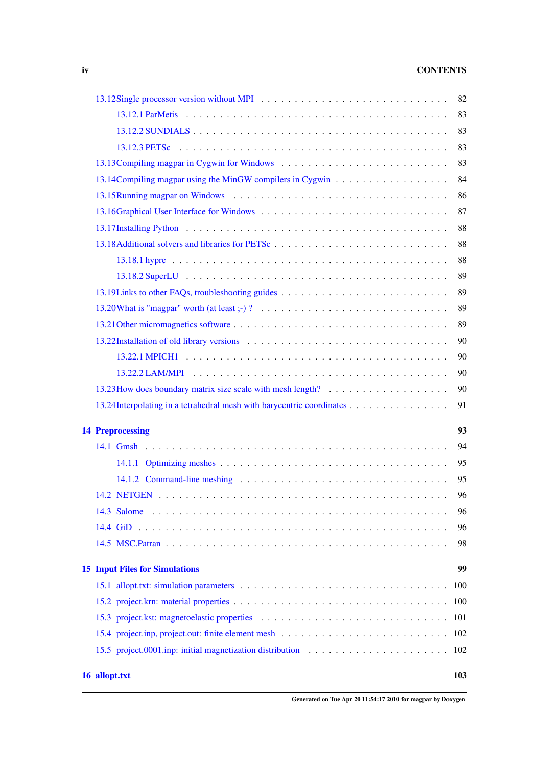## iv CONTENTS

| 16 allopt.txt                                                          | 103 |
|------------------------------------------------------------------------|-----|
|                                                                        |     |
|                                                                        |     |
|                                                                        |     |
|                                                                        | 100 |
|                                                                        | 100 |
| <b>15 Input Files for Simulations</b>                                  | 99  |
|                                                                        |     |
|                                                                        | 98  |
|                                                                        | 96  |
|                                                                        | 96  |
|                                                                        | 96  |
|                                                                        | 95  |
|                                                                        | 95  |
|                                                                        | 94  |
| <b>14 Preprocessing</b>                                                | 93  |
| 13.24 Interpolating in a tetrahedral mesh with barycentric coordinates | 91  |
|                                                                        | 90  |
|                                                                        | 90  |
|                                                                        | 90  |
|                                                                        | 90  |
|                                                                        | 89  |
|                                                                        | 89  |
|                                                                        | 89  |
|                                                                        | 89  |
|                                                                        | 88  |
|                                                                        | 88  |
|                                                                        | 88  |
|                                                                        | 87  |
|                                                                        | 86  |
|                                                                        | 84  |
|                                                                        | 83  |
|                                                                        | 83  |
|                                                                        | 83  |
|                                                                        | 83  |
|                                                                        | 82  |

Generated on Tue Apr 20 11:54:17 2010 for magpar by Doxygen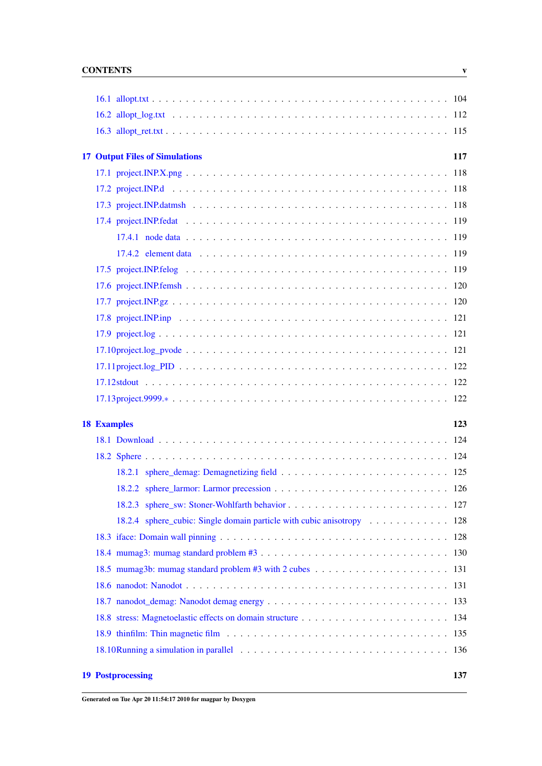## CONTENTS v

| <b>17 Output Files of Simulations</b>                                 | 117 |
|-----------------------------------------------------------------------|-----|
|                                                                       |     |
|                                                                       |     |
|                                                                       |     |
|                                                                       |     |
|                                                                       |     |
|                                                                       |     |
|                                                                       |     |
|                                                                       |     |
|                                                                       |     |
|                                                                       |     |
|                                                                       |     |
|                                                                       |     |
|                                                                       |     |
|                                                                       |     |
|                                                                       |     |
|                                                                       | 123 |
| <b>18 Examples</b>                                                    |     |
|                                                                       |     |
|                                                                       |     |
|                                                                       |     |
|                                                                       |     |
|                                                                       |     |
|                                                                       |     |
| 18.2.4 sphere_cubic: Single domain particle with cubic anisotropy 128 |     |
|                                                                       |     |
|                                                                       |     |
|                                                                       |     |
|                                                                       |     |
|                                                                       |     |
|                                                                       |     |
|                                                                       |     |
|                                                                       |     |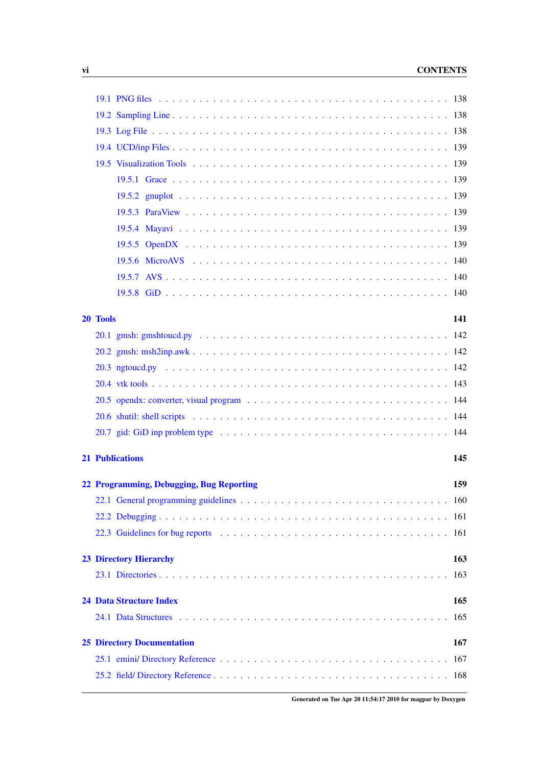|                                          | 141 |
|------------------------------------------|-----|
| 20 Tools                                 |     |
|                                          |     |
|                                          |     |
|                                          |     |
|                                          |     |
|                                          |     |
|                                          |     |
|                                          |     |
| <b>21 Publications</b>                   | 145 |
|                                          |     |
| 22 Programming, Debugging, Bug Reporting | 159 |
|                                          |     |
|                                          |     |
|                                          |     |
| <b>23 Directory Hierarchy</b>            | 163 |
|                                          | 163 |
|                                          |     |
| <b>24 Data Structure Index</b>           | 165 |
|                                          | 165 |
| <b>25 Directory Documentation</b>        | 167 |
|                                          | 167 |
|                                          |     |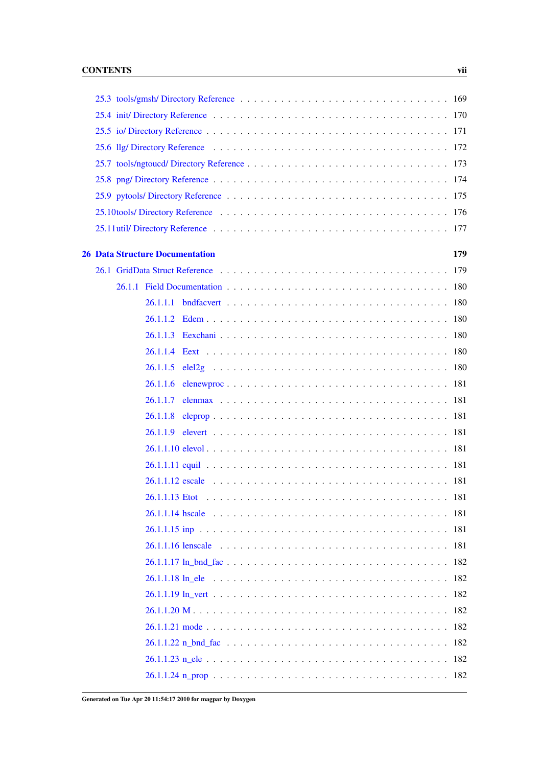|  | <b>26 Data Structure Documentation</b><br>179 |  |
|--|-----------------------------------------------|--|
|  |                                               |  |
|  |                                               |  |
|  |                                               |  |
|  |                                               |  |
|  |                                               |  |
|  |                                               |  |
|  |                                               |  |
|  |                                               |  |
|  | 26.1.1.7                                      |  |
|  | 26.1.1.8                                      |  |
|  |                                               |  |
|  |                                               |  |
|  |                                               |  |
|  |                                               |  |
|  |                                               |  |
|  |                                               |  |
|  |                                               |  |
|  |                                               |  |
|  |                                               |  |
|  |                                               |  |
|  |                                               |  |
|  |                                               |  |
|  |                                               |  |
|  |                                               |  |
|  |                                               |  |
|  |                                               |  |

Generated on Tue Apr 20 11:54:17 2010 for magpar by Doxygen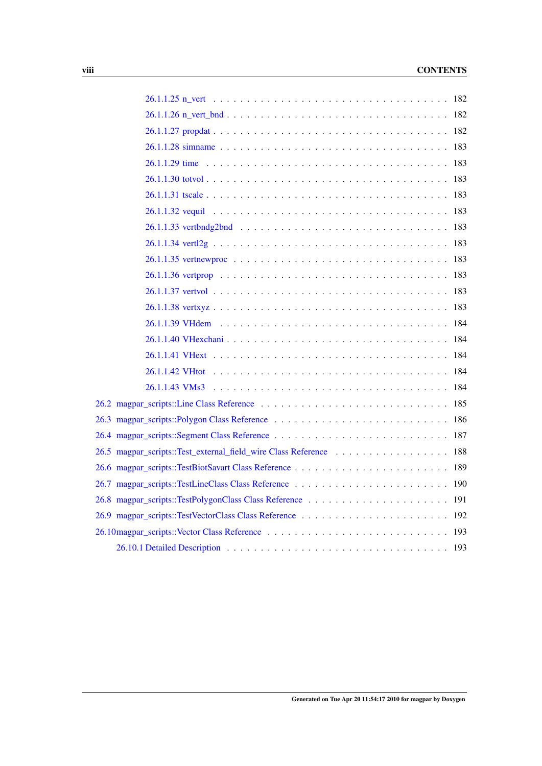#### viii CONTENTS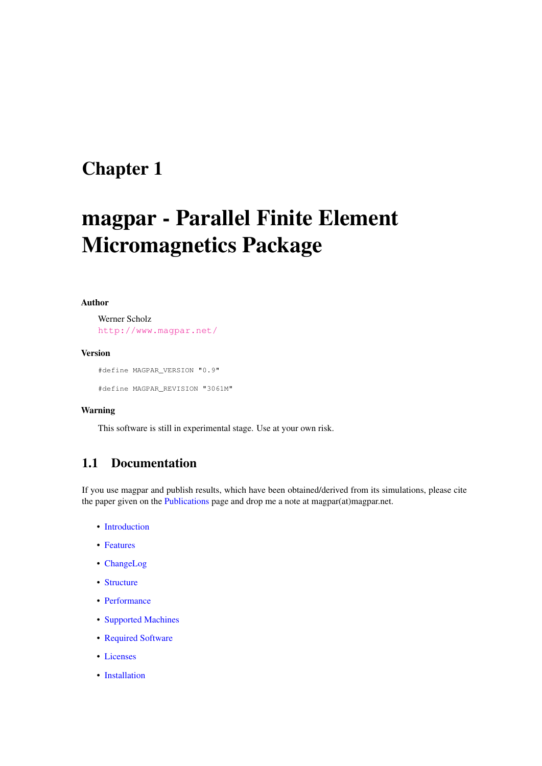# <span id="page-10-0"></span>magpar - Parallel Finite Element Micromagnetics Package

#### Author

Werner Scholz <http://www.magpar.net/>

#### Version

#define MAGPAR\_VERSION "0.9"

#define MAGPAR\_REVISION "3061M"

#### Warning

This software is still in experimental stage. Use at your own risk.

## <span id="page-10-1"></span>1.1 Documentation

If you use magpar and publish results, which have been obtained/derived from its simulations, please cite the paper given on the [Publications](#page-154-1) page and drop me a note at magpar(at)magpar.net.

- [Introduction](#page-12-1)
- [Features](#page-14-1)
- [ChangeLog](#page-16-1)
- [Structure](#page-24-1)
- [Performance](#page-28-1)
- [Supported Machines](#page-32-1)
- [Required Software](#page-34-1)
- [Licenses](#page-38-1)
- [Installation](#page-50-1)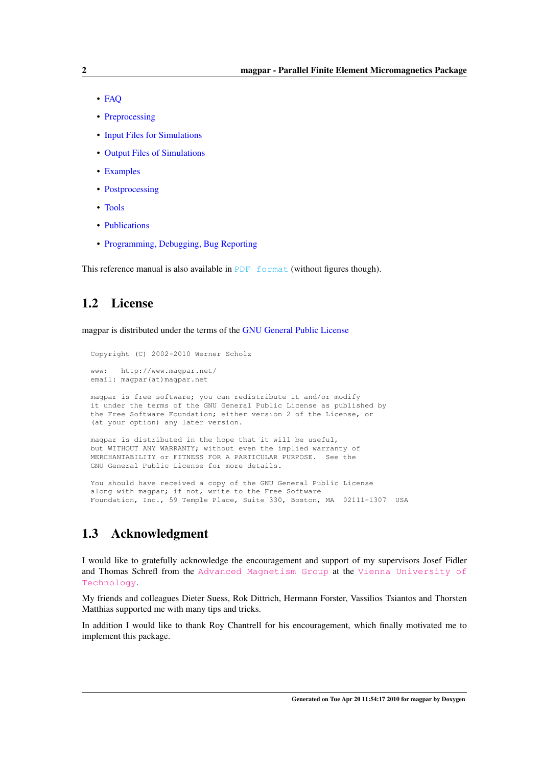- [FAQ](#page-80-1)
- [Preprocessing](#page-102-1)
- [Input Files for Simulations](#page-108-1)
- [Output Files of Simulations](#page-126-1)
- [Examples](#page-132-1)
- [Postprocessing](#page-146-1)
- [Tools](#page-150-1)
- [Publications](#page-154-1)
- [Programming, Debugging, Bug Reporting](#page-168-1)

This reference manual is also available in [PDF format](#page-0-0) (without figures though).

## <span id="page-11-0"></span>1.2 License

magpar is distributed under the terms of the [GNU General Public License](#page-44-1)

Copyright (C) 2002-2010 Werner Scholz

(at your option) any later version.

www: http://www.magpar.net/ email: magpar(at)magpar.net magpar is free software; you can redistribute it and/or modify it under the terms of the GNU General Public License as published by the Free Software Foundation; either version 2 of the License, or

magpar is distributed in the hope that it will be useful, but WITHOUT ANY WARRANTY; without even the implied warranty of MERCHANTABILITY or FITNESS FOR A PARTICULAR PURPOSE. See the GNU General Public License for more details.

You should have received a copy of the GNU General Public License along with magpar; if not, write to the Free Software Foundation, Inc., 59 Temple Place, Suite 330, Boston, MA 02111-1307 USA

## <span id="page-11-1"></span>1.3 Acknowledgment

I would like to gratefully acknowledge the encouragement and support of my supervisors Josef Fidler and Thomas Schrefl from the [Advanced Magnetism Group](http://magnet.atp.tuwien.ac.at/) at the [Vienna University of](http://www.tuwien.ac.at/) [Technology](http://www.tuwien.ac.at/).

My friends and colleagues Dieter Suess, Rok Dittrich, Hermann Forster, Vassilios Tsiantos and Thorsten Matthias supported me with many tips and tricks.

In addition I would like to thank Roy Chantrell for his encouragement, which finally motivated me to implement this package.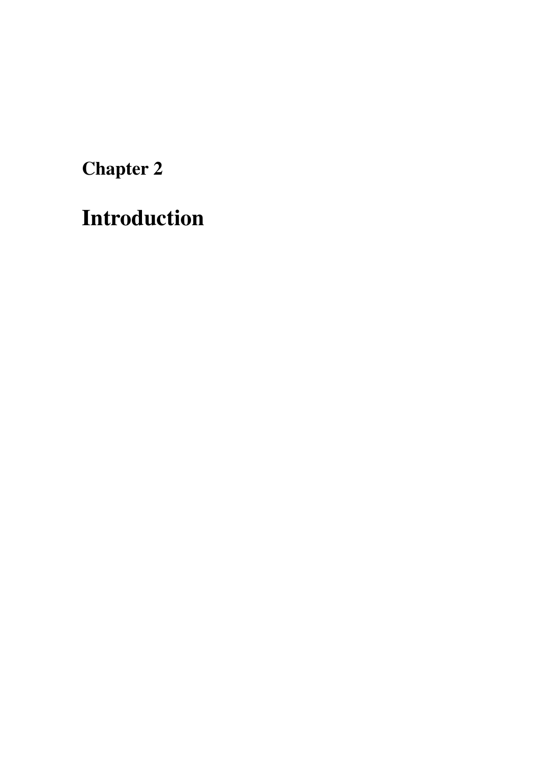<span id="page-12-1"></span><span id="page-12-0"></span>Introduction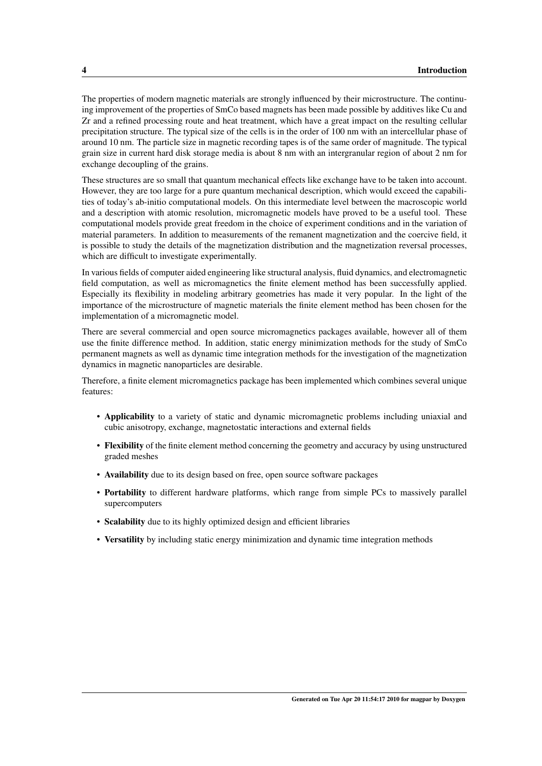The properties of modern magnetic materials are strongly influenced by their microstructure. The continuing improvement of the properties of SmCo based magnets has been made possible by additives like Cu and Zr and a refined processing route and heat treatment, which have a great impact on the resulting cellular precipitation structure. The typical size of the cells is in the order of 100 nm with an intercellular phase of around 10 nm. The particle size in magnetic recording tapes is of the same order of magnitude. The typical grain size in current hard disk storage media is about 8 nm with an intergranular region of about 2 nm for exchange decoupling of the grains.

These structures are so small that quantum mechanical effects like exchange have to be taken into account. However, they are too large for a pure quantum mechanical description, which would exceed the capabilities of today's ab-initio computational models. On this intermediate level between the macroscopic world and a description with atomic resolution, micromagnetic models have proved to be a useful tool. These computational models provide great freedom in the choice of experiment conditions and in the variation of material parameters. In addition to measurements of the remanent magnetization and the coercive field, it is possible to study the details of the magnetization distribution and the magnetization reversal processes, which are difficult to investigate experimentally.

In various fields of computer aided engineering like structural analysis, fluid dynamics, and electromagnetic field computation, as well as micromagnetics the finite element method has been successfully applied. Especially its flexibility in modeling arbitrary geometries has made it very popular. In the light of the importance of the microstructure of magnetic materials the finite element method has been chosen for the implementation of a micromagnetic model.

There are several commercial and open source micromagnetics packages available, however all of them use the finite difference method. In addition, static energy minimization methods for the study of SmCo permanent magnets as well as dynamic time integration methods for the investigation of the magnetization dynamics in magnetic nanoparticles are desirable.

Therefore, a finite element micromagnetics package has been implemented which combines several unique features:

- Applicability to a variety of static and dynamic micromagnetic problems including uniaxial and cubic anisotropy, exchange, magnetostatic interactions and external fields
- Flexibility of the finite element method concerning the geometry and accuracy by using unstructured graded meshes
- Availability due to its design based on free, open source software packages
- Portability to different hardware platforms, which range from simple PCs to massively parallel supercomputers
- Scalability due to its highly optimized design and efficient libraries
- Versatility by including static energy minimization and dynamic time integration methods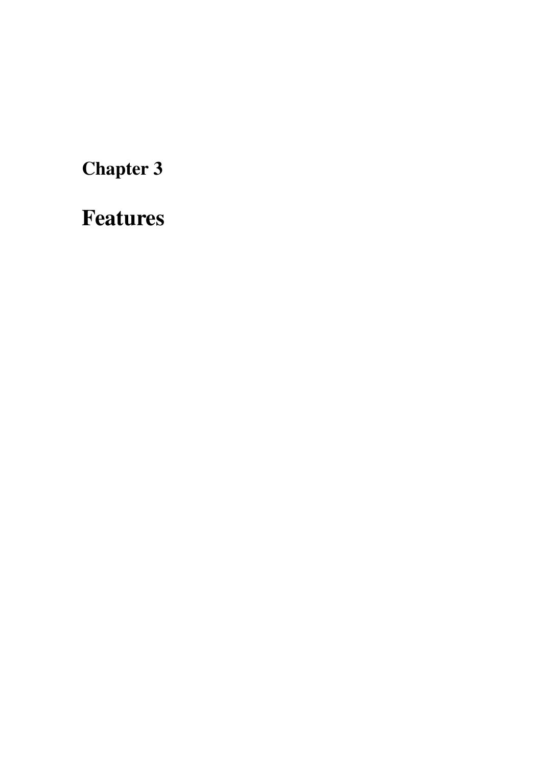<span id="page-14-1"></span><span id="page-14-0"></span>Features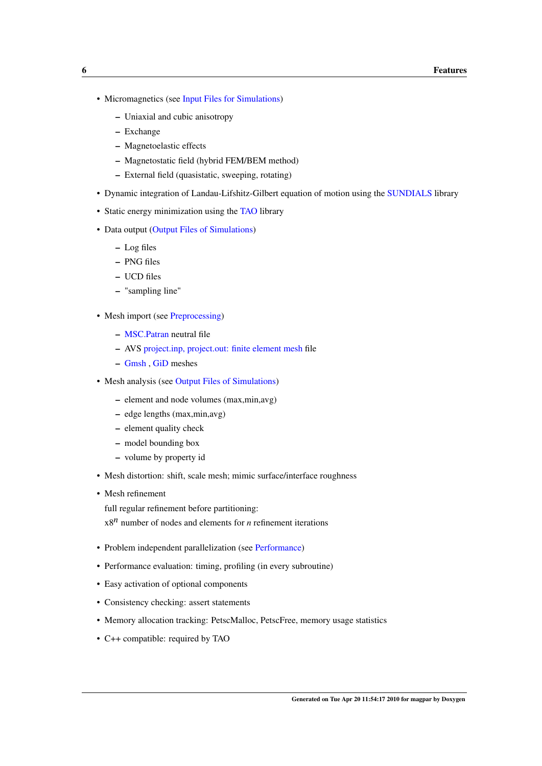- Micromagnetics (see [Input Files for Simulations\)](#page-108-1)
	- Uniaxial and cubic anisotropy
	- Exchange
	- Magnetoelastic effects
	- Magnetostatic field (hybrid FEM/BEM method)
	- External field (quasistatic, sweeping, rotating)
- Dynamic integration of Landau-Lifshitz-Gilbert equation of motion using the [SUNDIALS](#page-35-4) library
- Static energy minimization using the [TAO](#page-36-7) library
- Data output [\(Output Files of Simulations\)](#page-126-1)
	- Log files
	- PNG files
	- UCD files
	- "sampling line"
- Mesh import (see [Preprocessing\)](#page-102-1)
	- [MSC.Patran](#page-107-1) neutral file
	- AVS [project.inp, project.out: finite element mesh](#page-111-2) file
	- [Gmsh](#page-103-1) , [GiD](#page-105-3) meshes
- Mesh analysis (see [Output Files of Simulations\)](#page-126-1)
	- element and node volumes (max,min,avg)
	- edge lengths (max,min,avg)
	- element quality check
	- model bounding box
	- volume by property id
- Mesh distortion: shift, scale mesh; mimic surface/interface roughness
- Mesh refinement
	- full regular refinement before partitioning:  $x8^n$  number of nodes and elements for *n* refinement iterations
- Problem independent parallelization (see [Performance\)](#page-28-1)
- Performance evaluation: timing, profiling (in every subroutine)
- Easy activation of optional components
- Consistency checking: assert statements
- Memory allocation tracking: PetscMalloc, PetscFree, memory usage statistics
- C++ compatible: required by TAO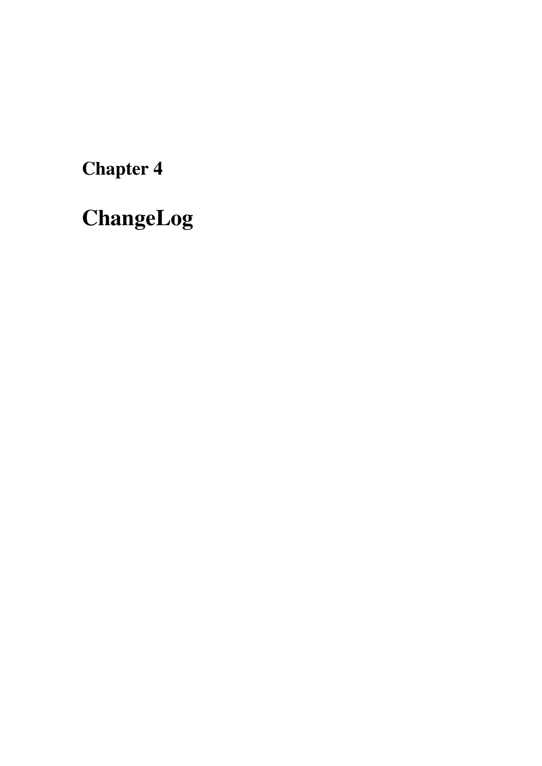<span id="page-16-1"></span><span id="page-16-0"></span>ChangeLog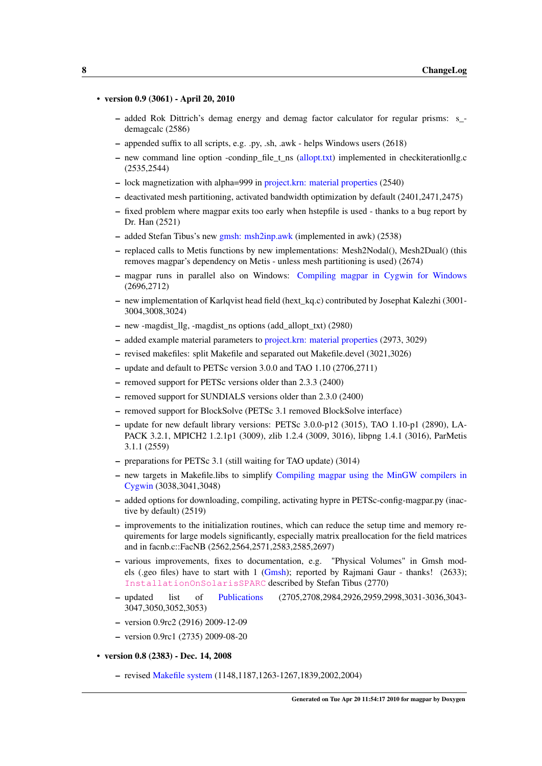#### • version 0.9 (3061) - April 20, 2010

- added Rok Dittrich's demag energy and demag factor calculator for regular prisms: s\_ demagcalc (2586)
- appended suffix to all scripts, e.g. .py, .sh, .awk helps Windows users (2618)
- new command line option -condinp\_file\_t\_ns [\(allopt.txt\)](#page-112-1) implemented in checkiterationllg.c (2535,2544)
- lock magnetization with alpha=999 in [project.krn: material properties](#page-109-2) (2540)
- deactivated mesh partitioning, activated bandwidth optimization by default (2401,2471,2475)
- fixed problem where magpar exits too early when hstepfile is used thanks to a bug report by Dr. Han (2521)
- added Stefan Tibus's new [gmsh: msh2inp.awk](#page-151-3) (implemented in awk) (2538)
- replaced calls to Metis functions by new implementations: Mesh2Nodal(), Mesh2Dual() (this removes magpar's dependency on Metis - unless mesh partitioning is used) (2674)
- magpar runs in parallel also on Windows: [Compiling magpar in Cygwin for Windows](#page-92-4) (2696,2712)
- new implementation of Karlqvist head field (hext\_kq.c) contributed by Josephat Kalezhi (3001- 3004,3008,3024)
- new -magdist\_llg, -magdist\_ns options (add\_allopt\_txt) (2980)
- added example material parameters to [project.krn: material properties](#page-109-2) (2973, 3029)
- revised makefiles: split Makefile and separated out Makefile.devel (3021,3026)
- update and default to PETSc version 3.0.0 and TAO 1.10 (2706,2711)
- removed support for PETSc versions older than 2.3.3 (2400)
- removed support for SUNDIALS versions older than 2.3.0 (2400)
- removed support for BlockSolve (PETSc 3.1 removed BlockSolve interface)
- update for new default library versions: PETSc 3.0.0-p12 (3015), TAO 1.10-p1 (2890), LA-PACK 3.2.1, MPICH2 1.2.1p1 (3009), zlib 1.2.4 (3009, 3016), libpng 1.4.1 (3016), ParMetis 3.1.1 (2559)
- preparations for PETSc 3.1 (still waiting for TAO update) (3014)
- new targets in Makefile.libs to simplify [Compiling magpar using the MinGW compilers in](#page-93-1) [Cygwin](#page-93-1) (3038,3041,3048)
- added options for downloading, compiling, activating hypre in PETSc-config-magpar.py (inactive by default) (2519)
- improvements to the initialization routines, which can reduce the setup time and memory requirements for large models significantly, especially matrix preallocation for the field matrices and in facnb.c::FacNB (2562,2564,2571,2583,2585,2697)
- various improvements, fixes to documentation, e.g. "Physical Volumes" in Gmsh models (.geo files) have to start with 1 [\(Gmsh\)](#page-103-1); reported by Rajmani Gaur - thanks! (2633); [InstallationOnSolarisSPARC](http://www.magpar.net/InstallationOnSolarisSPARC) described by Stefan Tibus (2770)
- updated list of [Publications](#page-154-1) (2705,2708,2984,2926,2959,2998,3031-3036,3043- 3047,3050,3052,3053)
- version 0.9rc2 (2916) 2009-12-09
- version 0.9rc1 (2735) 2009-08-20
- version 0.8 (2383) Dec. 14, 2008
	- revised [Makefile system](#page-58-1) (1148,1187,1263-1267,1839,2002,2004)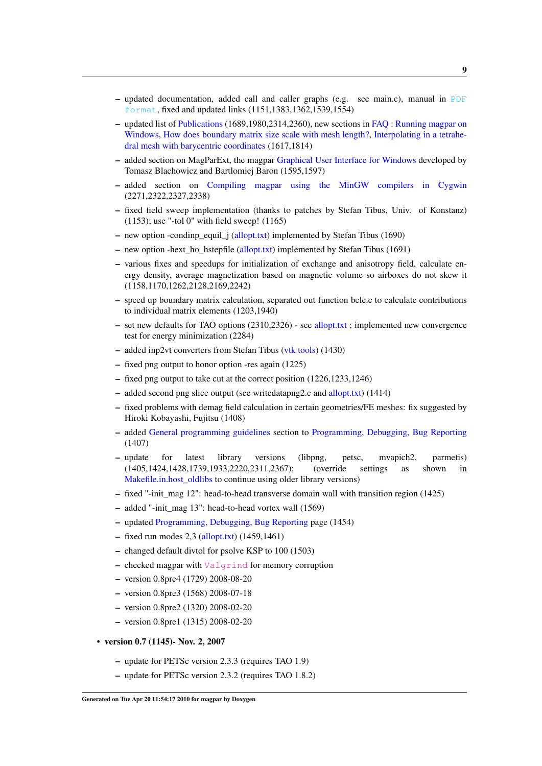- $-$  updated documentation, added call and caller graphs (e.g. see main.c), manual in [PDF](#page-0-0) [format](#page-0-0), fixed and updated links (1151,1383,1362,1539,1554)
- updated list of [Publications](#page-154-1) (1689,1980,2314,2360), new sections in [FAQ](#page-80-1) : [Running magpar on](#page-95-1) [Windows,](#page-95-1) [How does boundary matrix size scale with mesh length?,](#page-99-4) [Interpolating in a tetrahe](#page-100-1)[dral mesh with barycentric coordinates](#page-100-1) (1617,1814)
- added section on MagParExt, the magpar [Graphical User Interface for Windows](#page-96-1) developed by Tomasz Blachowicz and Bartlomiej Baron (1595,1597)
- added section on [Compiling magpar using the MinGW compilers in Cygwin](#page-93-1) (2271,2322,2327,2338)
- fixed field sweep implementation (thanks to patches by Stefan Tibus, Univ. of Konstanz) (1153); use "-tol 0" with field sweep! (1165)
- new option -condinp\_equil\_j [\(allopt.txt\)](#page-112-1) implemented by Stefan Tibus (1690)
- new option -hext ho hstepfile [\(allopt.txt\)](#page-112-1) implemented by Stefan Tibus (1691)
- various fixes and speedups for initialization of exchange and anisotropy field, calculate energy density, average magnetization based on magnetic volume so airboxes do not skew it (1158,1170,1262,2128,2169,2242)
- speed up boundary matrix calculation, separated out function bele.c to calculate contributions to individual matrix elements (1203,1940)
- set new defaults for TAO options (2310,2326) see [allopt.txt](#page-112-1) ; implemented new convergence test for energy minimization (2284)
- added inp2vt converters from Stefan Tibus [\(vtk tools\)](#page-152-1) (1430)
- fixed png output to honor option -res again (1225)
- fixed png output to take cut at the correct position (1226,1233,1246)
- added second png slice output (see writedatapng2.c and [allopt.txt\)](#page-112-1) (1414)
- fixed problems with demag field calculation in certain geometries/FE meshes: fix suggested by Hiroki Kobayashi, Fujitsu (1408)
- added [General programming guidelines](#page-169-1) section to [Programming, Debugging, Bug Reporting](#page-168-1) (1407)
- update for latest library versions (libpng, petsc, mvapich2, parmetis) (1405,1424,1428,1739,1933,2220,2311,2367); (override settings as shown in [Makefile.in.host\\_oldlibs](#page-66-2) to continue using older library versions)
- $-$  fixed "-init mag 12": head-to-head transverse domain wall with transition region (1425)
- added "-init\_mag 13": head-to-head vortex wall (1569)
- updated [Programming, Debugging, Bug Reporting](#page-168-1) page (1454)
- $-$  fixed run modes 2,3 [\(allopt.txt\)](#page-112-1) (1459,1461)
- changed default divtol for psolve KSP to 100 (1503)
- checked magpar with [Valgrind](http://valgrind.org/) for memory corruption
- version 0.8pre4 (1729) 2008-08-20
- version 0.8pre3 (1568) 2008-07-18
- version 0.8pre2 (1320) 2008-02-20
- version 0.8pre1 (1315) 2008-02-20
- version 0.7 (1145)- Nov. 2, 2007
	- update for PETSc version 2.3.3 (requires TAO 1.9)
	- update for PETSc version 2.3.2 (requires TAO 1.8.2)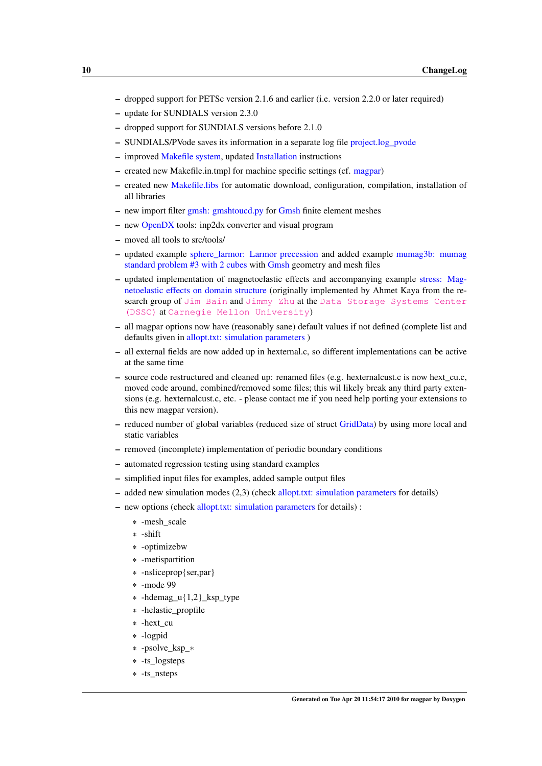- dropped support for PETSc version 2.1.6 and earlier (i.e. version 2.2.0 or later required)
- update for SUNDIALS version 2.3.0
- dropped support for SUNDIALS versions before 2.1.0
- SUNDIALS/PVode saves its information in a separate log file [project.log\\_pvode](#page-130-3)
- improved [Makefile system,](#page-58-1) updated [Installation](#page-50-1) instructions
- created new Makefile.in.tmpl for machine specific settings (cf. [magpar\)](#page-57-1)
- created new [Makefile.libs](#page-69-1) for automatic download, configuration, compilation, installation of all libraries
- new import filter [gmsh: gmshtoucd.py](#page-151-4) for [Gmsh](#page-103-1) finite element meshes
- new [OpenDX](#page-148-7) tools: inp2dx converter and visual program
- moved all tools to src/tools/
- updated example [sphere\\_larmor: Larmor precession](#page-135-1) and added example [mumag3b: mumag](#page-140-2) [standard problem #3 with 2 cubes](#page-140-2) with [Gmsh](#page-103-1) geometry and mesh files
- updated implementation of magnetoelastic effects and accompanying example [stress: Mag](#page-143-1)[netoelastic effects on domain structure](#page-143-1) (originally implemented by Ahmet Kaya from the re-search group of [Jim Bain](http://www.ece.cmu.edu/~jbain/) and [Jimmy Zhu](http://www.ece.cmu.edu/~jzhu/) at the [Data Storage Systems Center](http://www.dssc.ece.cmu.edu/) [\(DSSC\)](http://www.dssc.ece.cmu.edu/) at [Carnegie Mellon University](http://www.cmu.edu/index.shtml))
- all magpar options now have (reasonably sane) default values if not defined (complete list and defaults given in [allopt.txt: simulation parameters](#page-109-3) )
- all external fields are now added up in hexternal.c, so different implementations can be active at the same time
- source code restructured and cleaned up: renamed files (e.g. hexternalcust.c is now hext\_cu.c, moved code around, combined/removed some files; this wil likely break any third party extensions (e.g. hexternalcust.c, etc. - please contact me if you need help porting your extensions to this new magpar version).
- reduced number of global variables (reduced size of struct [GridData\)](#page-188-1) by using more local and static variables
- removed (incomplete) implementation of periodic boundary conditions
- automated regression testing using standard examples
- simplified input files for examples, added sample output files
- added new simulation modes (2,3) (check [allopt.txt: simulation parameters](#page-109-3) for details)
- new options (check [allopt.txt: simulation parameters](#page-109-3) for details) :
	- \* -mesh\_scale
	- \* -shift
	- \* -optimizebw
	- \* -metispartition
	- \* -nsliceprop{ser,par}
	- \* -mode 99
	- \* -hdemag  $u\{1,2\}$  ksp type
	- \* -helastic\_propfile
	- \* -hext\_cu
	- \* -logpid
	- \* -psolve\_ksp\_∗
	- \* -ts\_logsteps
	- \* -ts\_nsteps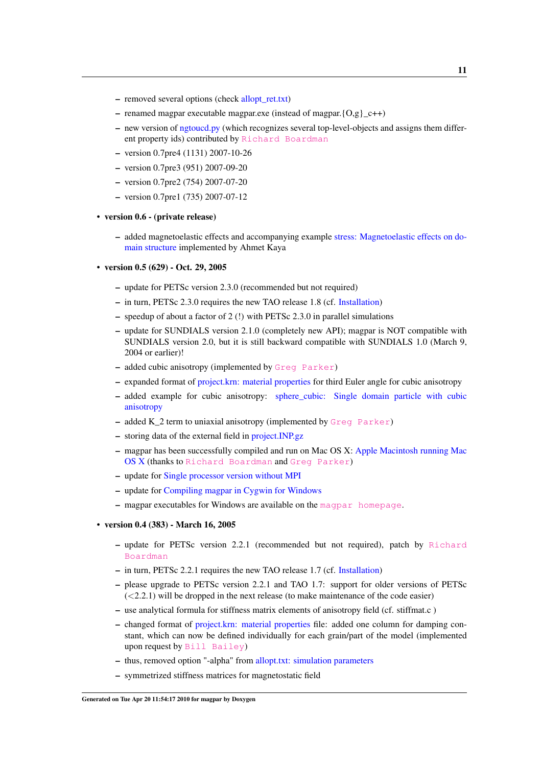- removed several options (check [allopt\\_ret.txt\)](#page-124-1)
- renamed magpar executable magpar.exe (instead of magpar. ${O,g}_{c++}$ )
- new version of [ngtoucd.py](#page-151-5) (which recognizes several top-level-objects and assigns them different property ids) contributed by [Richard Boardman](http://www.soton.ac.uk/~rpb/)
- version 0.7pre4 (1131) 2007-10-26
- version 0.7pre3 (951) 2007-09-20
- version 0.7pre2 (754) 2007-07-20
- version 0.7pre1 (735) 2007-07-12
- version 0.6 (private release)
	- added magnetoelastic effects and accompanying example [stress: Magnetoelastic effects on do](#page-143-1)[main structure](#page-143-1) implemented by Ahmet Kaya
- version 0.5 (629) Oct. 29, 2005
	- update for PETSc version 2.3.0 (recommended but not required)
	- in turn, PETSc 2.3.0 requires the new TAO release 1.8 (cf. [Installation\)](#page-50-1)
	- speedup of about a factor of 2 (!) with PETSc 2.3.0 in parallel simulations
	- update for SUNDIALS version 2.1.0 (completely new API); magpar is NOT compatible with SUNDIALS version 2.0, but it is still backward compatible with SUNDIALS 1.0 (March 9, 2004 or earlier)!
	- added cubic anisotropy (implemented by [Greg Parker](http://www.parker9.com))
	- expanded format of [project.krn: material properties](#page-109-2) for third Euler angle for cubic anisotropy
	- added example for cubic anisotropy: [sphere\\_cubic: Single domain particle with cubic](#page-136-1) [anisotropy](#page-136-1)
	- added K\_2 term to uniaxial anisotropy (implemented by [Greg Parker](http://www.parker9.com))
	- storing data of the external field in [project.INP.gz](#page-129-2)
	- magpar has been successfully compiled and run on Mac OS X: [Apple Macintosh running Mac](#page-84-2) [OS X](#page-84-2) (thanks to [Richard Boardman](http://www.soton.ac.uk/~rpb/) and [Greg Parker](http://www.parker9.com))
	- update for [Single processor version without MPI](#page-91-3)
	- update for [Compiling magpar in Cygwin for Windows](#page-92-4)
	- $-$  magpar executables for Windows are available on the [magpar homepage](http://www.magpar.net/).
- version 0.4 (383) March 16, 2005
	- update for PETSc version 2.2.1 (recommended but not required), patch by [Richard](http://www.soton.ac.uk/~rpb/) [Boardman](http://www.soton.ac.uk/~rpb/)
	- in turn, PETSc 2.2.1 requires the new TAO release 1.7 (cf. [Installation\)](#page-50-1)
	- please upgrade to PETSc version 2.2.1 and TAO 1.7: support for older versions of PETSc  $(<2.2.1$ ) will be dropped in the next release (to make maintenance of the code easier)
	- use analytical formula for stiffness matrix elements of anisotropy field (cf. stiffmat.c )
	- changed format of [project.krn: material properties](#page-109-2) file: added one column for damping constant, which can now be defined individually for each grain/part of the model (implemented upon request by [Bill Bailey](http://magnet.ap.columbia.edu/))
	- thus, removed option "-alpha" from [allopt.txt: simulation parameters](#page-109-3)
	- symmetrized stiffness matrices for magnetostatic field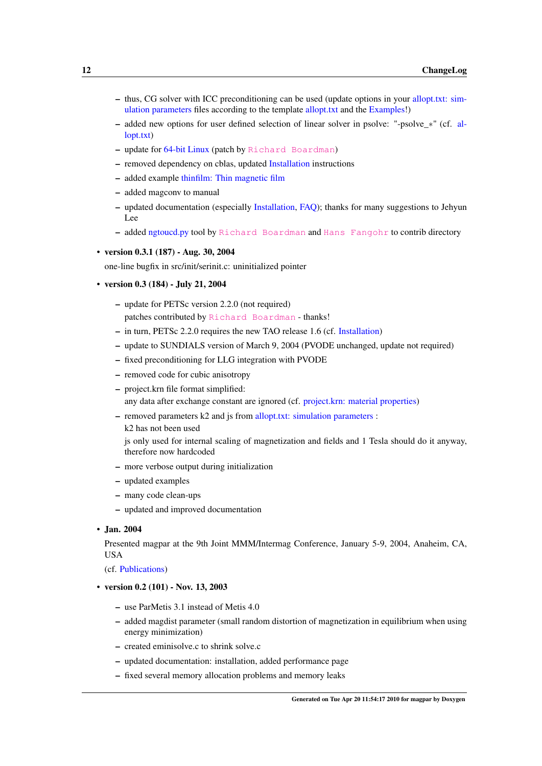- thus, CG solver with ICC preconditioning can be used (update options in your [allopt.txt: sim](#page-109-3)[ulation parameters](#page-109-3) files according to the template [allopt.txt](#page-112-1) and the [Examples!](#page-132-1))
- added new options for user defined selection of linear solver in psolve: "-psolve\_∗" (cf. [al](#page-112-1)[lopt.txt\)](#page-112-1)
- update for [64-bit Linux](#page-82-0) (patch by [Richard Boardman](http://www.soton.ac.uk/~rpb/))
- removed dependency on cblas, updated [Installation](#page-50-1) instructions
- added example [thinfilm: Thin magnetic film](#page-144-1)
- added magconv to manual
- updated documentation (especially [Installation,](#page-50-1) [FAQ\)](#page-80-1); thanks for many suggestions to Jehyun Lee
- added [ngtoucd.py](#page-151-5) tool by [Richard Boardman](http://www.soton.ac.uk/~rpb/) and [Hans Fangohr](http://www.soton.ac.uk/~fangohr/) to contrib directory
- version 0.3.1 (187) Aug. 30, 2004

one-line bugfix in src/init/serinit.c: uninitialized pointer

- version 0.3 (184) July 21, 2004
	- update for PETSc version 2.2.0 (not required) patches contributed by [Richard Boardman](http://www.soton.ac.uk/~rpb/) - thanks!
	- in turn, PETSc 2.2.0 requires the new TAO release 1.6 (cf. [Installation\)](#page-50-1)
	- update to SUNDIALS version of March 9, 2004 (PVODE unchanged, update not required)
	- fixed preconditioning for LLG integration with PVODE
	- removed code for cubic anisotropy
	- project.krn file format simplified:

any data after exchange constant are ignored (cf. [project.krn: material properties\)](#page-109-2)

- removed parameters k2 and js from [allopt.txt: simulation parameters](#page-109-3) :
	- k2 has not been used

js only used for internal scaling of magnetization and fields and 1 Tesla should do it anyway, therefore now hardcoded

- more verbose output during initialization
- updated examples
- many code clean-ups
- updated and improved documentation

#### • Jan. 2004

Presented magpar at the 9th Joint MMM/Intermag Conference, January 5-9, 2004, Anaheim, CA, USA

(cf. [Publications\)](#page-154-1)

#### • version 0.2 (101) - Nov. 13, 2003

- use ParMetis 3.1 instead of Metis 4.0
- added magdist parameter (small random distortion of magnetization in equilibrium when using energy minimization)
- created eminisolve.c to shrink solve.c
- updated documentation: installation, added performance page
- fixed several memory allocation problems and memory leaks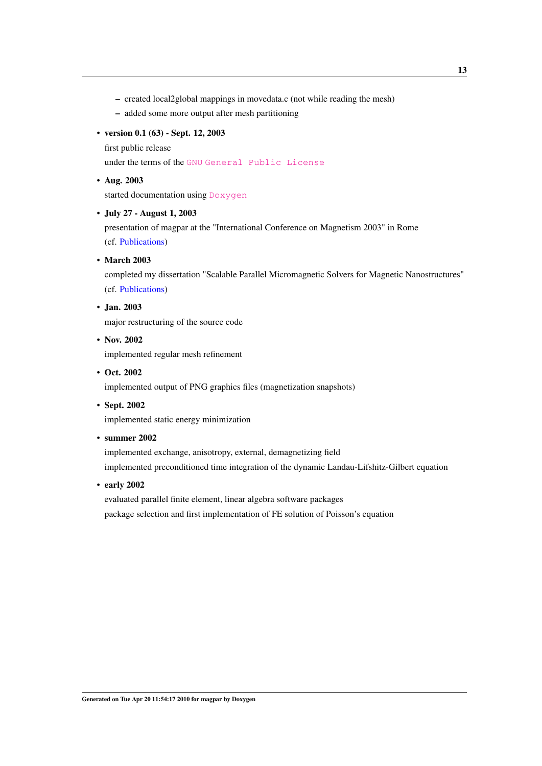- created local2global mappings in movedata.c (not while reading the mesh)
- added some more output after mesh partitioning

#### • version 0.1 (63) - Sept. 12, 2003

first public release

under the terms of the [GNU](http://www.gnu.org) [General Public License](http://www.gnu.org/licenses/gpl.html)

#### • Aug. 2003

started documentation using [Doxygen](http://www.doxygen.org/)

#### • July 27 - August 1, 2003

presentation of magpar at the "International Conference on Magnetism 2003" in Rome (cf. [Publications\)](#page-154-1)

• March 2003

completed my dissertation "Scalable Parallel Micromagnetic Solvers for Magnetic Nanostructures" (cf. [Publications\)](#page-154-1)

## • Jan. 2003

major restructuring of the source code

- Nov. 2002 implemented regular mesh refinement
- Oct. 2002

implemented output of PNG graphics files (magnetization snapshots)

• Sept. 2002

implemented static energy minimization

• summer 2002

implemented exchange, anisotropy, external, demagnetizing field implemented preconditioned time integration of the dynamic Landau-Lifshitz-Gilbert equation

• early 2002

evaluated parallel finite element, linear algebra software packages package selection and first implementation of FE solution of Poisson's equation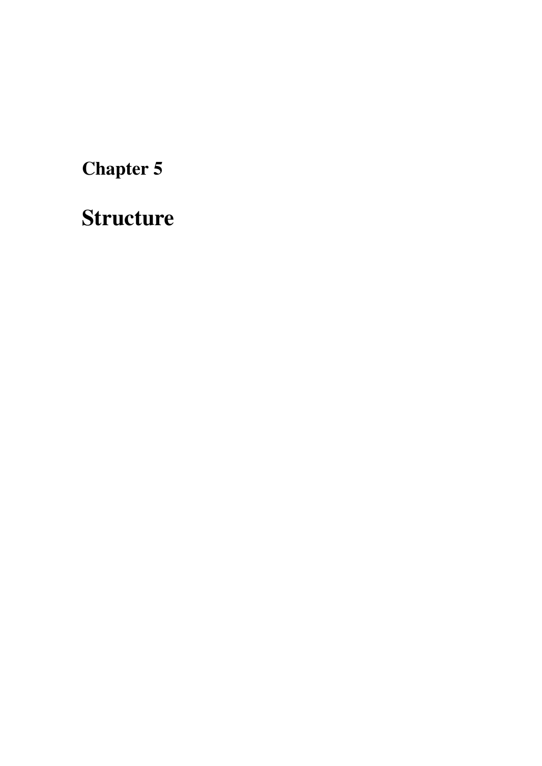<span id="page-24-1"></span><span id="page-24-0"></span>Structure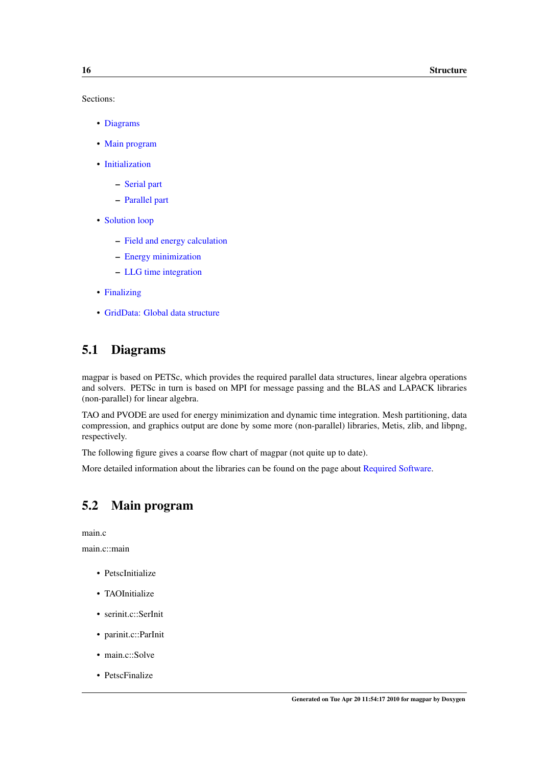Sections:

- [Diagrams](#page-25-2)
- [Main program](#page-25-3)
- [Initialization](#page-25-4)
	- [Serial part](#page-26-1)
	- [Parallel part](#page-26-4)
- [Solution loop](#page-26-5)
	- [Field and energy calculation](#page-27-5)
	- [Energy minimization](#page-27-6)
	- [LLG time integration](#page-27-7)
- [Finalizing](#page-27-8)
- [GridData: Global data structure](#page-27-9)

## <span id="page-25-2"></span><span id="page-25-0"></span>5.1 Diagrams

magpar is based on PETSc, which provides the required parallel data structures, linear algebra operations and solvers. PETSc in turn is based on MPI for message passing and the BLAS and LAPACK libraries (non-parallel) for linear algebra.

TAO and PVODE are used for energy minimization and dynamic time integration. Mesh partitioning, data compression, and graphics output are done by some more (non-parallel) libraries, Metis, zlib, and libpng, respectively.

The following figure gives a coarse flow chart of magpar (not quite up to date).

<span id="page-25-3"></span>More detailed information about the libraries can be found on the page about [Required Software.](#page-34-1)

## <span id="page-25-1"></span>5.2 Main program

main.c

main.c::main

- PetscInitialize
- TAOInitialize
- serinit.c::SerInit
- parinit.c::ParInit
- main.c::Solve
- <span id="page-25-4"></span>• PetscFinalize

Generated on Tue Apr 20 11:54:17 2010 for magpar by Doxygen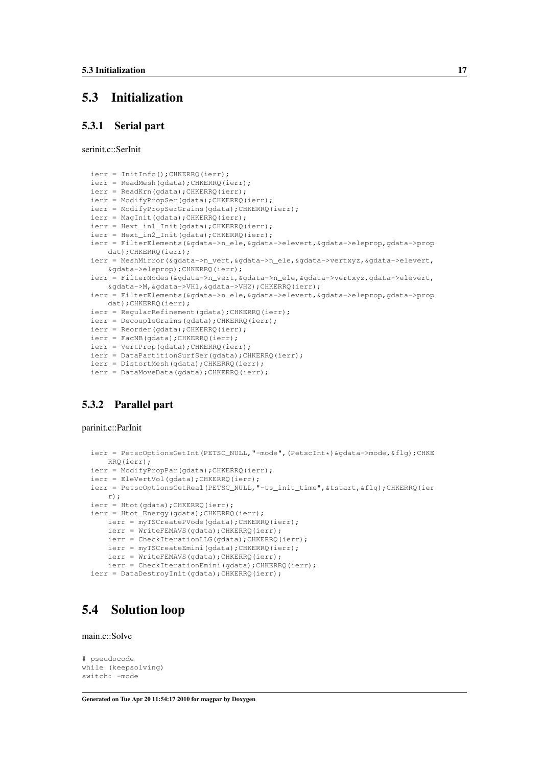## <span id="page-26-0"></span>5.3 Initialization

#### <span id="page-26-1"></span>5.3.1 Serial part

serinit c: SerInit

```
ierr = InitInfo();CHKERRQ(ierr);
ierr = ReadMesh(gdata); CHKERRQ(ierr);
ierr = ReadKrn(gdata); CHKERRQ(ierr);
ierr = ModifyPropSer(gdata);CHKERRQ(ierr);
ierr = ModifyPropSerGrains(gdata);CHKERRQ(ierr);
ierr = MagInit(gdata);CHKERRQ(ierr);
ierr = Hext_in1_Init(gdata);CHKERRQ(ierr);
ierr = Hext_in2_Init(gdata);CHKERRQ(ierr);
ierr = FilterElements(&gdata->n_ele,&gdata->elevert,&gdata->eleprop,gdata->prop
   dat);CHKERRQ(ierr);
ierr = MeshMirror(&gdata->n_vert, &gdata->n_ele, &gdata->vertxyz, &gdata->elevert,
   &gdata->eleprop);CHKERRQ(ierr);
ierr = FilterNodes(&gdata->n_vert,&gdata->n_ele,&gdata->vertxyz,gdata->elevert,
   &gdata->M,&gdata->VH1,&gdata->VH2);CHKERRQ(ierr);
ierr = FilterElements(&gdata->n_ele,&gdata->elevert,&gdata->eleprop,gdata->prop
   dat); CHKERRQ(ierr);
ierr = RegularRefinement(gdata);CHKERRQ(ierr);
ierr = DecoupleGrains(gdata);CHKERRQ(ierr);
ierr = Reorder(gdata);CHKERRQ(ierr);
ierr = FacNB(gdata);CHKERRQ(ierr);
ierr = VertProp(gdata);CHKERRQ(ierr);
ierr = DataPartitionSurfSer(gdata);CHKERRQ(ierr);
ierr = DistortMesh(gdata);CHKERRQ(ierr);
ierr = DataMoveData(gdata);CHKERRQ(ierr);
```
### <span id="page-26-4"></span><span id="page-26-2"></span>5.3.2 Parallel part

parinit.c::ParInit

```
ierr = PetscOptionsGetInt(PETSC_NULL,"-mode",(PetscInt*)&gdata->mode,&flg);CHKE
   RRQ(ierr);
ierr = ModifyPropPar(gdata);CHKERRQ(ierr);
ierr = EleVertVol(gdata);CHKERRQ(ierr);
ierr = PetscOptionsGetReal(PETSC_NULL,"-ts_init_time",&tstart,&flg);CHKERRQ(ier
   r);
ierr = Htot(gdata);CHKERRQ(ierr);
ierr = Htot_Energy(gdata);CHKERRQ(ierr);
   ierr = myTSCreatePVode(gdata);CHKERRQ(ierr);
   ierr = WriteFEMAVS(gdata);CHKERRQ(ierr);
   ierr = CheckIterationLLG(gdata);CHKERRQ(ierr);
   ierr = myTSCreateEmini(gdata);CHKERRQ(ierr);
   ierr = WriteFEMAVS(gdata);CHKERRQ(ierr);
   ierr = CheckIterationEmini(gdata);CHKERRQ(ierr);
ierr = DataDestroyInit(gdata);CHKERRQ(ierr);
```
## <span id="page-26-5"></span><span id="page-26-3"></span>5.4 Solution loop

main.c::Solve

```
# pseudocode
while (keepsolving)
switch: -mode
```
Generated on Tue Apr 20 11:54:17 2010 for magpar by Doxygen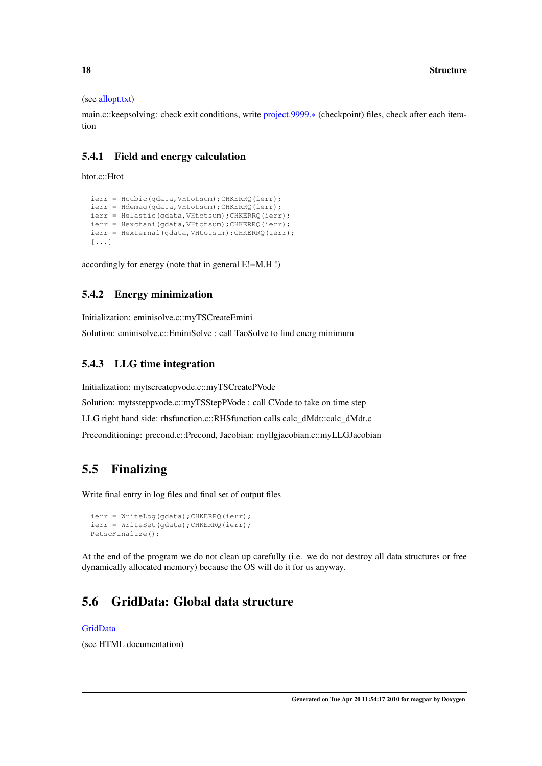#### (see [allopt.txt\)](#page-112-1)

<span id="page-27-5"></span>main.c::keepsolving: check exit conditions, write [project.9999.](#page-131-3)∗ (checkpoint) files, check after each iteration

#### <span id="page-27-0"></span>5.4.1 Field and energy calculation

#### htot.c::Htot

```
ierr = Hcubic(gdata,VHtotsum);CHKERRQ(ierr);
ierr = Hdemag(gdata, VHtotsum); CHKERRO(ierr);
ierr = Helastic(gdata,VHtotsum);CHKERRQ(ierr);
ierr = Hexchani(gdata,VHtotsum);CHKERRQ(ierr);
ierr = Hexternal(gdata,VHtotsum);CHKERRQ(ierr);
[...]
```
<span id="page-27-6"></span>accordingly for energy (note that in general E!=M.H !)

### <span id="page-27-1"></span>5.4.2 Energy minimization

Initialization: eminisolve.c::myTSCreateEmini

<span id="page-27-7"></span>Solution: eminisolve.c::EminiSolve : call TaoSolve to find energ minimum

#### <span id="page-27-2"></span>5.4.3 LLG time integration

Initialization: mytscreatepvode.c::myTSCreatePVode Solution: mytssteppvode.c::myTSStepPVode : call CVode to take on time step LLG right hand side: rhsfunction.c::RHSfunction calls calc\_dMdt::calc\_dMdt.c Preconditioning: precond.c::Precond, Jacobian: myllgjacobian.c::myLLGJacobian

## <span id="page-27-8"></span><span id="page-27-3"></span>5.5 Finalizing

Write final entry in log files and final set of output files

```
ierr = WriteLog(gdata); CHKERRQ(ierr);
ierr = WriteSet(gdata); CHKERRQ(ierr);
PetscFinalize();
```
<span id="page-27-9"></span>At the end of the program we do not clean up carefully (i.e. we do not destroy all data structures or free dynamically allocated memory) because the OS will do it for us anyway.

## <span id="page-27-4"></span>5.6 GridData: Global data structure

#### [GridData](#page-188-1)

(see HTML documentation)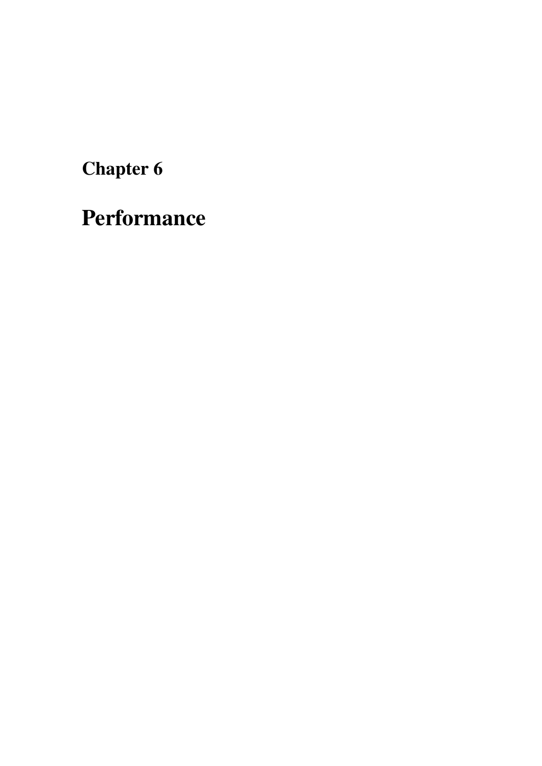<span id="page-28-1"></span><span id="page-28-0"></span>Performance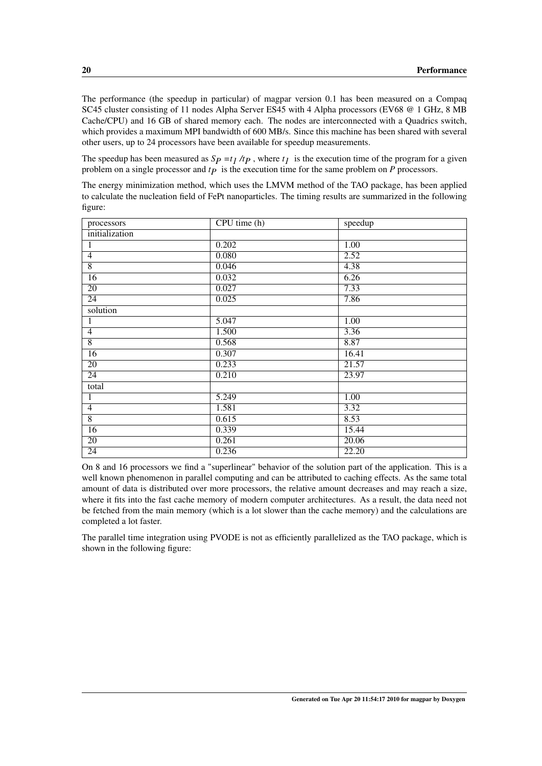The performance (the speedup in particular) of magpar version 0.1 has been measured on a Compaq SC45 cluster consisting of 11 nodes Alpha Server ES45 with 4 Alpha processors (EV68 @ 1 GHz, 8 MB Cache/CPU) and 16 GB of shared memory each. The nodes are interconnected with a Quadrics switch, which provides a maximum MPI bandwidth of 600 MB/s. Since this machine has been shared with several other users, up to 24 processors have been available for speedup measurements.

The speedup has been measured as  $Sp = t_1/t_p$ , where  $t_1$  is the execution time of the program for a given problem on a single processor and  $tp$  is the execution time for the same problem on  $P$  processors.

The energy minimization method, which uses the LMVM method of the TAO package, has been applied to calculate the nucleation field of FePt nanoparticles. The timing results are summarized in the following figure:

| processors      | CPU time (h) | speedup           |
|-----------------|--------------|-------------------|
| initialization  |              |                   |
| $\mathbf{1}$    | 0.202        | 1.00              |
| $\overline{4}$  | 0.080        | 2.52              |
| $\overline{8}$  | 0.046        | 4.38              |
| 16              | 0.032        | 6.26              |
| $\overline{20}$ | 0.027        | 7.33              |
| $\overline{24}$ | 0.025        | 7.86              |
| solution        |              |                   |
| 1               | 5.047        | 1.00              |
| $\overline{4}$  | 1.500        | 3.36              |
| $\overline{8}$  | 0.568        | 8.87              |
| $\overline{16}$ | 0.307        | 16.41             |
| $\overline{20}$ | 0.233        | 21.57             |
| 24              | 0.210        | 23.97             |
| total           |              |                   |
| $\mathbf{1}$    | 5.249        | $\overline{1.00}$ |
| $\overline{4}$  | 1.581        | 3.32              |
| $\overline{8}$  | 0.615        | 8.53              |
| $\overline{16}$ | 0.339        | 15.44             |
| $\overline{20}$ | 0.261        | 20.06             |
| $\overline{24}$ | 0.236        | 22.20             |

On 8 and 16 processors we find a "superlinear" behavior of the solution part of the application. This is a well known phenomenon in parallel computing and can be attributed to caching effects. As the same total amount of data is distributed over more processors, the relative amount decreases and may reach a size, where it fits into the fast cache memory of modern computer architectures. As a result, the data need not be fetched from the main memory (which is a lot slower than the cache memory) and the calculations are completed a lot faster.

The parallel time integration using PVODE is not as efficiently parallelized as the TAO package, which is shown in the following figure: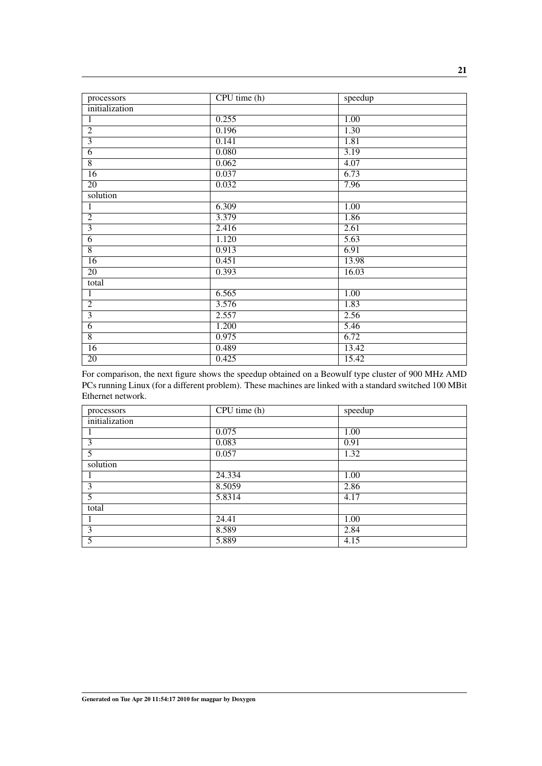| processors      | CPU time (h) | speedup           |
|-----------------|--------------|-------------------|
| initialization  |              |                   |
| $\mathbf{1}$    | 0.255        | 1.00              |
| $\overline{2}$  | 0.196        | 1.30              |
| $\overline{3}$  | 0.141        | 1.81              |
| $\overline{6}$  | 0.080        | 3.19              |
| $\overline{8}$  | 0.062        | 4.07              |
| $\overline{16}$ | 0.037        | 6.73              |
| $\overline{20}$ | 0.032        | 7.96              |
| solution        |              |                   |
| $\mathbf{1}$    | 6.309        | 1.00              |
| $\overline{2}$  | 3.379        | 1.86              |
| $\overline{3}$  | 2.416        | 2.61              |
| $\overline{6}$  | 1.120        | 5.63              |
| $\overline{8}$  | 0.913        | 6.91              |
| $\overline{16}$ | 0.451        | 13.98             |
| $\overline{20}$ | 0.393        | 16.03             |
| total           |              |                   |
| 1               | 6.565        | $\overline{1.00}$ |
| $\overline{2}$  | 3.576        | 1.83              |
| $\overline{3}$  | 2.557        | 2.56              |
| $\overline{6}$  | 1.200        | 5.46              |
| $\overline{8}$  | 0.975        | 6.72              |
| $\overline{16}$ | 0.489        | 13.42             |
| $\overline{20}$ | 0.425        | 15.42             |

For comparison, the next figure shows the speedup obtained on a Beowulf type cluster of 900 MHz AMD PCs running Linux (for a different problem). These machines are linked with a standard switched 100 MBit Ethernet network.

| processors     | CPU time (h) | speedup |
|----------------|--------------|---------|
| initialization |              |         |
|                | 0.075        | 1.00    |
| 3              | 0.083        | 0.91    |
| 5              | 0.057        | 1.32    |
| solution       |              |         |
|                | 24.334       | 1.00    |
| 3              | 8.5059       | 2.86    |
| 5              | 5.8314       | 4.17    |
| total          |              |         |
|                | 24.41        | 1.00    |
| 3              | 8.589        | 2.84    |
| 5              | 5.889        | 4.15    |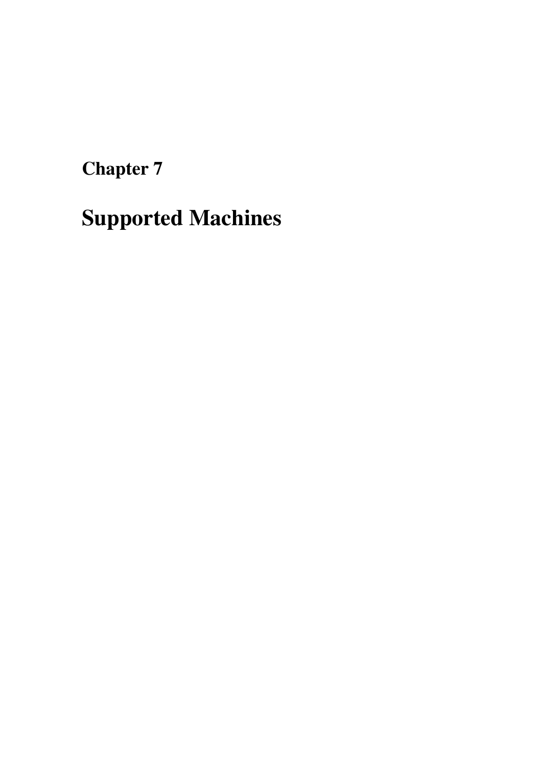<span id="page-32-1"></span><span id="page-32-0"></span>Supported Machines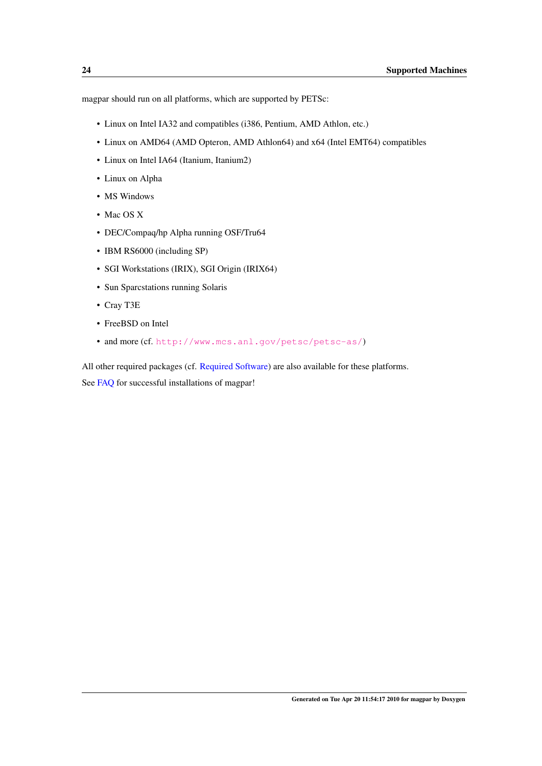magpar should run on all platforms, which are supported by PETSc:

- Linux on Intel IA32 and compatibles (i386, Pentium, AMD Athlon, etc.)
- Linux on AMD64 (AMD Opteron, AMD Athlon64) and x64 (Intel EMT64) compatibles
- Linux on Intel IA64 (Itanium, Itanium2)
- Linux on Alpha
- MS Windows
- Mac OS X
- DEC/Compaq/hp Alpha running OSF/Tru64
- IBM RS6000 (including SP)
- SGI Workstations (IRIX), SGI Origin (IRIX64)
- Sun Sparcstations running Solaris
- Cray T3E
- FreeBSD on Intel
- and more (cf. <http://www.mcs.anl.gov/petsc/petsc-as/>)

All other required packages (cf. [Required Software\)](#page-34-1) are also available for these platforms. See [FAQ](#page-80-1) for successful installations of magpar!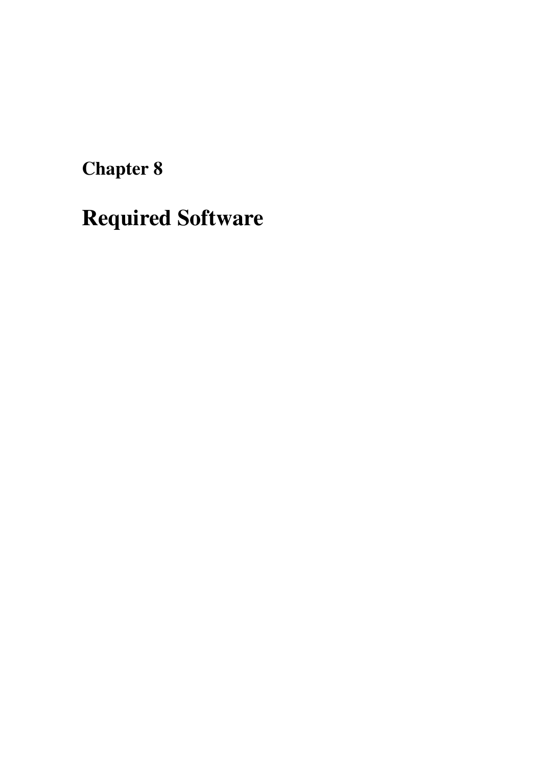<span id="page-34-1"></span><span id="page-34-0"></span>Required Software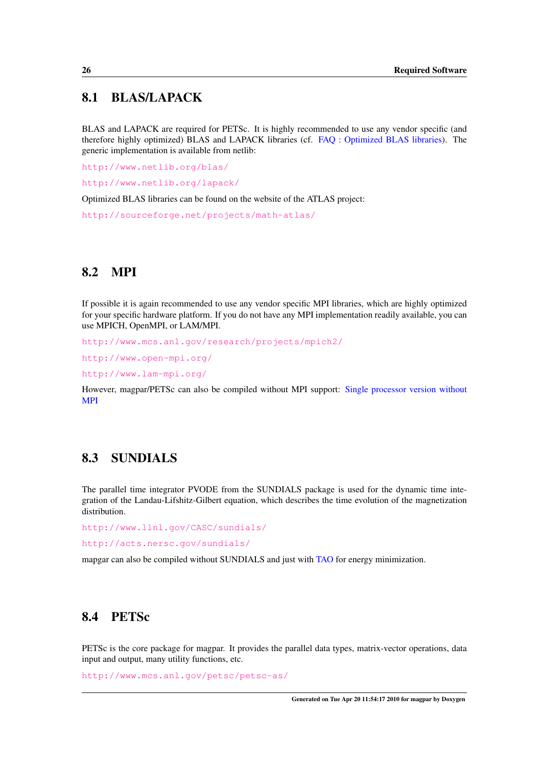## <span id="page-35-0"></span>8.1 BLAS/LAPACK

BLAS and LAPACK are required for PETSc. It is highly recommended to use any vendor specific (and therefore highly optimized) BLAS and LAPACK libraries (cf. [FAQ](#page-80-1) : [Optimized BLAS libraries\)](#page-86-1). The generic implementation is available from netlib:

<http://www.netlib.org/blas/>

<http://www.netlib.org/lapack/>

Optimized BLAS libraries can be found on the website of the ATLAS project:

<http://sourceforge.net/projects/math-atlas/>

## <span id="page-35-1"></span>8.2 MPI

If possible it is again recommended to use any vendor specific MPI libraries, which are highly optimized for your specific hardware platform. If you do not have any MPI implementation readily available, you can use MPICH, OpenMPI, or LAM/MPI.

<http://www.mcs.anl.gov/research/projects/mpich2/>

<http://www.open-mpi.org/>

<http://www.lam-mpi.org/>

<span id="page-35-4"></span>However, magpar/PETSc can also be compiled without MPI support: [Single processor version without](#page-91-3) [MPI](#page-91-3)

## <span id="page-35-2"></span>8.3 SUNDIALS

The parallel time integrator PVODE from the SUNDIALS package is used for the dynamic time integration of the Landau-Lifshitz-Gilbert equation, which describes the time evolution of the magnetization distribution.

<http://www.llnl.gov/CASC/sundials/>

<http://acts.nersc.gov/sundials/>

mapgar can also be compiled without SUNDIALS and just with [TAO](#page-36-7) for energy minimization.

## <span id="page-35-3"></span>8.4 PETSc

PETSc is the core package for magpar. It provides the parallel data types, matrix-vector operations, data input and output, many utility functions, etc.

<http://www.mcs.anl.gov/petsc/petsc-as/>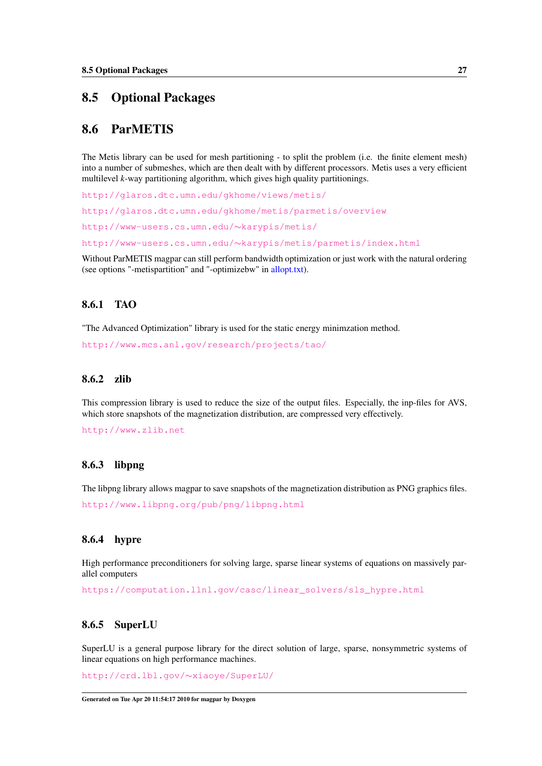## 8.5 Optional Packages

#### 8.6 ParMETIS

The Metis library can be used for mesh partitioning - to split the problem (i.e. the finite element mesh) into a number of submeshes, which are then dealt with by different processors. Metis uses a very efficient multilevel *k*-way partitioning algorithm, which gives high quality partitionings.

<http://glaros.dtc.umn.edu/gkhome/views/metis/> <http://glaros.dtc.umn.edu/gkhome/metis/parmetis/overview> [http://www-users.cs.umn.edu/](http://www-users.cs.umn.edu/~karypis/metis/)∼karypis/metis/ http://www-users.cs.umn.edu/∼[karypis/metis/parmetis/index.html](http://www-users.cs.umn.edu/~karypis/metis/parmetis/index.html)

Without ParMETIS magpar can still perform bandwidth optimization or just work with the natural ordering (see options "-metispartition" and "-optimizebw" in [allopt.txt\)](#page-112-0).

#### 8.6.1 TAO

"The Advanced Optimization" library is used for the static energy minimzation method.

<http://www.mcs.anl.gov/research/projects/tao/>

#### 8.6.2 zlib

This compression library is used to reduce the size of the output files. Especially, the inp-files for AVS, which store snapshots of the magnetization distribution, are compressed very effectively.

<http://www.zlib.net>

#### 8.6.3 libpng

The libpng library allows magpar to save snapshots of the magnetization distribution as PNG graphics files.

<http://www.libpng.org/pub/png/libpng.html>

#### 8.6.4 hypre

High performance preconditioners for solving large, sparse linear systems of equations on massively parallel computers

[https://computation.llnl.gov/casc/linear\\_solvers/sls\\_hypre.html](https://computation.llnl.gov/casc/linear_solvers/sls_hypre.html)

#### 8.6.5 SuperLU

SuperLU is a general purpose library for the direct solution of large, sparse, nonsymmetric systems of linear equations on high performance machines.

[http://crd.lbl.gov/](http://crd.lbl.gov/~xiaoye/SuperLU/)∼xiaoye/SuperLU/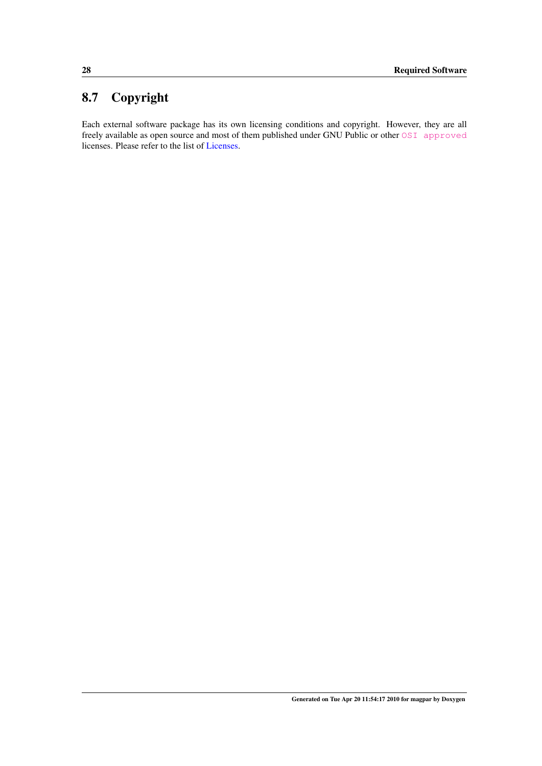# 8.7 Copyright

Each external software package has its own licensing conditions and copyright. However, they are all freely available as open source and most of them published under GNU Public or other [OSI approved](http://opensource.org/licenses/) licenses. Please refer to the list of [Licenses.](#page-38-0)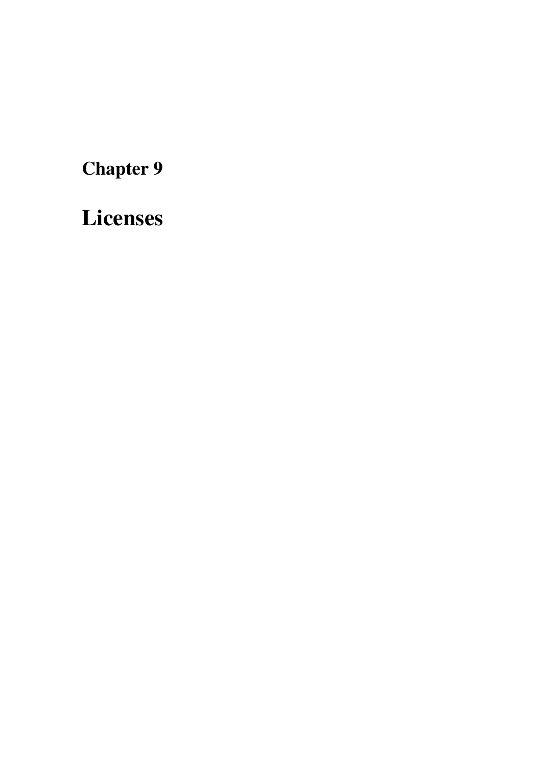Chapter 9

<span id="page-38-0"></span>Licenses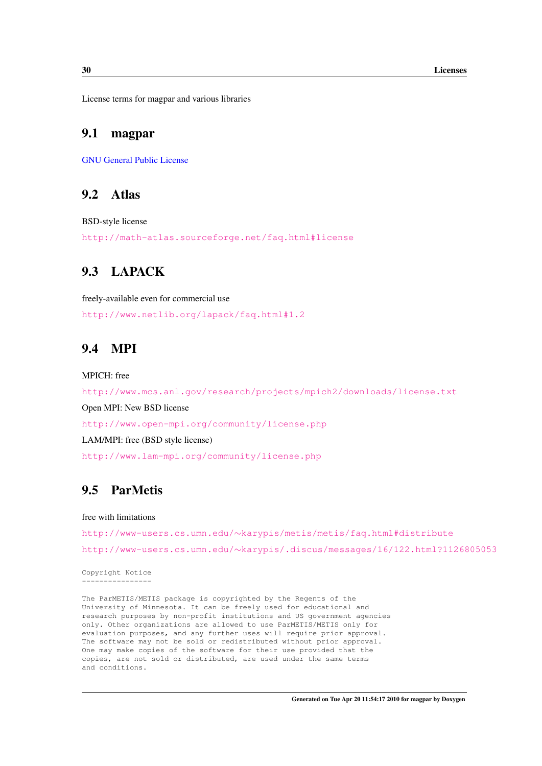License terms for magpar and various libraries

#### 9.1 magpar

[GNU General Public License](#page-44-0)

#### 9.2 Atlas

BSD-style license

<http://math-atlas.sourceforge.net/faq.html#license>

## 9.3 LAPACK

freely-available even for commercial use <http://www.netlib.org/lapack/faq.html#1.2>

## 9.4 MPI

MPICH: free

<http://www.mcs.anl.gov/research/projects/mpich2/downloads/license.txt> Open MPI: New BSD license <http://www.open-mpi.org/community/license.php> LAM/MPI: free (BSD style license) <http://www.lam-mpi.org/community/license.php>

## 9.5 ParMetis

free with limitations

http://www-users.cs.umn.edu/∼[karypis/metis/metis/faq.html#distribute](http://www-users.cs.umn.edu/~karypis/metis/metis/faq.html#distribute) http://www-users.cs.umn.edu/∼[karypis/.discus/messages/16/122.html?1126805053](http://www-users.cs.umn.edu/~karypis/.discus/messages/16/122.html?1126805053)

Copyright Notice ----------------

The ParMETIS/METIS package is copyrighted by the Regents of the University of Minnesota. It can be freely used for educational and research purposes by non-profit institutions and US government agencies only. Other organizations are allowed to use ParMETIS/METIS only for evaluation purposes, and any further uses will require prior approval. The software may not be sold or redistributed without prior approval. One may make copies of the software for their use provided that the copies, are not sold or distributed, are used under the same terms and conditions.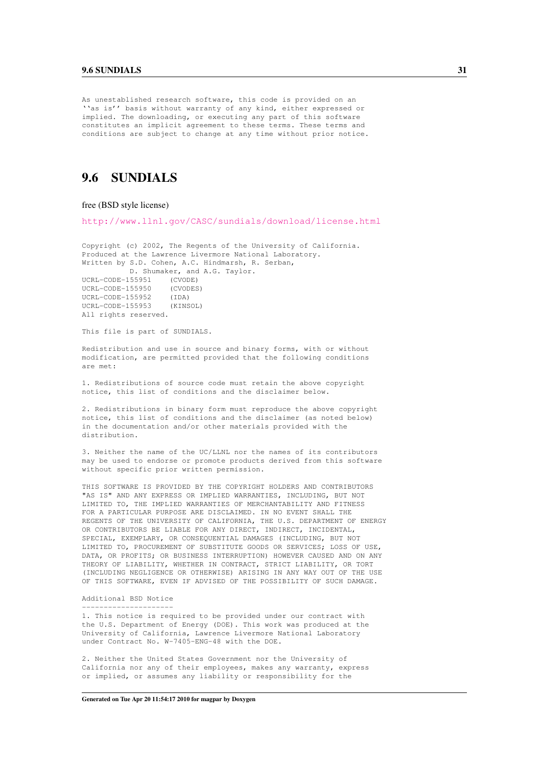#### 9.6 SUNDIALS 31

As unestablished research software, this code is provided on an ''as is'' basis without warranty of any kind, either expressed or implied. The downloading, or executing any part of this software constitutes an implicit agreement to these terms. These terms and conditions are subject to change at any time without prior notice.

# 9.6 SUNDIALS

#### free (BSD style license)

All rights reserved.

<http://www.llnl.gov/CASC/sundials/download/license.html>

Copyright (c) 2002, The Regents of the University of California. Produced at the Lawrence Livermore National Laboratory. Written by S.D. Cohen, A.C. Hindmarsh, R. Serban, D. Shumaker, and A.G. Taylor. UCRL-CODE-155951 (CVODE) UCRL-CODE-155950 (CVODES) UCRL-CODE-155952 (IDA) UCRL-CODE-155953 (KINSOL)

This file is part of SUNDIALS.

Redistribution and use in source and binary forms, with or without modification, are permitted provided that the following conditions are met:

1. Redistributions of source code must retain the above copyright notice, this list of conditions and the disclaimer below.

2. Redistributions in binary form must reproduce the above copyright notice, this list of conditions and the disclaimer (as noted below) in the documentation and/or other materials provided with the distribution.

3. Neither the name of the UC/LLNL nor the names of its contributors may be used to endorse or promote products derived from this software without specific prior written permission.

THIS SOFTWARE IS PROVIDED BY THE COPYRIGHT HOLDERS AND CONTRIBUTORS "AS IS" AND ANY EXPRESS OR IMPLIED WARRANTIES, INCLUDING, BUT NOT LIMITED TO, THE IMPLIED WARRANTIES OF MERCHANTABILITY AND FITNESS FOR A PARTICULAR PURPOSE ARE DISCLAIMED. IN NO EVENT SHALL THE REGENTS OF THE UNIVERSITY OF CALIFORNIA, THE U.S. DEPARTMENT OF ENERGY OR CONTRIBUTORS BE LIABLE FOR ANY DIRECT, INDIRECT, INCIDENTAL, SPECIAL, EXEMPLARY, OR CONSEQUENTIAL DAMAGES (INCLUDING, BUT NOT LIMITED TO, PROCUREMENT OF SUBSTITUTE GOODS OR SERVICES; LOSS OF USE, DATA, OR PROFITS; OR BUSINESS INTERRUPTION) HOWEVER CAUSED AND ON ANY THEORY OF LIABILITY, WHETHER IN CONTRACT, STRICT LIABILITY, OR TORT (INCLUDING NEGLIGENCE OR OTHERWISE) ARISING IN ANY WAY OUT OF THE USE OF THIS SOFTWARE, EVEN IF ADVISED OF THE POSSIBILITY OF SUCH DAMAGE.

#### Additional BSD Notice ---------------------

1. This notice is required to be provided under our contract with the U.S. Department of Energy (DOE). This work was produced at the University of California, Lawrence Livermore National Laboratory under Contract No. W-7405-ENG-48 with the DOE.

2. Neither the United States Government nor the University of California nor any of their employees, makes any warranty, express or implied, or assumes any liability or responsibility for the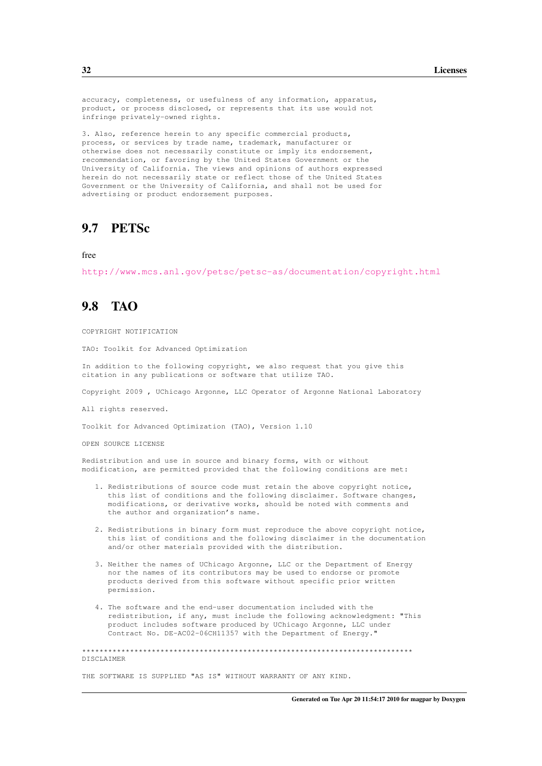accuracy, completeness, or usefulness of any information, apparatus, product, or process disclosed, or represents that its use would not infringe privately-owned rights.

3. Also, reference herein to any specific commercial products, process, or services by trade name, trademark, manufacturer or otherwise does not necessarily constitute or imply its endorsement, recommendation, or favoring by the United States Government or the University of California. The views and opinions of authors expressed herein do not necessarily state or reflect those of the United States Government or the University of California, and shall not be used for advertising or product endorsement purposes.

#### 9.7 PETSc

free

<http://www.mcs.anl.gov/petsc/petsc-as/documentation/copyright.html>

## 9.8 TAO

COPYRIGHT NOTIFICATION

TAO: Toolkit for Advanced Optimization

In addition to the following copyright, we also request that you give this citation in any publications or software that utilize TAO.

Copyright 2009 , UChicago Argonne, LLC Operator of Argonne National Laboratory

All rights reserved.

Toolkit for Advanced Optimization (TAO), Version 1.10

OPEN SOURCE LICENSE

Redistribution and use in source and binary forms, with or without modification, are permitted provided that the following conditions are met:

- 1. Redistributions of source code must retain the above copyright notice, this list of conditions and the following disclaimer. Software changes, modifications, or derivative works, should be noted with comments and the author and organization's name.
- 2. Redistributions in binary form must reproduce the above copyright notice, this list of conditions and the following disclaimer in the documentation and/or other materials provided with the distribution.
- 3. Neither the names of UChicago Argonne, LLC or the Department of Energy nor the names of its contributors may be used to endorse or promote products derived from this software without specific prior written permission.
- 4. The software and the end-user documentation included with the redistribution, if any, must include the following acknowledgment: "This product includes software produced by UChicago Argonne, LLC under Contract No. DE-AC02-06CH11357 with the Department of Energy."

\*\*\*\*\*\*\*\*\*\*\*\*\*\*\*\*\*\*\*\*\*\*\*\*\*\*\*\*\*\*\*\*\*\*\*\*\*\*\*\*\*\*\*\*\*\*\*\*\*\*\*\*\*\*\*\*\*\*\*\*\*\*\*\*\*\*\*\*\*\*\*\*\*\*\*\* **DISCLAIMER** 

THE SOFTWARE IS SUPPLIED "AS IS" WITHOUT WARRANTY OF ANY KIND.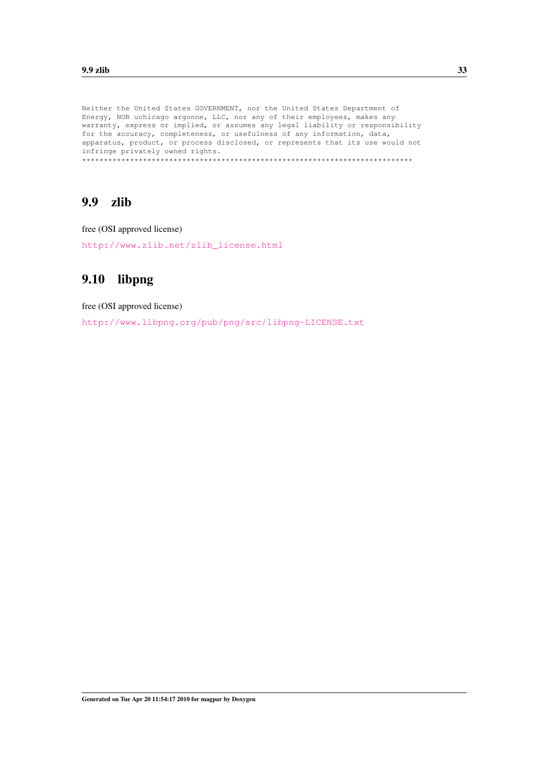Neither the United States GOVERNMENT, nor the United States Department of Energy, NOR uchicago argonne, LLC, nor any of their employees, makes any warranty, express or implied, or assumes any legal liability or responsibility for the accuracy, completeness, or usefulness of any information, data, apparatus, product, or process disclosed, or represents that its use would not infringe privately owned rights. \*\*\*\*\*\*\*\*\*\*\*\*\*\*\*\*\*\*\*\*\*\*\*\*\*\*\*\*\*\*\*\*\*\*\*\*\*\*\*\*\*\*\*\*\*\*\*\*\*\*\*\*\*\*\*\*\*\*\*\*\*\*\*\*\*\*\*\*\*\*\*\*\*\*\*\*

## 9.9 zlib

free (OSI approved license)

[http://www.zlib.net/zlib\\_license.html](http://www.zlib.net/zlib_license.html)

# 9.10 libpng

free (OSI approved license)

<http://www.libpng.org/pub/png/src/libpng-LICENSE.txt>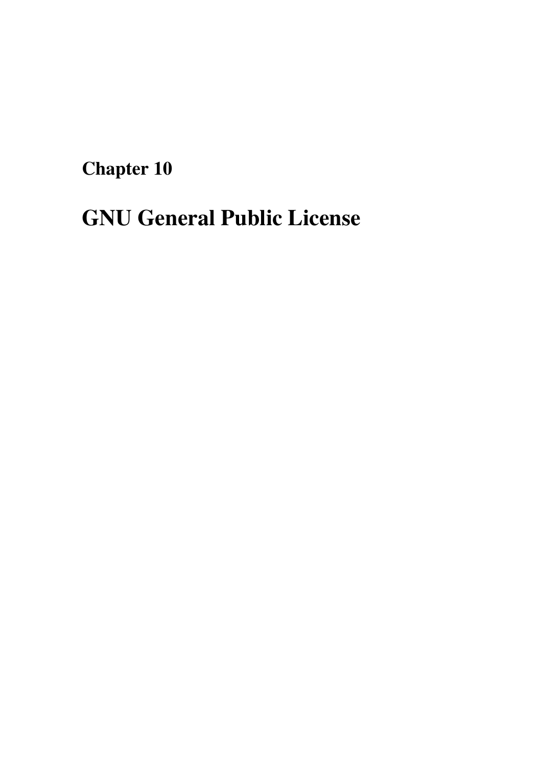Chapter 10

# <span id="page-44-0"></span>GNU General Public License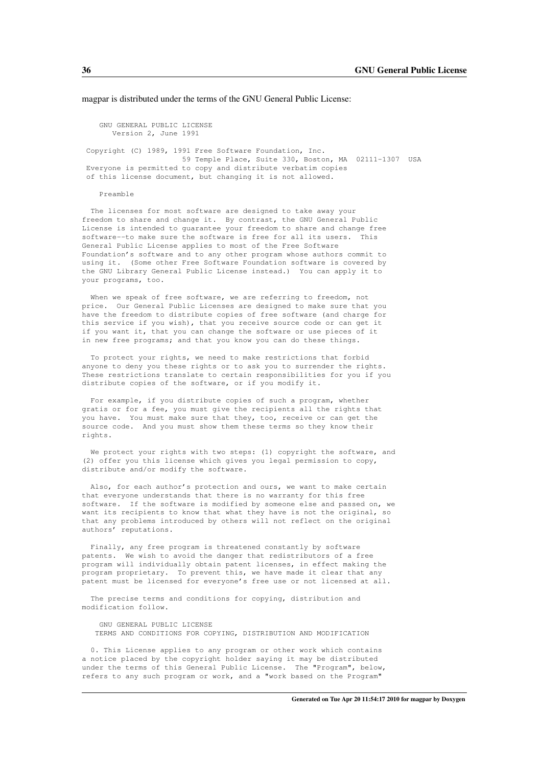magpar is distributed under the terms of the GNU General Public License:

GNU GENERAL PUBLIC LICENSE Version 2, June 1991

Copyright (C) 1989, 1991 Free Software Foundation, Inc. 59 Temple Place, Suite 330, Boston, MA 02111-1307 USA Everyone is permitted to copy and distribute verbatim copies of this license document, but changing it is not allowed.

#### Preamble

The licenses for most software are designed to take away your freedom to share and change it. By contrast, the GNU General Public License is intended to guarantee your freedom to share and change free software--to make sure the software is free for all its users. This General Public License applies to most of the Free Software Foundation's software and to any other program whose authors commit to using it. (Some other Free Software Foundation software is covered by the GNU Library General Public License instead.) You can apply it to your programs, too.

When we speak of free software, we are referring to freedom, not price. Our General Public Licenses are designed to make sure that you have the freedom to distribute copies of free software (and charge for this service if you wish), that you receive source code or can get it if you want it, that you can change the software or use pieces of it in new free programs; and that you know you can do these things.

To protect your rights, we need to make restrictions that forbid anyone to deny you these rights or to ask you to surrender the rights. These restrictions translate to certain responsibilities for you if you distribute copies of the software, or if you modify it.

For example, if you distribute copies of such a program, whether gratis or for a fee, you must give the recipients all the rights that you have. You must make sure that they, too, receive or can get the source code. And you must show them these terms so they know their rights.

We protect your rights with two steps: (1) copyright the software, and (2) offer you this license which gives you legal permission to copy, distribute and/or modify the software.

Also, for each author's protection and ours, we want to make certain that everyone understands that there is no warranty for this free software. If the software is modified by someone else and passed on, we want its recipients to know that what they have is not the original, so that any problems introduced by others will not reflect on the original authors' reputations.

Finally, any free program is threatened constantly by software patents. We wish to avoid the danger that redistributors of a free program will individually obtain patent licenses, in effect making the program proprietary. To prevent this, we have made it clear that any patent must be licensed for everyone's free use or not licensed at all.

The precise terms and conditions for copying, distribution and modification follow.

GNU GENERAL PUBLIC LICENSE TERMS AND CONDITIONS FOR COPYING, DISTRIBUTION AND MODIFICATION

0. This License applies to any program or other work which contains a notice placed by the copyright holder saying it may be distributed under the terms of this General Public License. The "Program", below, refers to any such program or work, and a "work based on the Program"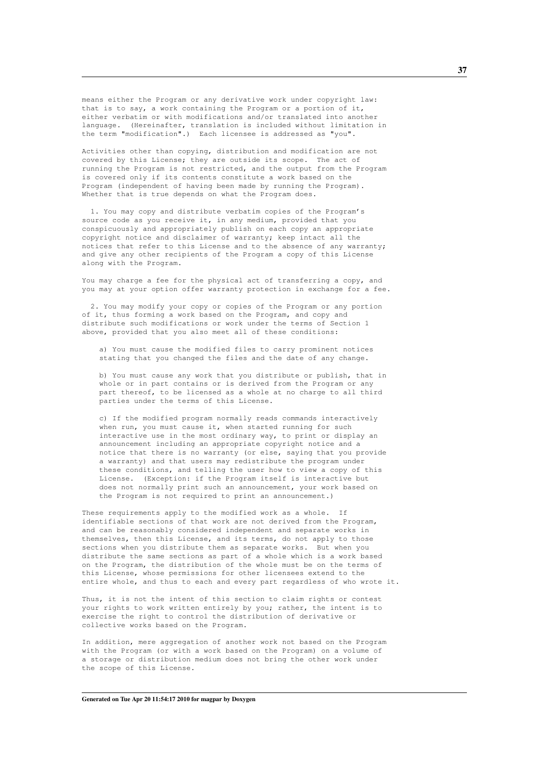means either the Program or any derivative work under copyright law: that is to say, a work containing the Program or a portion of it, either verbatim or with modifications and/or translated into another language. (Hereinafter, translation is included without limitation in the term "modification".) Each licensee is addressed as "you".

Activities other than copying, distribution and modification are not covered by this License; they are outside its scope. The act of running the Program is not restricted, and the output from the Program is covered only if its contents constitute a work based on the Program (independent of having been made by running the Program). Whether that is true depends on what the Program does.

1. You may copy and distribute verbatim copies of the Program's source code as you receive it, in any medium, provided that you conspicuously and appropriately publish on each copy an appropriate copyright notice and disclaimer of warranty; keep intact all the notices that refer to this License and to the absence of any warranty; and give any other recipients of the Program a copy of this License along with the Program.

You may charge a fee for the physical act of transferring a copy, and you may at your option offer warranty protection in exchange for a fee.

2. You may modify your copy or copies of the Program or any portion of it, thus forming a work based on the Program, and copy and distribute such modifications or work under the terms of Section 1 above, provided that you also meet all of these conditions:

a) You must cause the modified files to carry prominent notices stating that you changed the files and the date of any change.

b) You must cause any work that you distribute or publish, that in whole or in part contains or is derived from the Program or any part thereof, to be licensed as a whole at no charge to all third parties under the terms of this License.

c) If the modified program normally reads commands interactively when run, you must cause it, when started running for such interactive use in the most ordinary way, to print or display an announcement including an appropriate copyright notice and a notice that there is no warranty (or else, saying that you provide a warranty) and that users may redistribute the program under these conditions, and telling the user how to view a copy of this License. (Exception: if the Program itself is interactive but does not normally print such an announcement, your work based on the Program is not required to print an announcement.)

These requirements apply to the modified work as a whole. If identifiable sections of that work are not derived from the Program, and can be reasonably considered independent and separate works in themselves, then this License, and its terms, do not apply to those sections when you distribute them as separate works. But when you distribute the same sections as part of a whole which is a work based on the Program, the distribution of the whole must be on the terms of this License, whose permissions for other licensees extend to the entire whole, and thus to each and every part regardless of who wrote it.

Thus, it is not the intent of this section to claim rights or contest your rights to work written entirely by you; rather, the intent is to exercise the right to control the distribution of derivative or collective works based on the Program.

In addition, mere aggregation of another work not based on the Program with the Program (or with a work based on the Program) on a volume of a storage or distribution medium does not bring the other work under the scope of this License.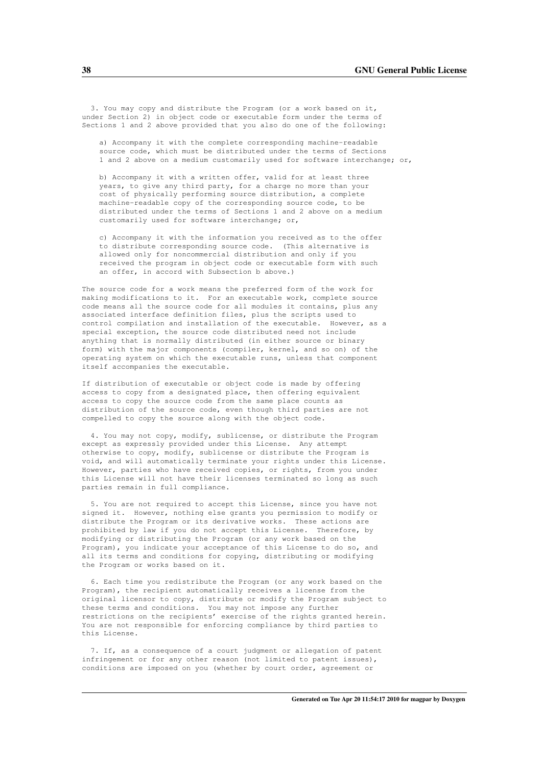3. You may copy and distribute the Program (or a work based on it, under Section 2) in object code or executable form under the terms of Sections 1 and 2 above provided that you also do one of the following:

a) Accompany it with the complete corresponding machine-readable source code, which must be distributed under the terms of Sections 1 and 2 above on a medium customarily used for software interchange; or,

b) Accompany it with a written offer, valid for at least three years, to give any third party, for a charge no more than your cost of physically performing source distribution, a complete machine-readable copy of the corresponding source code, to be distributed under the terms of Sections 1 and 2 above on a medium customarily used for software interchange; or,

c) Accompany it with the information you received as to the offer to distribute corresponding source code. (This alternative is allowed only for noncommercial distribution and only if you received the program in object code or executable form with such an offer, in accord with Subsection b above.)

The source code for a work means the preferred form of the work for making modifications to it. For an executable work, complete source code means all the source code for all modules it contains, plus any associated interface definition files, plus the scripts used to control compilation and installation of the executable. However, as a special exception, the source code distributed need not include anything that is normally distributed (in either source or binary form) with the major components (compiler, kernel, and so on) of the operating system on which the executable runs, unless that component itself accompanies the executable.

If distribution of executable or object code is made by offering access to copy from a designated place, then offering equivalent access to copy the source code from the same place counts as distribution of the source code, even though third parties are not compelled to copy the source along with the object code.

4. You may not copy, modify, sublicense, or distribute the Program except as expressly provided under this License. Any attempt otherwise to copy, modify, sublicense or distribute the Program is void, and will automatically terminate your rights under this License. However, parties who have received copies, or rights, from you under this License will not have their licenses terminated so long as such parties remain in full compliance.

5. You are not required to accept this License, since you have not signed it. However, nothing else grants you permission to modify or distribute the Program or its derivative works. These actions are prohibited by law if you do not accept this License. Therefore, by modifying or distributing the Program (or any work based on the Program), you indicate your acceptance of this License to do so, and all its terms and conditions for copying, distributing or modifying the Program or works based on it.

6. Each time you redistribute the Program (or any work based on the Program), the recipient automatically receives a license from the original licensor to copy, distribute or modify the Program subject to these terms and conditions. You may not impose any further restrictions on the recipients' exercise of the rights granted herein. You are not responsible for enforcing compliance by third parties to this License.

7. If, as a consequence of a court judgment or allegation of patent infringement or for any other reason (not limited to patent issues), conditions are imposed on you (whether by court order, agreement or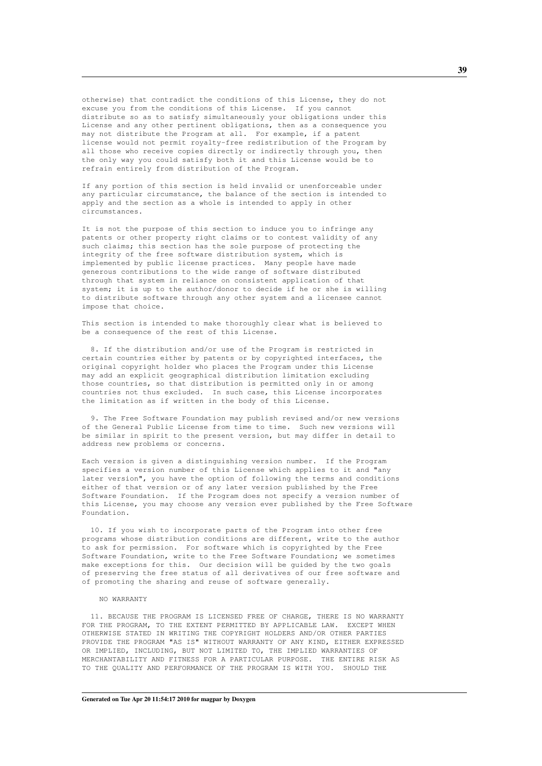otherwise) that contradict the conditions of this License, they do not excuse you from the conditions of this License. If you cannot distribute so as to satisfy simultaneously your obligations under this License and any other pertinent obligations, then as a consequence you may not distribute the Program at all. For example, if a patent license would not permit royalty-free redistribution of the Program by all those who receive copies directly or indirectly through you, then the only way you could satisfy both it and this License would be to refrain entirely from distribution of the Program.

If any portion of this section is held invalid or unenforceable under any particular circumstance, the balance of the section is intended to apply and the section as a whole is intended to apply in other circumstances.

It is not the purpose of this section to induce you to infringe any patents or other property right claims or to contest validity of any such claims; this section has the sole purpose of protecting the integrity of the free software distribution system, which is implemented by public license practices. Many people have made generous contributions to the wide range of software distributed through that system in reliance on consistent application of that system; it is up to the author/donor to decide if he or she is willing to distribute software through any other system and a licensee cannot impose that choice.

This section is intended to make thoroughly clear what is believed to be a consequence of the rest of this License.

8. If the distribution and/or use of the Program is restricted in certain countries either by patents or by copyrighted interfaces, the original copyright holder who places the Program under this License may add an explicit geographical distribution limitation excluding those countries, so that distribution is permitted only in or among countries not thus excluded. In such case, this License incorporates the limitation as if written in the body of this License.

9. The Free Software Foundation may publish revised and/or new versions of the General Public License from time to time. Such new versions will be similar in spirit to the present version, but may differ in detail to address new problems or concerns.

Each version is given a distinguishing version number. If the Program specifies a version number of this License which applies to it and "any later version", you have the option of following the terms and conditions either of that version or of any later version published by the Free Software Foundation. If the Program does not specify a version number of this License, you may choose any version ever published by the Free Software Foundation.

10. If you wish to incorporate parts of the Program into other free programs whose distribution conditions are different, write to the author to ask for permission. For software which is copyrighted by the Free Software Foundation, write to the Free Software Foundation; we sometimes make exceptions for this. Our decision will be guided by the two goals of preserving the free status of all derivatives of our free software and of promoting the sharing and reuse of software generally.

#### NO WARRANTY

11. BECAUSE THE PROGRAM IS LICENSED FREE OF CHARGE, THERE IS NO WARRANTY FOR THE PROGRAM, TO THE EXTENT PERMITTED BY APPLICABLE LAW. EXCEPT WHEN OTHERWISE STATED IN WRITING THE COPYRIGHT HOLDERS AND/OR OTHER PARTIES PROVIDE THE PROGRAM "AS IS" WITHOUT WARRANTY OF ANY KIND, EITHER EXPRESSED OR IMPLIED, INCLUDING, BUT NOT LIMITED TO, THE IMPLIED WARRANTIES OF MERCHANTABILITY AND FITNESS FOR A PARTICULAR PURPOSE. THE ENTIRE RISK AS TO THE QUALITY AND PERFORMANCE OF THE PROGRAM IS WITH YOU. SHOULD THE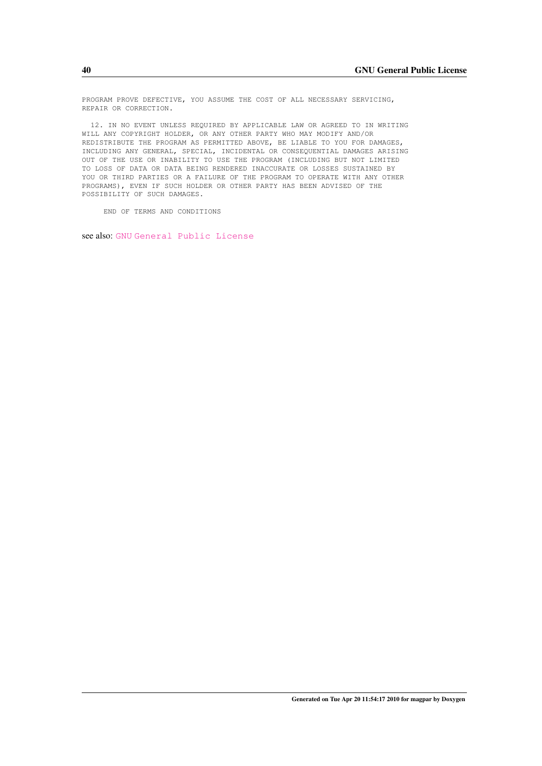PROGRAM PROVE DEFECTIVE, YOU ASSUME THE COST OF ALL NECESSARY SERVICING, REPAIR OR CORRECTION.

12. IN NO EVENT UNLESS REQUIRED BY APPLICABLE LAW OR AGREED TO IN WRITING WILL ANY COPYRIGHT HOLDER, OR ANY OTHER PARTY WHO MAY MODIFY AND/OR REDISTRIBUTE THE PROGRAM AS PERMITTED ABOVE, BE LIABLE TO YOU FOR DAMAGES, INCLUDING ANY GENERAL, SPECIAL, INCIDENTAL OR CONSEQUENTIAL DAMAGES ARISING OUT OF THE USE OR INABILITY TO USE THE PROGRAM (INCLUDING BUT NOT LIMITED TO LOSS OF DATA OR DATA BEING RENDERED INACCURATE OR LOSSES SUSTAINED BY YOU OR THIRD PARTIES OR A FAILURE OF THE PROGRAM TO OPERATE WITH ANY OTHER PROGRAMS), EVEN IF SUCH HOLDER OR OTHER PARTY HAS BEEN ADVISED OF THE POSSIBILITY OF SUCH DAMAGES.

END OF TERMS AND CONDITIONS

see also: [GNU](http://www.gnu.org) [General Public License](http://www.gnu.org/licenses/gpl.html)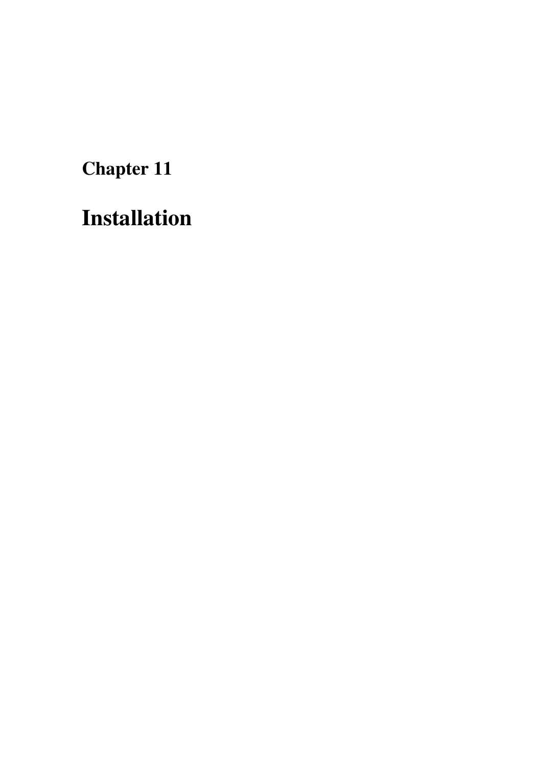Chapter 11

# Installation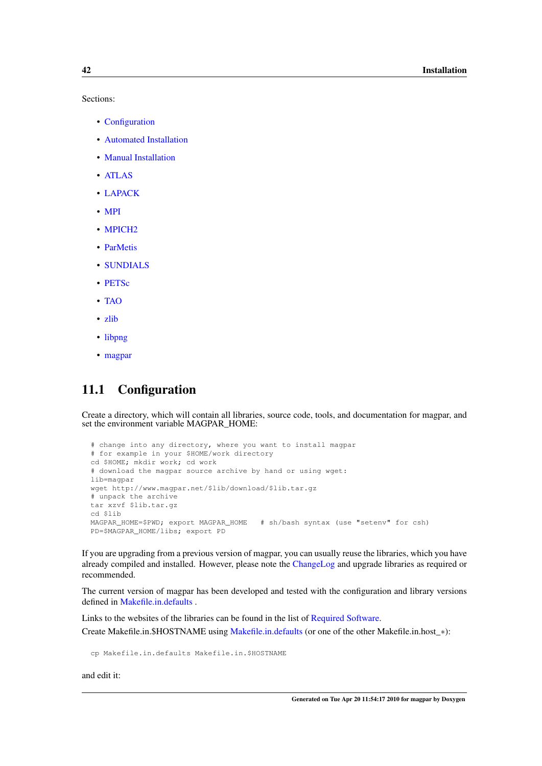Sections:

- [Configuration](#page-51-0)
- [Automated Installation](#page-52-0)
- [Manual Installation](#page-52-1)
- [ATLAS](#page-52-2)
- [LAPACK](#page-53-0)
- [MPI](#page-53-1)
- MPICH<sub>2</sub>
- [ParMetis](#page-54-1)
- [SUNDIALS](#page-55-0)
- [PETSc](#page-55-1)
- [TAO](#page-56-0)
- [zlib](#page-56-1)
- [libpng](#page-56-2)
- [magpar](#page-57-0)

## <span id="page-51-0"></span>11.1 Configuration

Create a directory, which will contain all libraries, source code, tools, and documentation for magpar, and set the environment variable MAGPAR\_HOME:

```
# change into any directory, where you want to install magpar
# for example in your $HOME/work directory
cd $HOME; mkdir work; cd work
# download the magpar source archive by hand or using wget:
lib=magpar
wget http://www.magpar.net/$lib/download/$lib.tar.gz
# unpack the archive
tar xzvf $lib.tar.gz
cd $lib
MAGPAR_HOME=$PWD; export MAGPAR_HOME # sh/bash syntax (use "setenv" for csh)
PD=$MAGPAR_HOME/libs; export PD
```
If you are upgrading from a previous version of magpar, you can usually reuse the libraries, which you have already compiled and installed. However, please note the [ChangeLog](#page-16-0) and upgrade libraries as required or recommended.

The current version of magpar has been developed and tested with the configuration and library versions defined in [Makefile.in.defaults](#page-62-0) .

Links to the websites of the libraries can be found in the list of [Required Software.](#page-34-0)

Create Makefile.in.\$HOSTNAME using [Makefile.in.defaults](#page-62-0) (or one of the other Makefile.in.host\_∗):

cp Makefile.in.defaults Makefile.in.\$HOSTNAME

and edit it: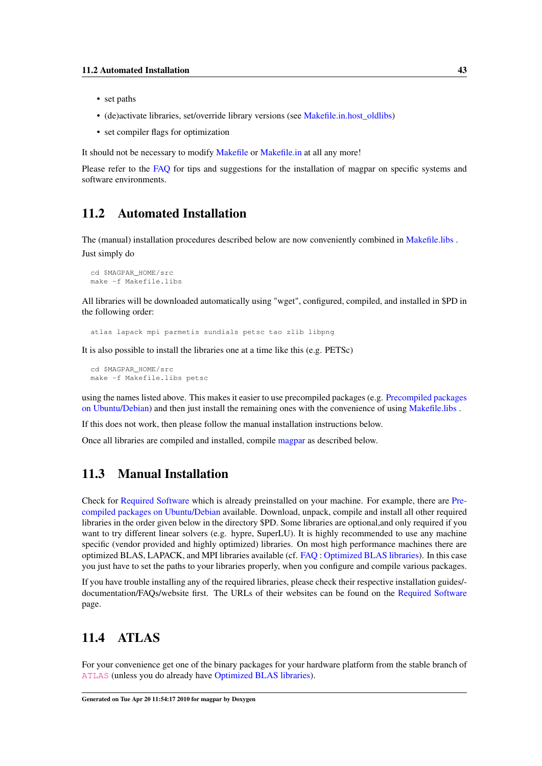- set paths
- (de)activate libraries, set/override library versions (see [Makefile.in.host\\_oldlibs\)](#page-66-0)
- set compiler flags for optimization

It should not be necessary to modify [Makefile](#page-59-0) or [Makefile.in](#page-60-0) at all any more!

<span id="page-52-0"></span>Please refer to the [FAQ](#page-80-0) for tips and suggestions for the installation of magpar on specific systems and software environments.

#### 11.2 Automated Installation

The (manual) installation procedures described below are now conveniently combined in [Makefile.libs](#page-69-0) . Just simply do

```
cd $MAGPAR_HOME/src
make -f Makefile.libs
```
All libraries will be downloaded automatically using "wget", configured, compiled, and installed in \$PD in the following order:

atlas lapack mpi parmetis sundials petsc tao zlib libpng

It is also possible to install the libraries one at a time like this (e.g. PETSc)

cd \$MAGPAR\_HOME/src make -f Makefile.libs petsc

using the names listed above. This makes it easier to use precompiled packages (e.g. [Precompiled packages](#page-87-0) [on Ubuntu/Debian\)](#page-87-0) and then just install the remaining ones with the convenience of using [Makefile.libs](#page-69-0) .

If this does not work, then please follow the manual installation instructions below.

<span id="page-52-1"></span>Once all libraries are compiled and installed, compile [magpar](#page-57-0) as described below.

## 11.3 Manual Installation

Check for [Required Software](#page-34-0) which is already preinstalled on your machine. For example, there are [Pre](#page-87-0)[compiled packages on Ubuntu/Debian](#page-87-0) available. Download, unpack, compile and install all other required libraries in the order given below in the directory \$PD. Some libraries are optional,and only required if you want to try different linear solvers (e.g. hypre, SuperLU). It is highly recommended to use any machine specific (vendor provided and highly optimized) libraries. On most high performance machines there are optimized BLAS, LAPACK, and MPI libraries available (cf. [FAQ](#page-80-0) : [Optimized BLAS libraries\)](#page-86-0). In this case you just have to set the paths to your libraries properly, when you configure and compile various packages.

If you have trouble installing any of the required libraries, please check their respective installation guides/ documentation/FAQs/website first. The URLs of their websites can be found on the [Required Software](#page-34-0) page.

# <span id="page-52-2"></span>11.4 ATLAS

For your convenience get one of the binary packages for your hardware platform from the stable branch of [ATLAS](http://sourceforge.net/projects/math-atlas/) (unless you do already have [Optimized BLAS libraries\)](#page-86-0).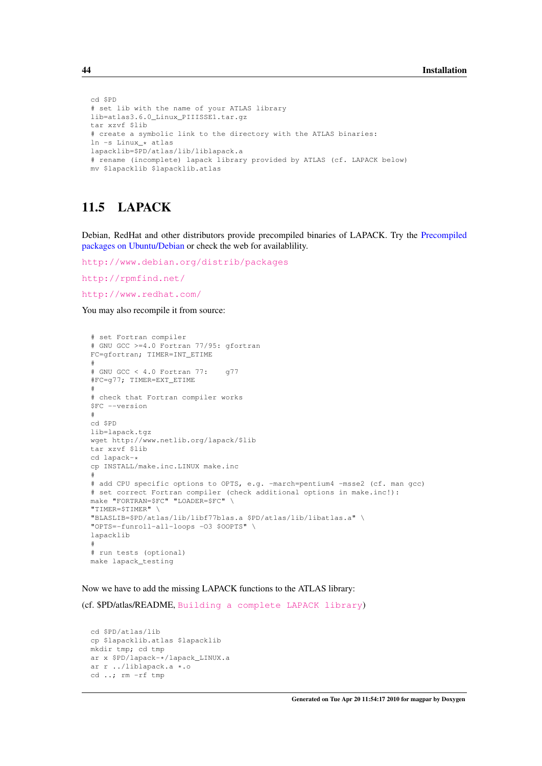```
cd $PD
# set lib with the name of your ATLAS library
lib=atlas3.6.0_Linux_PIIISSE1.tar.gz
tar xzvf $lib
# create a symbolic link to the directory with the ATLAS binaries:
ln -s Linux_* atlas
lapacklib=$PD/atlas/lib/liblapack.a
# rename (incomplete) lapack library provided by ATLAS (cf. LAPACK below)
mv $lapacklib $lapacklib.atlas
```
## <span id="page-53-0"></span>11.5 LAPACK

Debian, RedHat and other distributors provide precompiled binaries of LAPACK. Try the [Precompiled](#page-87-0) [packages on Ubuntu/Debian](#page-87-0) or check the web for availablility.

```
http://www.debian.org/distrib/packages
```
<http://rpmfind.net/>

<http://www.redhat.com/>

You may also recompile it from source:

```
# set Fortran compiler
# GNU GCC >=4.0 Fortran 77/95: gfortran
FC=gfortran; TIMER=INT_ETIME
#
# GNU GCC < 4.0 Fortran 77: g77
#FC=g77; TIMER=EXT_ETIME
#
# check that Fortran compiler works
$FC --version
#
cd $PD
lib=lapack.tgz
wget http://www.netlib.org/lapack/$lib
tar xzvf $lib
cd lapack-*
cp INSTALL/make.inc.LINUX make.inc
#
# add CPU specific options to OPTS, e.g. -march=pentium4 -msse2 (cf. man gcc)
# set correct Fortran compiler (check additional options in make.inc!):
make "FORTRAN=$FC" "LOADER=$FC"
"TIMER=$TIMER" \
"BLASLIB=$PD/atlas/lib/libf77blas.a $PD/atlas/lib/libatlas.a" \
"OPTS=-funroll-all-loops -O3 $OOPTS" \
lapacklib
#
# run tests (optional)
make lapack_testing
```
Now we have to add the missing LAPACK functions to the ATLAS library:

(cf. \$PD/atlas/README, [Building a complete LAPACK library](http://math-atlas.sourceforge.net/errata.html#completelp))

```
cd $PD/atlas/lib
cp $lapacklib.atlas $lapacklib
mkdir tmp; cd tmp
ar x $PD/lapack-*/lapack_LINUX.a
ar r ../liblapack.a *.o
cd ..; rm -rf tmp
```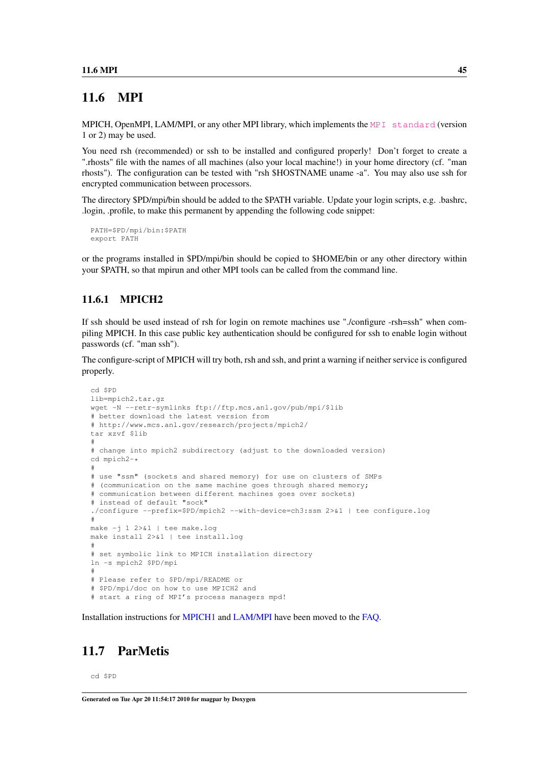## 11.6 MPI

MPICH, OpenMPI, LAM/MPI, or any other MPI library, which implements the [MPI standard](http://www.mcs.anl.gov/research/projects/mpi/) (version 1 or 2) may be used.

You need rsh (recommended) or ssh to be installed and configured properly! Don't forget to create a ".rhosts" file with the names of all machines (also your local machine!) in your home directory (cf. "man rhosts"). The configuration can be tested with "rsh \$HOSTNAME uname -a". You may also use ssh for encrypted communication between processors.

The directory \$PD/mpi/bin should be added to the \$PATH variable. Update your login scripts, e.g. .bashrc, .login, .profile, to make this permanent by appending the following code snippet:

```
PATH=$PD/mpi/bin:$PATH
export PATH
```
or the programs installed in \$PD/mpi/bin should be copied to \$HOME/bin or any other directory within your \$PATH, so that mpirun and other MPI tools can be called from the command line.

#### 11.6.1 MPICH2

If ssh should be used instead of rsh for login on remote machines use "./configure -rsh=ssh" when compiling MPICH. In this case public key authentication should be configured for ssh to enable login without passwords (cf. "man ssh").

The configure-script of MPICH will try both, rsh and ssh, and print a warning if neither service is configured properly.

```
cd $PD
lib=mpich2.tar.gz
wget -N --retr-symlinks ftp://ftp.mcs.anl.gov/pub/mpi/$lib
# better download the latest version from
# http://www.mcs.anl.gov/research/projects/mpich2/
tar xzvf $lib
#
# change into mpich2 subdirectory (adjust to the downloaded version)
cd mpich2-*
#
# use "ssm" (sockets and shared memory) for use on clusters of SMPs
# (communication on the same machine goes through shared memory;
# communication between different machines goes over sockets)
# instead of default "sock"
./configure --prefix=$PD/mpich2 --with-device=ch3:ssm 2>&1 | tee configure.log
#
make -j 1 2>&1 | tee make.log
make install 2>&1 | tee install.log
#
# set symbolic link to MPICH installation directory
ln -s mpich2 $PD/mpi
#
# Please refer to $PD/mpi/README or
# $PD/mpi/doc on how to use MPICH2 and
# start a ring of MPI's process managers mpd!
```
<span id="page-54-1"></span>Installation instructions for [MPICH1](#page-99-0) and [LAM/MPI](#page-99-1) have been moved to the [FAQ.](#page-80-0)

## 11.7 ParMetis

cd \$PD

Generated on Tue Apr 20 11:54:17 2010 for magpar by Doxygen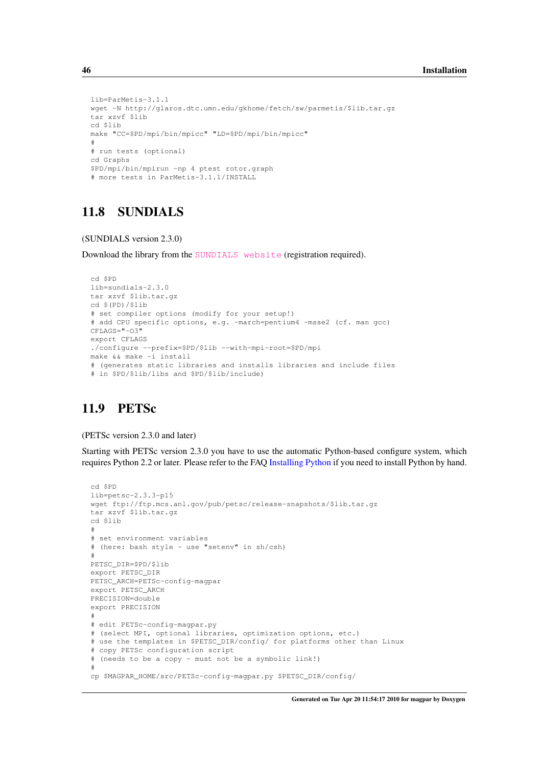```
lib=ParMetis-3.1.1
wget -N http://glaros.dtc.umn.edu/gkhome/fetch/sw/parmetis/$lib.tar.gz
tar xzvf $lib
cd $lib
make "CC=$PD/mpi/bin/mpicc" "LD=$PD/mpi/bin/mpicc"
#
# run tests (optional)
cd Graphs
$PD/mpi/bin/mpirun -np 4 ptest rotor.graph
# more tests in ParMetis-3.1.1/INSTALL
```
# <span id="page-55-0"></span>11.8 SUNDIALS

#### (SUNDIALS version 2.3.0)

Download the library from the [SUNDIALS website](http://www.llnl.gov/CASC/sundials/download/download.html) (registration required).

```
cd $PD
lib=sundials-2.3.0
tar xzvf $lib.tar.gz
cd $(PD)/$lib
# set compiler options (modify for your setup!)
# add CPU specific options, e.g. -march=pentium4 -msse2 (cf. man gcc)
CFT.AGS = "T - O3"export CFLAGS
./configure --prefix=$PD/$lib --with-mpi-root=$PD/mpi
make && make -i install
# (generates static libraries and installs libraries and include files
# in $PD/$lib/libs and $PD/$lib/include)
```
## <span id="page-55-1"></span>11.9 PETSc

(PETSc version 2.3.0 and later)

Starting with PETSc version 2.3.0 you have to use the automatic Python-based configure system, which requires Python 2.2 or later. Please refer to the FAQ [Installing Python](#page-97-0) if you need to install Python by hand.

```
cd $PD
lib=petsc-2.3.3-p15
wget ftp://ftp.mcs.anl.gov/pub/petsc/release-snapshots/$lib.tar.gz
tar xzvf $lib.tar.gz
cd $lib
#
# set environment variables
# (here: bash style - use "setenv" in sh/csh)
#
PETSC_DIR=$PD/$lib
export PETSC_DIR
PETSC_ARCH=PETSc-config-magpar
export PETSC_ARCH
PRECISION=double
export PRECISION
#
# edit PETSc-config-magpar.py
# (select MPI, optional libraries, optimization options, etc.)
# use the templates in $PETSC_DIR/config/ for platforms other than Linux
# copy PETSc configuration script
# (needs to be a copy - must not be a symbolic link!)
#
cp $MAGPAR_HOME/src/PETSc-config-magpar.py $PETSC_DIR/config/
```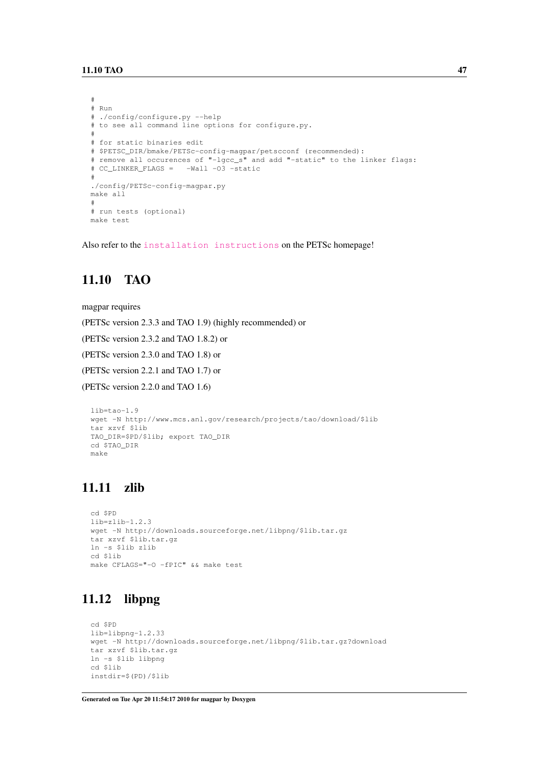```
#
# Run
# ./config/configure.py --help
# to see all command line options for configure.py.
#
# for static binaries edit
# $PETSC_DIR/bmake/PETSc-config-magpar/petscconf (recommended):
# remove all occurences of "-lgcc_s" and add "-static" to the linker flags:
# CC_LINKER_FLAGS = -Wall -O3 -static
#
./config/PETSc-config-magpar.py
make all
#
# run tests (optional)
make test
```
<span id="page-56-0"></span>Also refer to the [installation instructions](http://www.mcs.anl.gov/petsc/petsc-as/documentation/installation.html) on the PETSc homepage!

## 11.10 TAO

magpar requires

(PETSc version 2.3.3 and TAO 1.9) (highly recommended) or

(PETSc version 2.3.2 and TAO 1.8.2) or

(PETSc version 2.3.0 and TAO 1.8) or

(PETSc version 2.2.1 and TAO 1.7) or

(PETSc version 2.2.0 and TAO 1.6)

```
lib=tao-1.9
wget -N http://www.mcs.anl.gov/research/projects/tao/download/$lib
tar xzvf $lib
TAO_DIR=$PD/$lib; export TAO_DIR
cd $TAO_DIR
make
```
## <span id="page-56-1"></span>11.11 zlib

```
cd $PD
lib=zlib-1.2.3
wget -N http://downloads.sourceforge.net/libpng/$lib.tar.gz
tar xzvf $lib.tar.gz
ln -s $lib zlib
cd $lib
make CFLAGS="-O -fPIC" && make test
```
# <span id="page-56-2"></span>11.12 libpng

```
cd $PD
lib=libpng-1.2.33
wget -N http://downloads.sourceforge.net/libpng/$lib.tar.gz?download
tar xzvf $lib.tar.gz
ln -s $lib libpng
cd $lib
instdir=$(PD)/$lib
```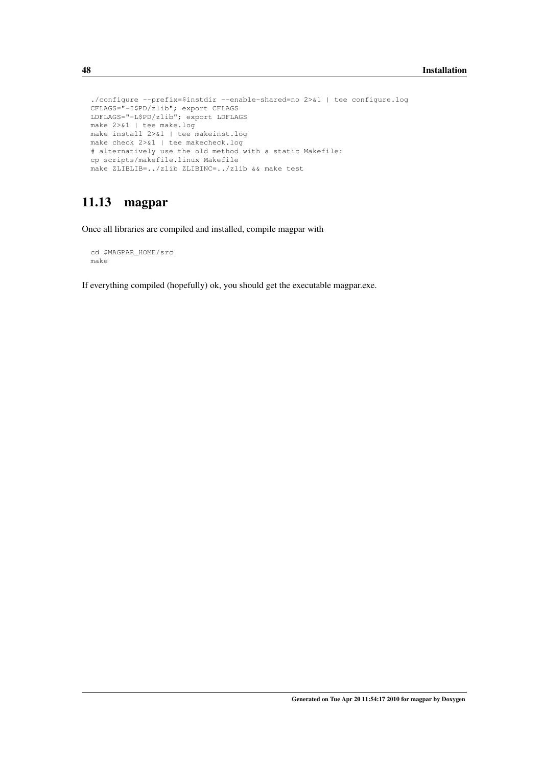```
./configure --prefix=$instdir --enable-shared=no 2>&1 | tee configure.log
CFLAGS="-I$PD/zlib"; export CFLAGS
LDFLAGS="-L$PD/zlib"; export LDFLAGS
make 2>&1 | tee make.log
make install 2>&1 | tee makeinst.log
make check 2>&1 | tee makecheck.log
# alternatively use the old method with a static Makefile:
cp scripts/makefile.linux Makefile
make ZLIBLIB=../zlib ZLIBINC=../zlib && make test
```
## <span id="page-57-0"></span>11.13 magpar

Once all libraries are compiled and installed, compile magpar with

```
cd $MAGPAR_HOME/src
make
```
If everything compiled (hopefully) ok, you should get the executable magpar.exe.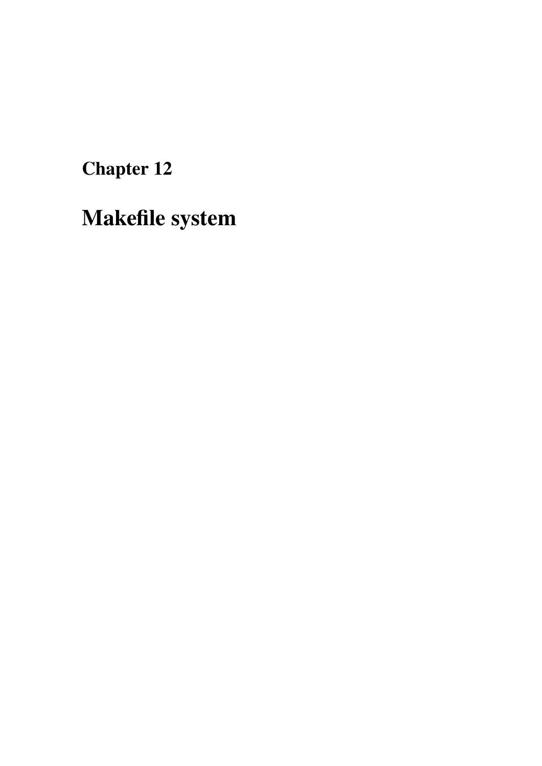Chapter 12

Makefile system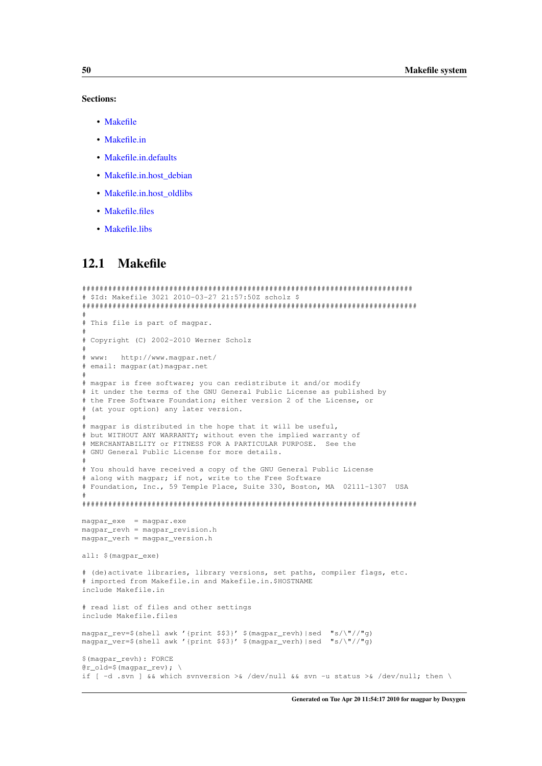#### Sections:

- [Makefile](#page-59-0)
- [Makefile.in](#page-60-0)
- [Makefile.in.defaults](#page-62-0)
- Makefile.in.host debian
- [Makefile.in.host\\_oldlibs](#page-66-0)
- [Makefile.files](#page-66-1)
- [Makefile.libs](#page-69-0)

## <span id="page-59-0"></span>12.1 Makefile

```
############################################################################
# $Id: Makefile 3021 2010-03-27 21:57:50Z scholz $
#############################################################################
#
# This file is part of magpar.
#
# Copyright (C) 2002-2010 Werner Scholz
#
# www: http://www.magpar.net/
# email: magpar(at)magpar.net
#
# magpar is free software; you can redistribute it and/or modify
# it under the terms of the GNU General Public License as published by
# the Free Software Foundation; either version 2 of the License, or
# (at your option) any later version.
#
# magpar is distributed in the hope that it will be useful,
# but WITHOUT ANY WARRANTY; without even the implied warranty of
# MERCHANTABILITY or FITNESS FOR A PARTICULAR PURPOSE. See the
# GNU General Public License for more details.
#
# You should have received a copy of the GNU General Public License
# along with magpar; if not, write to the Free Software
# Foundation, Inc., 59 Temple Place, Suite 330, Boston, MA 02111-1307 USA
#
#############################################################################
magpar_exe = magpar.exe
magpar_revh = magpar_revision.h
magpar_verh = magpar_version.h
all: $(magpar_exe)
# (de)activate libraries, library versions, set paths, compiler flags, etc.
# imported from Makefile.in and Makefile.in.$HOSTNAME
include Makefile.in
# read list of files and other settings
include Makefile.files
magpar_rev=$(shell awk '{print $$3}' $(magpar_revh)|sed "s/\"//"g)
magpar_ver=$(shell awk '{print $$3}' $(magpar_verh)|sed "s/\"//"g)
$(magpar_revh): FORCE
@r_old=$(magpar_rev); \
if [-d \text{ .syn}] && which svnversion >& /dev/null && svn -u status >& /dev/null; then \
```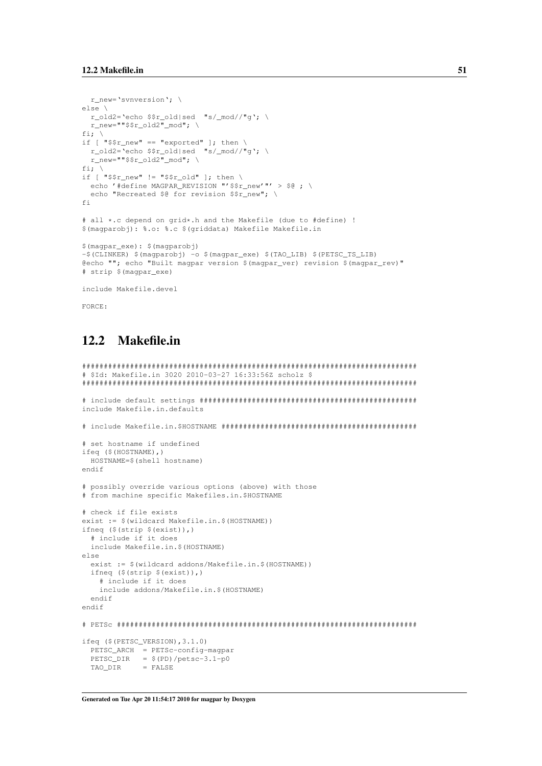```
r_new='svnversion'; \
else \
  r_old2='echo $$r_old|sed "s/_mod//"g'; \
  r_{\text{new}} = ""$$r_{\text{old2}}" mod"; \
fi; \
if [ "$$r_new" == "exported" ]; then \
 r_old2='echo $$r_old|sed "s/_mod//"g'; \
  r_new=""$$r_old2"_mod"; \
fi:
if [ "\$$r_new" != "$$r_old" ]; then \
  echo '#define MAGPAR_REVISION "'$$r_new'"' > $@ ; \
  echo "Recreated $0 for revision $$r_new"; \
f_i# all *.c depend on grid*.h and the Makefile (due to #define) !
$(magparobj): %.o: %.c $(griddata) Makefile Makefile.in
$(magpar_exe): $(magparobj)
-$(CLINKER) $(magparobj) -o $(magpar_exe) $(TAO_LIB) $(PETSC_TS_LIB)
@echo ""; echo "Built magpar version $(magpar_ver) revision $(magpar_rev)"
# strip $(magpar_exe)
include Makefile.devel
```
<span id="page-60-0"></span>FORCE:

# 12.2 Makefile.in

```
#############################################################################
# $Id: Makefile.in 3020 2010-03-27 16:33:56Z scholz $
#############################################################################
# include default settings ##################################################
include Makefile.in.defaults
# include Makefile.in.$HOSTNAME #############################################
# set hostname if undefined
ifeq ($(HOSTNAME),)
 HOSTNAME=$(shell hostname)
endif
# possibly override various options (above) with those
# from machine specific Makefiles.in.$HOSTNAME
# check if file exists
exist := $(wildcard Makefile.in.$(HOSTNAME))
ifneq ($(strip $(exist)),)
  # include if it does
  include Makefile.in.$(HOSTNAME)
else
  exist := $(wildcard addons/Makefile.in.$(HOSTNAME))
 ifneq ($(strip $(exist)),)
    # include if it does
    include addons/Makefile.in.$(HOSTNAME)
  endif
endif
# PETSc #####################################################################
ifeq ($(PETSC_VERSION),3.1.0)
 PETSC_ARCH = PETSc-config-magpar
 PETSC_DIR = $ (PD)/petsc-3.1-p0TAO \overline{D} = FALSE
```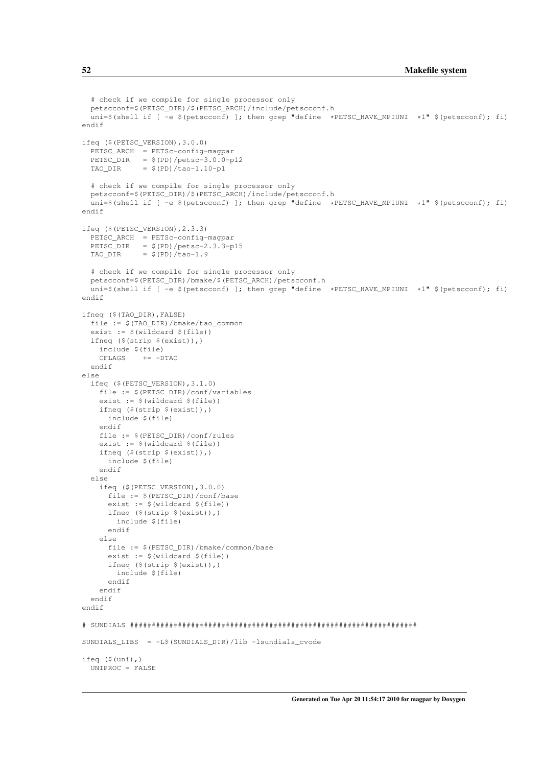```
# check if we compile for single processor only
 petscconf=$(PETSC_DIR)/$(PETSC_ARCH)/include/petscconf.h
  uni=$(shell if [ -e $(petscconf) ]; then grep "define *PETSC_HAVE_MPIUNI *1" $(petscconf); fi)
endif
ifeq ($(PETSC_VERSION),3.0.0)
 PETSC_ARCH = PETSc-config-magpar
  PETSC_DIR = $(PD)/petsc-3.0.0-p12TAO_DIR = $(PD)/tao-1.10-p1# check if we compile for single processor only
  petscconf=$(PETSC_DIR)/$(PETSC_ARCH)/include/petscconf.h
 uni=$(shell if [ -e $(petscconf) ]; then grep "define *PETSC_HAVE_MPIUNI *1" $(petscconf); fi)
endif
ifeq ($(PETSC_VERSION),2.3.3)
 PETSC_ARCH = PETSc-config-magpar
 PETSC_DIR = $(PD)/petsc-2.3.3-p15TAO_DIR = $(PD)/tao-1.9# check if we compile for single processor only
 petscconf=$(PETSC_DIR)/bmake/$(PETSC_ARCH)/petscconf.h
 uni=$(shell if [ -e $(petscconf) ]; then grep "define *PETSC_HAVE_MPIUNI *1" $(petscconf); fi)
endif
ifneq ($(TAO_DIR),FALSE)
  file := $(TAO_DIR)/bmake/tao_common
  exist := $ (wildcard $ (file))
 ifneq ($(strip $(exist)),)
   include $(file)
   CFLAGS += -DTAOendif
else
  ifeq ($(PETSC_VERSION),3.1.0)
    file := $(PETSC_DIR)/conf/variables
   exist := $(wildcard $(file))
   ifneq ($(strip $(exist)),)
     include $(file)
    endif
   file := $(PETSC_DIR)/conf/rules
    exist := $(wildcard $(file))
   ifneq ($(strip $(exist)),)
     include $(file)
    endif
  else
    ifeq ($(PETSC_VERSION),3.0.0)
     file := $(PETSC_DIR)/conf/base
     exist := $(wildcard $(file))
     ifneq ($(strip $(exist)),)
       include $(file)
     endif
    else
     file := $(PETSC_DIR)/bmake/common/base
     exist := $(wildcard $(file))
     ifneq ($(strip $(exist)),)
       include $(file)
     endif
   endif
  endif
endif
# SUNDIALS ##################################################################
SUNDIALS_LIBS = -L$(SUNDIALS_DIR)/lib -lsundials_cvode
ifeq ($(uni),)
 UNIPROC = FALSE
```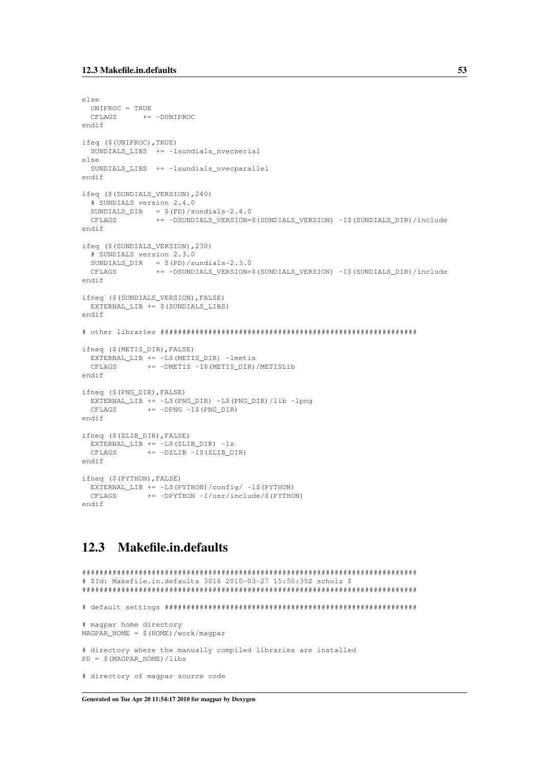```
else
 UNIPROC = TRUE
 CFLAGS += -DUNIPROC
endif
ifeq ($(UNIPROC),TRUE)
 SUNDIALS_LIBS += -lsundials_nvecserial
else
 SUNDIALS_LIBS += -lsundials_nvecparallel
endif
ifeq ($(SUNDIALS_VERSION),240)
  # SUNDIALS version 2.4.0
  SUNDIALS_DIR = $(PD)/sundials-2.4.0CFLAGS += -DSUNDIALS_VERSION=$(SUNDIALS_VERSION) -I$(SUNDIALS_DIR)/include
endif
ifeq ($(SUNDIALS_VERSION),230)
  # SUNDIALS version 2.3.0
 SUNDIALS_DIR = $(PD)/sundials-2.3.0CFLAGS += -DSUNDIALS_VERSION=$(SUNDIALS_VERSION) -I$(SUNDIALS_DIR)/include
endif
ifneq ($(SUNDIALS_VERSION),FALSE)
 EXTERNAL_LIB += $(SUNDIALS_LIBS)
endif
# other libraries ###########################################################
ifneq ($(METIS_DIR),FALSE)
 EXTERNAL_LIB += -L$(METIS_DIR) -lmetis
 CFLAGS += -DMETIS -I$(METIS_DIR)/METISLib
endif
ifneq ($(PNG_DIR),FALSE)
 EXTERNAL_LIB += -L$(PNG_DIR) -L$(PNG_DIR)/lib -lpng
 CFLAGS += -DPNG - I$ (PNG_DIR)endif
ifneq ($(ZLIB_DIR),FALSE)
 EXTERNAL_LIB += -L$(ZLIB_DIR) -lz<br>CFLAGS += -DZLIB -I$(ZLIB_D
           += -DZLIB -I$(ZLIB_DIR)
endif
ifneq ($(PYTHON),FALSE)
 EXTERNAL_LIB += -L$(PYTHON)/config/ -l$(PYTHON)
  CFLAGS += -DPYTHON -I/usr/include/$(PYTHON)
endif
```
## <span id="page-62-0"></span>12.3 Makefile.in.defaults

```
#############################################################################
# $Id: Makefile.in.defaults 3016 2010-03-27 15:50:35Z scholz $
#############################################################################
# default settings ##########################################################
# magpar home directory
MAGPAR_HOME = $(HOME)/work/magpar# directory where the manually compiled libraries are installed
PD = $(MAGPAR_HOME)/libs
# directory of magpar source code
```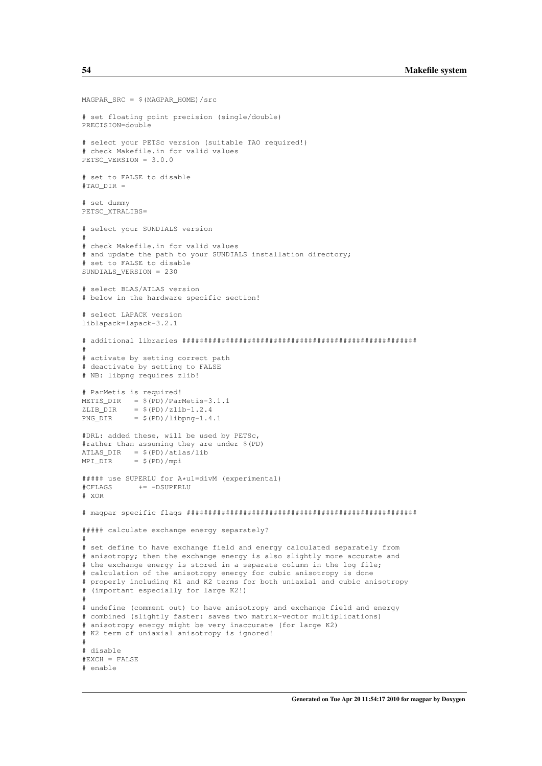```
MAGPAR_SRC = $(MAGPAR_HOME)/src
# set floating point precision (single/double)
PRECISION=double
# select your PETSc version (suitable TAO required!)
# check Makefile.in for valid values
PETSC_VERSION = 3.0.0
# set to FALSE to disable
#TAO_DIR =
# set dummy
PETSC_XTRALIBS=
# select your SUNDIALS version
#
# check Makefile.in for valid values
# and update the path to your SUNDIALS installation directory;
# set to FALSE to disable
SUNDIALS_VERSION = 230
# select BLAS/ATLAS version
# below in the hardware specific section!
# select LAPACK version
liblapack=lapack-3.2.1
# additional libraries ######################################################
#
# activate by setting correct path
# deactivate by setting to FALSE
# NB: libpng requires zlib!
# ParMetis is required!
METIS_DIR = $(PD)/ParMetis-3.1.1<br>ZLIB DIR = $(PD)/zlib-1.2.4= $ (PD)/zlib-1.2.4PNG_DIR = $(PD)/libpng-1.4.1#DRL: added these, will be used by PETSc,
#rather than assuming they are under $(PD)
ATLAS_DIR = $ (PD) / \text{atlas} / \text{lib}MPI_DIR = $(PD)/mpi##### use SUPERLU for A*u1=divM (experimental)
           += -DSUPERLU
# XOR
# magpar specific flags #####################################################
##### calculate exchange energy separately?
#
# set define to have exchange field and energy calculated separately from
# anisotropy; then the exchange energy is also slightly more accurate and
# the exchange energy is stored in a separate column in the log file;
# calculation of the anisotropy energy for cubic anisotropy is done
# properly including K1 and K2 terms for both uniaxial and cubic anisotropy
# (important especially for large K2!)
#
# undefine (comment out) to have anisotropy and exchange field and energy
# combined (slightly faster: saves two matrix-vector multiplications)
# anisotropy energy might be very inaccurate (for large K2)
# K2 term of uniaxial anisotropy is ignored!
#
# disable
#EXCH = FALSE
# enable
```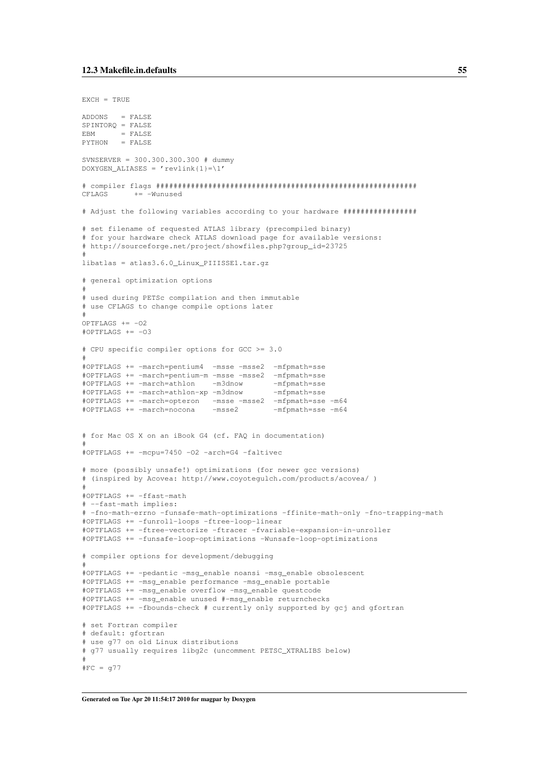```
EXCH = TRUEADDONS = FALSE
SPINTORQ = FALSE
EBM = FALSEPYTHON = FALSE
SVNSERVER = 300.300.300.300 # dummy
DOXYGEN ALIASES = 'revlink{1}=\1'
# compiler flags ############################################################
CFLAGS += -Wunused
# Adjust the following variables according to your hardware #################
# set filename of requested ATLAS library (precompiled binary)
# for your hardware check ATLAS download page for available versions:
# http://sourceforge.net/project/showfiles.php?group_id=23725
#
libatlas = atlas3.6.0_Linux_PIIISSE1.tar.gz
# general optimization options
#
# used during PETSc compilation and then immutable
# use CFLAGS to change compile options later
#
OPTFLAGS += -O2#OPTFLAGS += -03# CPU specific compiler options for GCC >= 3.0
#
#OPTFLAGS += -march=pentium4 -msse -msse2 -mfpmath=sse
#OPTFLAGS += -march=pentium-m -msse -msse2 -mfpmath=sse
#OPTFLAGS += -march=athlon -m3dnow
#OPTFLAGS += -march=athlon-xp -m3dnow -mfpmath=sse
#OPTFLAGS += -march=opteron -msse -msse2 -mfpmath=sse -m64
#OPTFLAGS += -march=nocona -msse2 -mfpmath=sse -m64
# for Mac OS X on an iBook G4 (cf. FAQ in documentation)
#
#OPTFLAGS += -mcpu=7450 -O2 -arch=G4 -faltivec
# more (possibly unsafe!) optimizations (for newer gcc versions)
# (inspired by Acovea: http://www.coyotegulch.com/products/acovea/ )
#
#OPTFLAGS += -ffast-math
# --fast-math implies:
# -fno-math-errno -funsafe-math-optimizations -ffinite-math-only -fno-trapping-math
#OPTFLAGS += -funroll-loops -ftree-loop-linear
#OPTFLAGS += -ftree-vectorize -ftracer -fvariable-expansion-in-unroller
#OPTFLAGS += -funsafe-loop-optimizations -Wunsafe-loop-optimizations
# compiler options for development/debugging
#
#OPTFLAGS += -pedantic -msg_enable noansi -msg_enable obsolescent
#OPTFLAGS += -msg_enable performance -msg_enable portable
#OPTFLAGS += -msg_enable overflow -msg_enable questcode
#OPTFLAGS += -msg_enable unused #-msg_enable returnchecks
#OPTFLAGS += -fbounds-check # currently only supported by gcj and gfortran
# set Fortran compiler
# default: gfortran
# use g77 on old Linux distributions
# g77 usually requires libg2c (uncomment PETSC_XTRALIBS below)
#
#FC = g77
```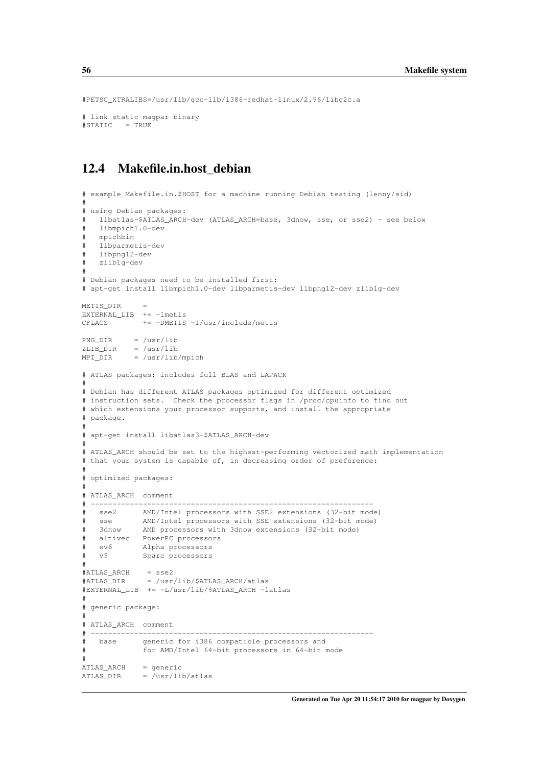```
#PETSC_XTRALIBS=/usr/lib/gcc-lib/i386-redhat-linux/2.96/libg2c.a
# link static magpar binary
#STATIC = TRUE
```
## <span id="page-65-0"></span>12.4 Makefile.in.host\_debian

```
# example Makefile.in.$HOST for a machine running Debian testing (lenny/sid)
#
# using Debian packages:
# libatlas-$ATLAS_ARCH-dev (ATLAS_ARCH=base, 3dnow, sse, or sse2) - see below
# libmpich1.0-dev
   mpichbin
# libparmetis-dev
# libpng12-dev
# zlib1g-dev
#
# Debian packages need to be installed first:
# apt-get install libmpich1.0-dev libparmetis-dev libpng12-dev zlib1g-dev
METIS_DIR =
EXTERNAL_LIB += -1metis
CFLAGS += -DMETIS -I/usr/include/metis
PNG DIR = /usr/libZLIB_DIR = /usr/lib
MPI_DIR = /usr/lib/mpich
# ATLAS packages: includes full BLAS and LAPACK
#
# Debian has different ATLAS packages optimized for different optimized
# instruction sets. Check the processor flags in /proc/cpuinfo to find out
# which extensions your processor supports, and install the appropriate
# package.
#
# apt-get install libatlas3-$ATLAS_ARCH-dev
#
# ATLAS_ARCH should be set to the highest-performing vectorized math implementation
# that your system is capable of, in decreasing order of preference:
#
# optimized packages:
#
# ATLAS_ARCH comment
# -----------------------------------------------------------------
# sse2 AMD/Intel processors with SSE2 extensions (32-bit mode)
   sse MMD/Intel processors with SSE extensions (32-bit mode)<br>3dnow AMD processors with 3dnow extensions (32-bit mode)
             AMD processors with 3dnow extensions (32-bit mode)
   altivec  PowerPC processors
# ev6 Alpha processors
# v9 Sparc processors
#
#ATLAS_ARCH = sse2
#ATLAS_DIR = /usr/lib/$ATLAS_ARCH/atlas
#EXTERNAL_LIB += -L/usr/lib/$ATLAS_ARCH -latlas
#
# generic package:
#
# ATLAS_ARCH comment
# -----------------------------------------------------------------
# base generic for i386 compatible processors and
             for AMD/Intel 64-bit processors in 64-bit mode
#
ATLAS_ARCH = generic
ATLAS_DIR = \sqrt{usr/lib/atlas}
```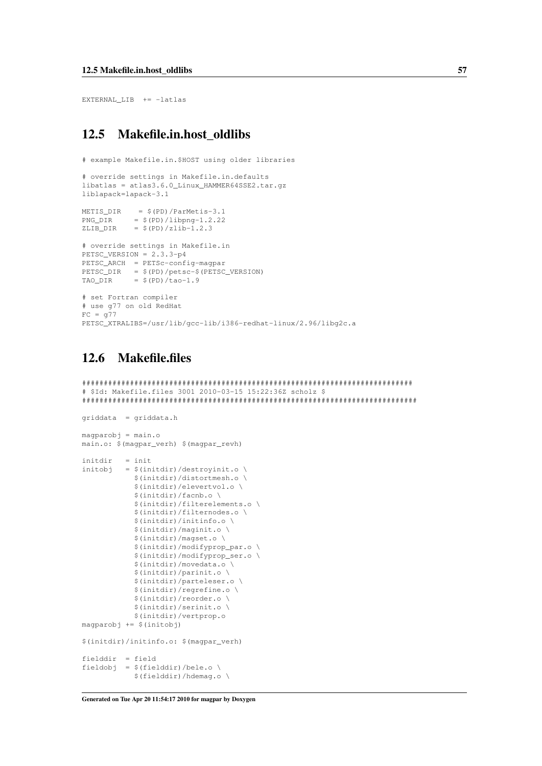EXTERNAL\_LIB += -latlas

## <span id="page-66-0"></span>12.5 Makefile.in.host\_oldlibs

```
# example Makefile.in.$HOST using older libraries
# override settings in Makefile.in.defaults
libatlas = atlas3.6.0_Linux_HAMMER64SSE2.tar.gz
liblapack=lapack-3.1
METIS_DIR = $(PD)/ParMetis-3.1
PNG_DIR = $(PD)/libpng-1.2.22ZLIB_DIR = $(PD)/zlib-1.2.3# override settings in Makefile.in
PETSC_VERSION = 2.3.3-p4
PETSC_ARCH = PETSc-config-magpar
PETSC_DIR = $(PD)/petsc-$(PETSC_VERSION)
TAO_DIR = $(PD)/tao-1.9# set Fortran compiler
# use g77 on old RedHat
FC = q77PETSC_XTRALIBS=/usr/lib/gcc-lib/i386-redhat-linux/2.96/libg2c.a
```
# <span id="page-66-1"></span>12.6 Makefile.files

```
############################################################################
# $Id: Makefile.files 3001 2010-03-15 15:22:36Z scholz $
#############################################################################
griddata = griddata.h
maparobj = main.omain.o: $(magpar_verh) $(magpar_revh)
initdir = init
initobj = $(initial) / destroyinit.o \setminus$(initdir)/distortmesh.o \
            $(initdir)/elevertvol.o \
            $(initdir)/facnb.o \
            $(initdir)/filterelements.o \
            $(initdir)/filternodes.o \
            $(initdir)/initinfo.o \
            $(initdir)/maginit.o \
            $(initdir)/magset.o \
            $(initdir)/modifyprop_par.o \
            $(initdir)/modifyprop_ser.o \
            $(initdir)/movedata.o \
            $(initdir)/parinit.o \
            $(initdir)/parteleser.o \
            $(initdir)/regrefine.o \
            $(initdir)/reorder.o \
            $(initdir)/serinit.o \
            $(initdir)/vertprop.o
magparobj += $(initobj)
$(initdir)/initinfo.o: $(magpar_verh)
```
fielddir = field fieldobj =  $$(fielddir)/bele.o \setminus$ \$(fielddir)/hdemag.o \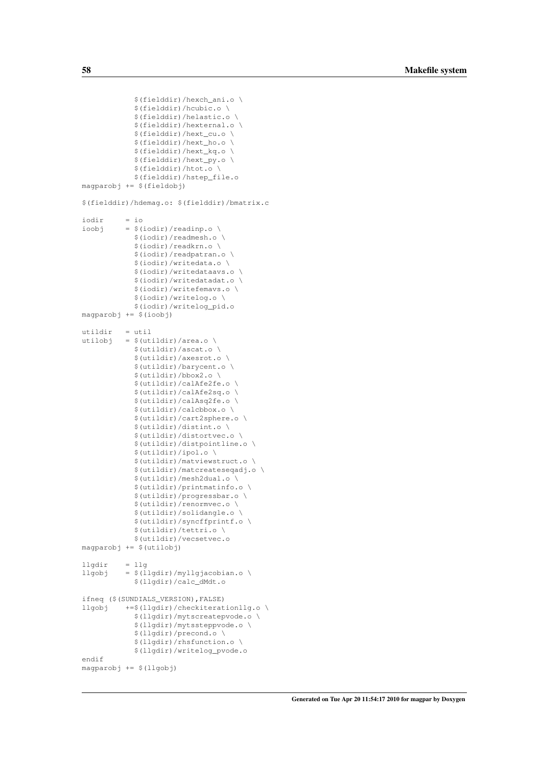```
$(fielddir)/hexch_ani.o \
            $(fielddir)/hcubic.o \
            $(fielddir)/helastic.o \
            $(fielddir)/hexternal.o \
            $(fielddir)/hext_cu.o \
            $(fielddir)/hext_ho.o \
            $(fielddir)/hext_kq.o \
            $(fielddir)/hext_py.o \
            $(fielddir)/htot.o \
            $(fielddir)/hstep_file.o
magparobj += $(fieldobj)
$(fielddir)/hdemag.o: $(fielddir)/bmatrix.c
iodir = io
ioobj = \frac{1}{2}(iodir)/readinp.o \
            $(iodir)/readmesh.o \
            $(iodir)/readkrn.o \
            $(iodir)/readpatran.o \
            $(iodir)/writedata.o \
            $(iodir)/writedataavs.o \
            $(iodir)/writedatadat.o \
            $(iodir)/writefemavs.o \
            $(iodir)/writelog.o \
            $(iodir)/writelog_pid.o
magparobj += $(ioobj)
utildir = util
utilobj = $ (utildir)/area.o \ \ \rangle$(utildir)/ascat.o \
            $(utildir)/axesrot.o \
            $(utildir)/barycent.o \
            $(utildir)/bbox2.o \
            $(utildir)/calAfe2fe.o \
            $(utildir)/calAfe2sq.o \
            $(utildir)/calAsq2fe.o \
            $(utildir)/calcbbox.o \
            $(utildir)/cart2sphere.o \
            $(utildir)/distint.o \
            $(utildir)/distortvec.o \
            $(utildir)/distpointline.o \
            $(utildir)/ipol.o \
            $(utildir)/matviewstruct.o \
            $(utildir)/matcreateseqadj.o \
            $(utildir)/mesh2dual.o \
            $(utildir)/printmatinfo.o \
            $(utildir)/progressbar.o \
            $(utildir)/renormvec.o \
            $(utildir)/solidangle.o \
            $(utildir)/syncffprintf.o \
            $(utildir)/tettri.o \
            $(utildir)/vecsetvec.o
magparobj += $(utilobj)
lldar = lldllgobj = $ (llgdir)/myllgjacobian.o \ \$(llgdir)/calc_dMdt.o
ifneq ($(SUNDIALS_VERSION),FALSE)
llgobj +=$(llgdir)/checkiterationllg.o \
            $(llgdir)/mytscreatepvode.o \
            $(llgdir)/mytssteppvode.o \
            $(llgdir)/precond.o \
            $(llgdir)/rhsfunction.o \
            $(llgdir)/writelog_pvode.o
endif
magparobj += $(llgobj)
```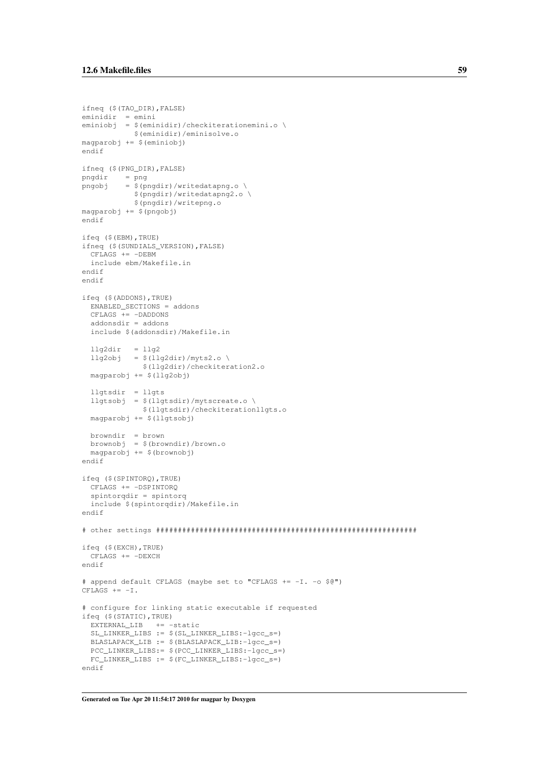```
ifneq ($(TAO_DIR),FALSE)
eminidir = emini
eminiobj = $(eminidir)/checkiterationemini.o \
           $(eminidir)/eminisolve.o
magparobj += $(eminiobj)
endif
ifneq ($(PNG_DIR),FALSE)
pngdir = png
pngobj = $(pngdir)/writedatapng.o \setminus$(pngdir)/writedatapng2.o \
           $(pngdir)/writepng.o
magparobj += $(pngobj)
endif
ifeq ($(EBM),TRUE)
ifneq ($(SUNDIALS_VERSION),FALSE)
  CFLAGS += -DEBMinclude ebm/Makefile.in
endif
endif
ifeq ($(ADDONS),TRUE)
 ENABLED_SECTIONS = addons
 CFLAS += -DADDONSaddonsdir = addons
  include $(addonsdir)/Makefile.in
  llg2dir = llg2llg2obj = $(llq2dir)/myts2.o \setminus$(llg2dir)/checkiteration2.o
  magparobj += $(llg2obj)
  llgtsdir = llgts
  llgtsobj = $ (llgtsdir)/mytscreate.o \ \$(llgtsdir)/checkiterationllgts.o
  magparobj += $(llgtsobj)
  browndir = brown
  brownobj = $(browndir)/brown.o
 maparobj += $(brownobj)
endif
ifeq ($(SPINTORQ),TRUE)
 CFLAGS += -DSPINTORQ
  spintorqdir = spintorq
 include $(spintorqdir)/Makefile.in
endif
# other settings ############################################################
ifeq ($(EXCH),TRUE)
 CFTAGS += -DEXCHendif
# append default CFLAGS (maybe set to "CFLAGS += -I. -o $@")
CFLAGS += -I.
# configure for linking static executable if requested
ifeq ($(STATIC),TRUE)
 EXTERNAL_LIB += -static
  SL_LINKER_LIBS := $(SL LINKER_LIBS:-lgcc_s=)
 BLASLAPACK_LIB := $(BLASLAPACK_LIB:-lgcc_s=)
 PCC_LINKER_LIBS:= $(PCC_LINKER_LIBS:-lgcc_s=)
  FC_LINKER_LIBS := $(FC_LINKER_LIBS:-lgcc_s=)
endif
```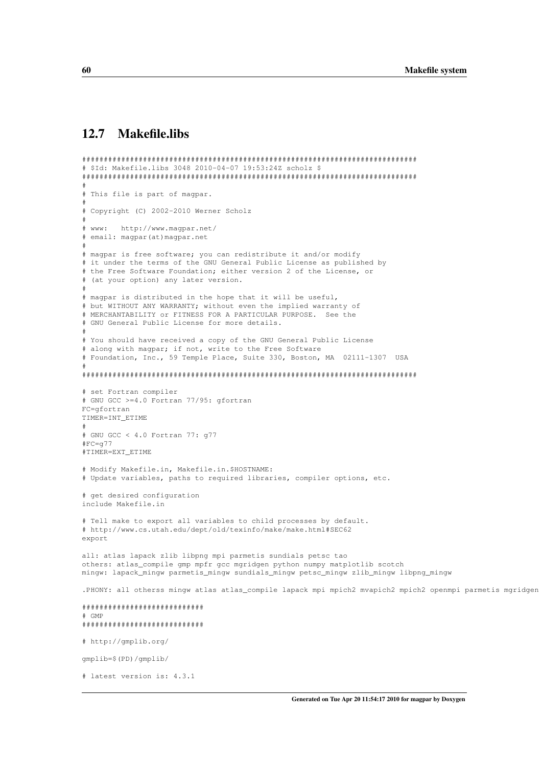## <span id="page-69-0"></span>12.7 Makefile.libs

# latest version is: 4.3.1

```
#############################################################################
# $Id: Makefile.libs 3048 2010-04-07 19:53:24Z scholz $
#############################################################################
#
# This file is part of magpar.
#
# Copyright (C) 2002-2010 Werner Scholz
#
# www: http://www.magpar.net/
# email: magpar(at)magpar.net
#
# magpar is free software; you can redistribute it and/or modify
# it under the terms of the GNU General Public License as published by
# the Free Software Foundation; either version 2 of the License, or
# (at your option) any later version.
#
# magpar is distributed in the hope that it will be useful,
# but WITHOUT ANY WARRANTY; without even the implied warranty of
# MERCHANTABILITY or FITNESS FOR A PARTICULAR PURPOSE. See the
# GNU General Public License for more details.
#
# You should have received a copy of the GNU General Public License
# along with magpar; if not, write to the Free Software
# Foundation, Inc., 59 Temple Place, Suite 330, Boston, MA 02111-1307 USA
#
#############################################################################
# set Fortran compiler
# GNU GCC >=4.0 Fortran 77/95: gfortran
FC=gfortran
TIMER=INT_ETIME
#
# GNU GCC < 4.0 Fortran 77: g77
#FC=g77
#TIMER=EXT_ETIME
# Modify Makefile.in, Makefile.in.$HOSTNAME:
# Update variables, paths to required libraries, compiler options, etc.
# get desired configuration
include Makefile.in
# Tell make to export all variables to child processes by default.
# http://www.cs.utah.edu/dept/old/texinfo/make/make.html#SEC62
export
all: atlas lapack zlib libpng mpi parmetis sundials petsc tao
others: atlas_compile gmp mpfr gcc mgridgen python numpy matplotlib scotch
mingw: lapack_mingw parmetis_mingw sundials_mingw petsc_mingw zlib_mingw libpng_mingw
.PHONY: all otherss mingw atlas atlas_compile lapack mpi mpich2 mvapich2 mpich2 openmpi parmetis mgridgen
############################
# GMP
############################
# http://gmplib.org/
gmplib=$(PD)/gmplib/
```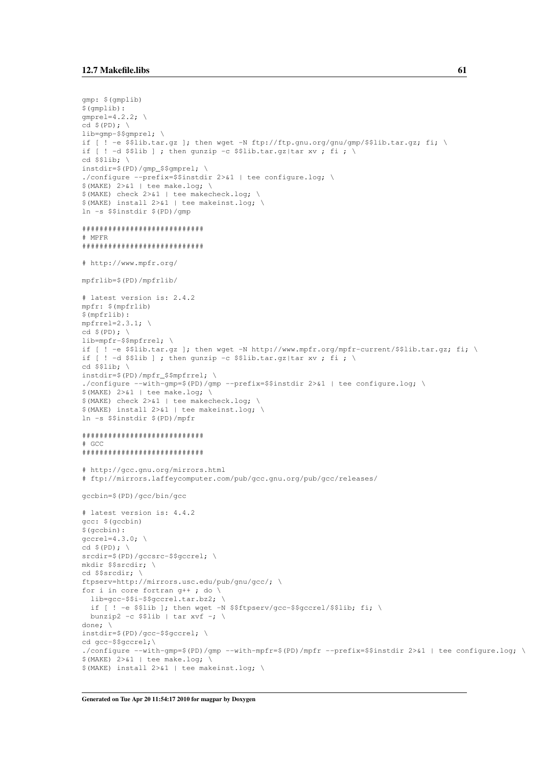```
gmp: $(gmplib)
$ (amplib):qmprel=4.2.2; \setminuscd $(PD); \
lib=gmp-$$gmprel; \
if [ ! -e $$lib.tar.gz ]; then wget -N ftp://ftp.gnu.org/gnu/gmp/$$lib.tar.gz; fi; \
if [ ! -d $$lib ] ; then qunzip -c $$lib.tar.gz|tar xv ; fi ; \
cd $$lib; \
instdir=$(PD)/gmp_$$gmprel; \
./configure --prefix=$$instdir 2>&1 | tee configure.log; \
$ (MAKE) 2>&1 | tee make.log; \
$(MAKE) check 2>&1 | tee makecheck.log; \
$(MAKE) install 2>&1 | tee makeinst.log; \
ln -s $$instdir $(PD)/gmp
############################
# MPFR
############################
# http://www.mpfr.org/
mpfrlib=$(PD)/mpfrlib/
# latest version is: 2.4.2
mpfr: $(mpfrlib)
$(mpfrlib):
mpfrrel=2.3.1; \
cd $(PD); \
lib=mpfr-$$mpfrrel; \
if [ ! -e $$lib.tar.qz ]; then wget -N http://www.mpfr.org/mpfr-current/$$lib.tar.qz; fi; \
if [ ! -d $$lib ] ; then gunzip -c $$lib.tar.gz|tar xv ; fi ; \
cd $$lib; \
instdir=$(PD)/mpfr_$$mpfrrel; \
./configure --with-gmp=$(PD)/gmp --prefix=$$instdir 2>&1 | tee configure.log; \
$(MAKE) 2>&1 | tee make.log; \
$(MAKE) check 2>&1 | tee makecheck.log; \
$(MAKE) install 2>&1 | tee makeinst.log; \
ln -s $$instdir $(PD)/mpfr
############################
# GCC
############################
# http://gcc.gnu.org/mirrors.html
# ftp://mirrors.laffeycomputer.com/pub/gcc.gnu.org/pub/gcc/releases/
gccbin=$(PD)/gcc/bin/gcc
# latest version is: 4.4.2
gcc: $(gccbin)
$(gccbin):
qccrel=4.3.0; \setminuscd $(PD); \ \setminussrcdir=$(PD)/gccsrc-$$gccrel; \
mkdir $$srcdir; \
cd $$srcdir; \
ftpserv=http://mirrors.usc.edu/pub/gnu/gcc/; \
for i in core fortran q++; do \
 lib=gcc-$$i-$$gccrel.tar.bz2; \
  if [ ! -e $$lib ]; then wget -N $$ftpserv/gcc-$$gccrel/$$lib; fi; \
 bunzip2 -c $$lib | tar xvf -; \
done; \
instdir=$(PD)/gcc-$$gccrel; \
cd gcc-$$gccrel;\
./configure --with-gmp=$(PD)/gmp --with-mpfr=$(PD)/mpfr --prefix=$$instdir 2>&1 | tee configure.log; \
$(MAKE) 2>&1 | tee make.log; \
$(MAKE) install 2>&1 | tee makeinst.log; \
```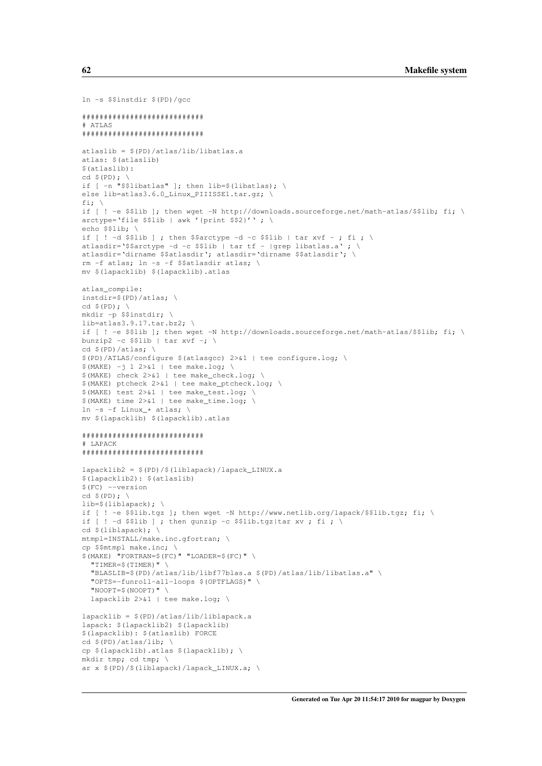```
ln -s $$instdir $(PD)/gcc
############################
# ATLAS
############################
atlaslib = $(PD)/atlas/lib/libatlas.a
atlas: $(atlaslib)
$(atlaslib):
cd $(\text{PD}):if [ -n "$$libatlas" ]; then lib=$(libatlas); \
else lib=atlas3.6.0_Linux_PIIISSE1.tar.gz;
fi: \sqrt{ }if [ ! -e $$lib ]; then wget -N http://downloads.sourceforge.net/math-atlas/$$lib; fi; \
arctype='file $$lib | awk '{print $$2}''; \
echo $$lib; \
if [ \cdot ] -d \$lib ]; then $$arctype -d -c $$lib | tar xvf -; fi; \
atlasdir='$$arctype -d -c $$lib | tar tf - |grep libatlas.a' ; \
atlasdir='dirname $$atlasdir'; atlasdir='dirname $$atlasdir'; \
rm -f atlas; ln -s -f $$atlasdir atlas; \
mv $(lapacklib) $(lapacklib).atlas
atlas_compile:
instdir=$(PD)/atlas; \
cd $(\text{PD}):mkdir -p $$instdir; \
lib=atlas3.9.17.tar.bz2; \
if [ ! -e $$lib ]; then wget -N http://downloads.sourceforge.net/math-atlas/$$lib; fi; \
bunzip2 -c $$lib | tar xvf -; \
cd $(PD)/atlas; \setminus$(PD)/ATLAS/configure $(atlasgcc) 2>&1 | tee configure.log; \
$ (MAKE) -j 1 2>&1 | tee make.log; \
$(MAKE) check 2>&1 | tee make_check.log; \
$(MAKE) ptcheck 2>&1 | tee make_ptcheck.log; \
$(MAKE) test 2>&1 | tee make_test.log; \
$(MAKE) time 2>&1 | tee make_time.log; \
ln -s -f Linux_* atlas; \
mv $(lapacklib) $(lapacklib).atlas
############################
# LAPACK
############################
lapacklib2 = $(PD)/$(liblapack)/lapack_LINUX.a
$(lapacklib2): $(atlaslib)
$(FC) --version
cd $(PD); \ \ \ \ \ \lib=$(liblapack); \
if [ ! -e $$lib.tgz ]; then wget -N http://www.netlib.org/lapack/$$lib.tgz; fi; \
if [ ! -d $$lib ] ; then gunzip -c $$lib.tgz|tar xv ; fi ; \
cd $(liblapack); \
mtmpl=INSTALL/make.inc.gfortran; \
cp $$mtmpl make.inc; \
$(MAKE) "FORTRAN=$(FC)" "LOADER=$(FC)" \
  "TIMER=$(TIMER)" \
  "BLASLIB=$(PD)/atlas/lib/libf77blas.a $(PD)/atlas/lib/libatlas.a" \
  "OPTS=-funroll-all-loops $(OPTFLAGS)" \
  "NOOPT=$(NOOPT)" \
 lapacklib 2>&1 | tee make.log; \
lapacklib = $(PD)/atlas/lib/liblapack.a
lapack: $(lapacklib2) $(lapacklib)
$(lapacklib): $(atlaslib) FORCE
cd $(PD)/atlas/lib; \
cp $(lapacklib).atlas $(lapacklib); \
mkdir tmp; cd tmp; \
ar x $(PD)/$(liblapack)/lapack_LINUX.a; \
```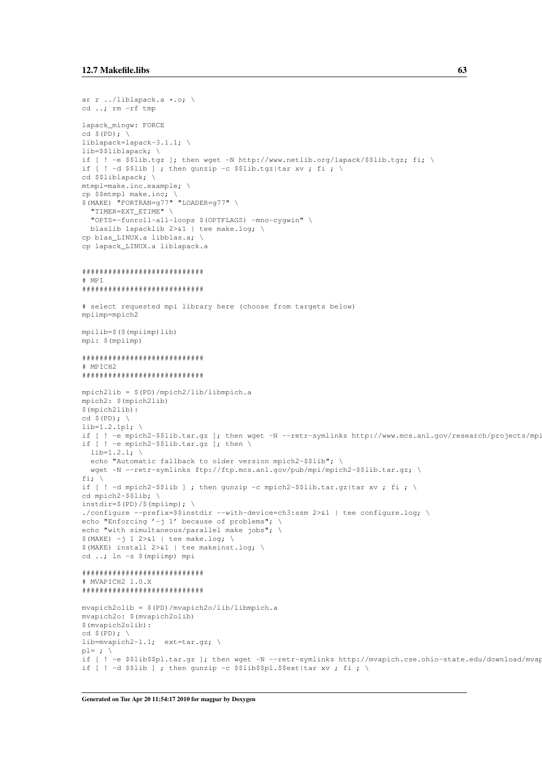```
ar r ../liblapack.a *.o; \
cd ..: rm -rf tmp
lapack_mingw: FORCE
liblapack=lapack-3.1.1; \setminuslib = S51iblapack:if [ ! -e $$lib.tgz ]; then wget -N http://www.netlib.org/lapack/$$lib.tgz; fi; \
if [ ! -d $$lib ] ; then qunzip -c $$lib.tgz|tar xv ; fi ; \
cd $$liblapack; \
mtmpl=make.inc.example; \
cp $$mtmpl make.inc;
$ (MAKE) "FORTRAN=g77" "LOADER=g77" \
  "TIMER=EXT_ETIME" \
  "OPTS = - funroll-all-loops $ (OPTFLAGS) - mno-cyqwin" \
 blaslib lapacklib 2>&1 | tee make.log; \
cp blas_LINUX.a libblas.a; \
cp lapack_LINUX.a liblapack.a
# MPT
****************************
# select requested mpi library here (choose from targets below)
mpiimp=mpich2
mpilib=$($(mpiimp)lib)
mpi: $ (mpiimp)
*****************************
# MPTCH2
*****************************
mpich2lib = $(PD)/mpich2/lib/libmpich.ampich2: $ (mpich2lib)
$(mpich2lib):
cd $ (PD);lib=1.2.1p1; \
if [ ! -e mpich2-$$lib.tar.gz ]; then wget -N --retr-symlinks http://www.mcs.anl.gov/research/projects/mpi
if [ \cdot ] -e mpich2-$$lib.tar.qz ]; then \
 lib=1.2.1;echo "Automatic fallback to older version mpich2-$$lib"; \
  wget -N --retr-symlinks ftp://ftp.mcs.anl.gov/pub/mpi/mpich2-$$lib.tar.gz; \
fi: \setminusif [ ! -d mpich2-$$lib ] ; then qunzip -c mpich2-$$lib.tar.qz|tar xv; fi; \
cd mpich2-$$lib; \
instdir=\S(PD)/\S(mpiimp); \
./configure --prefix=$$instdir --with-device=ch3:ssm 2>&1 | tee configure.log; \
echo "Enforcing '-j 1' because of problems"; \
echo "with simultaneous/parallel make jobs"; \
$ (MAKE) -j 1 2>&1 | tee make.log; \
$ (MAKE) install 2>&1 | tee makeinst.log; \
cd ..; ln -s $ (mpiimp) mpi
*****************************
# MVAPICH2 1.0.X
*****************************
mvapich2olib = $(PD)/mvapich2o/lib/libmpich.a
mvapich2o: $ (mvapich2olib)
$(mvapich2olib):
cd $ (PD) ; \
lib=mvapich2-1.1; ext=tar.gz; \
pl = : \ \ \backslashif [ ! -e $$lib$$pl.tar.gz ]; then wget -N --retr-symlinks http://mvapich.cse.ohio-state.edu/download/mvap
if [ ! -d $$lib ] ; then gunzip -c $$lib$$pl.$$ext|tar xv ; fi ; \
```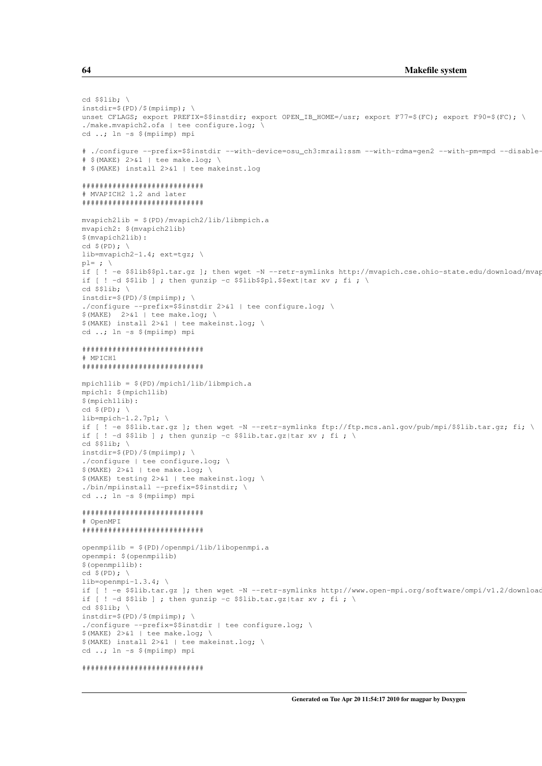```
cd $$lib: \setminusinstdir=$ (PD) / $ (mpiimp); \
unset CFLAGS; export PREFIX=$$instdir; export OPEN_IB_HOME=/usr; export F77=$(FC); export F90=$(FC); \
./make.mvapich2.ofa | tee configure.log; \
cd ..; \ln -s $ (mpiimp) mpi
# ./configure --prefix=$$instdir --with-device=osu ch3:mrail:ssm --with-rdma=gen2 --with-pm=mpd --disable-
# $ (MAKE) 2>&1 | tee make.log; \
# $ (MAKE) install 2>&1 | tee makeinst.log
++++++++++++++++++++++++++++
# MVAPICH2 1.2 and later
*****************************
mvapich2lib = $(PD)/mvapich2/lib/libmpich.a
mvapich2: $ (mvapich2lib)
$(mvapich2lib):
cd \sqrt{(PD)}; \
lib=mvapich2-1.4; ext=tgz; \
p1 = ; \ \ \ \ \ \ \if [ ! -e $$lib$$pl.tar.gz ]; then wget -N --retr-symlinks http://mvapich.cse.ohio-state.edu/download/mvag
if [ ! -d $$lib ] ; then qunzip -c $$lib$$pl.$$ext|tar xv ; fi ; \
cd $3lib; \setminusinstdir=\$(PD)/\$(mpimp); \ \ \ \ \./configure --prefix=$$instdir 2>&1 | tee configure.log; \
$(MAKE) 2>61 | tee make.log; \
$ (MAKE) install 2>&1 | tee makeinst.log; \
cd ..; ln -s $ (mpiimp) mpi
# MPICH1
mpichllib = $(PD)/mpich1/lib/libmpich.ampichl: $ (mpichllib)
$(mpichllib):
lib=mpich-1.2.7p1; \
if [ \cdot ] -e $$lib.tar.gz ]; then wget -N --retr-symlinks ftp://ftp.mcs.anl.gov/pub/mpi/$$lib.tar.gz; fi; \
if [ ! -d $$lib ] ; then gunzip -c $$lib.tar.gz|tar xv ; fi ; \
cd $$lib; \
instdir=$ (PD) / $ (mpiimp) ; \ \ \ }./configure | tee configure.log; \
$ (MAKE) 2>&1 | tee make.log; \
$ (MAKE) testing 2>&1 | tee makeinst.log; \
./bin/mpiinstall --prefix=$$instdir; \
cd ..; ln -s $ (mpiimp) mpi
*****************************
# OpenMPI
*****************************
openmpilib = $ (PD)/openmpi/lib/libopenmpi.aopenmpi: $ (openmpilib)
$(openmpilib):
lib=openmpi-1.3.4; \setminusif [ ! -e $$lib.tar.gz ]; then wget -N --retr-symlinks http://www.open-mpi.org/software/ompi/v1.2/download
if [ ! -d $$lib ] ; then gunzip -c $$lib.tar.gz|tar xv ; fi ; \
cd $$lib; \
instdir=\$(PD)/$(mpimp); \ \ \ \./configure --prefix=$$instdir | tee configure.log; \
$ (MAKE) 2>01 | tee make.log; \
$ (MAKE) install 2>&1 | tee makeinst.log; \
cd ..; ln -s $ (mpiimp) mpi
```

```
*****************************
```
64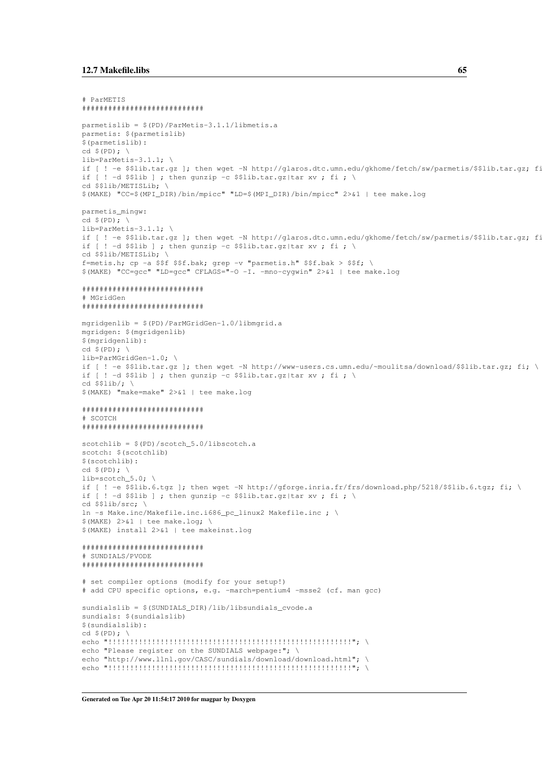```
# ParMETIS
*****************************
parmetislib = $ (PD)/ParMets-3.1.1/libmets.aparmetis: $ (parmetislib)
$(parmetislib):
cd $ (PD); \ \ \ \ \lib=ParMetis-3.1.1:if [ ! -e $$lib.tar.qz ]; then wget -N http://glaros.dtc.umn.edu/gkhome/fetch/sw/parmetis/$$lib.tar.qz; f:
if [ ! -d $$lib ] ; then gunzip -c $$lib.tar.gz|tar xv ; fi ; \
cd $$lib/METISLib; \
$(MAKE) "CC=$(MPI_DIR)/bin/mpicc" "LD=$(MPI_DIR)/bin/mpicc" 2>&1 | tee make.log
parmetis_mingw:
cd S(PD): \
lib=ParMetis-3.1.1; \ \ \ \ \if [ ! -e $$lib.tar.qz ]; then wget -N http://glaros.dtc.umn.edu/gkhome/fetch/sw/parmetis/$$lib.tar.qz; f:
if [ ! -d $$lib ] ; then gunzip -c $$lib.tar.gz|tar xv ; fi ; \
cd $$lib/METISLib; \
f=metis.h; cp -a $$f $$f.bak; grep -v "parmetis.h" $$f.bak > $$f; \
$ (MAKE) "CC=qcc" "LD=qcc" CFLAGS="-0 -I. -mno-cyqwin" 2>&1 | tee make.log
*****************************
# MGridGen
*****************************
mgridgenlib = $(PD)/ParMGridGen-1.0/libmgrid.a
mgridgen: $ (mgridgenlib)
$(mgridgenlib):
cd $ (PD); \ \ \ \ \ \lib=ParMGridGen-1.0; \
if [ ! -e $$lib.tar.gz ]; then wget -N http://www-users.cs.umn.edu/~moulitsa/download/$$lib.tar.gz; fi; \
if [ ! -d $$lib ] ; then qunzip -c $$lib.tar.qz|tar xv ; fi ; \
cd $31ib/:$ (MAKE) "make=make" 2>&1 | tee make.log
*****************************
# SCOTCH
*****************************
scotchlib = $(PD)/scotch_5.0/libscotch.ascotch: $(scotchlib)
$(scotchlib):
cd $ (PD); \ \ \ \ \ \lib=scotch 5.0:if [ ! -e $$lib.6.tgz ]; then wget -N http://gforge.inria.fr/frs/download.php/5218/$$lib.6.tgz; fi; \
if \lceil ! -d $$lib | ; then qunzip -c $$lib.tar.qz|tar xv ; fi ; \
cd $$lib/src:
In -s Make.inc/Makefile.inc.i686_pc_linux2 Makefile.inc ; \
$(MAKE) 2>&1 | tee make.log; \
$ (MAKE) install 2>&1 | tee makeinst.log
+++++++++++++++++++++++++++++++
# SUNDIALS/PVODE
*****************************
# set compiler options (modify for your setup!)
# add CPU specific options, e.g. -march=pentium4 -msse2 (cf. man gcc)
sundialslib = $(SUNDIALS_DIR)/lib/libsundials_cvode.a
sundials: $(sundialslib)
$(sundialslib):
cd $ (PD); \ \ \ \ \ \echo "Please register on the SUNDIALS webpage:"; \
echo "http://www.llnl.gov/CASC/sundials/download/download.html"; \
```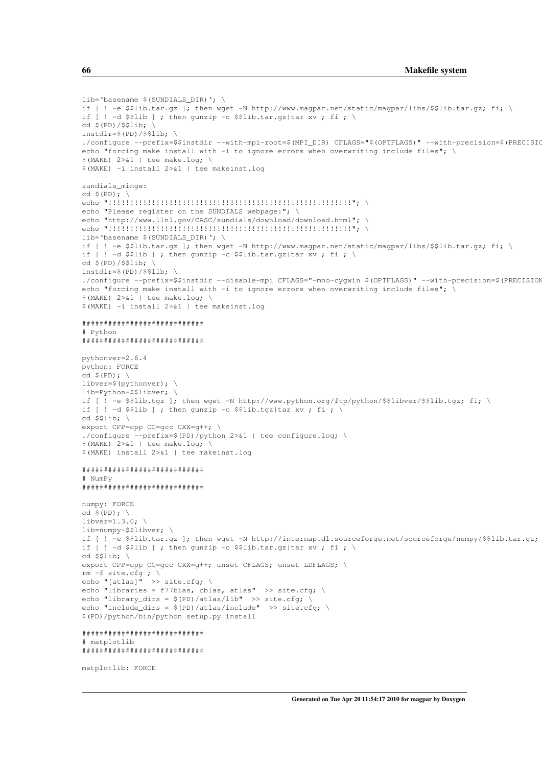```
lib='basename $(SUNDIALS DIR)': \
if [ ! -e $$lib.tar.gz ]; then wget -N http://www.magpar.net/static/magpar/libs/$$lib.tar.gz; fi; \
if [ ! -d $$lib ] ; then qunzip -c $$lib.tar.qz|tar xv ; fi ; \
cd $(PD)/$$1ib;instdir = $(PD)/$$1ib;./configure --prefix=$$instdir --with-mpi-root=$(MPI_DIR) CFLAGS="$(OPTFLAGS)" --with-precision=$(PRECISIO
echo "forcing make install with -i to ignore errors when overwriting include files"; \
$ (MAKE) 2>&1 | tee make.log; \
$ (MAKE) -i install 2>&1 | tee makeinst.log
sundials_mingw:
cd $ (PD); \ \ \ \ \ \ \echo "Please register on the SUNDIALS webpage:"; \
echo "http://www.llnl.gov/CASC/sundials/download/download.html"; \
lib='basename $(SUNDIALS_DIR)'; \
if [ ! -e $$lib.tar.gz ]; then wget -N http://www.magpar.net/static/magpar/libs/$$lib.tar.gz; fi; \
if [
    ! -d $$lib ] ; then gunzip -c $$lib.tar.gz|tar xv ; fi ; \
cd \S(PD)/\S$lib; \
instdir=\S(PD)/\S\Slib; \ \ \rangle./configure --prefix=$$instdir --disable-mpi CFLAGS="-mno-cyqwin $(OPTFLAGS)" --with-precision=$(PRECISION
echo "forcing make install with -i to ignore errors when overwriting include files"; \
$ (MAKE) 2>&1 | tee make.log; \
$ (MAKE) -i install 2>&1 | tee makeinst.log
*****************************
# Python
****************************
pythonver=2.6.4
python: FORCE
cd $ (PD): \ \ \ \ \libver=$(pythonver); \
lib=Python-$$libver;
if [ ! -e $$lib.tgz ]; then wget -N http://www.python.org/ftp/python/$$libver/$$lib.tgz; fi; \
if [ ! -d $$lib ] ; then gunzip -c $$lib.tgz|tar xv ; fi ; \
cd $$lib; \
export CPP=cpp CC=qcc CXX=q++; \
./configure --prefix=$(PD)/python 2>&1 | tee configure.log; \
$(MAKE) 2> 1 | tee make.log;
$ (MAKE) install 2>&1 | tee makeinst.log
# NumPv
*****************************
numpy: FORCE
cd $ (PD); \ \ \ \ \ \1ibyer=1, 3, 0:lib=numpy-$$libver; \
if [ ! -e $$lib.tar.gz ]; then wget -N http://internap.dl.sourceforge.net/sourceforge/numpy/$$lib.tar.gz;
if [ ! -d $$lib ] ; then gunzip -c $$lib.tar.gz|tar xv ; fi ; \
cd $$lib: \
export CPP=cpp CC=qcc CXX=q++; unset CFLAGS; unset LDFLAGS; \
rm -f site.cfg ; \setminusecho "[atlas]" >> site.cfg; \
echo "libraries = f77blas, cblas, atlas" >> site.cfg; \
echo "library_dirs = \frac{(\text{PD})}{\text{atlas}} >> site.cfg; \ echo "include_dirs = \frac{(\text{PD})}{\text{atlas}} include" >> site.cfg; \
$(PD)/python/bin/python setup.py install
*****************************
# matplotlib
*****************************
```
matplotlib: FORCE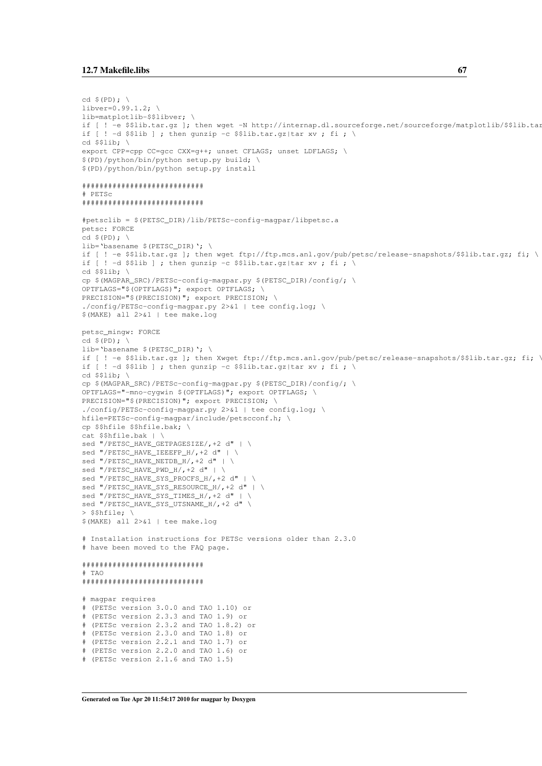```
cd S(PD):libver=0.99.1.2; \
lib=matplotlib-$$libver; \
if [ ! -e $$lib.tar.gz ]; then wget -N http://internap.dl.sourceforge.net/sourceforge/matplotlib/$$lib.tar
if [ ! -d $$lib ] ; then gunzip -c $$lib.tar.gz|tar xv ; fi ; \
cd $$lib;
export CPP=cpp CC=qcc CXX=q++; unset CFLAGS; unset LDFLAGS; \
$(PD)/python/bin/python setup.py build; \
$(PD)/python/bin/python setup.py install
*****************************
# PETSc
*****************************
#petsclib = $(PETSC DIR)/lib/PETSc-config-magpar/libpetsc.a
petsc: FORCE
cd $ (PD): \ \ \backslashlib='basename S(PRTSC DTR)': \ \ \ \if [ ! -e $$lib.tar.gz ]; then wget ftp://ftp.mcs.anl.gov/pub/petsc/release-snapshots/$$lib.tar.gz; fi; \
if [ ! -d $$lib ] ; then qunzip -c $$lib.tar.qz|tar xv ; fi ; \
cd $$lib; \
cp $(MAGPAR_SRC)/PETSc-config-magpar.py $(PETSC_DIR)/config/; \
OPTFLAGS="$(OPTFLAGS)"; export OPTFLAGS; \
PRECISION="$(PRECISION)"; export PRECISION; \
./config/PETSc-config-magpar.py 2>&1 | tee config.log; \
$(MAKE) all 2>&1 | tee make.log
petsc_mingw: FORCE
cd S(PD): \
lib='basename $(PETSC_DIR)'; \
if [ ! -e $$lib.tar.gz ]; then Xwget ftp://ftp.mcs.anl.gov/pub/petsc/release-snapshots/$$lib.tar.gz; fi; '
if [ ! -d $$lib ] ; then gunzip -c $$lib.tar.gz|tar xv ; fi ; \
cd $$lib: \
cp $(MAGPAR_SRC)/PETSc-config-magpar.py $(PETSC_DIR)/config/; \
OPTFLAGS="-mno-cygwin $(OPTFLAGS)"; export OPTFLAGS; \
PRECISION="$(PRECISION)"; export PRECISION; \
./config/PETSc-config-magpar.py 2>&1 | tee config.log; \
hfile=PETSc-config-magpar/include/petscconf.h; \
cp $$hfile $$hfile.bak; \
cat $$hfile.bak | \
sed "/PETSC_HAVE_GETPAGESIZE/, +2 d" | \
sed "/PETSC_HAVE_IEEEFP_H/, +2 d" | \
sed "/PETSC_HAVE_NETDB_H/,+2 d" | \
sed "/PETSC_HAVE_PWD_H/, +2 d" | \
sed "/PETSC_HAVE_SYS_PROCFS_H/,+2 d" | \
sed "/PETSC_HAVE_SYS_RESOURCE_H/, +2 d" | \
sed "/PETSC HAVE SYS TIMES H/, +2 d" | \
sed "/PETSC_HAVE_SYS_UTSNAME_H/, +2 d" \
> $$hfile; \
$(MAKE) all 2>61 | tee make.log
# Installation instructions for PETSc versions older than 2.3.0
# have been moved to the FAQ page.
****************************
# TAO*****************************
# magpar requires
 (PETSc version 3.0.0 and TAO 1.10) or
# (PETSc version 2.3.3 and TAO 1.9) or
# (PETSc version 2.3.2 and TAO 1.8.2) or
# (PETSc version 2.3.0 and TAO 1.8) or
# (PETSc version 2.2.1 and TAO 1.7) or
# (PETSc version 2.2.0 and TAO 1.6) or
# (PETSc version 2.1.6 and TAO 1.5)
```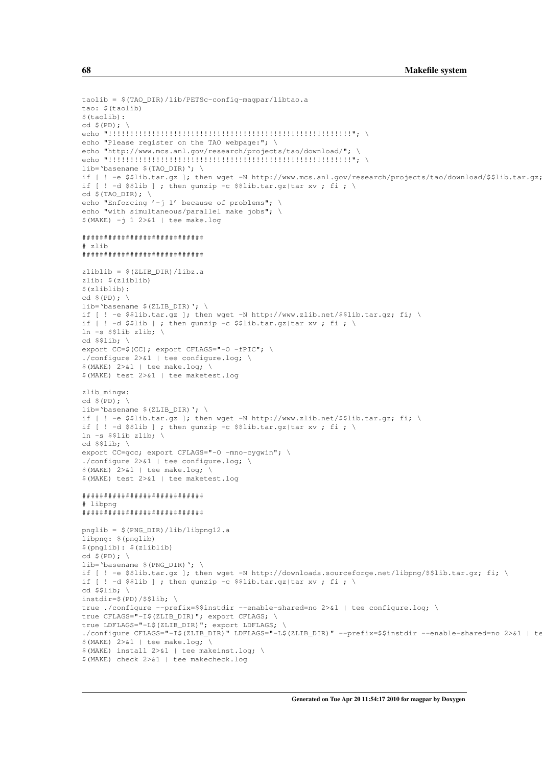```
taolib = $(TAO_DIR)/lib/PETSc-config-magpar/libtao.a
tan: $(t,1)$(taolib):
echo "Please register on the TAO webpage:"; \
echo "http://www.mcs.anl.gov/research/projects/tao/download/"; \
lib='basename $(TAO_DIR)'; \
if [ ! -e $$lib.tar.gz ]; then wget -N http://www.mcs.anl.gov/research/projects/tao/download/$$lib.tar.gz;
if [ ! -d $$lib ] ; then gunzip -c $$lib.tar.gz|tar xv ; fi ; \
cd $(TAO_DIR);echo "Enforcing '-j 1' because of problems";
echo "with simultaneous/parallel make jobs"; \
$ (MAKE) -j 1 2>&1 | tee make.log
****************************
# zlib*****************************
zliblib = $(ZLIB_DIR)/libz.a
zlib: $(zliblib)$(zliblib):cd $ (PD); \ \nlib='basename $(ZLIB DIR)': \
if [ \cdot ] = \frac{\text{S}}{\text{S}} : then wget -N http://www.zlib.net/SSlib.tar.gz; fi;
if [ ! -d $$lib ] ; then gunzip -c $$lib.tar.gz|tar xv ; fi ; \
ln -s $$lib zlib;
cd $$lib:
export CC=$(CC); export CFLAGS="-0 -fPIC"; \
./configure 2>0.1 | tee configure.log; \
$ (MAKE) 2>&1 | tee make.log; \
$ (MAKE) test 2>&1 | tee maketest.log
zlib_mingw:
cd S(PD): \
lib='basename $(ZLIB_DIR)'; \
if [ ! -e $$lib.tar.gz ]; then wget -N http://www.zlib.net/$$lib.tar.gz; fi; \
if \lceil ! -d $$lib | ; then qunzip -c $$lib.tar.qz|tar xv ; fi ; \
ln -s $$lib zlib: \
cd $$lib; \
export CC = qcc; export CFLAGS = " - 0 - mno-cyqwin";./configure 2>&1 | tee configure.log; \
$ (MAKE) 2> & 1 | tee make.log; \
$ (MAKE) test 2>&1 | tee maketest.log
*****************************
# libpng
*****************************
pnglib = $(PNG_DIR)/lib/libpng12.a
libpng: $(pnglib)
$(pnglib): $(zliblib)
cd $ (PD); \ \ \ \ \ \lib='basename $(PNG DIR)'; \
if [ ! -e $$lib.tar.gz ]; then wget -N http://downloads.sourceforge.net/libpng/$$lib.tar.gz; fi; \
    ! -d $$lib ] ; then gunzip -c $$lib.tar.gz|tar xv ; fi ; \
if I
cd $3lib; \setminusinstdir=\$(PD)/\$Slib; \ \ \ \ \true ./configure --prefix=$$instdir --enable-shared=no 2>&1 | tee configure.log; \
true CFLAGS="-I$(ZLIB_DIR)"; export CFLAGS; \
true LDFLAGS="-L$(ZLIB_DIR)"; export LDFLAGS;
./configure CFLAGS="-I$(ZLIB DIR)" LDFLAGS="-L$(ZLIB DIR)" --prefix=$$instdir --enable-shared=no 2>&1 | te
$ (MAKE) 2> & 1 | tee make.log;
$ (MAKE) install 2>&1 | tee makeinst.log; \
$ (MAKE) check 2>&1 | tee makecheck.log
```
68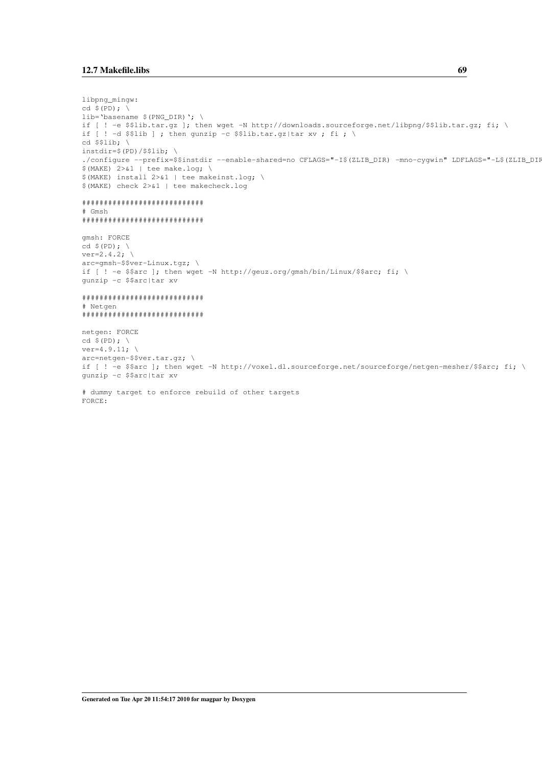```
libpnq_minqw:
cd S(PD): \
lib='basename $(PNG_DIR)'; \
if [ ! -e $$lib.tar.gz ]; then wget -N http://downloads.sourceforge.net/libpng/$$lib.tar.gz; fi; \
if [ ! -d $$lib ] ; then gunzip -c $$lib.tar.gz|tar xv ; fi ; \
cd $$lib; \setminusinstdir = $(PD)/$$list./configure --prefix=$$instdir --enable-shared=no CFLAGS="-I$(ZLIB_DIR) -mno-cygwin" LDFLAGS="-L$(ZLIB_DIP
$(MAKE) 2>&1 | tee make.log; \
$(MAKE) install 2>&1 | tee makeinst.log; \
$ (MAKE) check 2>&1 | tee makecheck.log
*****************************
# Gmsh
****************************
qmsh: FORCE
ver=2.4.2; \setminus\arctanh-\frac{2}{3}\text{ver-Linux.tgz}if [ ! -e $$arc ]; then wget -N http://geuz.org/gmsh/bin/Linux/$$arc; fi; \
gunzip -c $$arc|tar xv
*****************************
# Netgen
****************************
netgen: FORCE
cd $ (PD); \ \nver=4.9.11; \ \ \ \ \ \arc=netgen-$$ver.tar.gz; \
if [ ! -e $$arc ]; then wget -N http://voxel.dl.sourceforge.net/sourceforge/netgen-mesher/$$arc; fi; \
qunzip -c $$arc|tar xv
# dummy target to enforce rebuild of other targets
FORCE:
```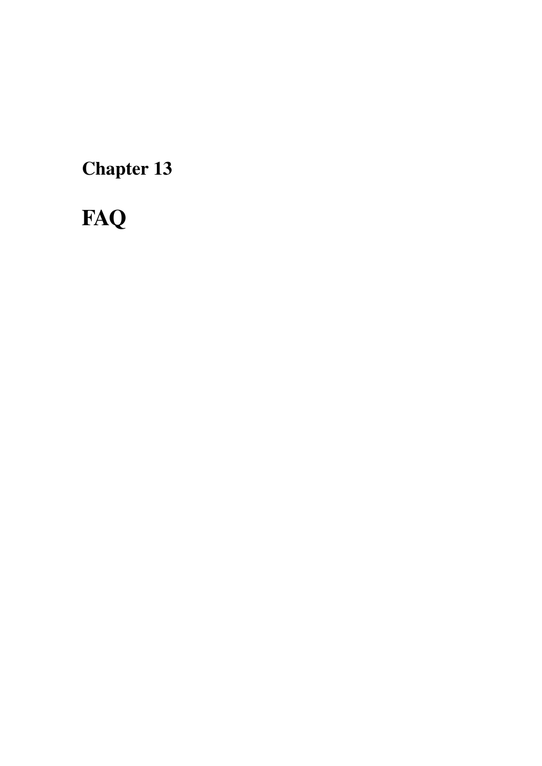Chapter 13

# **FAQ**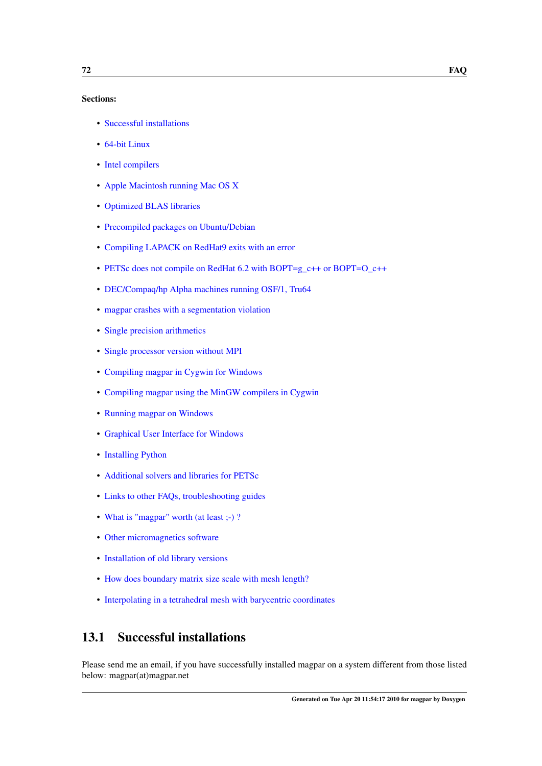#### Sections:

- [Successful installations](#page-81-0)
- [64-bit Linux](#page-82-0)
- [Intel compilers](#page-84-0)
- [Apple Macintosh running Mac OS X](#page-84-1)
- [Optimized BLAS libraries](#page-86-0)
- [Precompiled packages on Ubuntu/Debian](#page-87-0)
- [Compiling LAPACK on RedHat9 exits with an error](#page-87-1)
- [PETSc does not compile on RedHat 6.2 with BOPT=g\\_c++ or BOPT=O\\_c++](#page-87-2)
- [DEC/Compaq/hp Alpha machines running OSF/1, Tru64](#page-88-0)
- [magpar crashes with a segmentation violation](#page-91-0)
- [Single precision arithmetics](#page-91-1)
- [Single processor version without MPI](#page-91-2)
- [Compiling magpar in Cygwin for Windows](#page-92-0)
- [Compiling magpar using the MinGW compilers in Cygwin](#page-93-0)
- [Running magpar on Windows](#page-95-0)
- [Graphical User Interface for Windows](#page-96-0)
- [Installing Python](#page-97-0)
- [Additional solvers and libraries for PETSc](#page-97-1)
- [Links to other FAQs, troubleshooting guides](#page-98-0)
- What is "magpar" worth (at least ;-)?
- [Other micromagnetics software](#page-98-2)
- [Installation of old library versions](#page-99-0)
- [How does boundary matrix size scale with mesh length?](#page-99-1)
- [Interpolating in a tetrahedral mesh with barycentric coordinates](#page-100-0)

# <span id="page-81-0"></span>13.1 Successful installations

Please send me an email, if you have successfully installed magpar on a system different from those listed below: magpar(at)magpar.net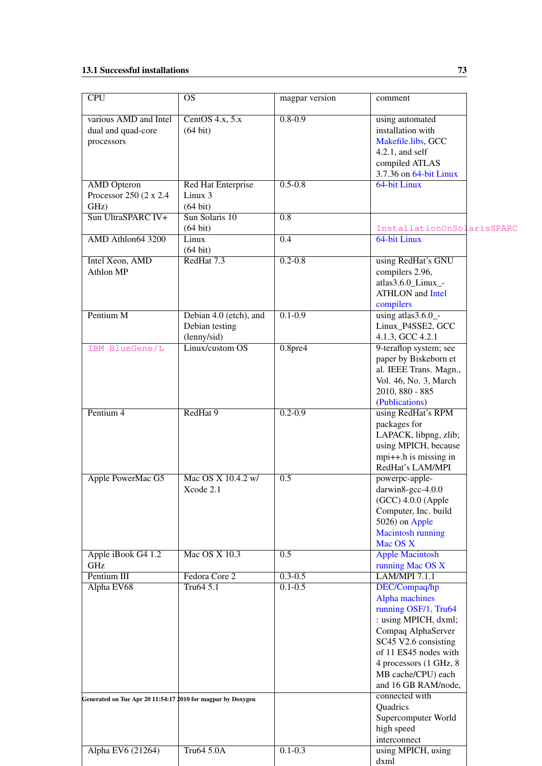# 13.1 Successful installations 73

<span id="page-82-0"></span>

| $\overline{CPU}$                                            | <b>OS</b>                                               | magpar version             | comment                                                                                                                                                                                                                        |  |
|-------------------------------------------------------------|---------------------------------------------------------|----------------------------|--------------------------------------------------------------------------------------------------------------------------------------------------------------------------------------------------------------------------------|--|
| various AMD and Intel<br>dual and quad-core<br>processors   | CentOS $4.x, 5.x$<br>$(64 \text{ bit})$                 | $0.8 - 0.9$                | using automated<br>installation with<br>Makefile.libs, GCC<br>$4.2.1$ , and self<br>compiled ATLAS<br>3.7.36 on 64-bit Linux                                                                                                   |  |
| <b>AMD</b> Opteron<br>Processor 250 (2 x 2.4)<br>GHz)       | Red Hat Enterprise<br>Linux 3<br>$(64 \text{ bit})$     | $0.5 - 0.8$                | 64-bit Linux                                                                                                                                                                                                                   |  |
| Sun UltraSPARC IV+                                          | Sun Solaris 10<br>$(64 \text{ bit})$                    | 0.8                        | InstallationOnSolarisSPARC                                                                                                                                                                                                     |  |
| AMD Athlon64 3200                                           | Linux<br>$(64 \text{ bit})$                             | $\overline{0.4}$           | 64-bit Linux                                                                                                                                                                                                                   |  |
| <b>Intel Xeon, AMD</b><br>Athlon MP                         | RedHat 7.3                                              | $0.2 - 0.8$                | using RedHat's GNU<br>compilers 2.96,<br>atlas3.6.0_Linux_-<br><b>ATHLON</b> and <b>Intel</b><br>compilers                                                                                                                     |  |
| Pentium M                                                   | Debian 4.0 (etch), and<br>Debian testing<br>(lenny/sid) | $0.1 - 0.9$                | using atlas3.6.0_-<br>Linux_P4SSE2, GCC<br>4.1.3, GCC 4.2.1                                                                                                                                                                    |  |
| IBM BlueGene/L                                              | Linux/custom OS                                         | 0.8 <sub>pre4</sub>        | 9-teraflop system; see<br>paper by Biskeborn et<br>al. IEEE Trans. Magn.,<br>Vol. 46, No. 3, March<br>2010, 880 - 885<br>(Publications)                                                                                        |  |
| Pentium 4                                                   | RedHat 9                                                | $0.2 - 0.9$                | using RedHat's RPM<br>packages for<br>LAPACK, libpng, zlib;<br>using MPICH, because<br>$mpi++.$ h is missing in<br>RedHat's LAM/MPI                                                                                            |  |
| Apple PowerMac G5                                           | Mac OS X 10.4.2 w/<br>Xcode 2.1                         | 0.5                        | powerpc-apple-<br>darwin8-gcc-4.0.0<br>$(GCC)$ 4.0.0 (Apple<br>Computer, Inc. build<br>5026) on Apple<br><b>Macintosh running</b><br>Mac OS X                                                                                  |  |
| Apple iBook G4 1.2<br>GHz                                   | Mac OS X 10.3                                           | $\overline{0.5}$           | <b>Apple Macintosh</b><br>running Mac OS X                                                                                                                                                                                     |  |
| Pentium III<br>Alpha EV68                                   | Fedora Core 2<br>Tru64 5.1                              | $0.3 - 0.5$<br>$0.1 - 0.5$ | <b>LAM/MPI 7.1.1</b><br>DEC/Compaq/hp<br>Alpha machines<br>running OSF/1, Tru64<br>: using MPICH, dxml;<br>Compaq AlphaServer<br>SC45 V2.6 consisting<br>of 11 ES45 nodes with<br>4 processors (1 GHz, 8<br>MB cache/CPU) each |  |
| Generated on Tue Apr 20 11:54:17 2010 for magpar by Doxygen |                                                         |                            | and 16 GB RAM/node,<br>connected with<br>Quadrics<br>Supercomputer World<br>high speed                                                                                                                                         |  |
| Alpha EV6 (21264)                                           | Tru64 5.0A                                              | $0.1 - 0.3$                | interconnect<br>using MPICH, using<br>dxml                                                                                                                                                                                     |  |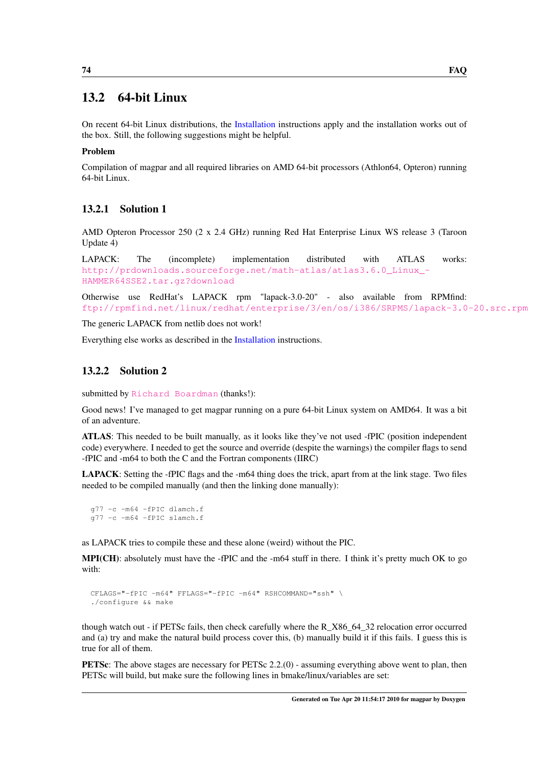# 13.2 64-bit Linux

On recent 64-bit Linux distributions, the [Installation](#page-50-0) instructions apply and the installation works out of the box. Still, the following suggestions might be helpful.

### Problem

Compilation of magpar and all required libraries on AMD 64-bit processors (Athlon64, Opteron) running 64-bit Linux.

### 13.2.1 Solution 1

AMD Opteron Processor 250 (2 x 2.4 GHz) running Red Hat Enterprise Linux WS release 3 (Taroon Update 4)

LAPACK: The (incomplete) implementation distributed with ATLAS works: [http://prdownloads.sourceforge.net/math-atlas/atlas3.6.0\\_Linux\\_-](http://prdownloads.sourceforge.net/math-atlas/atlas3.6.0_Linux_HAMMER64SSE2.tar.gz?download) [HAMMER64SSE2.tar.gz?download](http://prdownloads.sourceforge.net/math-atlas/atlas3.6.0_Linux_HAMMER64SSE2.tar.gz?download)

Otherwise use RedHat's LAPACK rpm "lapack-3.0-20" - also available from RPMfind: <ftp://rpmfind.net/linux/redhat/enterprise/3/en/os/i386/SRPMS/lapack-3.0-20.src.rpm>

The generic LAPACK from netlib does not work!

Everything else works as described in the [Installation](#page-50-0) instructions.

### 13.2.2 Solution 2

submitted by [Richard Boardman](http://www.soton.ac.uk/~rpb/) (thanks!):

Good news! I've managed to get magpar running on a pure 64-bit Linux system on AMD64. It was a bit of an adventure.

ATLAS: This needed to be built manually, as it looks like they've not used -fPIC (position independent code) everywhere. I needed to get the source and override (despite the warnings) the compiler flags to send -fPIC and -m64 to both the C and the Fortran components (IIRC)

LAPACK: Setting the -fPIC flags and the -m64 thing does the trick, apart from at the link stage. Two files needed to be compiled manually (and then the linking done manually):

```
g77 -c -m64 -fPIC dlamch.f
g77 -c -m64 -fPIC slamch.f
```
as LAPACK tries to compile these and these alone (weird) without the PIC.

MPI(CH): absolutely must have the -fPIC and the -m64 stuff in there. I think it's pretty much OK to go with:

```
CFLAGS="-fPIC -m64" FFLAGS="-fPIC -m64" RSHCOMMAND="ssh" \
./configure && make
```
though watch out - if PETSc fails, then check carefully where the R\_X86\_64\_32 relocation error occurred and (a) try and make the natural build process cover this, (b) manually build it if this fails. I guess this is true for all of them.

PETSc: The above stages are necessary for PETSc 2.2.(0) - assuming everything above went to plan, then PETSc will build, but make sure the following lines in bmake/linux/variables are set: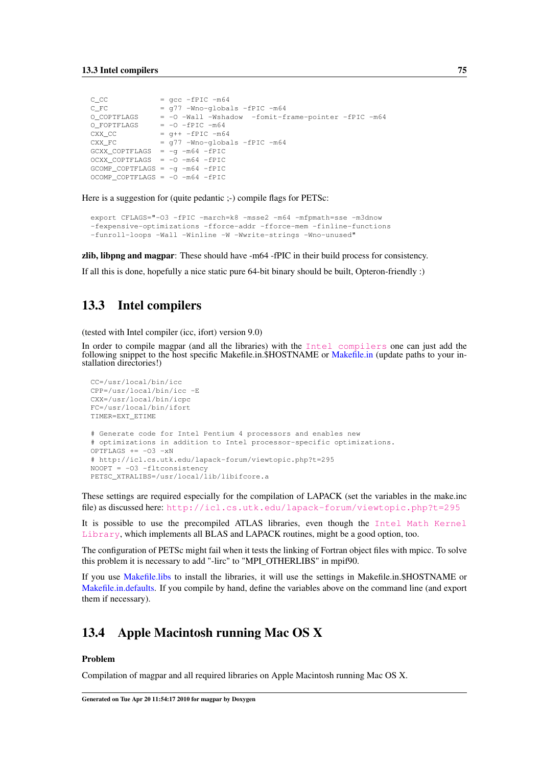| $C$ $CC$                            | $=$ qcc $-$ fPIC $-m64$                             |
|-------------------------------------|-----------------------------------------------------|
|                                     |                                                     |
| $C$ $FC$                            | $= q77$ -Wno-globals -fPIC -m64                     |
| O COPTFLAGS                         | = -0 -Wall -Wshadow -fomit-frame-pointer -fPIC -m64 |
| O FOPTFLAGS                         | $=$ $-0$ $-$ fPIC $-m64$                            |
| CXX CC                              | $=$ q++ $-$ fPIC $-m64$                             |
| CXX FC                              | $= q77$ -Wno-globals -fPIC -m64                     |
| GCXX COPTFLAGS = $-q$ $-m64$ -fPIC  |                                                     |
| OCXX COPTFLAGS = $-0$ $-m64$ -fPIC  |                                                     |
| $GCOMP\_COPTFLAGS = -q -m64 - fPIC$ |                                                     |
| OCOMP COPTFLAGS = $-0$ $-m64$ -fPIC |                                                     |

Here is a suggestion for (quite pedantic ;-) compile flags for PETSc:

```
export CFLAGS="-O3 -fPIC -march=k8 -msse2 -m64 -mfpmath=sse -m3dnow
-fexpensive-optimizations -fforce-addr -fforce-mem -finline-functions
-funroll-loops -Wall -Winline -W -Wwrite-strings -Wno-unused"
```
zlib, libpng and magpar: These should have -m64 -fPIC in their build process for consistency.

<span id="page-84-0"></span>If all this is done, hopefully a nice static pure 64-bit binary should be built, Opteron-friendly :)

### 13.3 Intel compilers

(tested with Intel compiler (icc, ifort) version 9.0)

In order to compile magpar (and all the libraries) with the [Intel compilers](http://www.intel.com/cd/software/products/asmo-na/eng/compilers/284132.htm) one can just add the following snippet to the host specific [Makefile.in](#page-60-0).\$HOSTNAME or Makefile.in (update paths to your installation directories!)

```
CC=/usr/local/bin/icc
CPP=/usr/local/bin/icc -E
CXX=/usr/local/bin/icpc
FC=/usr/local/bin/ifort
TIMER=EXT_ETIME
# Generate code for Intel Pentium 4 processors and enables new
# optimizations in addition to Intel processor-specific optimizations.
OPTFIAGS += -O3 -xN# http://icl.cs.utk.edu/lapack-forum/viewtopic.php?t=295
NOOPT = -O3 -fltconsistency
PETSC_XTRALIBS=/usr/local/lib/libifcore.a
```
These settings are required especially for the compilation of LAPACK (set the variables in the make.inc file) as discussed here: <http://icl.cs.utk.edu/lapack-forum/viewtopic.php?t=295>

It is possible to use the precompiled ATLAS libraries, even though the [Intel Math Kernel](http://www.intel.com/cd/software/products/asmo-na/eng/perflib/mkl/index.htm) [Library](http://www.intel.com/cd/software/products/asmo-na/eng/perflib/mkl/index.htm), which implements all BLAS and LAPACK routines, might be a good option, too.

The configuration of PETSc might fail when it tests the linking of Fortran object files with mpicc. To solve this problem it is necessary to add "-lirc" to "MPI\_OTHERLIBS" in mpif90.

If you use [Makefile.libs](#page-69-0) to install the libraries, it will use the settings in Makefile.in.\$HOSTNAME or [Makefile.in.defaults.](#page-62-0) If you compile by hand, define the variables above on the command line (and export them if necessary).

### <span id="page-84-1"></span>13.4 Apple Macintosh running Mac OS X

#### Problem

Compilation of magpar and all required libraries on Apple Macintosh running Mac OS X.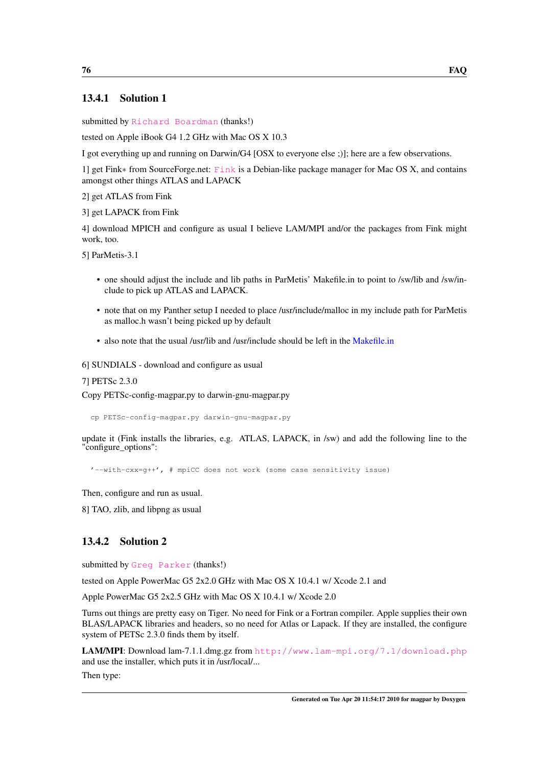### 13.4.1 Solution 1

submitted by [Richard Boardman](http://www.soton.ac.uk/~rpb/) (thanks!)

tested on Apple iBook G4 1.2 GHz with Mac OS X 10.3

I got everything up and running on Darwin/G4 [OSX to everyone else ;)]; here are a few observations.

1] get Fink∗ from SourceForge.net: [Fink](http://www.finkproject.org) is a Debian-like package manager for Mac OS X, and contains amongst other things ATLAS and LAPACK

2] get ATLAS from Fink

3] get LAPACK from Fink

4] download MPICH and configure as usual I believe LAM/MPI and/or the packages from Fink might work, too.

5] ParMetis-3.1

- one should adjust the include and lib paths in ParMetis' Makefile.in to point to /sw/lib and /sw/include to pick up ATLAS and LAPACK.
- note that on my Panther setup I needed to place /usr/include/malloc in my include path for ParMetis as malloc.h wasn't being picked up by default
- also note that the usual /usr/lib and /usr/include should be left in the [Makefile.in](#page-60-0)

6] SUNDIALS - download and configure as usual

7] PETSc 2.3.0

Copy PETSc-config-magpar.py to darwin-gnu-magpar.py

cp PETSc-config-magpar.py darwin-gnu-magpar.py

update it (Fink installs the libraries, e.g. ATLAS, LAPACK, in /sw) and add the following line to the "configure\_options":

'--with-cxx=g++', # mpiCC does not work (some case sensitivity issue)

Then, configure and run as usual.

8] TAO, zlib, and libpng as usual

### 13.4.2 Solution 2

submitted by [Greg Parker](http://www.parker9.com) (thanks!)

tested on Apple PowerMac G5 2x2.0 GHz with Mac OS X 10.4.1 w/ Xcode 2.1 and

Apple PowerMac G5 2x2.5 GHz with Mac OS X 10.4.1 w/ Xcode 2.0

Turns out things are pretty easy on Tiger. No need for Fink or a Fortran compiler. Apple supplies their own BLAS/LAPACK libraries and headers, so no need for Atlas or Lapack. If they are installed, the configure system of PETSc 2.3.0 finds them by itself.

LAM/MPI: Download lam-7.1.1.dmg.gz from <http://www.lam-mpi.org/7.1/download.php> and use the installer, which puts it in /usr/local/...

Then type: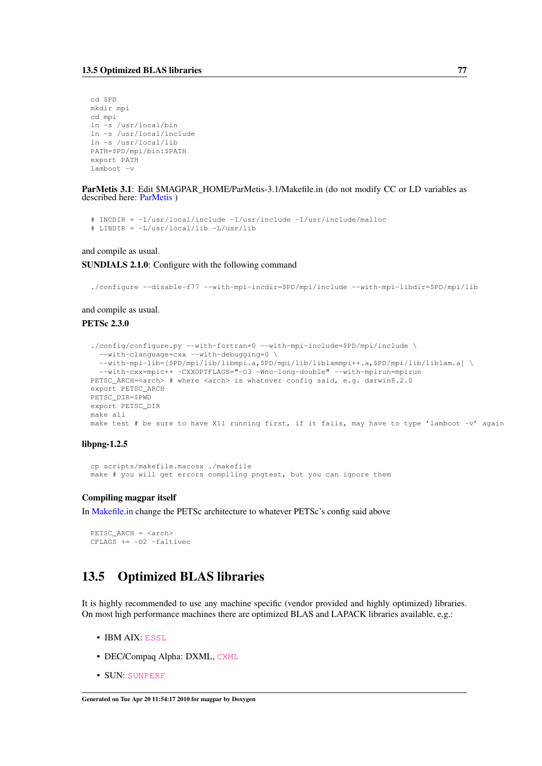```
cd $PD
mkdir mpi
cd mpi
ln -s /usr/local/bin
ln -s /usr/local/include
ln -s /usr/local/lib
PATH=$PD/mpi/bin:$PATH
export PATH
lamboot -v
```
ParMetis 3.1: Edit \$MAGPAR\_HOME/ParMetis-3.1/Makefile.in (do not modify CC or LD variables as described here: [ParMetis](#page-54-0) )

```
# INCDIR = -I/usr/local/include -I/usr/include -I/usr/include/malloc
# LIBDIR = -L/usr/local/lib -L/usr/lib
```
and compile as usual.

#### SUNDIALS 2.1.0: Configure with the following command

./configure --disable-f77 --with-mpi-incdir=\$PD/mpi/include --with-mpi-libdir=\$PD/mpi/lib

#### and compile as usual.

#### PETSc 2.3.0

```
./config/configure.py --with-fortran=0 --with-mpi-include=$PD/mpi/include \
  --with-clanguage=cxx --with-debugging=0 \
  --with-mpi-lib=[$PD/mpi/lib/libmpi.a,$PD/mpi/lib/liblammpi++.a,$PD/mpi/lib/liblam.a] \
  --with-cxx=mpic++ -CXXOPTFLAGS="-O3 -Wno-long-double" --with-mpirun=mpirun
PETSC_ARCH=<arch> # where <arch> is whatever config said, e.g. darwin8.2.0
export PETSC_ARCH
PETSC_DIR=$PWD
export PETSC_DIR
make all
make test # be sure to have X11 running first, if it fails, may have to type 'lamboot -v' again
```
#### libpng-1.2.5

```
cp scripts/makefile.macosx ./makefile
make # you will get errors compiling pngtest, but you can ignore them
```
#### Compiling magpar itself

In [Makefile.in](#page-60-0) change the PETSc architecture to whatever PETSc's config said above

```
PETSC_ARCH = <arch>
CFLAGS += -02 -faltivec
```
# <span id="page-86-0"></span>13.5 Optimized BLAS libraries

It is highly recommended to use any machine specific (vendor provided and highly optimized) libraries. On most high performance machines there are optimized BLAS and LAPACK libraries available, e.g.:

- IBM AIX: [ESSL](http://publib.boulder.ibm.com/clresctr/windows/public/esslbooks.html)
- DEC/Compaq Alpha: DXML, [CXML](http://h20311.www2.hp.com/HPC/cache/276349-0-0-225-121.html?jumpid=reg_R1002_USEN)
- SUN: [SUNPERF](http://developers.sun.com/sunstudio/documentation/product/library.jsp)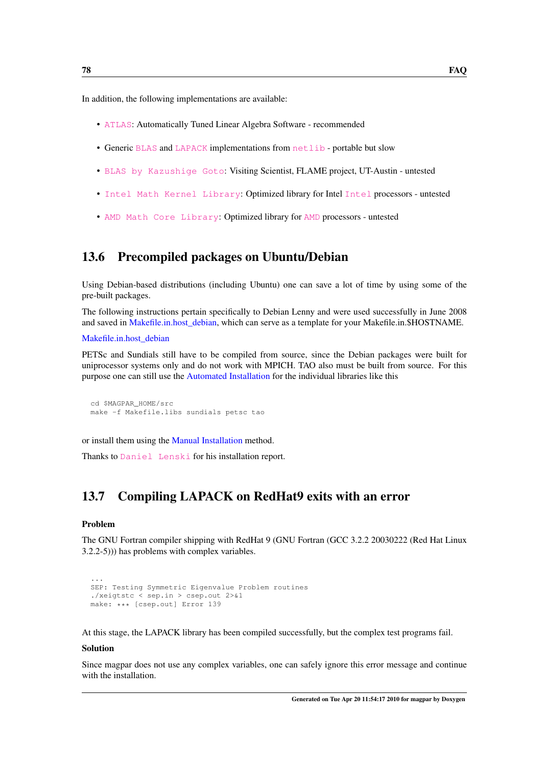In addition, the following implementations are available:

- [ATLAS](http://math-atlas.sourceforge.net/): Automatically Tuned Linear Algebra Software recommended
- Generic [BLAS](http://www.netlib.org/blas/index.html) and [LAPACK](http://www.netlib.org/lapack/index.html) implementations from [netlib](http://www.netlib.org/) portable but slow
- [BLAS by Kazushige Goto](http://www.tacc.utexas.edu/resources/software/#blas): Visiting Scientist, FLAME project, UT-Austin untested
- [Intel Math Kernel Library](http://www.intel.com/cd/software/products/asmo-na/eng/perflib/mkl/index.htm): Optimized library for Intel [Intel](http://www.intel.com/) processors untested
- [AMD Math Core Library](http://developer.amd.com/cpu/Libraries/acml): Optimized library for [AMD](http://www.amd.com/) processors untested

# <span id="page-87-0"></span>13.6 Precompiled packages on Ubuntu/Debian

Using Debian-based distributions (including Ubuntu) one can save a lot of time by using some of the pre-built packages.

The following instructions pertain specifically to Debian Lenny and were used successfully in June 2008 and saved in Makefile.in.host debian, which can serve as a template for your Makefile.in.\$HOSTNAME.

[Makefile.in.host\\_debian](#page-65-0)

PETSc and Sundials still have to be compiled from source, since the Debian packages were built for uniprocessor systems only and do not work with MPICH. TAO also must be built from source. For this purpose one can still use the [Automated Installation](#page-52-0) for the individual libraries like this

```
cd $MAGPAR_HOME/src
make -f Makefile.libs sundials petsc tao
```
or install them using the [Manual Installation](#page-52-1) method.

<span id="page-87-1"></span>Thanks to [Daniel Lenski](http://myxo.css.msu.edu/danimal/) for his installation report.

# 13.7 Compiling LAPACK on RedHat9 exits with an error

#### Problem

...

The GNU Fortran compiler shipping with RedHat 9 (GNU Fortran (GCC 3.2.2 20030222 (Red Hat Linux 3.2.2-5))) has problems with complex variables.

```
SEP: Testing Symmetric Eigenvalue Problem routines
./xeigtstc < sep.in > csep.out 2>&1
make: *** [csep.out] Error 139
```
At this stage, the LAPACK library has been compiled successfully, but the complex test programs fail.

#### Solution

<span id="page-87-2"></span>Since magpar does not use any complex variables, one can safely ignore this error message and continue with the installation.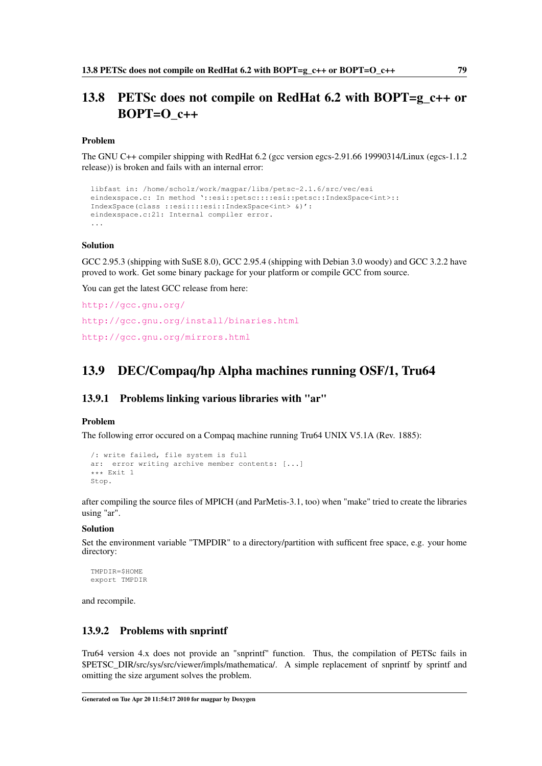# 13.8 PETSc does not compile on RedHat 6.2 with BOPT=g\_c++ or BOPT= $O_{c++}$

#### Problem

The GNU C++ compiler shipping with RedHat 6.2 (gcc version egcs-2.91.66 19990314/Linux (egcs-1.1.2) release)) is broken and fails with an internal error:

```
libfast in: /home/scholz/work/magpar/libs/petsc-2.1.6/src/vec/esi
eindexspace.c: In method '::esi::petsc::::esi::petsc::IndexSpace<int>::
IndexSpace(class ::esi::::esi::IndexSpace<int> &)':
eindexspace.c:21: Internal compiler error.
...
```
#### Solution

GCC 2.95.3 (shipping with SuSE 8.0), GCC 2.95.4 (shipping with Debian 3.0 woody) and GCC 3.2.2 have proved to work. Get some binary package for your platform or compile GCC from source.

You can get the latest GCC release from here:

```
http://gcc.gnu.org/
http://gcc.gnu.org/install/binaries.html
http://gcc.gnu.org/mirrors.html
```
# <span id="page-88-0"></span>13.9 DEC/Compaq/hp Alpha machines running OSF/1, Tru64

#### 13.9.1 Problems linking various libraries with "ar"

#### Problem

The following error occured on a Compaq machine running Tru64 UNIX V5.1A (Rev. 1885):

```
/: write failed, file system is full
ar: error writing archive member contents: [...]
*** Exit 1
Stop.
```
after compiling the source files of MPICH (and ParMetis-3.1, too) when "make" tried to create the libraries using "ar".

#### Solution

Set the environment variable "TMPDIR" to a directory/partition with sufficent free space, e.g. your home directory:

TMPDIR=\$HOME export TMPDIR

and recompile.

#### 13.9.2 Problems with snprintf

Tru64 version 4.x does not provide an "snprintf" function. Thus, the compilation of PETSc fails in \$PETSC\_DIR/src/sys/src/viewer/impls/mathematica/. A simple replacement of snprintf by sprintf and omitting the size argument solves the problem.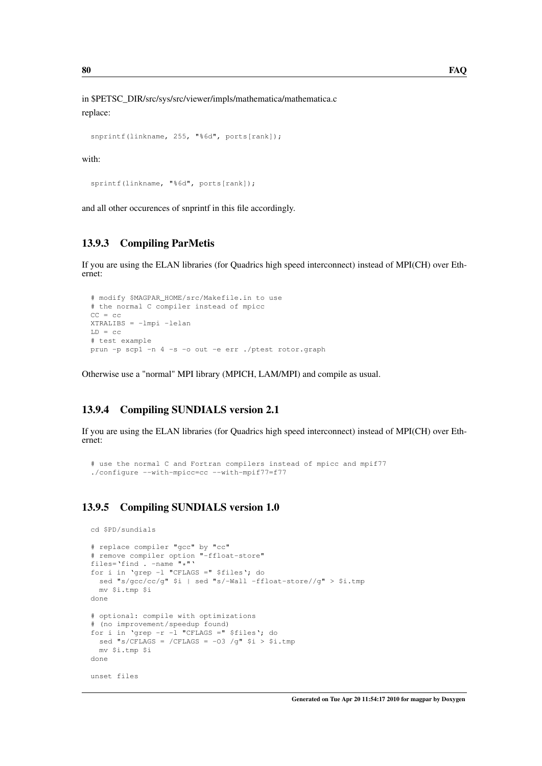in \$PETSC\_DIR/src/sys/src/viewer/impls/mathematica/mathematica.c replace:

```
snprintf(linkname, 255, "%6d", ports[rank]);
```
#### with:

sprintf(linkname, "%6d", ports[rank]);

and all other occurences of snprintf in this file accordingly.

### 13.9.3 Compiling ParMetis

If you are using the ELAN libraries (for Quadrics high speed interconnect) instead of MPI(CH) over Ethernet:

```
# modify $MAGPAR_HOME/src/Makefile.in to use
# the normal C compiler instead of mpicc
CC = CCXTRALIBS = -lmpi -lelan
LD = CC# test example
prun -p scp1 -n 4 -s -o out -e err ./ptest rotor.graph
```
Otherwise use a "normal" MPI library (MPICH, LAM/MPI) and compile as usual.

### 13.9.4 Compiling SUNDIALS version 2.1

If you are using the ELAN libraries (for Quadrics high speed interconnect) instead of MPI(CH) over Ethernet:

```
# use the normal C and Fortran compilers instead of mpicc and mpif77
./configure --with-mpicc=cc --with-mpif77=f77
```
### 13.9.5 Compiling SUNDIALS version 1.0

```
cd $PD/sundials
# replace compiler "gcc" by "cc"
# remove compiler option "-ffloat-store"
files='find . -name "\star"'
for i in 'grep -l "CFLAGS =" $files'; do
 sed "s/gcc/cc/g" $i | sed "s/-Wall -ffloat-store//g" > $i.tmp
 mv $i.tmp $i
done
# optional: compile with optimizations
# (no improvement/speedup found)
for i in 'grep -r -l "CFLAGS =" $files'; do
 sed "s/CFLAGS = /CFLAGS = -03 /g" $i > $i.tmp
 mv $i.tmp $i
done
unset files
```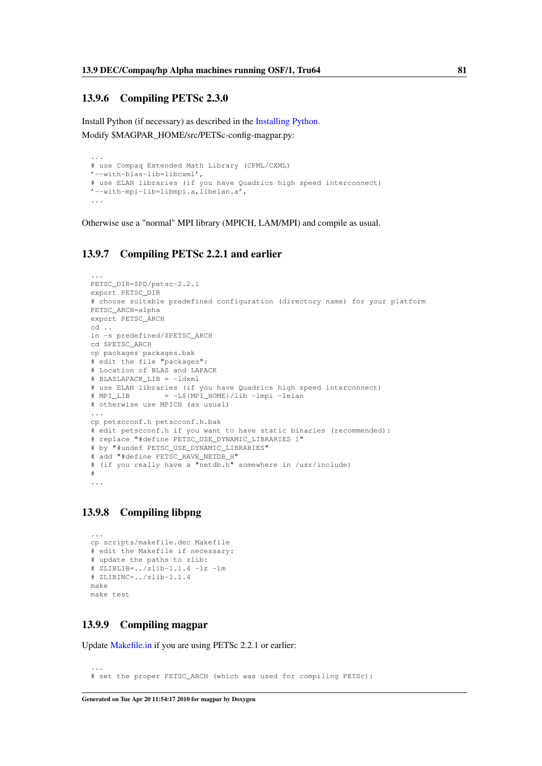### 13.9.6 Compiling PETSc 2.3.0

Install Python (if necessary) as described in the [Installing Python.](#page-97-0) Modify \$MAGPAR\_HOME/src/PETSc-config-magpar.py:

```
...
# use Compaq Extended Math Library (CPML/CXML)
'--with-blas-lib=libcxml',
# use ELAN libraries (if you have Quadrics high speed interconnect)
'--with-mpi-lib=libmpi.a,libelan.a',
...
```
Otherwise use a "normal" MPI library (MPICH, LAM/MPI) and compile as usual.

### 13.9.7 Compiling PETSc 2.2.1 and earlier

```
...
PETSC_DIR=$PD/petsc-2.2.1
export PETSC_DIR
# choose suitable predefined configuration (directory name) for your platform
PETSC_ARCH=alpha
export PETSC_ARCH
cd ..
ln -s predefined/$PETSC_ARCH
cd $PETSC_ARCH
cp packages packages.bak
# edit the file "packages":
# Location of BLAS and LAPACK
# BLASLAPACK_LIB = -ldxml
# use ELAN libraries (if you have Quadrics high speed interconnect)
# MPI LIB = -L${MPI} HOME}/lib -lmpi -lelan# otherwise use MPICH (as usual)
...
cp petscconf.h petscconf.h.bak
# edit petscconf.h if you want to have static binaries (recommended):
# replace "#define PETSC_USE_DYNAMIC_LIBRARIES 1"
# by "#undef PETSC_USE_DYNAMIC_LIBRARIES"
# add "#define PETSC_HAVE_NETDB_H"
# (if you really have a "netdb.h" somewhere in /usr/include)
#
...
```
### 13.9.8 Compiling libpng

```
...
cp scripts/makefile.dec Makefile
# edit the Makefile if necessary:
# update the paths to zlib:
# ZLIBLIB=../zlib-1.1.4 -lz -lm
# ZLIBINC=../zlib-1.1.4
make
make test
```
### 13.9.9 Compiling magpar

...

Update [Makefile.in](#page-60-0) if you are using PETSc 2.2.1 or earlier:

```
# set the proper PETSC_ARCH (which was used for compiling PETSc):
```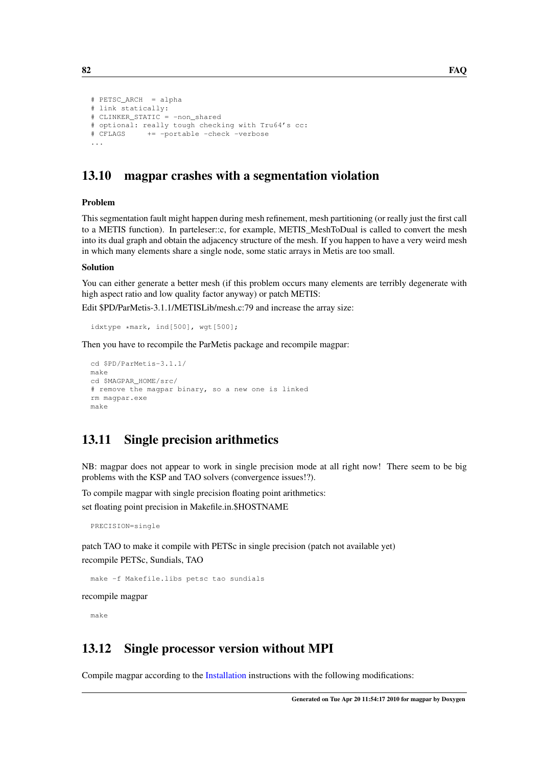```
# PETSC_ARCH = alpha
# link statically:
# CLINKER_STATIC = -non_shared
# optional: really tough checking with Tru64's cc:
# CFLAGS += -portable -check -verbose
...
```
# <span id="page-91-0"></span>13.10 magpar crashes with a segmentation violation

#### Problem

This segmentation fault might happen during mesh refinement, mesh partitioning (or really just the first call to a METIS function). In parteleser::c, for example, METIS\_MeshToDual is called to convert the mesh into its dual graph and obtain the adjacency structure of the mesh. If you happen to have a very weird mesh in which many elements share a single node, some static arrays in Metis are too small.

#### Solution

You can either generate a better mesh (if this problem occurs many elements are terribly degenerate with high aspect ratio and low quality factor anyway) or patch METIS:

Edit \$PD/ParMetis-3.1.1/METISLib/mesh.c:79 and increase the array size:

```
idxtype *mark, ind[500], wgt[500];
```
Then you have to recompile the ParMetis package and recompile magpar:

```
cd $PD/ParMetis-3.1.1/
make
cd $MAGPAR_HOME/src/
# remove the magpar binary, so a new one is linked
rm magpar.exe
make
```
# <span id="page-91-1"></span>13.11 Single precision arithmetics

NB: magpar does not appear to work in single precision mode at all right now! There seem to be big problems with the KSP and TAO solvers (convergence issues!?).

To compile magpar with single precision floating point arithmetics: set floating point precision in Makefile.in.\$HOSTNAME

PRECISION=single

patch TAO to make it compile with PETSc in single precision (patch not available yet) recompile PETSc, Sundials, TAO

```
make -f Makefile.libs petsc tao sundials
```
recompile magpar

<span id="page-91-2"></span>make

# 13.12 Single processor version without MPI

Compile magpar according to the [Installation](#page-50-0) instructions with the following modifications: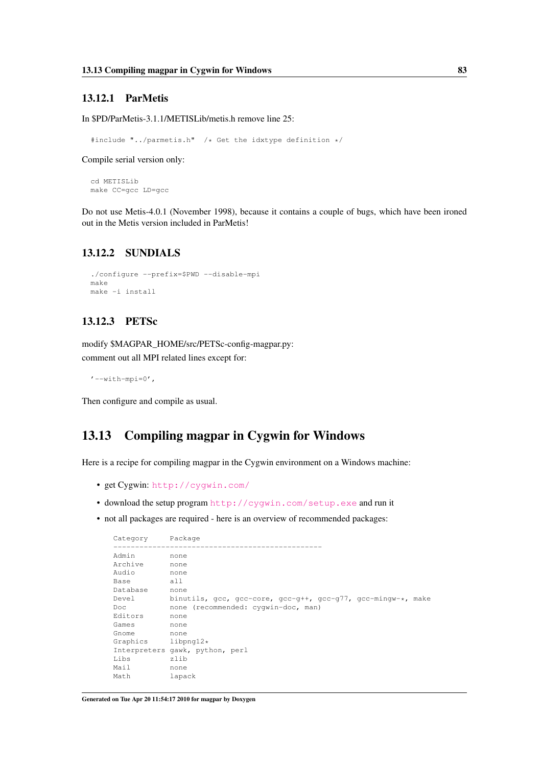### 13.12.1 ParMetis

In \$PD/ParMetis-3.1.1/METISLib/metis.h remove line 25:

#include "../parmetis.h" /\* Get the idxtype definition \*/

Compile serial version only:

cd METISLib make CC=gcc LD=gcc

Do not use Metis-4.0.1 (November 1998), because it contains a couple of bugs, which have been ironed out in the Metis version included in ParMetis!

### 13.12.2 SUNDIALS

```
./configure --prefix=$PWD --disable-mpi
make
make -i install
```
### 13.12.3 PETSc

modify \$MAGPAR\_HOME/src/PETSc-config-magpar.py: comment out all MPI related lines except for:

 $'$ --with-mpi=0',

<span id="page-92-0"></span>Then configure and compile as usual.

# 13.13 Compiling magpar in Cygwin for Windows

Here is a recipe for compiling magpar in the Cygwin environment on a Windows machine:

- get Cygwin: <http://cygwin.com/>
- download the setup program <http://cygwin.com/setup.exe> and run it
- not all packages are required here is an overview of recommended packages:

```
Category Package
------------------------------------------------
Admin none
Archive none
Audio none
Base all
Database none
Devel binutils, gcc, gcc-core, gcc-g++, gcc-g77, gcc-mingw-*, make<br>Doc none (recommended: cyqwin-doc, man)
          none (recommended: cygwin-doc, man)<br>none
Editors
Games none
Gnome none
Graphics libpng12*
Interpreters gawk, python, perl
Libs zlib
Mail none
Math lapack
```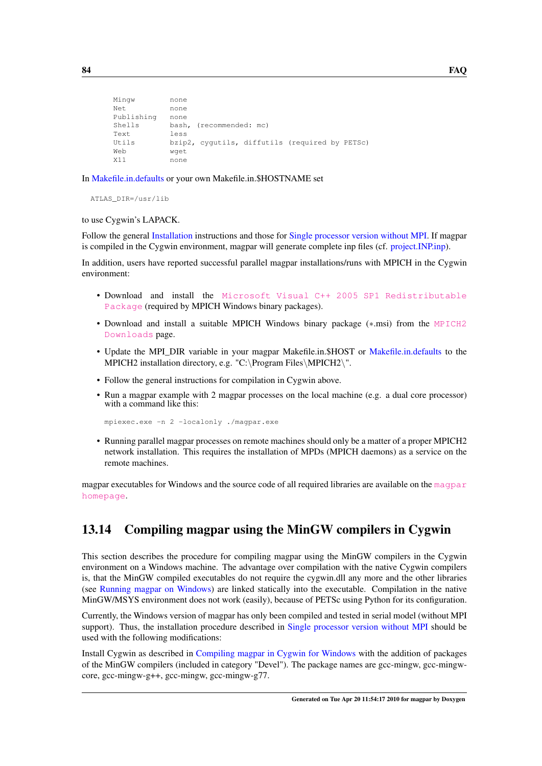```
Mingw none
Net none
Publishing none
Shells bash, (recommended: mc)
Text less
Utils bzip2, cygutils, diffutils (required by PETSc)
Web wget
X11 none
```
In [Makefile.in.defaults](#page-62-0) or your own Makefile.in.\$HOSTNAME set

ATLAS\_DIR=/usr/lib

to use Cygwin's LAPACK.

Follow the general [Installation](#page-50-0) instructions and those for [Single processor version without MPI.](#page-91-2) If magpar is compiled in the Cygwin environment, magpar will generate complete inp files (cf. [project.INP.inp\)](#page-129-0).

In addition, users have reported successful parallel magpar installations/runs with MPICH in the Cygwin environment:

- Download and install the [Microsoft Visual C++ 2005 SP1 Redistributable](http://www.microsoft.com/downloads/details.aspx?FamilyID=200b2fd9-ae1a-4a14-984d-389c36f85647&displaylang=en) [Package](http://www.microsoft.com/downloads/details.aspx?FamilyID=200b2fd9-ae1a-4a14-984d-389c36f85647&displaylang=en) (required by MPICH Windows binary packages).
- Download and install a suitable MPICH Windows binary package (\*.msi) from the [MPICH2](http://www.mcs.anl.gov/research/projects/mpich2/downloads/index.php?s=downloads) [Downloads](http://www.mcs.anl.gov/research/projects/mpich2/downloads/index.php?s=downloads) page.
- Update the MPI\_DIR variable in your magpar Makefile.in.\$HOST or [Makefile.in.defaults](#page-62-0) to the MPICH2 installation directory, e.g. "C:\Program Files\MPICH2\".
- Follow the general instructions for compilation in Cygwin above.
- Run a magpar example with 2 magpar processes on the local machine (e.g. a dual core processor) with a command like this:

mpiexec.exe -n 2 -localonly ./magpar.exe

• Running parallel magpar processes on remote machines should only be a matter of a proper MPICH2 network installation. This requires the installation of MPDs (MPICH daemons) as a service on the remote machines.

<span id="page-93-0"></span>magpar executables for Windows and the source code of all required libraries are available on the [magpar](http://www.magpar.net/) [homepage](http://www.magpar.net/).

# 13.14 Compiling magpar using the MinGW compilers in Cygwin

This section describes the procedure for compiling magpar using the MinGW compilers in the Cygwin environment on a Windows machine. The advantage over compilation with the native Cygwin compilers is, that the MinGW compiled executables do not require the cygwin.dll any more and the other libraries (see [Running magpar on Windows\)](#page-95-0) are linked statically into the executable. Compilation in the native MinGW/MSYS environment does not work (easily), because of PETSc using Python for its configuration.

Currently, the Windows version of magpar has only been compiled and tested in serial model (without MPI support). Thus, the installation procedure described in [Single processor version without MPI](#page-91-2) should be used with the following modifications:

Install Cygwin as described in [Compiling magpar in Cygwin for Windows](#page-92-0) with the addition of packages of the MinGW compilers (included in category "Devel"). The package names are gcc-mingw, gcc-mingwcore, gcc-mingw-g++, gcc-mingw, gcc-mingw-g77.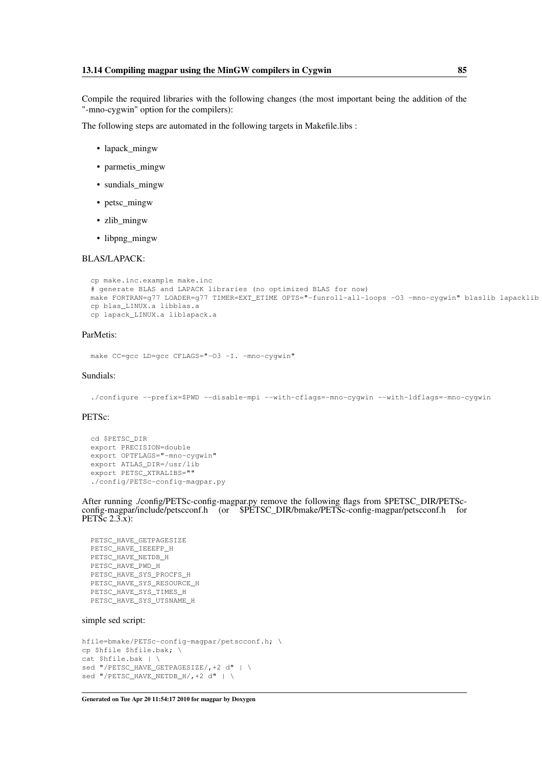Compile the required libraries with the following changes (the most important being the addition of the "-mno-cygwin" option for the compilers):

The following steps are automated in the following targets in Makefile.libs :

- lapack mingw
- parmetis\_mingw
- sundials\_mingw
- petsc\_mingw
- zlib mingw
- libpng\_mingw

#### BLAS/LAPACK:

```
cp make.inc.example make.inc
# generate BLAS and LAPACK libraries (no optimized BLAS for now)
make FORTRAN=g77 LOADER=g77 TIMER=EXT_ETIME OPTS="-funroll-all-loops -O3 -mno-cygwin" blaslib lapacklib
cp blas_LINUX.a libblas.a
cp lapack_LINUX.a liblapack.a
```
#### ParMetis:

make CC=gcc LD=gcc CFLAGS="-03 -I. -mno-cygwin"

#### Sundials:

./configure --prefix=\$PWD --disable-mpi --with-cflags=-mno-cygwin --with-ldflags=-mno-cygwin

#### PETSc:

```
cd $PETSC_DIR
export PRECISION=double
export OPTFLAGS="-mno-cygwin"
export ATLAS_DIR=/usr/lib
export PETSC_XTRALIBS=""
./config/PETSc-config-magpar.py
```
After running ./config/PETSc-config-magpar.py remove the following flags from \$PETSC\_DIR/PETScconfig-magpar/include/petscconf.h (or \$PETSC\_DIR/bmake/PETSc-config-magpar/petscconf.h for PETSc 2.3.x):

```
PETSC_HAVE_GETPAGESIZE
PETSC_HAVE_IEEEFP_H
PETSC_HAVE_NETDB_H
PETSC_HAVE_PWD_H
PETSC_HAVE_SYS_PROCFS_H
PETSC_HAVE_SYS_RESOURCE_H
PETSC_HAVE_SYS_TIMES_H
PETSC_HAVE_SYS_UTSNAME_H
```
#### simple sed script:

```
hfile=bmake/PETSc-config-magpar/petscconf.h; \
cp $hfile $hfile.bak; \
cat $hfile.bak | \
sed "/PETSC_HAVE_GETPAGESIZE/,+2 d" | \
sed "/PETSC_HAVE_NETDB_H/,+2 d" | \
```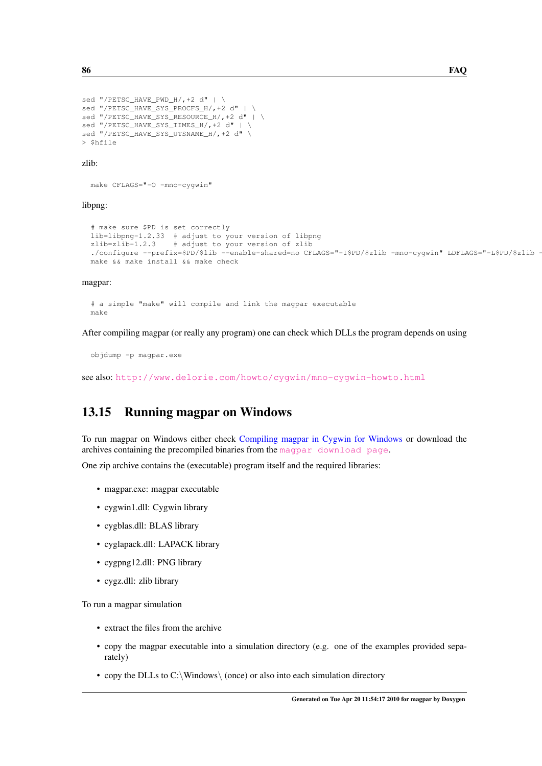```
sed "/PETSC_HAVE_PWD_H/,+2 d" | \
sed "/PETSC_HAVE_SYS_PROCFS_H/,+2 d" | \
sed "/PETSC_HAVE_SYS_RESOURCE_H/,+2 d" | \
sed "/PETSC_HAVE_SYS_TIMES_H/, +2 d" | \
sed "/PETSC_HAVE_SYS_UTSNAME_H/,+2 d" \
> $hfile
```
#### zlib:

```
make CFLAGS="-O -mno-cygwin"
```
#### libpng:

```
# make sure $PD is set correctly
lib=libpng-1.2.33 # adjust to your version of libpng
zlib=zlib-1.2.3 # adjust to your version of zlib
./configure --prefix=$PD/$lib --enable-shared=no CFLAGS="-I$PD/$zlib -mno-cygwin" LDFLAGS="-L$PD/$zlib
make && make install && make check
```
#### magpar:

# a simple "make" will compile and link the magpar executable make

After compiling magpar (or really any program) one can check which DLLs the program depends on using

objdump -p magpar.exe

<span id="page-95-0"></span>see also: <http://www.delorie.com/howto/cygwin/mno-cygwin-howto.html>

# 13.15 Running magpar on Windows

To run magpar on Windows either check [Compiling magpar in Cygwin for Windows](#page-92-0) or download the archives containing the precompiled binaries from the [magpar download page](http://www.magpar.net/DownloadPage).

One zip archive contains the (executable) program itself and the required libraries:

- magpar.exe: magpar executable
- cygwin1.dll: Cygwin library
- cygblas.dll: BLAS library
- cyglapack.dll: LAPACK library
- cygpng12.dll: PNG library
- cygz.dll: zlib library

To run a magpar simulation

- extract the files from the archive
- copy the magpar executable into a simulation directory (e.g. one of the examples provided separately)
- copy the DLLs to C:\Windows\ (once) or also into each simulation directory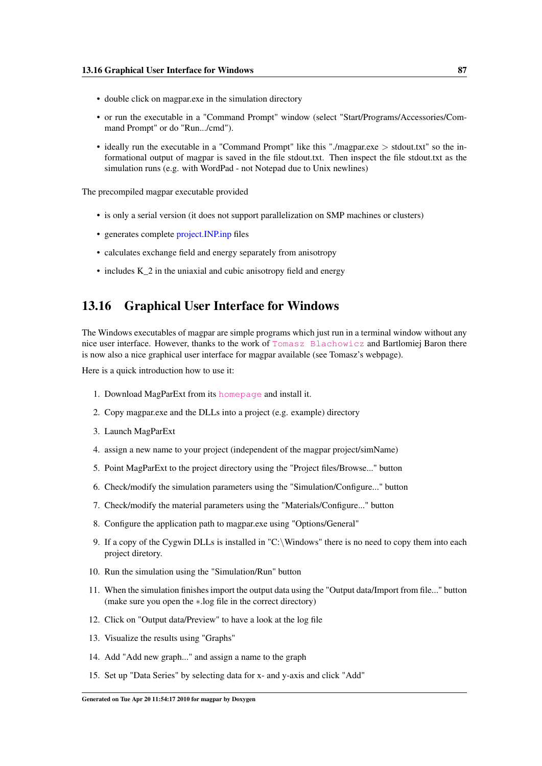- double click on magpar.exe in the simulation directory
- or run the executable in a "Command Prompt" window (select "Start/Programs/Accessories/Command Prompt" or do "Run.../cmd").
- ideally run the executable in a "Command Prompt" like this "./magpar.exe > stdout.txt" so the informational output of magpar is saved in the file stdout.txt. Then inspect the file stdout.txt as the simulation runs (e.g. with WordPad - not Notepad due to Unix newlines)

The precompiled magpar executable provided

- is only a serial version (it does not support parallelization on SMP machines or clusters)
- generates complete [project.INP.inp](#page-129-0) files
- calculates exchange field and energy separately from anisotropy
- includes K\_2 in the uniaxial and cubic anisotropy field and energy

### <span id="page-96-0"></span>13.16 Graphical User Interface for Windows

The Windows executables of magpar are simple programs which just run in a terminal window without any nice user interface. However, thanks to the work of [Tomasz Blachowicz](http://tblachow-magmain.bobolin.com.pl/) and Bartlomiej Baron there is now also a nice graphical user interface for magpar available (see Tomasz's webpage).

Here is a quick introduction how to use it:

- 1. Download MagParExt from its [homepage](http://tblachow-magmain.bobolin.com.pl/magparext.html) and install it.
- 2. Copy magpar.exe and the DLLs into a project (e.g. example) directory
- 3. Launch MagParExt
- 4. assign a new name to your project (independent of the magpar project/simName)
- 5. Point MagParExt to the project directory using the "Project files/Browse..." button
- 6. Check/modify the simulation parameters using the "Simulation/Configure..." button
- 7. Check/modify the material parameters using the "Materials/Configure..." button
- 8. Configure the application path to magpar.exe using "Options/General"
- 9. If a copy of the Cygwin DLLs is installed in "C:\Windows" there is no need to copy them into each project diretory.
- 10. Run the simulation using the "Simulation/Run" button
- 11. When the simulation finishes import the output data using the "Output data/Import from file..." button (make sure you open the ∗.log file in the correct directory)
- 12. Click on "Output data/Preview" to have a look at the log file
- 13. Visualize the results using "Graphs"
- 14. Add "Add new graph..." and assign a name to the graph
- 15. Set up "Data Series" by selecting data for x- and y-axis and click "Add"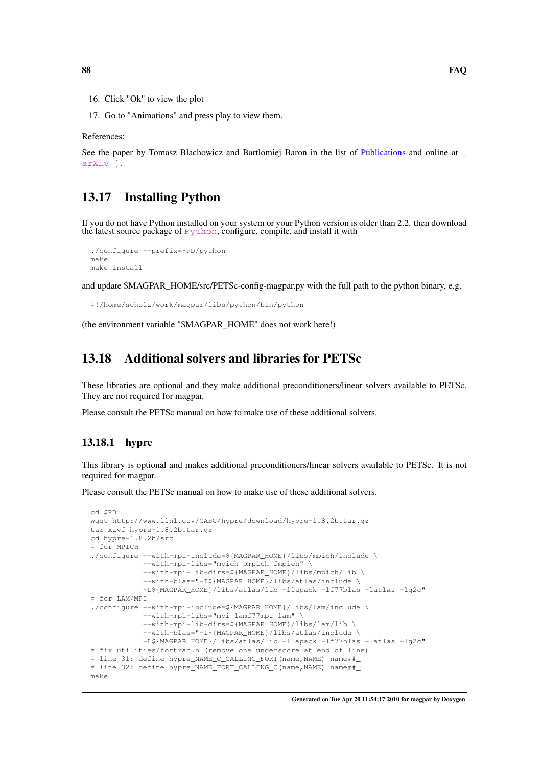- 16. Click "Ok" to view the plot
- 17. Go to "Animations" and press play to view them.

References:

<span id="page-97-0"></span>See the paper by Tomasz Blachowicz and Bartlomiej Baron in the list of [Publications](#page-154-0) and online at [\[](http://arxiv.org/abs/0807.2655) [arXiv \]](http://arxiv.org/abs/0807.2655).

# 13.17 Installing Python

If you do not have Python installed on your system or your Python version is older than 2.2. then download the latest source package of  $Python$ , configure, compile, and install it with

```
./configure --prefix=$PD/python
make
make install
```
and update \$MAGPAR\_HOME/src/PETSc-config-magpar.py with the full path to the python binary, e.g.

```
#!/home/scholz/work/magpar/libs/python/bin/python
```
<span id="page-97-1"></span>(the environment variable "\$MAGPAR\_HOME" does not work here!)

# 13.18 Additional solvers and libraries for PETSc

These libraries are optional and they make additional preconditioners/linear solvers available to PETSc. They are not required for magpar.

Please consult the PETSc manual on how to make use of these additional solvers.

### 13.18.1 hypre

This library is optional and makes additional preconditioners/linear solvers available to PETSc. It is not required for magpar.

Please consult the PETSc manual on how to make use of these additional solvers.

```
cd $PD
wget http://www.llnl.gov/CASC/hypre/download/hypre-1.8.2b.tar.gz
tar xzvf hypre-1.8.2b.tar.gz
cd hypre-1.8.2b/src
# for MPICH
./configure --with-mpi-include=${MAGPAR_HOME}/libs/mpich/include \
            --with-mpi-libs="mpich pmpich fmpich" \
            --with-mpi-lib-dirs=${MAGPAR_HOME}/libs/mpich/lib \
            --with-blas="-I${MAGPAR_HOME}/libs/atlas/include \
            -L${MAGPAR_HOME}/libs/atlas/lib -llapack -lf77blas -latlas -lg2c"
# for LAM/MPI
./configure --with-mpi-include=${MAGPAR_HOME}/libs/lam/include \
            --with-mpi-libs="mpi lamf77mpi lam" \
            --with-mpi-lib-dirs=${MAGPAR_HOME}/libs/lam/lib \
            --with-blas="-I${MAGPAR_HOME}/libs/atlas/include \
            -L${MAGPAR_HOME}/libs/atlas/lib -llapack -lf77blas -latlas -lg2c"
# fix utilities/fortran.h (remove one underscore at end of line)
# line 31: define hypre_NAME_C_CALLING_FORT(name,NAME) name##_
# line 32: define hypre_NAME_FORT_CALLING_C(name,NAME) name##_
make
```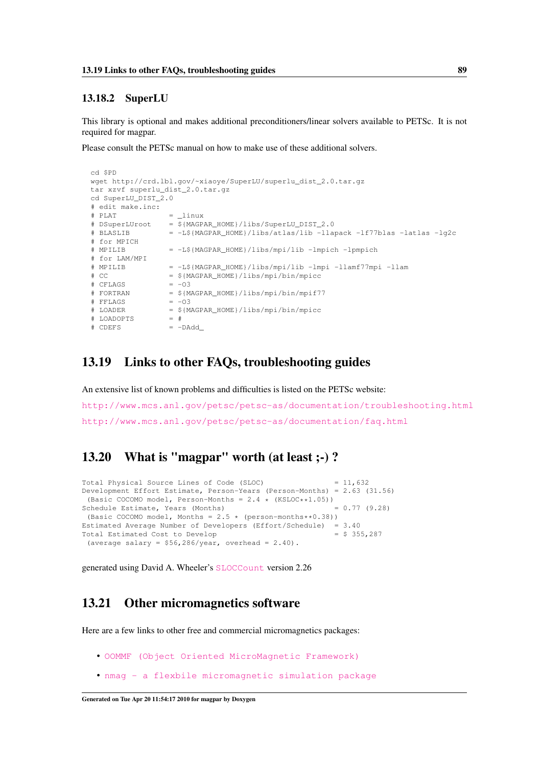### 13.18.2 SuperLU

This library is optional and makes additional preconditioners/linear solvers available to PETSc. It is not required for magpar.

Please consult the PETSc manual on how to make use of these additional solvers.

```
cd $PD
wget http://crd.lbl.gov/~xiaoye/SuperLU/superlu_dist_2.0.tar.gz
tar xzvf superlu_dist_2.0.tar.gz
cd SuperLU_DIST_2.0
# edit make.inc:
# PLAT = linux
# DSuperLUroot = ${MAGPAR_HOME}/libs/SuperLU_DIST_2.0
# BLASLIB = -L${MAGPAR_HOME}/libs/atlas/lib -llapack -lf77blas -latlas -lg2c
# for MPICH
# MPILIB = -L${MAGPAR_HOME}/libs/mpi/lib -lmpich -lpmpich
# for LAM/MPI
# MPILIB = -L${MAGPAR_HOME}/libs/mpi/lib -lmpi -llamf77mpi -llam
\# CC = ${MAGPAR_MOME}/libs/mpi/bin/mpicc\pm CFLAGS = -03# FORTRAN = ${MAGPAR_HOME}/libs/mpi/bin/mpif77
# FFLAGS = -03\# LOADER = \$(MAGPAR_HOME) /libs/mpi/bin/mpic<br>\# LOADOPTS = \## LOADOPTS
\# CDEFS \qquad \qquad = -DAdd
```
### <span id="page-98-0"></span>13.19 Links to other FAQs, troubleshooting guides

An extensive list of known problems and difficulties is listed on the PETSc website: <http://www.mcs.anl.gov/petsc/petsc-as/documentation/troubleshooting.html> <http://www.mcs.anl.gov/petsc/petsc-as/documentation/faq.html>

# <span id="page-98-1"></span>13.20 What is "magpar" worth (at least ;-) ?

```
Total Physical Source Lines of Code (SLOC) = 11,632Development Effort Estimate, Person-Years (Person-Months) = 2.63 (31.56)
 (Basic COCOMO model, Person-Months = 2.4 \times (KSLOC**1.05))<br>
= 0.77 (9.28) = 0.77 (9.28)
Schedule Estimate, Years (Months)
(Basic COCOMO model, Months = 2.5 \times (person-months**0.38))
Estimated Average Number of Developers (Effort/Schedule) = 3.40
Total Estimated Cost to Develop
 (average salary = $56,286/year, overhead = 2.40).
```
<span id="page-98-2"></span>generated using David A. Wheeler's [SLOCCount](http://www.dwheeler.com/sloccount/) version 2.26

# 13.21 Other micromagnetics software

Here are a few links to other free and commercial micromagnetics packages:

- [OOMMF \(Object Oriented MicroMagnetic Framework\)](http://math.nist.gov/oommf/)
- [nmag a flexbile micromagnetic simulation package](http://nmag.soton.ac.uk/)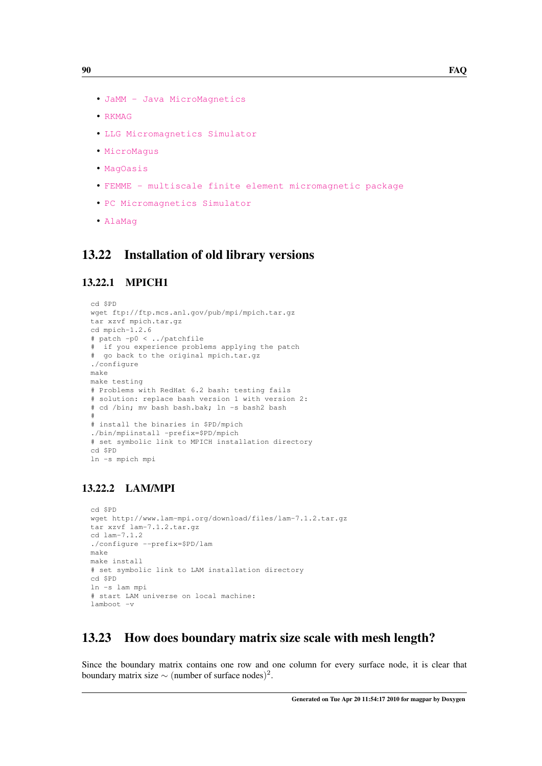- [JaMM Java MicroMagnetics](http://jamm.uno.edu/)
- [RKMAG](http://www.rkmag.com)
- [LLG Micromagnetics Simulator](http://llgmicro.home.mindspring.com/)
- [MicroMagus](http://www.micromagus.de/)
- [MagOasis](http://www.magoasis.com/)
- [FEMME multiscale finite element micromagnetic package](http://www.firmasuess.at/)
- [PC Micromagnetics Simulator](http://math.nist.gov/oommf/contrib/simulmag/)
- [AlaMag](http://faculty.mint.ua.edu/~visscher/AlaMag/)

### <span id="page-99-0"></span>13.22 Installation of old library versions

### 13.22.1 MPICH1

```
cd $PD
wget ftp://ftp.mcs.anl.gov/pub/mpi/mpich.tar.gz
tar xzvf mpich.tar.gz
cd mpich-1.2.6
# patch -p0 < ../patchfile
# if you experience problems applying the patch
# go back to the original mpich.tar.gz
./configure
make
make testing
# Problems with RedHat 6.2 bash: testing fails
# solution: replace bash version 1 with version 2:
# cd /bin; mv bash bash.bak; ln -s bash2 bash
#
# install the binaries in $PD/mpich
./bin/mpiinstall -prefix=$PD/mpich
# set symbolic link to MPICH installation directory
cd $PD
ln -s mpich mpi
```
### 13.22.2 LAM/MPI

```
cd $PD
wget http://www.lam-mpi.org/download/files/lam-7.1.2.tar.gz
tar xzvf lam-7.1.2.tar.gz
cd lam-7.1.2
./configure --prefix=$PD/lam
make
make install
# set symbolic link to LAM installation directory
cd $PD
ln -s lam mpi
# start LAM universe on local machine:
lamboot -v
```
# <span id="page-99-1"></span>13.23 How does boundary matrix size scale with mesh length?

Since the boundary matrix contains one row and one column for every surface node, it is clear that boundary matrix size  $\sim$  (number of surface nodes)<sup>2</sup>.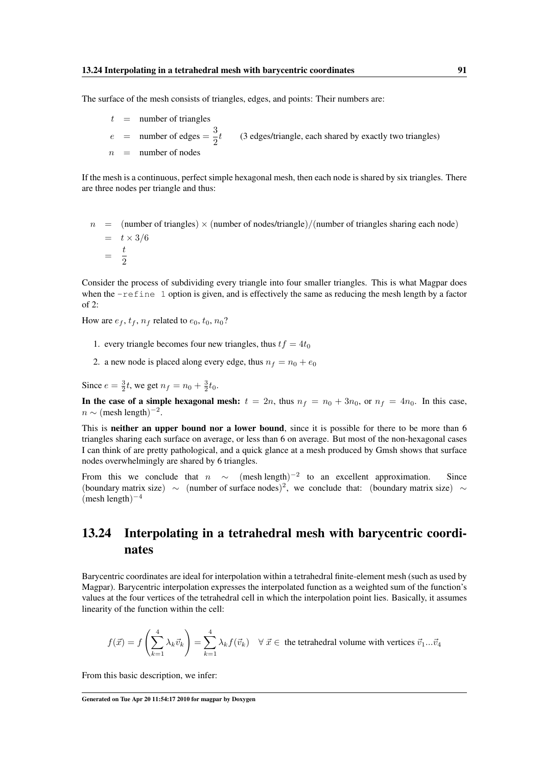The surface of the mesh consists of triangles, edges, and points: Their numbers are:

 $t =$  number of triangles  $e$  = number of edges =  $\frac{3}{8}$ 2 (3 edges/triangle, each shared by exactly two triangles)  $n =$  number of nodes

If the mesh is a continuous, perfect simple hexagonal mesh, then each node is shared by six triangles. There are three nodes per triangle and thus:

 $n =$  (number of triangles)  $\times$  (number of nodes/triangle)/(number of triangles sharing each node)  $=$   $t \times 3/6$  $=\frac{t}{\delta}$ 2

Consider the process of subdividing every triangle into four smaller triangles. This is what Magpar does when the -refine 1 option is given, and is effectively the same as reducing the mesh length by a factor of 2:

How are  $e_f$ ,  $t_f$ ,  $n_f$  related to  $e_0$ ,  $t_0$ ,  $n_0$ ?

- 1. every triangle becomes four new triangles, thus  $tf = 4t_0$
- 2. a new node is placed along every edge, thus  $n_f = n_0 + e_0$

Since  $e = \frac{3}{2}t$ , we get  $n_f = n_0 + \frac{3}{2}t_0$ .

In the case of a simple hexagonal mesh:  $t = 2n$ , thus  $n_f = n_0 + 3n_0$ , or  $n_f = 4n_0$ . In this case,  $n \sim$  (mesh length)<sup>-2</sup>.

This is **neither an upper bound nor a lower bound**, since it is possible for there to be more than 6 triangles sharing each surface on average, or less than 6 on average. But most of the non-hexagonal cases I can think of are pretty pathological, and a quick glance at a mesh produced by Gmsh shows that surface nodes overwhelmingly are shared by 6 triangles.

From this we conclude that  $n \sim$  (mesh length)<sup>-2</sup> to an excellent approximation. Since (boundary matrix size)  $\sim$  (number of surface nodes)<sup>2</sup>, we conclude that: (boundary matrix size) ∼  $(mesh length)^{-4}$ 

# <span id="page-100-0"></span>13.24 Interpolating in a tetrahedral mesh with barycentric coordinates

Barycentric coordinates are ideal for interpolation within a tetrahedral finite-element mesh (such as used by Magpar). Barycentric interpolation expresses the interpolated function as a weighted sum of the function's values at the four vertices of the tetrahedral cell in which the interpolation point lies. Basically, it assumes linearity of the function within the cell:

$$
f(\vec{x}) = f\left(\sum_{k=1}^{4} \lambda_k \vec{v}_k\right) = \sum_{k=1}^{4} \lambda_k f(\vec{v}_k) \quad \forall \, \vec{x} \in \text{ the tetrahedral volume with vertices } \vec{v}_1...\vec{v}_4
$$

From this basic description, we infer: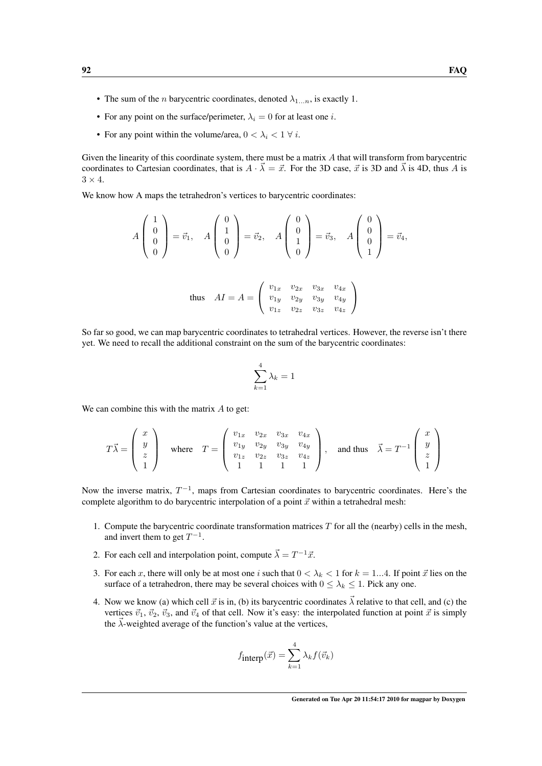- The sum of the *n* barycentric coordinates, denoted  $\lambda_{1...n}$ , is exactly 1.
- For any point on the surface/perimeter,  $\lambda_i = 0$  for at least one *i*.
- For any point within the volume/area,  $0 < \lambda_i < 1 \ \forall i$ .

Given the linearity of this coordinate system, there must be a matrix A that will transform from barycentric coordinates to Cartesian coordinates, that is  $A \cdot \vec{\lambda} = \vec{x}$ . For the 3D case,  $\vec{x}$  is 3D and  $\vec{\lambda}$  is 4D, thus A is  $3 \times 4$ .

We know how A maps the tetrahedron's vertices to barycentric coordinates:

$$
A\begin{pmatrix} 1\\0\\0\\0 \end{pmatrix} = \vec{v}_1, \quad A\begin{pmatrix} 0\\1\\0\\0 \end{pmatrix} = \vec{v}_2, \quad A\begin{pmatrix} 0\\0\\1\\0 \end{pmatrix} = \vec{v}_3, \quad A\begin{pmatrix} 0\\0\\0\\1 \end{pmatrix} = \vec{v}_4,
$$
  
thus 
$$
AI = A = \begin{pmatrix} v_{1x} & v_{2x} & v_{3x} & v_{4x} \\ v_{1y} & v_{2y} & v_{3y} & v_{4y} \\ v_{1z} & v_{2z} & v_{3z} & v_{4z} \end{pmatrix}
$$

So far so good, we can map barycentric coordinates to tetrahedral vertices. However, the reverse isn't there yet. We need to recall the additional constraint on the sum of the barycentric coordinates:

$$
\sum_{k=1}^4 \lambda_k = 1
$$

We can combine this with the matrix  $A$  to get:

$$
T\vec{\lambda} = \begin{pmatrix} x \\ y \\ z \\ 1 \end{pmatrix} \text{ where } T = \begin{pmatrix} v_{1x} & v_{2x} & v_{3x} & v_{4x} \\ v_{1y} & v_{2y} & v_{3y} & v_{4y} \\ v_{1z} & v_{2z} & v_{3z} & v_{4z} \\ 1 & 1 & 1 & 1 \end{pmatrix}, \text{ and thus } \vec{\lambda} = T^{-1} \begin{pmatrix} x \\ y \\ z \\ 1 \end{pmatrix}
$$

Now the inverse matrix,  $T^{-1}$ , maps from Cartesian coordinates to barycentric coordinates. Here's the complete algorithm to do barycentric interpolation of a point  $\vec{x}$  within a tetrahedral mesh:

- 1. Compute the barycentric coordinate transformation matrices  $T$  for all the (nearby) cells in the mesh, and invert them to get  $T^{-1}$ .
- 2. For each cell and interpolation point, compute  $\vec{\lambda} = T^{-1}\vec{x}$ .
- 3. For each x, there will only be at most one i such that  $0 < \lambda_k < 1$  for  $k = 1...4$ . If point  $\vec{x}$  lies on the surface of a tetrahedron, there may be several choices with  $0 \leq \lambda_k \leq 1$ . Pick any one.
- 4. Now we know (a) which cell  $\vec{x}$  is in, (b) its barycentric coordinates  $\vec{\lambda}$  relative to that cell, and (c) the vertices  $\vec{v}_1$ ,  $\vec{v}_2$ ,  $\vec{v}_3$ , and  $\vec{v}_4$  of that cell. Now it's easy: the interpolated function at point  $\vec{x}$  is simply the  $\vec{\lambda}$ -weighted average of the function's value at the vertices,

$$
f_{\text{interp}}(\vec{x}) = \sum_{k=1}^{4} \lambda_k f(\vec{v}_k)
$$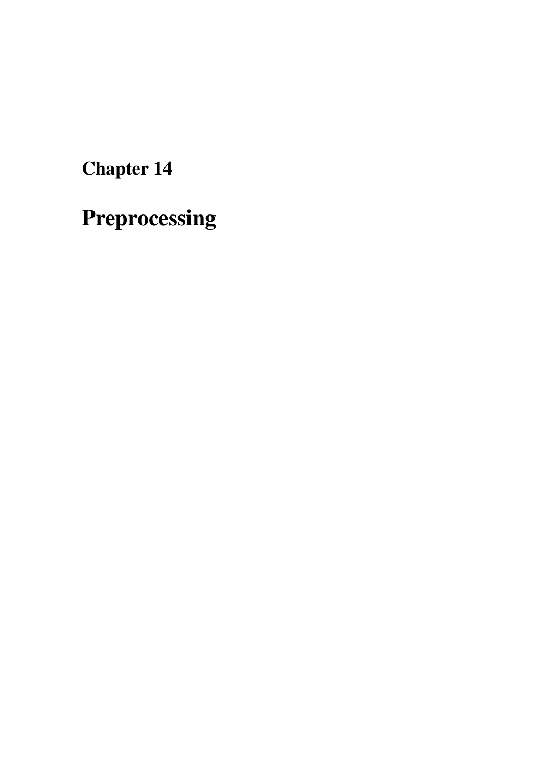Chapter 14

Preprocessing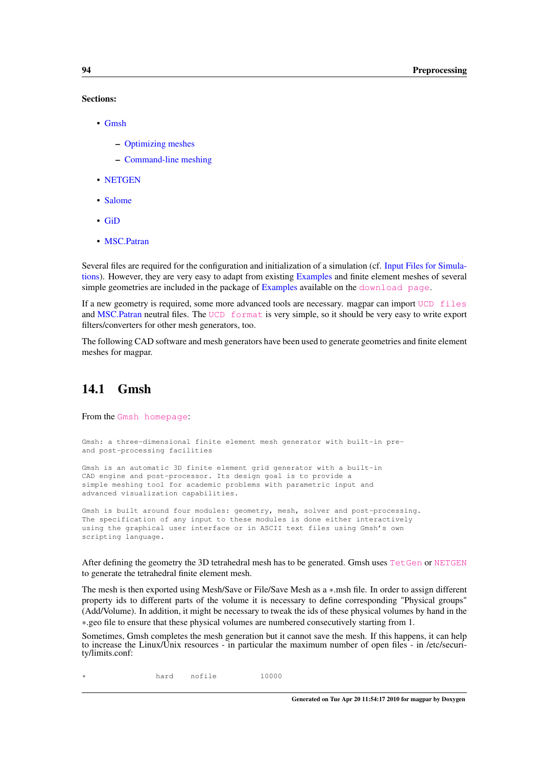#### Sections:

- [Gmsh](#page-103-0)
	- [Optimizing meshes](#page-104-0)
	- [Command-line meshing](#page-104-1)
- [NETGEN](#page-105-0)
- [Salome](#page-105-1)
- [GiD](#page-105-2)
- [MSC.Patran](#page-107-0)

Several files are required for the configuration and initialization of a simulation (cf. [Input Files for Simula](#page-108-0)[tions\)](#page-108-0). However, they are very easy to adapt from existing [Examples](#page-132-0) and finite element meshes of several simple geometries are included in the package of [Examples](#page-132-0) available on the  $download$  page.

If a new geometry is required, some more advanced tools are necessary. magpar can import [UCD files](http://help.avs.com/Express/doc/help/reference/dvmac/UCD_Form.htm) and [MSC.Patran](#page-107-0) neutral files. The [UCD format](http://help.avs.com/Express/doc/help/reference/dvmac/UCD_Form.htm) is very simple, so it should be very easy to write export filters/converters for other mesh generators, too.

<span id="page-103-0"></span>The following CAD software and mesh generators have been used to generate geometries and finite element meshes for magpar.

# 14.1 Gmsh

From the [Gmsh homepage](http://geuz.org/gmsh/):

```
Gmsh: a three-dimensional finite element mesh generator with built-in pre-
and post-processing facilities
```
Gmsh is an automatic 3D finite element grid generator with a built-in CAD engine and post-processor. Its design goal is to provide a simple meshing tool for academic problems with parametric input and advanced visualization capabilities.

Gmsh is built around four modules: geometry, mesh, solver and post-processing. The specification of any input to these modules is done either interactively using the graphical user interface or in ASCII text files using Gmsh's own scripting language.

After defining the geometry the 3D tetrahedral mesh has to be generated. Gmsh uses [TetGen](http://tetgen.berlios.de/) or [NETGEN](http://www.hpfem.jku.at/netgen/) to generate the tetrahedral finite element mesh.

The mesh is then exported using Mesh/Save or File/Save Mesh as a ∗.msh file. In order to assign different property ids to different parts of the volume it is necessary to define corresponding "Physical groups" (Add/Volume). In addition, it might be necessary to tweak the ids of these physical volumes by hand in the ∗.geo file to ensure that these physical volumes are numbered consecutively starting from 1.

Sometimes, Gmsh completes the mesh generation but it cannot save the mesh. If this happens, it can help to increase the Linux/Unix resources - in particular the maximum number of open files - in /etc/security/limits.conf:

\* hard nofile 10000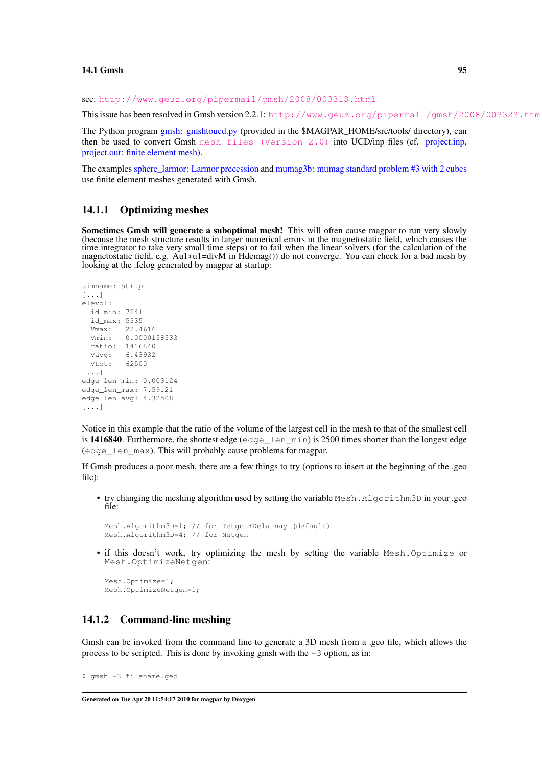see: <http://www.geuz.org/pipermail/gmsh/2008/003318.html>

This issue has been resolved in Gmsh version 2.2.1: http://www.geuz.org/pipermail/gmsh/2008/003323.htm

The Python program [gmsh: gmshtoucd.py](#page-151-0) (provided in the \$MAGPAR\_HOME/src/tools/ directory), can then be used to convert Gmsh [mesh files \(version 2.0\)](http://geuz.org/gmsh/doc/texinfo/gmsh_10.html#SEC65) into UCD/inp files (cf. [project.inp,](#page-111-0) [project.out: finite element mesh\)](#page-111-0).

<span id="page-104-0"></span>The examples [sphere\\_larmor: Larmor precession](#page-135-0) and [mumag3b: mumag standard problem #3 with 2 cubes](#page-140-0) use finite element meshes generated with Gmsh.

#### 14.1.1 Optimizing meshes

Sometimes Gmsh will generate a suboptimal mesh! This will often cause magpar to run very slowly (because the mesh structure results in larger numerical errors in the magnetostatic field, which causes the time integrator to take very small time steps) or to fail when the linear solvers (for the calculation of the magnetostatic field, e.g. Au1∗u1=divM in Hdemag()) do not converge. You can check for a bad mesh by looking at the .felog generated by magpar at startup:

```
simname: strip
[...]
elevol:
  id_min: 7241
 id_max: 5335
 Vmax: 22.4616
 Vmin: 0.0000158533
 ratio: 1416840
 Vavg: 6.43932
 Vtot: 62500
[\ldots]edge_len_min: 0.003124
edge_len_max: 7.59121
edge_len_avg: 4.32508
[\ldots]
```
Notice in this example that the ratio of the volume of the largest cell in the mesh to that of the smallest cell is 1416840. Furthermore, the shortest edge (edge\_len\_min) is 2500 times shorter than the longest edge (edge\_len\_max). This will probably cause problems for magpar.

If Gmsh produces a poor mesh, there are a few things to try (options to insert at the beginning of the .geo  $file$ )

• try changing the meshing algorithm used by setting the variable Mesh.Algorithm3D in your .geo file:

```
Mesh.Algorithm3D=1; // for Tetgen+Delaunay (default)
Mesh.Algorithm3D=4; // for Netgen
```
• if this doesn't work, try optimizing the mesh by setting the variable Mesh. Optimize or Mesh.OptimizeNetgen:

Mesh.Optimize=1; Mesh.OptimizeNetgen=1;

#### <span id="page-104-1"></span>14.1.2 Command-line meshing

Gmsh can be invoked from the command line to generate a 3D mesh from a .geo file, which allows the process to be scripted. This is done by invoking gmsh with the  $-3$  option, as in:

```
$ gmsh -3 filename.geo
```
Generated on Tue Apr 20 11:54:17 2010 for magpar by Doxygen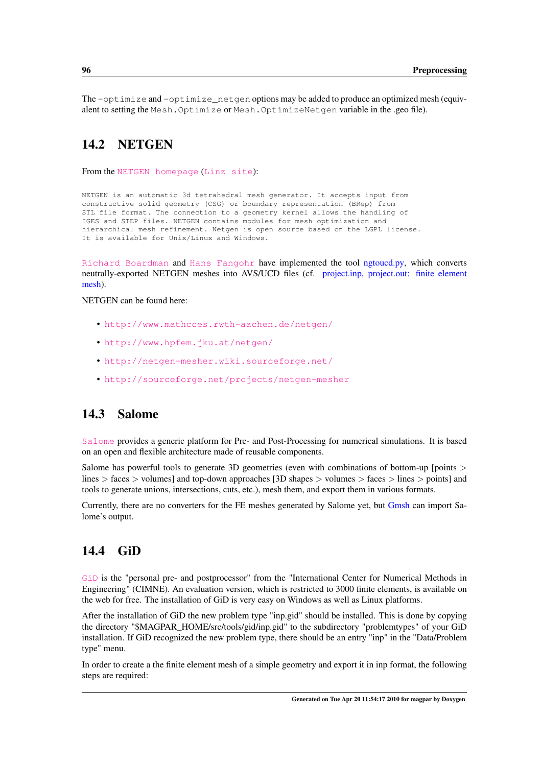<span id="page-105-0"></span>The  $-optimize$  and  $-optimize$  netgen options may be added to produce an optimized mesh (equivalent to setting the Mesh.Optimize or Mesh.OptimizeNetgen variable in the .geo file).

# 14.2 NETGEN

From the [NETGEN homepage](http://www.mathcces.rwth-aachen.de/netgen/) ([Linz site](http://www.hpfem.jku.at/netgen/)):

NETGEN is an automatic 3d tetrahedral mesh generator. It accepts input from constructive solid geometry (CSG) or boundary representation (BRep) from STL file format. The connection to a geometry kernel allows the handling of IGES and STEP files. NETGEN contains modules for mesh optimization and hierarchical mesh refinement. Netgen is open source based on the LGPL license. It is available for Unix/Linux and Windows.

[Richard Boardman](http://www.soton.ac.uk/~rpb/) and [Hans Fangohr](http://www.soton.ac.uk/~fangohr/) have implemented the tool [ngtoucd.py,](#page-151-1) which converts neutrally-exported NETGEN meshes into AVS/UCD files (cf. [project.inp, project.out: finite element](#page-111-0) [mesh\)](#page-111-0).

NETGEN can be found here:

- <http://www.mathcces.rwth-aachen.de/netgen/>
- <http://www.hpfem.jku.at/netgen/>
- <http://netgen-mesher.wiki.sourceforge.net/>
- <http://sourceforge.net/projects/netgen-mesher>

# <span id="page-105-1"></span>14.3 Salome

[Salome](http://www.salome-platform.org/) provides a generic platform for Pre- and Post-Processing for numerical simulations. It is based on an open and flexible architecture made of reusable components.

Salome has powerful tools to generate 3D geometries (even with combinations of bottom-up [points > lines > faces > volumes] and top-down approaches [3D shapes > volumes > faces > lines > points] and tools to generate unions, intersections, cuts, etc.), mesh them, and export them in various formats.

<span id="page-105-2"></span>Currently, there are no converters for the FE meshes generated by Salome yet, but [Gmsh](#page-103-0) can import Salome's output.

# 14.4 GiD

[GiD](http://www.gid-usa.com/) is the "personal pre- and postprocessor" from the "International Center for Numerical Methods in Engineering" (CIMNE). An evaluation version, which is restricted to 3000 finite elements, is available on the web for free. The installation of GiD is very easy on Windows as well as Linux platforms.

After the installation of GiD the new problem type "inp.gid" should be installed. This is done by copying the directory "\$MAGPAR\_HOME/src/tools/gid/inp.gid" to the subdirectory "problemtypes" of your GiD installation. If GiD recognized the new problem type, there should be an entry "inp" in the "Data/Problem type" menu.

In order to create a the finite element mesh of a simple geometry and export it in inp format, the following steps are required: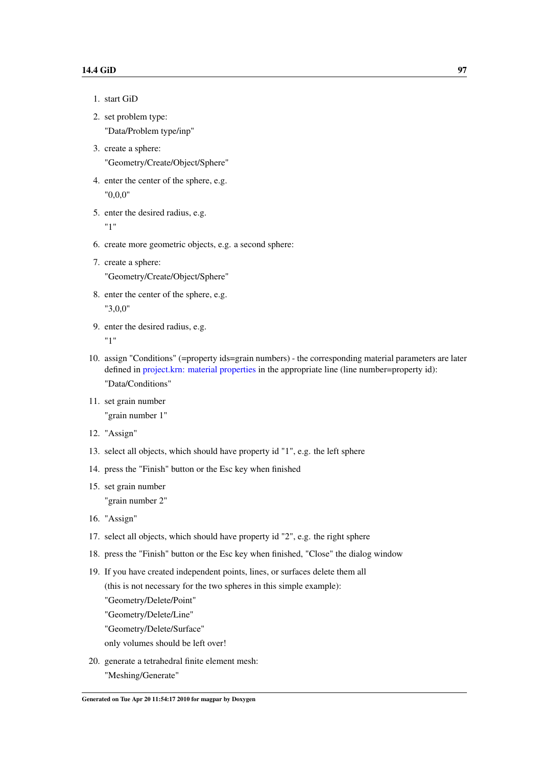- 1. start GiD
- 2. set problem type: "Data/Problem type/inp"
- 3. create a sphere: "Geometry/Create/Object/Sphere"
- 4. enter the center of the sphere, e.g. "0,0,0"
- 5. enter the desired radius, e.g. "1"
- 6. create more geometric objects, e.g. a second sphere:
- 7. create a sphere:

"Geometry/Create/Object/Sphere"

- 8. enter the center of the sphere, e.g. "3,0,0"
- 9. enter the desired radius, e.g.

"1"

- 10. assign "Conditions" (=property ids=grain numbers) the corresponding material parameters are later defined in [project.krn: material properties](#page-109-0) in the appropriate line (line number=property id): "Data/Conditions"
- 11. set grain number

"grain number 1"

- 12. "Assign"
- 13. select all objects, which should have property id "1", e.g. the left sphere
- 14. press the "Finish" button or the Esc key when finished
- 15. set grain number "grain number 2"
- 16. "Assign"
- 17. select all objects, which should have property id "2", e.g. the right sphere
- 18. press the "Finish" button or the Esc key when finished, "Close" the dialog window
- 19. If you have created independent points, lines, or surfaces delete them all
	- (this is not necessary for the two spheres in this simple example):
	- "Geometry/Delete/Point"
	- "Geometry/Delete/Line"
	- "Geometry/Delete/Surface"
	- only volumes should be left over!
- 20. generate a tetrahedral finite element mesh: "Meshing/Generate"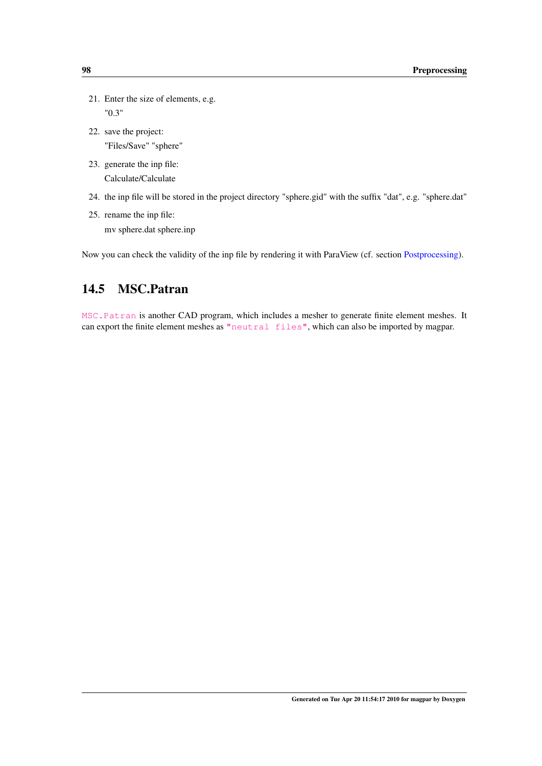- 21. Enter the size of elements, e.g. "0.3"
- 22. save the project: "Files/Save" "sphere"
- 23. generate the inp file: Calculate/Calculate
- 24. the inp file will be stored in the project directory "sphere.gid" with the suffix "dat", e.g. "sphere.dat"
- 25. rename the inp file: mv sphere.dat sphere.inp

<span id="page-107-0"></span>Now you can check the validity of the inp file by rendering it with ParaView (cf. section [Postprocessing\)](#page-146-0).

# 14.5 MSC.Patran

[MSC.Patran](http://www.mscsoftware.com/Contents/Products/CAE-Tools/Patran.aspx) is another CAD program, which includes a mesher to generate finite element meshes. It can export the finite element meshes as ["neutral files"](http://www.g-boege.de/english/makrosae/Manual/PATRAN.htm), which can also be imported by magpar.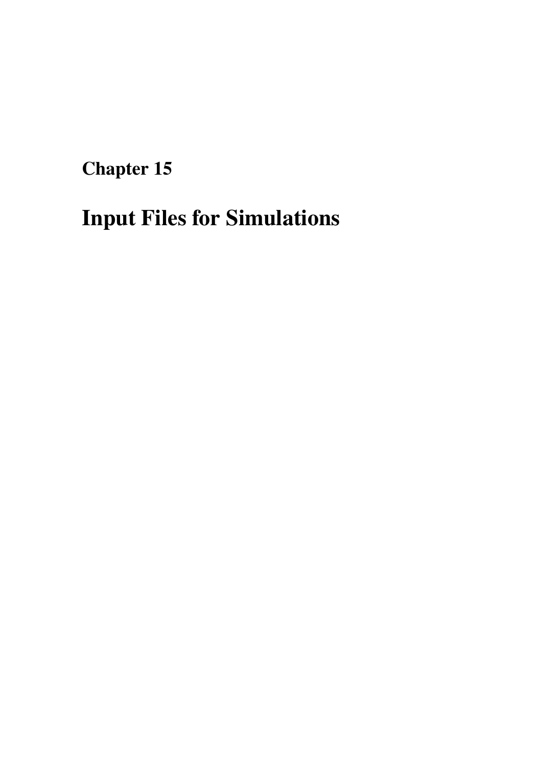Chapter 15

# Input Files for Simulations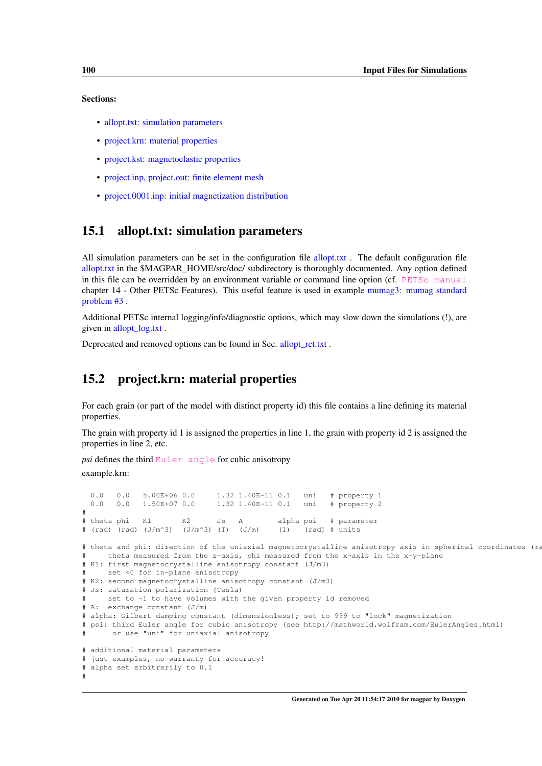#### Sections:

- [allopt.txt: simulation parameters](#page-109-0)
- [project.krn: material properties](#page-109-1)
- [project.kst: magnetoelastic properties](#page-110-0)
- [project.inp, project.out: finite element mesh](#page-111-0)
- [project.0001.inp: initial magnetization distribution](#page-111-1)

## <span id="page-109-0"></span>15.1 allopt.txt: simulation parameters

All simulation parameters can be set in the configuration file [allopt.txt](#page-112-0). The default configuration file [allopt.txt](#page-112-0) in the \$MAGPAR\_HOME/src/doc/ subdirectory is thoroughly documented. Any option defined in this file can be overridden by an environment variable or command line option (cf. [PETSc manual](http://www.mcs.anl.gov/petsc/petsc-as/snapshots/petsc-current/docs/manual.pdf) chapter 14 - Other PETSc Features). This useful feature is used in example [mumag3: mumag standard](#page-139-0) [problem #3](#page-139-0) .

Additional PETSc internal logging/info/diagnostic options, which may slow down the simulations (!), are given in [allopt\\_log.txt](#page-121-0) .

<span id="page-109-1"></span>Deprecated and removed options can be found in Sec. allopt ret.txt.

# 15.2 project.krn: material properties

For each grain (or part of the model with distinct property id) this file contains a line defining its material properties.

The grain with property id 1 is assigned the properties in line 1, the grain with property id 2 is assigned the properties in line 2, etc.

*psi* defines the third [Euler angle](http://mathworld.wolfram.com/EulerAngles.html) for cubic anisotropy example.krn:

```
0.0 0.0 5.00E+06 0.0 1.32 1.40E-11 0.1 uni # property 1<br>0.0 0.0 1.50E+07 0.0 1.32 1.40E-11 0.1 uni # property 2
 0.0 0.0 1.50E+07 0.0 1.32 1.40E-11 0.1 uni # property 2
#
# theta phi K1 K2 Js A alpha psi # parameter
# (rad) (rad) (J/m^3) (J/m^3) (T) (J/m) (1) (rad) # units
# theta and phi: direction of the uniaxial magnetocrystalline anisotropy axis in spherical coordinates (ra
     theta measured from the z-axis, phi measured from the x-axis in the x-y-plane
# K1: first magnetocrystalline anisotropy constant (J/m3)
     set <0 for in-plane anisotropy
# K2: second magnetocrystalline anisotropy constant (J/m3)
# Js: saturation polarization (Tesla)
     set to -1 to have volumes with the given property id removed
# A: exchange constant (J/m)
# alpha: Gilbert damping constant (dimensionless); set to 999 to "lock" magnetization
# psi: third Euler angle for cubic anisotropy (see http://mathworld.wolfram.com/EulerAngles.html)
      or use "uni" for uniaxial anisotropy
# additional material parameters
 just examples, no warranty for accuracy!
# alpha set arbitrarily to 0.1
#
```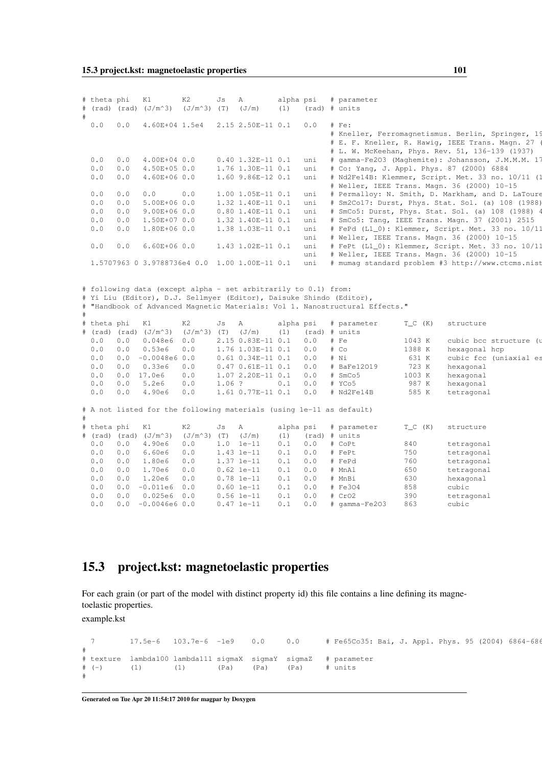|   | # theta phi |            | K1<br># (rad) (rad) (J/m^3)                                    | K2<br>$(J/m^3)$ (T)   | Js       | A<br>(J/m)                     | alpha psi<br>(1) |            | # parameter<br>(rad) # units                                                                                                                       |            |                                                   |
|---|-------------|------------|----------------------------------------------------------------|-----------------------|----------|--------------------------------|------------------|------------|----------------------------------------------------------------------------------------------------------------------------------------------------|------------|---------------------------------------------------|
| # | 0.0         | 0.0        | 4.60E+04 1.5e4                                                 |                       |          | 2.15 2.50E-11 0.1              |                  | 0.0        | $#$ Fe:                                                                                                                                            |            |                                                   |
|   |             |            |                                                                |                       |          |                                |                  |            |                                                                                                                                                    |            | # Kneller, Ferromagnetismus. Berlin, Springer, 19 |
|   |             |            |                                                                |                       |          |                                |                  |            |                                                                                                                                                    |            | # E. F. Kneller, R. Hawig, IEEE Trans. Magn. 27   |
|   |             |            |                                                                |                       |          |                                |                  |            |                                                                                                                                                    |            | # L. W. McKeehan, Phys. Rev. 51, 136-139 (1937)   |
|   | 0.0         | 0.0        | 4.00E+04 0.0                                                   |                       |          | $0.40 1.32E-11 0.1$            |                  | uni        |                                                                                                                                                    |            | # gamma-Fe2O3 (Maghemite): Johansson, J.M.M.M. 17 |
|   | 0.0         | 0.0        | 4.50E+05 0.0                                                   |                       |          | 1.76 1.30E-11 0.1              |                  | uni        |                                                                                                                                                    |            | # Co: Yang, J. Appl. Phys. 87 (2000) 6884         |
|   | 0.0         | 0.0        | 4.60E+06 0.0                                                   |                       |          | 1.60 9.86E-12 0.1              |                  | uni        |                                                                                                                                                    |            | # Nd2Fe14B: Klemmer, Script. Met. 33 no. 10/11 (1 |
|   |             |            |                                                                |                       |          |                                |                  |            |                                                                                                                                                    |            | # Weller, IEEE Trans. Magn. 36 (2000) 10-15       |
|   | 0.0         | 0.0        | 0.0                                                            | 0.0                   |          | 1.00 1.05E-11 0.1              |                  | uni        |                                                                                                                                                    |            | # Permalloy: N. Smith, D. Markham, and D. LaToure |
|   | 0.0         | 0.0        | 5.00E+06 0.0                                                   |                       |          | 1.32 1.40E-11 0.1              |                  | uni        |                                                                                                                                                    |            | # Sm2Co17: Durst, Phys. Stat. Sol. (a) 108 (1988) |
|   | 0.0         | 0.0        | $9.00E+060.0$                                                  |                       |          | $0.80$ 1.40E-11 0.1            |                  | uni        |                                                                                                                                                    |            | # SmCo5: Durst, Phys. Stat. Sol. (a) 108 (1988) 4 |
|   | 0.0         | 0.0        | 1.50E+07 0.0                                                   |                       |          | 1.32 1.40E-11 0.1              |                  | uni        |                                                                                                                                                    |            | # SmCo5: Tang, IEEE Trans. Magn. 37 (2001) 2515   |
|   | 0.0         | 0.0        | 1.80E+06 0.0                                                   |                       |          | 1.38 1.03E-11 0.1              |                  | uni        |                                                                                                                                                    |            | # FePd (L1_0): Klemmer, Script. Met. 33 no. 10/11 |
|   |             |            |                                                                |                       |          |                                |                  | uni        |                                                                                                                                                    |            | # Weller, IEEE Trans. Magn. 36 (2000) 10-15       |
|   | 0.0         | 0.0        | $6.60E+060.0$                                                  |                       |          | 1.43 1.02E-11 0.1              |                  | uni        |                                                                                                                                                    |            | # FePt (L1_0): Klemmer, Script. Met. 33 no. 10/11 |
|   |             |            |                                                                |                       |          |                                |                  | uni        |                                                                                                                                                    |            | # Weller, IEEE Trans. Magn. 36 (2000) 10-15       |
|   |             |            | 1.5707963 0 3.9788736e4 0.0 1.00 1.00E-11 0.1                  |                       |          |                                |                  | uni        |                                                                                                                                                    |            | # mumag standard problem #3 http://www.ctcms.nist |
|   |             |            | # following data (except alpha - set arbitrarily to 0.1) from: |                       |          |                                |                  |            |                                                                                                                                                    |            |                                                   |
|   |             |            |                                                                |                       |          |                                |                  |            | # Yi Liu (Editor), D.J. Sellmyer (Editor), Daisuke Shindo (Editor),<br># "Handbook of Advanced Magnetic Materials: Vol 1. Nanostructural Effects." |            |                                                   |
|   | # theta phi |            | K1                                                             | K2                    | Js       | A                              | alpha psi        |            | # parameter                                                                                                                                        | $T_C (K)$  | structure                                         |
|   |             |            | # (rad) (rad) (J/m^3)                                          | $(J/m^3)$ (T) $(J/m)$ |          |                                | (1)              |            | (rad) # units                                                                                                                                      |            |                                                   |
|   | 0.0         | 0.0        | 0.048e6                                                        | 0.0                   |          | 2.15 0.83E-11 0.1              |                  | 0.0        | # Fe                                                                                                                                               | 1043 K     | cubic bcc structure (u                            |
|   | 0.0         | 0.0        | 0.53e6                                                         | 0.0                   |          | 1.76 1.03E-11 0.1              |                  | 0.0        | # CO                                                                                                                                               | 1388 K     | hexagonal hcp                                     |
|   | 0.0         | 0.0        | $-0.0048e6$ 0.0                                                |                       |          | $0.61$ $0.34E-11$ $0.1$        |                  | 0.0        | # NI                                                                                                                                               | 631 K      | cubic fcc (uniaxial es                            |
|   | 0.0         | 0.0        | 0.33e6                                                         | 0.0                   |          | $0.47 0.61E-11 0.1$            |                  | 0.0        | # BaFe12019                                                                                                                                        | 723 K      | hexagonal                                         |
|   | 0.0         | 0.0        | 17.0e6                                                         | 0.0                   |          | 1.07 2.20E-11 0.1              |                  | 0.0        | # SmCo5                                                                                                                                            | 1003 K     | hexagonal                                         |
|   | 0.0         | 0.0        | 5.2e6                                                          | 0.0                   | $1.06$ ? |                                | 0.1              | 0.0        | # YCo5                                                                                                                                             | 987 K      | hexagonal                                         |
|   | 0.0         | 0.0        | 4.90e6                                                         | 0.0                   |          | 1.61 0.77E-11 0.1              |                  | 0.0        | # Nd2Fe14B                                                                                                                                         | 585 K      | tetragonal                                        |
|   |             |            |                                                                |                       |          |                                |                  |            | # A not listed for the following materials (using 1e-11 as default)                                                                                |            |                                                   |
|   |             |            |                                                                |                       |          |                                |                  |            |                                                                                                                                                    |            |                                                   |
|   | # theta phi |            | K1                                                             | K2                    | Js       | Α                              | alpha psi        |            | # parameter                                                                                                                                        | $T_C$ (K)  | structure                                         |
|   |             |            | # (rad) (rad) (J/m^3)                                          | $(J/m^3)$ (T)         |          | (J/m)                          | (1)              |            | (rad) # units                                                                                                                                      |            |                                                   |
|   | 0.0         | 0.0        | 4.90e6                                                         | 0.0                   |          | $1.0 \text{ 1e-11}$            | 0.1              | 0.0        | # CoPt                                                                                                                                             | 840        | tetragonal                                        |
|   | 0.0         | 0.0        | 6.60e6                                                         | 0.0                   |          | 1.43 1e-11                     | 0.1              | 0.0        | # FePt                                                                                                                                             | 750        | tetragonal                                        |
|   | 0.0<br>0.0  | 0.0<br>0.0 | 1.80e6                                                         | 0.0<br>0.0            |          | $1.37$ $1e-11$                 | 0.1              | 0.0        | # FePd<br># MnAl                                                                                                                                   | 760        | tetragonal                                        |
|   | 0.0         | 0.0        | 1.70e6<br>1.20e6                                               | 0.0                   |          | $0.62 \text{ le}-11$           | 0.1<br>0.1       | 0.0<br>0.0 | # MnBi                                                                                                                                             | 650<br>630 | tetragonal                                        |
|   | 0.0         | 0.0        |                                                                | 0.0                   |          | $0.78$ 1e-11                   |                  | 0.0        | # Fe304                                                                                                                                            |            | hexagonal                                         |
|   |             |            | $-0.011e6$                                                     |                       |          | $0.60 \text{ le}-11$           | 0.1              |            |                                                                                                                                                    | 858        | cubic                                             |
|   | 0.0<br>0.0  | 0.0<br>0.0 | 0.025e6 0.0<br>$-0.0046e6$ 0.0                                 |                       |          | $0.56$ $1e-11$<br>$0.47 1e-11$ | 0.1<br>0.1       | 0.0<br>0.0 | # CrO2<br># qamma-Fe2O3                                                                                                                            | 390<br>863 | tetragonal<br>cubic                               |

# <span id="page-110-0"></span>15.3 project.kst: magnetoelastic properties

For each grain (or part of the model with distinct property id) this file contains a line defining its magnetoelastic properties.

example.kst

```
7 17.5e-6 103.7e-6 -1e9 0.0 0.0 # Fe65Co35: Bai, J. Appl. Phys. 95 (2004) 6864-686
#
# texture lambda100 lambda111 sigmaX sigmaY sigmaZ # parameter
# (-) (1) (1) (Pa) (Pa) (Pa) # units
#
```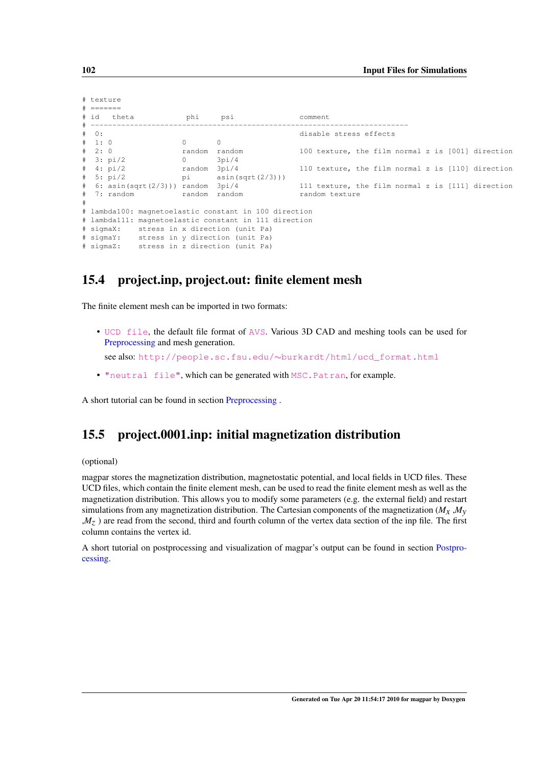| # texture |         |            |                                         |                |                                                       |                                                   |  |  |  |  |
|-----------|---------|------------|-----------------------------------------|----------------|-------------------------------------------------------|---------------------------------------------------|--|--|--|--|
|           |         | # =======  |                                         |                |                                                       |                                                   |  |  |  |  |
|           |         | # id theta |                                         | phi            | psi                                                   | comment                                           |  |  |  |  |
|           |         |            |                                         |                |                                                       |                                                   |  |  |  |  |
|           | $\#$ 0: |            |                                         |                |                                                       | disable stress effects                            |  |  |  |  |
|           | # 1: 0  |            |                                         | $\overline{0}$ | $\Omega$                                              |                                                   |  |  |  |  |
|           |         | # 2:0      |                                         |                | random random                                         | 100 texture, the film normal z is [001] direction |  |  |  |  |
|           |         | # 3: pi/2  |                                         | $\overline{0}$ | 3pi/4                                                 |                                                   |  |  |  |  |
|           |         | # 4: pi/2  | random 3pi/4                            |                |                                                       | 110 texture, the film normal z is [110] direction |  |  |  |  |
|           |         |            |                                         |                | # 5: pi/2 pi asin(sqrt(2/3)))                         |                                                   |  |  |  |  |
|           |         |            |                                         |                | # 6: asin(sqrt(2/3))) random 3pi/4                    | 111 texture, the film normal z is [111] direction |  |  |  |  |
|           |         |            | # 7: random             random   random |                |                                                       | random texture                                    |  |  |  |  |
| #         |         |            |                                         |                |                                                       |                                                   |  |  |  |  |
|           |         |            |                                         |                | # lambda100: magnetoelastic constant in 100 direction |                                                   |  |  |  |  |
|           |         |            |                                         |                | # lambda111: magnetoelastic constant in 111 direction |                                                   |  |  |  |  |
|           |         |            |                                         |                | # sigmaX: stress in x direction (unit Pa)             |                                                   |  |  |  |  |
|           |         |            |                                         |                | # sigmaY: stress in y direction (unit Pa)             |                                                   |  |  |  |  |
|           |         |            |                                         |                | # sigmaZ: stress in z direction (unit Pa)             |                                                   |  |  |  |  |

# <span id="page-111-0"></span>15.4 project.inp, project.out: finite element mesh

The finite element mesh can be imported in two formats:

• [UCD file](http://help.avs.com/Express/doc/help/reference/dvmac/UCD_Form.htm), the default file format of [AVS](http://www.avs.com/). Various 3D CAD and meshing tools can be used for [Preprocessing](#page-102-0) and mesh generation.

see also: http://people.sc.fsu.edu/∼[burkardt/html/ucd\\_format.html](http://people.sc.fsu.edu/~burkardt/html/ucd_format.html)

• ["neutral file"](http://www.g-boege.de/english/makrosae/Manual/PATRAN.htm), which can be generated with [MSC.Patran](http://www.mscsoftware.com/products/products_detail.cfm?PI=6), for example.

<span id="page-111-1"></span>A short tutorial can be found in section [Preprocessing](#page-102-0) .

# 15.5 project.0001.inp: initial magnetization distribution

#### (optional)

magpar stores the magnetization distribution, magnetostatic potential, and local fields in UCD files. These UCD files, which contain the finite element mesh, can be used to read the finite element mesh as well as the magnetization distribution. This allows you to modify some parameters (e.g. the external field) and restart simulations from any magnetization distribution. The Cartesian components of the magnetization  $(M_x, M_y)$ ,*Mz* ) are read from the second, third and fourth column of the vertex data section of the inp file. The first column contains the vertex id.

A short tutorial on postprocessing and visualization of magpar's output can be found in section [Postpro](#page-146-0)[cessing.](#page-146-0)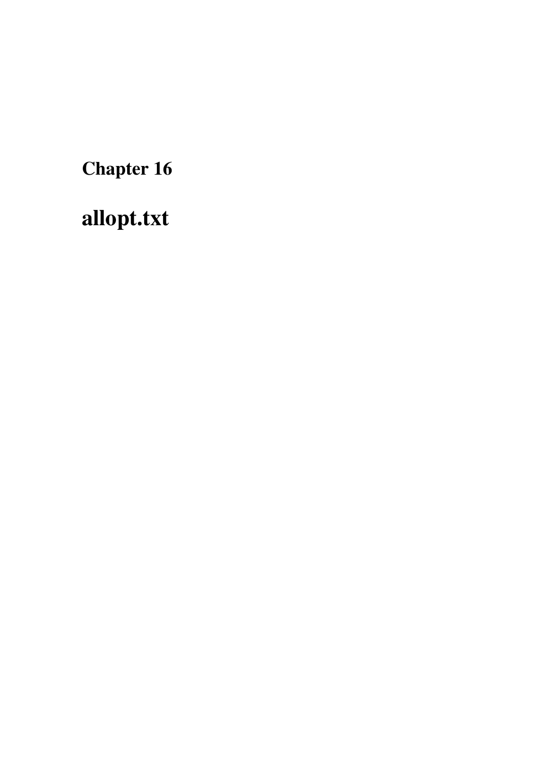Chapter 16

<span id="page-112-0"></span>allopt.txt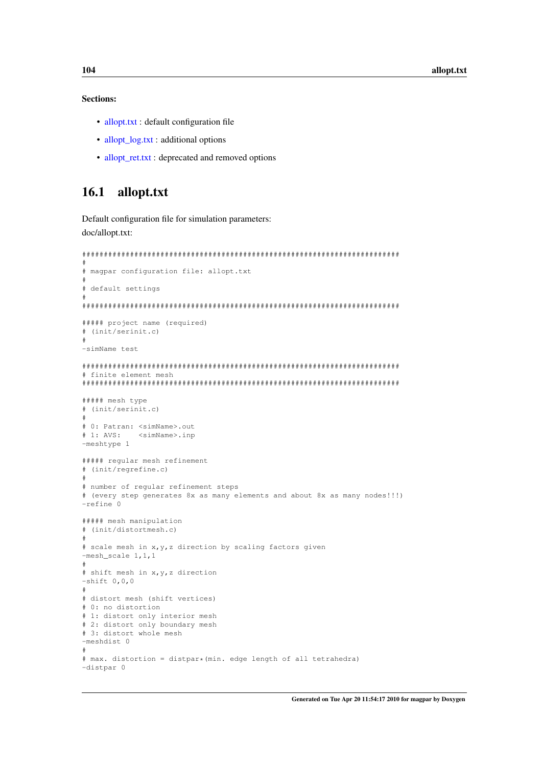#### Sections:

- [allopt.txt](#page-113-0) : default configuration file
- allopt log.txt : additional options
- [allopt\\_ret.txt](#page-124-0) : deprecated and removed options

# <span id="page-113-0"></span>16.1 allopt.txt

Default configuration file for simulation parameters: doc/allopt.txt:

```
#########################################################################
#
# magpar configuration file: allopt.txt
#
# default settings
#
#########################################################################
##### project name (required)
# (init/serinit.c)
#
-simName test
#########################################################################
# finite element mesh
#########################################################################
##### mesh type
# (init/serinit.c)
#
# 0: Patran: <simName>.out
# 1: AVS: <simName>.inp
-meshtype 1
##### regular mesh refinement
# (init/regrefine.c)
#
# number of regular refinement steps
# (every step generates 8x as many elements and about 8x as many nodes!!!)
-refine 0
##### mesh manipulation
# (init/distortmesh.c)
#
# scale mesh in x, y, z direction by scaling factors given
-mesh_scale 1,1,1
#
# shift mesh in x,y,z direction
-shift 0,0,0#
# distort mesh (shift vertices)
# 0: no distortion
# 1: distort only interior mesh
# 2: distort only boundary mesh
# 3: distort whole mesh
-meshdist 0
#
# max. distortion = distpar*(min. edge length of all tetrahedra)
-distpar 0
```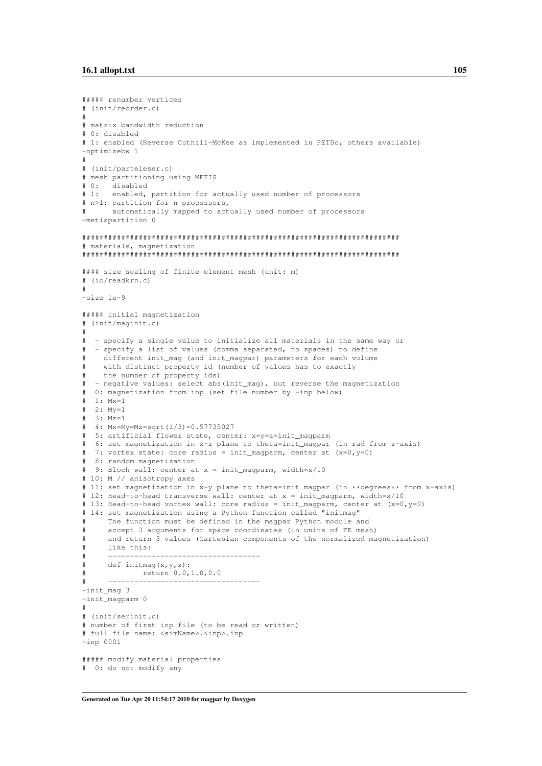```
##### renumber vertices
# (init/reorder.c)
#
# matrix bandwidth reduction
# 0: disabled
# 1: enabled (Reverse Cuthill-McKee as implemented in PETSc, others available)
-optimizebw 1
#
# (init/parteleser.c)
# mesh partitioning using METIS
# 0: disabled
# 1: enabled, partition for actually used number of processors
# n>1: partition for n processors,
      automatically mapped to actually used number of processors
-metispartition 0
#########################################################################
# materials, magnetization
#########################################################################
#### size scaling of finite element mesh (unit: m)
# (io/readkrn.c)
#
-size 1e-9
##### initial magnetization
# (init/maginit.c)
#
# - specify a single value to initialize all materials in the same way or
  - specify a list of values (comma separated, no spaces) to define
    different init_mag (and init_magpar) parameters for each volume
# with distinct property id (number of values has to exactly
   the number of property ids)
# - negative values: select abs(init_mag), but reverse the magnetization
# 0: magnetization from inp (set file number by -inp below)
  1: Mx=1
# 2: My=1
# 3: Mz=1# 4: Mx=My=Mz=sqrt(1/3)=0.57735027
# 5: artificial flower state, center: x=y=z=init_magparm
# 6: set magnetization in x-z plane to theta=init_magpar (in rad from z-axis)
# 7: vortex state: core radius = init_magparm, center at (x=0, y=0)# 8: random magnetization
  9: Bloch wall: center at x = init_magparm, width=x/10
# 10: M // anisotropy axes
# 11: set magnetization in x-y plane to theta=init_magpar (in **degrees** from x-axis)
# 12: Head-to-head transverse wall: center at x = init magparm, width=x/10
# 13: Head-to-head vortex wall: core radius = init_magparm, center at (x=0,y=0)
# 14: set magnetization using a Python function called "initmag"
     The function must be defined in the magpar Python module and
     accept 3 arguments for space coordinates (in units of FE mesh)
     and return 3 values (Cartesian components of the normalized magnetization)
     like this:
# -----------------------------------
# def initmag(x,y,z):
            return 0.0,1.0,0.0
# -----------------------------------
-init_mag 3
-init_magparm 0
#
# (init/serinit.c)
# number of first inp file (to be read or written)
# full file name: <simName>.<inp>.inp
-inp 0001
##### modify material properties
# 0: do not modify any
```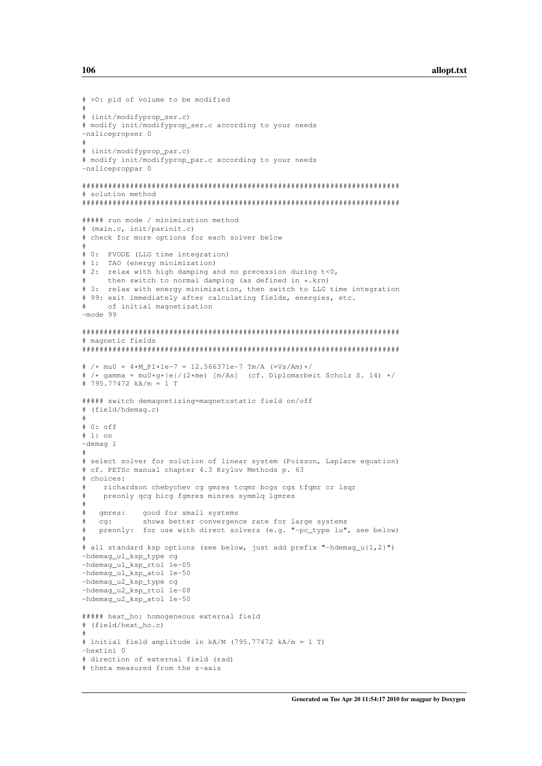```
# >0: pid of volume to be modified
#
# (init/modifyprop_ser.c)
# modify init/modifyprop_ser.c according to your needs
-nslicepropser 0
#
# (init/modifyprop_par.c)
# modify init/modifyprop_par.c according to your needs
-nsliceproppar 0
#########################################################################
# solution method
#########################################################################
##### run mode / minimization method
# (main.c, init/parinit.c)
# check for more options for each solver below
#
# 0: PVODE (LLG time integration)
# 1: TAO (energy minimization)
# 2: relax with high damping and no precession during t<0,
      then switch to normal damping (as defined in \star.krn)
# 3: relax with energy minimization, then switch to LLG time integration
# 99: exit immediately after calculating fields, energies, etc.
     of initial magnetization
-mode 99
#########################################################################
# magnetic fields
#########################################################################
# /* mu0 = 4*M_PI*1e-7 = 12.566371e-7 Tm/A (=Vs/Am)*/
 /* gamma = mu0*q*|e|/(2*me) [m/As] (cf. Diplomarbeit Scholz S. 14) */
# 795.77472 kA/m = 1 T
##### switch demagnetizing=magnetostatic field on/off
# (field/hdemag.c)
#
# 0: off
# 1: on
-demag 1
#
# select solver for solution of linear system (Poisson, Laplace equation)
# cf. PETSc manual chapter 4.3 Krylov Methods p. 63
# choices:
    richardson chebychev cg gmres tcgmr bcgs cgs tfgmr cr lsgr
# preonly qcg bicg fgmres minres symmlq lgmres
#
   gmres: good for small systems
# cg: shows better convergence rate for large systems
# preonly: for use with direct solvers (e.g. "-pc_type lu", see below)
#
# all standard ksp options (see below, just add prefix "-hdemag_u{1,2}")
-hdemag_u1_ksp_type cg
-hdemag_u1_ksp_rtol 1e-05
-hdemag_u1_ksp_atol 1e-50
-hdemag_u2_ksp_type cg
-hdemag_u2_ksp_rtol 1e-08
-hdemag_u2_ksp_atol 1e-50
##### hext_ho: homogeneous external field
# (field/hext_ho.c)
#
# initial field amplitude in kA/M (795.77472 kA/m = 1 T)
-hextini 0
# direction of external field (rad)
# theta measured from the z-axis
```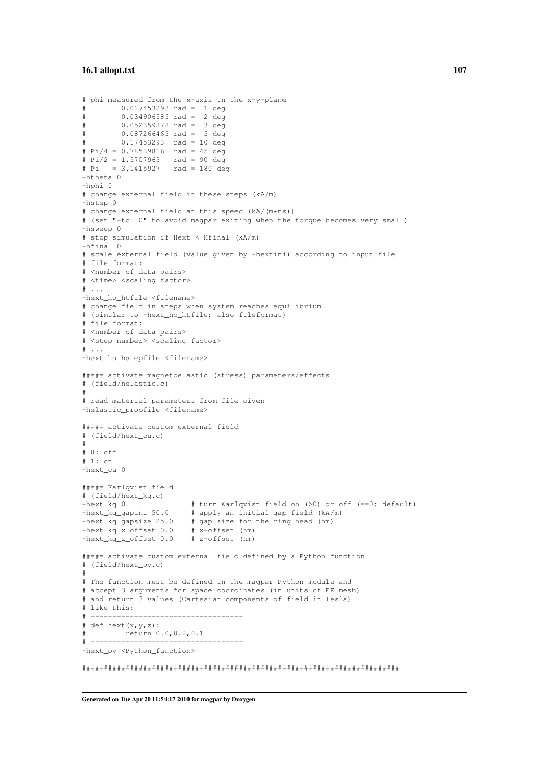```
# phi measured from the x-axis in the x-y-plane
\frac{1}{4} 0.017453293 rad = 1 deg
# 0.034906585 rad = 2 deg
        0.052359878 rad = 3 deg
        0.087266463 rad = 5 deg
# 0.17453293 rad = 10 deg
# Pi/4 = 0.78539816 rad = 45 deg
# Pi/2 = 1.5707963 rad = 90 deg
# Pi = 3.1415927 rad = 180 deg
-htheta 0
-hphi 0
# change external field in these steps (kA/m)
-hstep 0
# change external field at this speed (kA/(m*ns))
# (set "-tol 0" to avoid magpar exiting when the torque becomes very small)
-hsweep 0
# stop simulation if Hext < Hfinal (kA/m)
-hfinal 0
# scale external field (value given by -hextini) according to input file
# file format:
# <number of data pairs>
# <time> <scaling factor>
# ...
-hext_ho_htfile <filename>
# change field in steps when system reaches equilibrium
# (similar to -hext_ho_htfile; also fileformat)
# file format:
# <number of data pairs>
# <step number> <scaling factor>
# \ldots-hext ho hstepfile <filename>
##### activate magnetoelastic (stress) parameters/effects
# (field/helastic.c)
#
# read material parameters from file given
-helastic_propfile <filename>
##### activate custom external field
# (field/hext_cu.c)
#
# 0: off
# 1: on
-hext_cu 0
##### Karlqvist field
# (field/hext_kq.c)
-hext_kq 0 \# turn Karlqvist field on (>0) or off (==0: default)
-hext_kq_gapini 50.0 # apply an initial gap field (kA/m)<br>-hext_kq_gapsize 25.0 # gap size for the ring head (nm)
                         # gap size for the ring head (nm)
-hext_kq_x_offset 0.0 # x-offset (nm)
-hext_kq_z_offset 0.0 # z-offset (nm)
##### activate custom external field defined by a Python function
# (field/hext_py.c)
#
# The function must be defined in the magpar Python module and
# accept 3 arguments for space coordinates (in units of FE mesh)
# and return 3 values (Cartesian components of field in Tesla)
# like this:
 # -----------------------------------
# def hext(x,y,z):
# return 0.0,0.2,0.1
# -----------------------------------
-hext_py <Python_function>
#########################################################################
```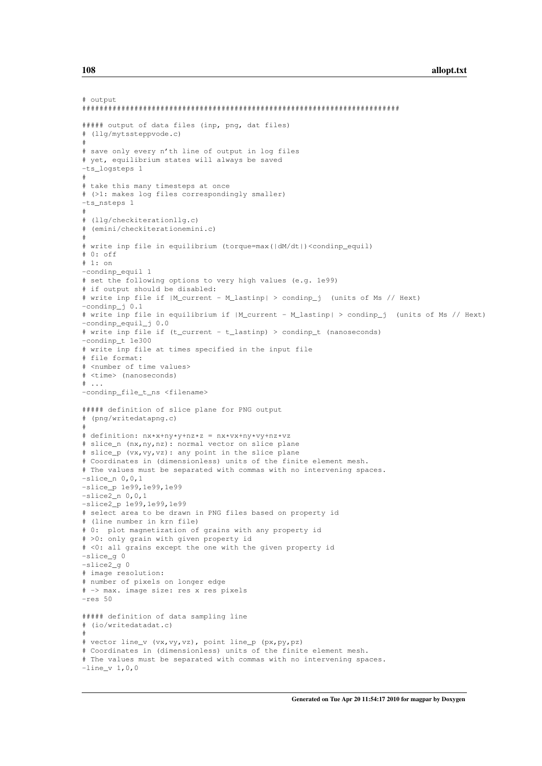```
# output
#########################################################################
##### output of data files (inp, png, dat files)
# (llg/mytssteppvode.c)
#
# save only every n'th line of output in log files
# yet, equilibrium states will always be saved
-ts_logsteps 1
#
# take this many timesteps at once
# (>1: makes log files correspondingly smaller)
-ts_nsteps 1
#
# (llg/checkiterationllg.c)
# (emini/checkiterationemini.c)
#
# write inp file in equilibrium (torque=max(|dM/dt|)<condinp_equil)
# 0: off
# 1: on
-condinp_equil 1
# set the following options to very high values (e.g. 1e99)
# if output should be disabled:
# write inp file if |M_current - M_lastinp| > condinp_j (units of Ms // Hext)
-condinp_j 0.1
# write inp file in equilibrium if |M_current - M_lastinp| > condinp_j (units of Ms // Hext)
-condinp_equil_j 0.0
# write inp file if (t_current - t_lastinp) > condinp_t (nanoseconds)
-condinp_t 1e300
# write inp file at times specified in the input file
# file format:
# <number of time values>
# <time> (nanoseconds)
\# ...
-condinp_file_t_ns <filename>
##### definition of slice plane for PNG output
# (png/writedatapng.c)
#
# definition: nx*x+ny*y+nz*z = nx*vx+ny*vy+nz*vz
# slice_n (nx,ny,nz): normal vector on slice plane
# slice_p (vx,vy,vz): any point in the slice plane
# Coordinates in (dimensionless) units of the finite element mesh.
# The values must be separated with commas with no intervening spaces.
-slice_n 0, 0, 1-slice_p 1e99,1e99,1e99
-slice2n 0,0,1-slice2_p 1e99,1e99,1e99
# select area to be drawn in PNG files based on property id
# (line number in krn file)
# 0: plot magnetization of grains with any property id
# >0: only grain with given property id
# <0: all grains except the one with the given property id
-slice_g 0
-slice2_g 0
# image resolution:
# number of pixels on longer edge
# -> max. image size: res x res pixels
-res 50
##### definition of data sampling line
# (io/writedatadat.c)
#
# vector line_v (vx,vy,vz), point line_p (px,py,pz)
# Coordinates in (dimensionless) units of the finite element mesh.
# The values must be separated with commas with no intervening spaces.
-line_v 1,0,0
```
Generated on Tue Apr 20 11:54:17 2010 for magpar by Doxygen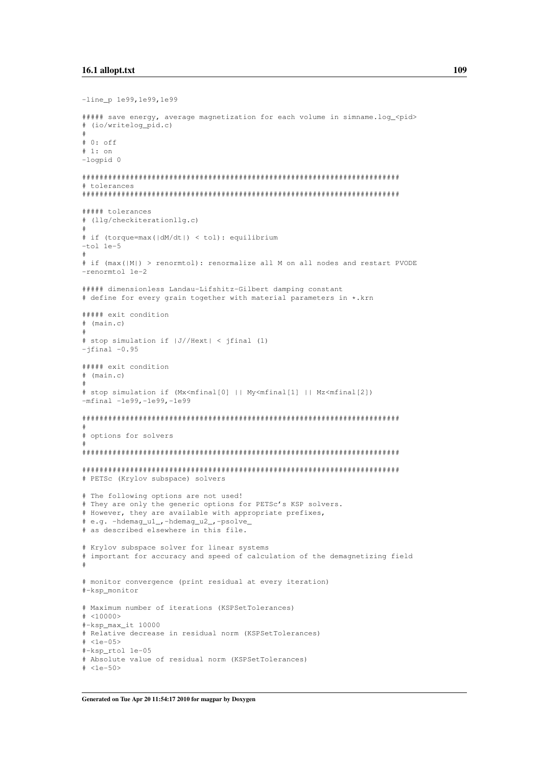```
-line_p 1e99,1e99,1e99
##### save energy, average magnetization for each volume in simname.log_<pid>
# (io/writelog_pid.c)
#
# 0: off
# 1: on
-logpid 0
#########################################################################
# tolerances
#########################################################################
##### tolerances
# (llg/checkiterationllg.c)
#
# if (torque=max(|dM/dt|) < tol): equilibrium
-tol 1e-5
#
# if (max(|M|) > renormtol): renormalize all M on all nodes and restart PVODE
-renormtol 1e-2
##### dimensionless Landau-Lifshitz-Gilbert damping constant
# define for every grain together with material parameters in *.krn
##### exit condition
# (main.c)
#
# stop simulation if |J//Hext| < jfinal (1)
-jfinal -0.95##### exit condition
# (main.c)
#
# stop simulation if (Mx<mfinal[0] || My<mfinal[1] || Mz<mfinal[2])
-mfinal -1e99,-1e99,-1e99
#########################################################################
#
# options for solvers
#
#########################################################################
#########################################################################
# PETSc (Krylov subspace) solvers
# The following options are not used!
# They are only the generic options for PETSc's KSP solvers.
# However, they are available with appropriate prefixes,
# e.g. -hdemag_u1_,-hdemag_u2_,-psolve_
# as described elsewhere in this file.
# Krylov subspace solver for linear systems
# important for accuracy and speed of calculation of the demagnetizing field
#
# monitor convergence (print residual at every iteration)
#-ksp_monitor
# Maximum number of iterations (KSPSetTolerances)
# <10000>
#-ksp_max_it 10000
# Relative decrease in residual norm (KSPSetTolerances)
# <1e-05>
#-ksp_rtol 1e-05
# Absolute value of residual norm (KSPSetTolerances)
# <1e-50>
```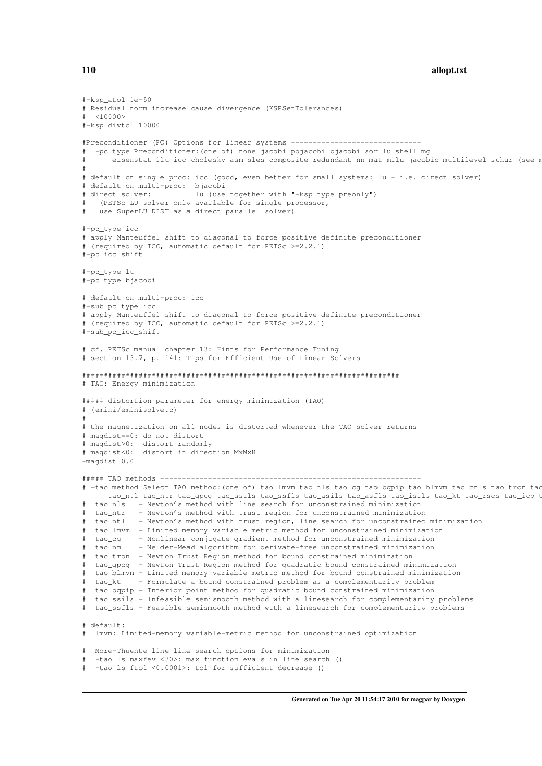```
#-kspatol 1e-50
# Residual norm increase cause divergence (KSPSetTolerances)
 <10000#-ksp_divtol 10000
#Preconditioner (PC) Options for linear systems ------------------------------
# -pc_type Preconditioner:(one of) none jacobi pbjacobi bjacobi sor lu shell mg
       eisenstat ilu icc cholesky asm sles composite redundant nn mat milu jacobic multilevel schur (see r
#
# default on single proc: icc (good, even better for small systems: lu - i.e. direct solver)
# default on multi-proc: bjacobi
# direct solver: lu (use together with "-ksp_type preonly")
   (PETSc LU solver only available for single processor,
   use SuperLU_DIST as a direct parallel solver)
#-pc_type icc
# apply Manteuffel shift to diagonal to force positive definite preconditioner
# (required by ICC, automatic default for PETSc >=2.2.1)
#-pc_icc_shift
#-pc_type lu
#-pc_type bjacobi
# default on multi-proc: icc
#-sub_pc_type icc
# apply Manteuffel shift to diagonal to force positive definite preconditioner
# (required by ICC, automatic default for PETSc >=2.2.1)
#-sub_pc_icc_shift
# cf. PETSc manual chapter 13: Hints for Performance Tuning
# section 13.7, p. 141: Tips for Efficient Use of Linear Solvers
#########################################################################
# TAO: Energy minimization
##### distortion parameter for energy minimization (TAO)
# (emini/eminisolve.c)
#
# the magnetization on all nodes is distorted whenever the TAO solver returns
# magdist==0: do not distort
# magdist>0: distort randomly
# magdist<0: distort in direction MxMxH
-magdist 0.0
##### TAO methods ------------------------------------------------------------
# -tao_method Select TAO method: (one of) tao_lmvm tao_nls tao_cq tao_bqpip tao_blmvm tao_bnls tao_tron tao
     tao ntl tao ntr tao gpcg tao ssils tao ssfls tao asils tao asfls tao isils tao kt tao rscs tao icp t
# tao_nls - Newton's method with line search for unconstrained minimization
 tao_ntr - Newton's method with trust region for unconstrained minimization
# tao_ntl - Newton's method with trust region, line search for unconstrained minimization
# tao_lmvm - Limited memory variable metric method for unconstrained minimization
 tao_cg - Nonlinear conjugate gradient method for unconstrained minimization
# tao_nm - Nelder-Mead algorithm for derivate-free unconstrained minimization
# tao_tron - Newton Trust Region method for bound constrained minimization
# tao_gpcg - Newton Trust Region method for quadratic bound constrained minimization
# tao_blmvm - Limited memory variable metric method for bound constrained minimization
  tao_kt - Formulate a bound constrained problem as a complementarity problem
# tao_bqpip - Interior point method for quadratic bound constrained minimization
# tao_ssils - Infeasible semismooth method with a linesearch for complementarity problems
# tao_ssfls - Feasible semismooth method with a linesearch for complementarity problems
# default:
# lmvm: Limited-memory variable-metric method for unconstrained optimization
# More-Thuente line line search options for minimization
 -tao_ls_maxfev <30>: max function evals in line search ()
  -tao_ls_ftol <0.0001>: tol for sufficient decrease ()
```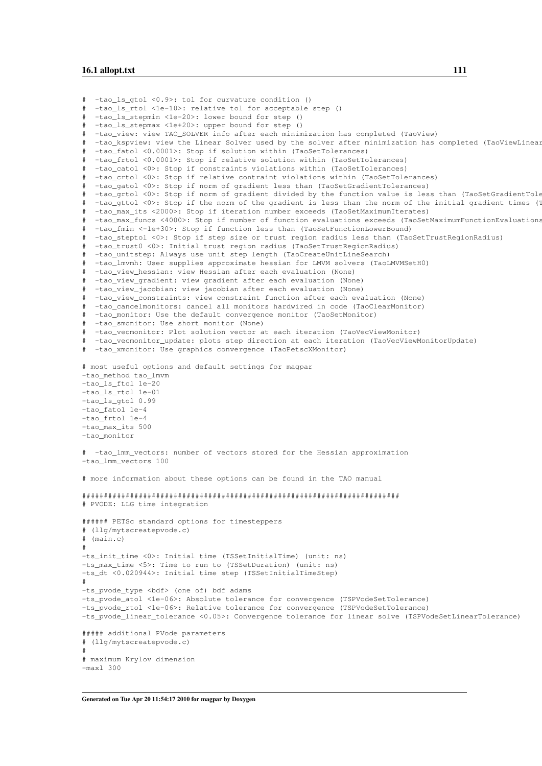```
-tao_ls_gtol <0.9>: tol for curvature condition ()
# -tao_ls_rtol <1e-10>: relative tol for acceptable step ()
# -tao_ls_stepmin <1e-20>: lower bound for step ()
  -tao_ls_stepmax <1e+20>: upper bound for step ()
  -tao_view: view TAO_SOLVER info after each minimization has completed (TaoView)
  -tao_kspview: view the Linear Solver used by the solver after minimization has completed (TaoViewLinear
# -tao_fatol <0.0001>: Stop if solution within (TaoSetTolerances)
  -tao_frtol <0.0001>: Stop if relative solution within (TaoSetTolerances)
  -tao_catol <0>: Stop if constraints violations within (TaoSetTolerances)
# -tao_crtol <0>: Stop if relative contraint violations within (TaoSetTolerances)
  -tao_gatol <0>: Stop if norm of gradient less than (TaoSetGradientTolerances)
   -tao_grtol <0>: Stop if norm of gradient divided by the function value is less than (TaoSetGradientTole
  -tao_gttol <0>: Stop if the norm of the gradient is less than the norm of the initial gradient times (T
  -tao_max_its <2000>: Stop if iteration number exceeds (TaoSetMaximumIterates)
# -tao_max_funcs <4000>: Stop if number of function evaluations exceeds (TaoSetMaximumFunctionEvaluations)
  -tao_fmin <-1e+30>: Stop if function less than (TaoSetFunctionLowerBound)
  -tao_steptol <0>: Stop if step size or trust region radius less than (TaoSetTrustRegionRadius)
# -tao_trust0 <0>: Initial trust region radius (TaoSetTrustRegionRadius)
   -tao_unitstep: Always use unit step length (TaoCreateUnitLineSearch)
  -tao_lmvmh: User supplies approximate hessian for LMVM solvers (TaoLMVMSetH0)
# -tao_view_hessian: view Hessian after each evaluation (None)
# -tao_view_gradient: view gradient after each evaluation (None)
# -tao_view_jacobian: view jacobian after each evaluation (None)
  -tao_view_constraints: view constraint function after each evaluation (None)
   -tao_cancelmonitors: cancel all monitors hardwired in code (TaoClearMonitor)
# -tao_monitor: Use the default convergence monitor (TaoSetMonitor)
  -tao_smonitor: Use short monitor (None)
  -tao_vecmonitor: Plot solution vector at each iteration (TaoVecViewMonitor)
  -tao_vecmonitor_update: plots step direction at each iteration (TaoVecViewMonitorUpdate)
# -tao_xmonitor: Use graphics convergence (TaoPetscXMonitor)
# most useful options and default settings for magpar
-tao_method tao_lmvm
-tao_ls_ftol 1e-20
-tao_ls_rtol 1e-01
-tao_ls_gtol 0.99
-tao_fatol 1e-4
-tao_frtol 1e-4
-tao_max_its 500
-tao_monitor
# -tao_lmm_vectors: number of vectors stored for the Hessian approximation
-tao_lmm_vectors 100
# more information about these options can be found in the TAO manual
#########################################################################
# PVODE: LLG time integration
###### PETSc standard options for timesteppers
# (llg/mytscreatepvode.c)
 (main.c)#
-ts_init_time <0>: Initial time (TSSetInitialTime) (unit: ns)
-ts max time <5>: Time to run to (TSSetDuration) (unit: ns)
-ts_dt <0.020944>: Initial time step (TSSetInitialTimeStep)
#
-ts_pvode_type <bdf> (one of) bdf adams
-ts_pvode_atol <1e-06>: Absolute tolerance for convergence (TSPVodeSetTolerance)
-ts_pvode_rtol <1e-06>: Relative tolerance for convergence (TSPVodeSetTolerance)
-ts_pvode_linear_tolerance <0.05>: Convergence tolerance for linear solve (TSPVodeSetLinearTolerance)
##### additional PVode parameters
# (llg/mytscreatepvode.c)
#
# maximum Krylov dimension
-maxl 300
```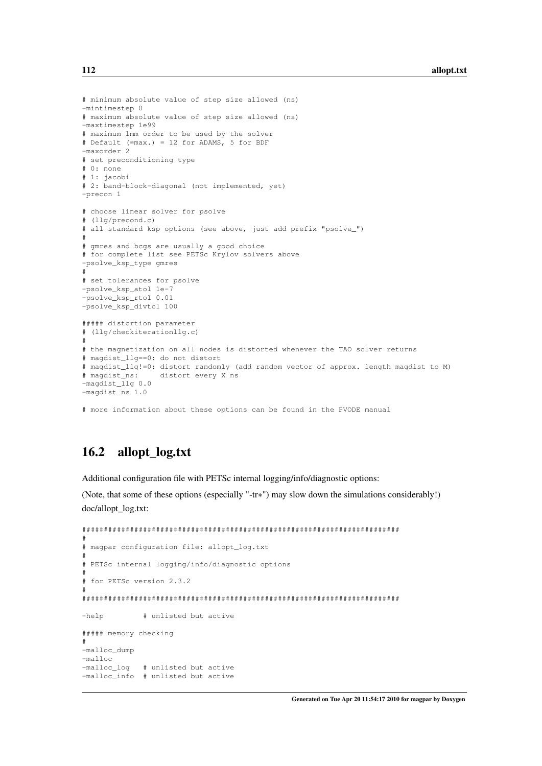```
# minimum absolute value of step size allowed (ns)
-mintimestep 0
# maximum absolute value of step size allowed (ns)
-maxtimestep 1e99
# maximum lmm order to be used by the solver
# Default (=max.) = 12 for ADAMS, 5 for BDF
-maxorder 2
# set preconditioning type
# 0: none
# 1: jacobi
# 2: band-block-diagonal (not implemented, yet)
-precon 1
# choose linear solver for psolve
# (llg/precond.c)
# all standard ksp options (see above, just add prefix "psolve_")
#
# gmres and bcgs are usually a good choice
# for complete list see PETSc Krylov solvers above
-psolve_ksp_type gmres
#
# set tolerances for psolve
-psolve ksp_atol 1e-7
-psolve_ksp_rtol 0.01
-psolve_ksp_divtol 100
##### distortion parameter
# (llg/checkiterationllg.c)
#
# the magnetization on all nodes is distorted whenever the TAO solver returns
# magdist_llg==0: do not distort
# magdist_llg!=0: distort randomly (add random vector of approx. length magdist to M)
# magdist_ns: distort every X ns
-magdist_llg 0.0
-magdist_ns 1.0
```
# more information about these options can be found in the PVODE manual

# <span id="page-121-0"></span>16.2 allopt\_log.txt

Additional configuration file with PETSc internal logging/info/diagnostic options:

(Note, that some of these options (especially "-tr∗") may slow down the simulations considerably!) doc/allopt\_log.txt:

```
#########################################################################
#
# magpar configuration file: allopt log.txt
#
# PETSc internal logging/info/diagnostic options
#
# for PETSc version 2.3.2
#
#########################################################################
-help # unlisted but active
##### memory checking
#
-malloc_dump
-malloc<br>-malloc_loq
              # unlisted but active
-malloc_info # unlisted but active
```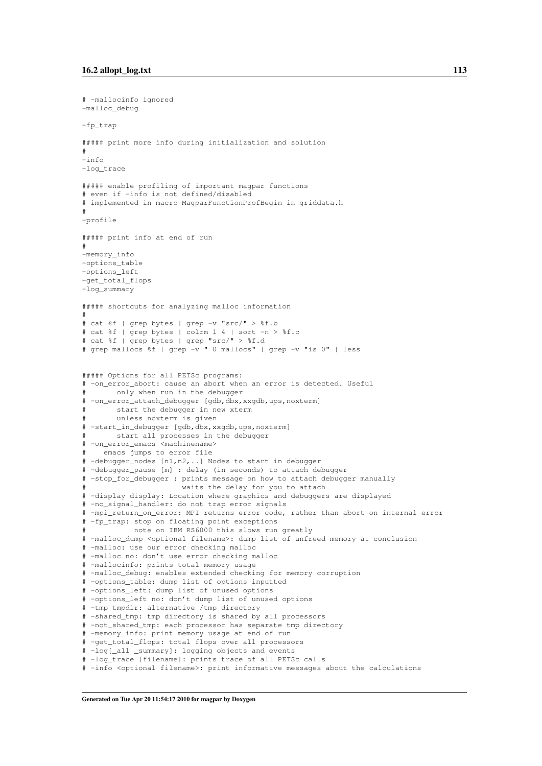```
# -mallocinfo ignored
-malloc_debug
-fp_trap
##### print more info during initialization and solution
#
-info
-log_trace
##### enable profiling of important magpar functions
# even if -info is not defined/disabled
# implemented in macro MagparFunctionProfBegin in griddata.h
#
-profile
##### print info at end of run
#
-memory_info
-options_table
-options_left
-get_total_flops
-log_summary
##### shortcuts for analyzing malloc information
#
# cat %f | grep bytes | grep -v "src/" > %f.b
# cat %f | grep bytes | colrm 1 4 | sort -n > %f.c
# cat %f | grep bytes | grep "src/" > %f.d
# grep mallocs %f | grep -v " 0 mallocs" | grep -v "is 0" | less
##### Options for all PETSc programs:
# -on_error_abort: cause an abort when an error is detected. Useful
# only when run in the debugger
# -on_error_attach_debugger [gdb,dbx,xxgdb,ups,noxterm]
       start the debugger in new xterm
# unless noxterm is given
# -start_in_debugger [gdb,dbx,xxgdb,ups,noxterm]
# start all processes in the debugger
# -on_error_emacs <machinename>
# emacs jumps to error file
# -debugger_nodes [n1,n2,..] Nodes to start in debugger
# -debugger_pause [m] : delay (in seconds) to attach debugger
# -stop_for_debugger : prints message on how to attach debugger manually
                      waits the delay for you to attach
# -display display: Location where graphics and debuggers are displayed
# -no_signal_handler: do not trap error signals
# -mpi_return_on_error: MPI returns error code, rather than abort on internal error
# -fp_trap: stop on floating point exceptions
           note on IBM RS6000 this slows run greatly
# -malloc_dump <optional filename>: dump list of unfreed memory at conclusion
# -malloc: use our error checking malloc
# -malloc no: don't use error checking malloc
# -mallocinfo: prints total memory usage
# -malloc_debug: enables extended checking for memory corruption
# -options_table: dump list of options inputted
# -options_left: dump list of unused options
# -options_left no: don't dump list of unused options
# -tmp tmpdir: alternative /tmp directory
# -shared_tmp: tmp directory is shared by all processors
# -not_shared_tmp: each processor has separate tmp directory
# -memory_info: print memory usage at end of run
# -get_total_flops: total flops over all processors
# -log[_all _summary]: logging objects and events
# -log_trace [filename]: prints trace of all PETSc calls
# -info <optional filename>: print informative messages about the calculations
```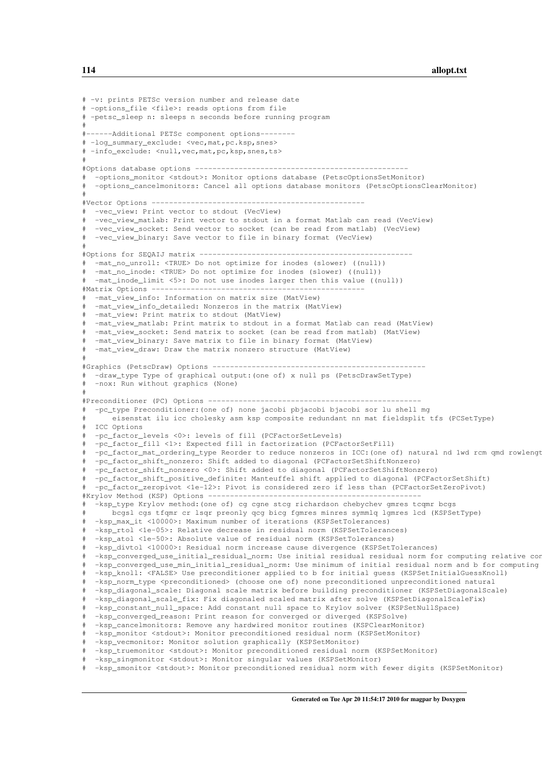```
# -v: prints PETSc version number and release date
# -options_file <file>: reads options from file
# -petsc_sleep n: sleeps n seconds before running program
#
#------Additional PETSc component options--------
# -log_summary_exclude: <vec,mat,pc.ksp,snes>
# -info_exclude: <null,vec,mat,pc,ksp,snes,ts>
#
#Options database options -------------------------------------------------
# -options_monitor <stdout>: Monitor options database (PetscOptionsSetMonitor)
 -options_cancelmonitors: Cancel all options database monitors (PetscOptionsClearMonitor)
#
#Vector Options -------------------------------------------------
# -vec_view: Print vector to stdout (VecView)
  -vec view matlab: Print vector to stdout in a format Matlab can read (VecView)
  -vec_view_socket: Send vector to socket (can be read from matlab) (VecView)
  -vec view_binary: Save vector to file in binary format (VecView)
#
#Options for SEQAIJ matrix -------------------------------------------------
 -mat_no_unroll: <TRUE> Do not optimize for inodes (slower) ((null))
  -mat_no_inode: <TRUE> Do not optimize for inodes (slower) ((null))
# -mat_inode_limit <5>: Do not use inodes larger then this value ((null))
#Matrix Options ----
  -mat_view_info: Information on matrix size (MatView)
  -mat_view_info_detailed: Nonzeros in the matrix (MatView)
# -mat_view: Print matrix to stdout (MatView)
 -mat_view_matlab: Print matrix to stdout in a format Matlab can read (MatView)
  -mat_view_socket: Send matrix to socket (can be read from matlab) (MatView)
# -mat_view_binary: Save matrix to file in binary format (MatView)
  -mat_view_draw: Draw the matrix nonzero structure (MatView)
#
#Graphics (PetscDraw) Options -------------------------------------------------
 -draw_type Type of graphical output: (one of) x null ps (PetscDrawSetType)
 -nox: Run without graphics (None)
#
#Preconditioner (PC) Options -------------------------------------------------
# -pc_type Preconditioner:(one of) none jacobi pbjacobi bjacobi sor lu shell mg
# eisenstat ilu icc cholesky asm ksp composite redundant nn mat fieldsplit tfs (PCSetType)
# ICC Options
# -pc_factor_levels <0>: levels of fill (PCFactorSetLevels)
# -pc_factor_fill <1>: Expected fill in factorization (PCFactorSetFill)
  -pc_factor_mat_ordering_type Reorder to reduce nonzeros in ICC:(one of) natural nd 1wd rcm qmd rowlengt
  -pc_factor_shift_nonzero: Shift added to diagonal (PCFactorSetShiftNonzero)
  -pc_factor_shift_nonzero <0>: Shift added to diagonal (PCFactorSetShiftNonzero)
  -pc_factor_shift_positive_definite: Manteuffel shift applied to diagonal (PCFactorSetShift)
  # -pc_factor_zeropivot <1e-12>: Pivot is considered zero if less than (PCFactorSetZeroPivot)
#Krylov Method (KSP) Options ---
  -ksp_type Krylov method: (one of) cg cgne stcg richardson chebychev gmres tcqmr bcgs
      # bcgsl cgs tfqmr cr lsqr preonly qcg bicg fgmres minres symmlq lgmres lcd (KSPSetType)
# -ksp_max_it <10000>: Maximum number of iterations (KSPSetTolerances)
  -ksp_rtol <1e-05>: Relative decrease in residual norm (KSPSetTolerances)
  -ksp_atol <1e-50>: Absolute value of residual norm (KSPSetTolerances)
  -ksp_divtol <10000>: Residual norm increase cause divergence (KSPSetTolerances)
  -ksp_converged_use_initial_residual_norm: Use initial residual residual norm for computing relative con
  -ksp converged use min initial residual norm: Use minimum of initial residual norm and b for computing
  -ksp_knoll: <FALSE> Use preconditioner applied to b for initial guess (KSPSetInitialGuessKnoll)
  -ksp_norm_type <preconditioned> (choose one of) none preconditioned unpreconditioned natural
# -ksp_diagonal_scale: Diagonal scale matrix before building preconditioner (KSPSetDiagonalScale)
  -ksp_diagonal_scale_fix: Fix diagonaled scaled matrix after solve (KSPSetDiagonalScaleFix)
  -ksp_constant_null_space: Add constant null space to Krylov solver (KSPSetNullSpace)
  -ksp_converged_reason: Print reason for converged or diverged (KSPSolve)
  -ksp_cancelmonitors: Remove any hardwired monitor routines (KSPClearMonitor)
  -ksp_monitor <stdout>: Monitor preconditioned residual norm (KSPSetMonitor)
  -ksp_vecmonitor: Monitor solution graphically (KSPSetMonitor)
  -ksp_truemonitor <stdout>: Monitor preconditioned residual norm (KSPSetMonitor)
  -ksp_singmonitor <stdout>: Monitor singular values (KSPSetMonitor)
  -ksp_smonitor <stdout>: Monitor preconditioned residual norm with fewer digits (KSPSetMonitor)
```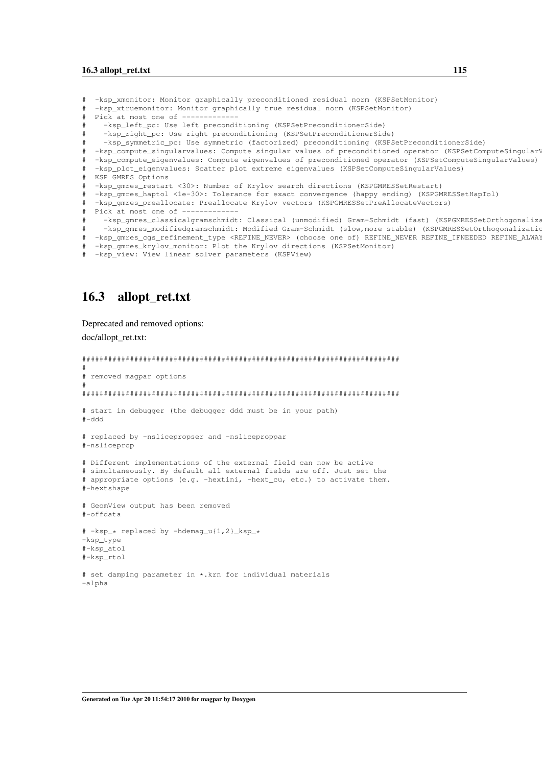```
-ksp_xmonitor: Monitor graphically preconditioned residual norm (KSPSetMonitor)
  -ksp_xtruemonitor: Monitor graphically true residual norm (KSPSetMonitor)
  Pick at most one of ------
    -ksp_left_pc: Use left preconditioning (KSPSetPreconditionerSide)
    -ksp_right_pc: Use right preconditioning (KSPSetPreconditionerSide)
    -ksp_symmetric_pc: Use symmetric (factorized) preconditioning (KSPSetPreconditionerSide)
# -ksp_compute_singularvalues: Compute singular values of preconditioned operator (KSPSetComputeSingularValues)
# -ksp_compute_eigenvalues: Compute eigenvalues of preconditioned operator (KSPSetComputeSingularValues)
  -ksp_plot_eigenvalues: Scatter plot extreme eigenvalues (KSPSetComputeSingularValues)
# KSP GMRES Options
  -ksp_gmres_restart <30>: Number of Krylov search directions (KSPGMRESSetRestart)
  -ksp_gmres_haptol <1e-30>: Tolerance for exact convergence (happy ending) (KSPGMRESSetHapTol)
  -ksp_gmres_preallocate: Preallocate Krylov vectors (KSPGMRESSetPreAllocateVectors)
 Pick at most one of -
    -ksp_gmres_classicalgramschmidt: Classical (unmodified) Gram-Schmidt (fast) (KSPGMRESSetOrthogonaliza
    -ksp_gmres_modifiedgramschmidt: Modified Gram-Schmidt (slow,more stable) (KSPGMRESSetOrthogonalizatio
  -ksp_gmres_cgs_refinement_type <REFINE_NEVER> (choose one of) REFINE_NEVER REFINE_IFNEEDED REFINE_ALWAY
  -ksp_gmres_krylov_monitor: Plot the Krylov directions (KSPSetMonitor)
  -ksp_view: View linear solver parameters (KSPView)
```
## <span id="page-124-0"></span>16.3 allopt\_ret.txt

Deprecated and removed options:

doc/allopt\_ret.txt:

```
#########################################################################
#
# removed magpar options
#
#########################################################################
# start in debugger (the debugger ddd must be in your path)
#-ddd
# replaced by -nslicepropser and -nsliceproppar
#-nsliceprop
# Different implementations of the external field can now be active
# simultaneously. By default all external fields are off. Just set the
# appropriate options (e.g. -hextini, -hext_cu, etc.) to activate them.
#-hextshape
# GeomView output has been removed
#-offdata
# -ksp_* replaced by -hdemag_u{1,2}_ksp_*
-ksp_type
#-ksp_atol
#-ksp_rtol
# set damping parameter in *.krn for individual materials
-alpha
```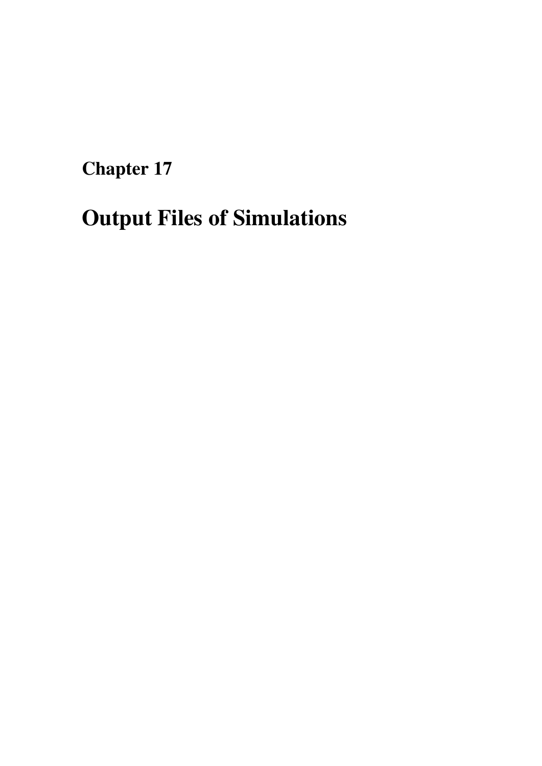Chapter 17

# Output Files of Simulations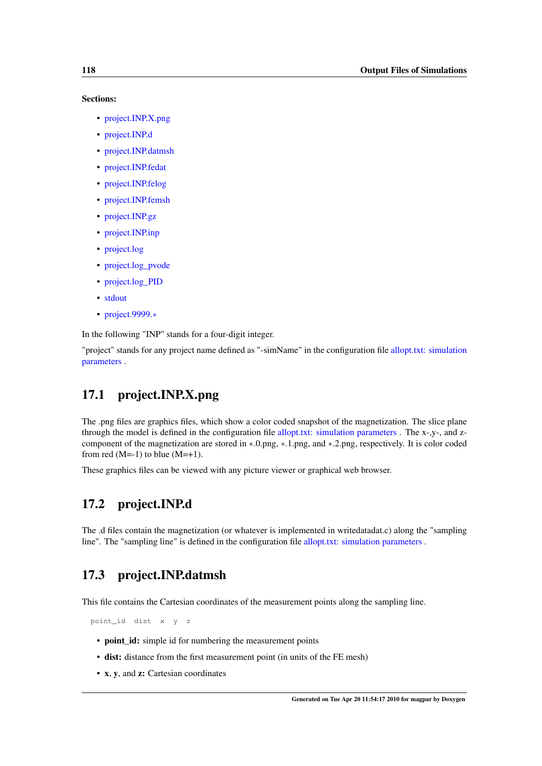#### Sections:

- [project.INP.X.png](#page-127-0)
- [project.INP.d](#page-127-1)
- [project.INP.datmsh](#page-127-2)
- [project.INP.fedat](#page-127-3)
- [project.INP.felog](#page-128-0)
- [project.INP.femsh](#page-129-0)
- [project.INP.gz](#page-129-1)
- [project.INP.inp](#page-129-2)
- [project.log](#page-130-0)
- [project.log\\_pvode](#page-130-1)
- [project.log\\_PID](#page-131-0)
- [stdout](#page-131-1)
- [project.9999.](#page-131-2)∗

In the following "INP" stands for a four-digit integer.

<span id="page-127-0"></span>"project" stands for any project name defined as "-simName" in the configuration file [allopt.txt: simulation](#page-109-0) [parameters](#page-109-0) .

# 17.1 project.INP.X.png

The .png files are graphics files, which show a color coded snapshot of the magnetization. The slice plane through the model is defined in the configuration file [allopt.txt: simulation parameters](#page-109-0) . The x-,y-, and zcomponent of the magnetization are stored in ∗.0.png, ∗.1.png, and ∗.2.png, respectively. It is color coded from red  $(M=-1)$  to blue  $(M=+1)$ .

<span id="page-127-1"></span>These graphics files can be viewed with any picture viewer or graphical web browser.

# 17.2 project.INP.d

<span id="page-127-2"></span>The .d files contain the magnetization (or whatever is implemented in writedatadat.c) along the "sampling line". The "sampling line" is defined in the configuration file [allopt.txt: simulation parameters](#page-109-0) .

# 17.3 project.INP.datmsh

This file contains the Cartesian coordinates of the measurement points along the sampling line.

point\_id dist x y z

- **point\_id:** simple id for numbering the measurement points
- dist: distance from the first measurement point (in units of the FE mesh)
- <span id="page-127-3"></span>• x, y, and z: Cartesian coordinates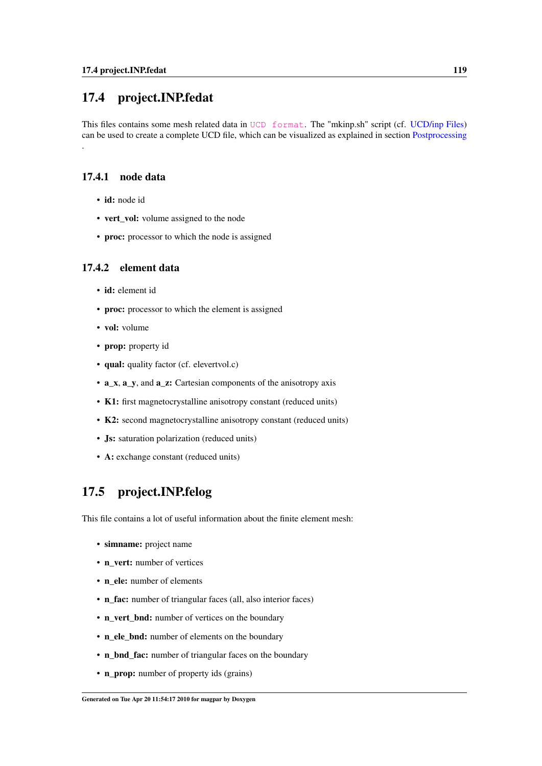# 17.4 project.INP.fedat

This files contains some mesh related data in [UCD format](http://help.avs.com/Express/doc/help/reference/dvmac/UCD_Form.htm). The "mkinp.sh" script (cf. [UCD/inp Files\)](#page-147-0) can be used to create a complete UCD file, which can be visualized as explained in section [Postprocessing](#page-146-0)

## 17.4.1 node data

.

- id: node id
- vert vol: volume assigned to the node
- proc: processor to which the node is assigned

## 17.4.2 element data

- id: element id
- proc: processor to which the element is assigned
- vol: volume
- prop: property id
- qual: quality factor (cf. elevertvol.c)
- a\_x, a\_y, and a\_z: Cartesian components of the anisotropy axis
- K1: first magnetocrystalline anisotropy constant (reduced units)
- K2: second magnetocrystalline anisotropy constant (reduced units)
- Js: saturation polarization (reduced units)
- A: exchange constant (reduced units)

# <span id="page-128-0"></span>17.5 project.INP.felog

This file contains a lot of useful information about the finite element mesh:

- simname: project name
- n\_vert: number of vertices
- n\_ele: number of elements
- n\_fac: number of triangular faces (all, also interior faces)
- n\_vert\_bnd: number of vertices on the boundary
- n ele bnd: number of elements on the boundary
- n\_bnd\_fac: number of triangular faces on the boundary
- n\_prop: number of property ids (grains)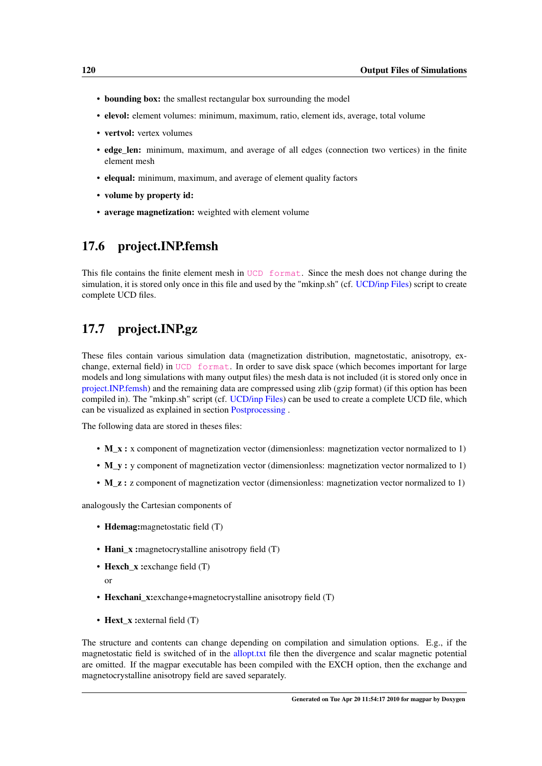- **bounding box:** the smallest rectangular box surrounding the model
- elevol: element volumes: minimum, maximum, ratio, element ids, average, total volume
- vertvol: vertex volumes
- edge\_len: minimum, maximum, and average of all edges (connection two vertices) in the finite element mesh
- elequal: minimum, maximum, and average of element quality factors
- volume by property id:
- average magnetization: weighted with element volume

# <span id="page-129-0"></span>17.6 project.INP.femsh

This file contains the finite element mesh in [UCD format](http://help.avs.com/Express/doc/help/reference/dvmac/UCD_Form.htm). Since the mesh does not change during the simulation, it is stored only once in this file and used by the "mkinp.sh" (cf. [UCD/inp Files\)](#page-147-0) script to create complete UCD files.

# <span id="page-129-1"></span>17.7 project.INP.gz

These files contain various simulation data (magnetization distribution, magnetostatic, anisotropy, exchange, external field) in [UCD format](http://help.avs.com/Express/doc/help/reference/dvmac/UCD_Form.htm). In order to save disk space (which becomes important for large models and long simulations with many output files) the mesh data is not included (it is stored only once in [project.INP.femsh\)](#page-129-0) and the remaining data are compressed using zlib (gzip format) (if this option has been compiled in). The "mkinp.sh" script (cf. [UCD/inp Files\)](#page-147-0) can be used to create a complete UCD file, which can be visualized as explained in section [Postprocessing](#page-146-0) .

The following data are stored in theses files:

- **M\_x** : x component of magnetization vector (dimensionless: magnetization vector normalized to 1)
- M\_y : y component of magnetization vector (dimensionless: magnetization vector normalized to 1)
- M z : z component of magnetization vector (dimensionless: magnetization vector normalized to 1)

analogously the Cartesian components of

- Hdemag:magnetostatic field (T)
- Hani\_x :magnetocrystalline anisotropy field (T)
- Hexch  $x:$  exchange field  $(T)$

or

- Hexchani x:exchange+magnetocrystalline anisotropy field (T)
- Hext\_x : external field (T)

<span id="page-129-2"></span>The structure and contents can change depending on compilation and simulation options. E.g., if the magnetostatic field is switched of in the [allopt.txt](#page-112-0) file then the divergence and scalar magnetic potential are omitted. If the magpar executable has been compiled with the EXCH option, then the exchange and magnetocrystalline anisotropy field are saved separately.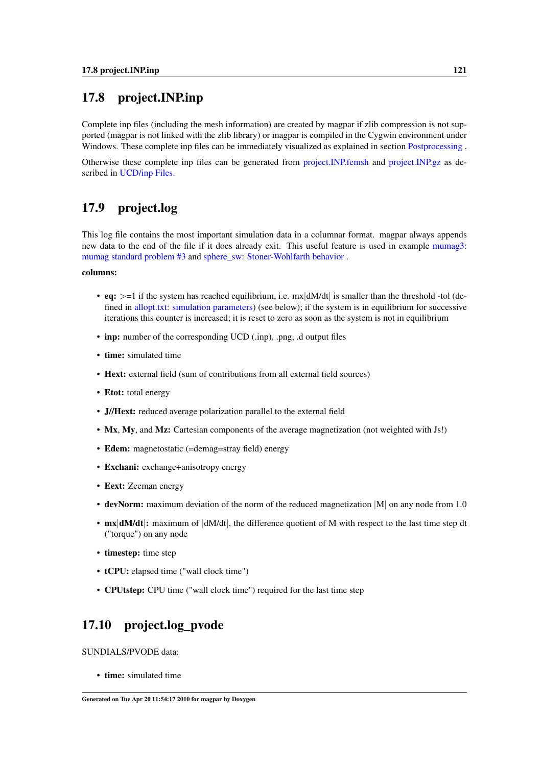# 17.8 project.INP.inp

Complete inp files (including the mesh information) are created by magpar if zlib compression is not supported (magpar is not linked with the zlib library) or magpar is compiled in the Cygwin environment under Windows. These complete inp files can be immediately visualized as explained in section [Postprocessing](#page-146-0).

<span id="page-130-0"></span>Otherwise these complete inp files can be generated from [project.INP.femsh](#page-129-0) and [project.INP.gz](#page-129-1) as described in [UCD/inp Files.](#page-147-0)

# 17.9 project.log

This log file contains the most important simulation data in a columnar format. magpar always appends new data to the end of the file if it does already exit. This useful feature is used in example [mumag3:](#page-139-0) [mumag standard problem #3](#page-139-0) and [sphere\\_sw: Stoner-Wohlfarth behavior](#page-136-0) .

## columns:

- eq:  $> = 1$  if the system has reached equilibrium, i.e. mx|dM/dt| is smaller than the threshold -tol (defined in [allopt.txt: simulation parameters\)](#page-109-0) (see below); if the system is in equilibrium for successive iterations this counter is increased; it is reset to zero as soon as the system is not in equilibrium
- inp: number of the corresponding UCD (.inp), .png, .d output files
- time: simulated time
- Hext: external field (sum of contributions from all external field sources)
- Etot: total energy
- J//Hext: reduced average polarization parallel to the external field
- Mx, My, and Mz: Cartesian components of the average magnetization (not weighted with Js!)
- Edem: magnetostatic (=demag=stray field) energy
- Exchani: exchange+anisotropy energy
- Eext: Zeeman energy
- devNorm: maximum deviation of the norm of the reduced magnetization |M| on any node from 1.0
- mx dM/dt|: maximum of  $|dM/dt|$ , the difference quotient of M with respect to the last time step dt ("torque") on any node
- timestep: time step
- tCPU: elapsed time ("wall clock time")
- CPUtstep: CPU time ("wall clock time") required for the last time step

# <span id="page-130-1"></span>17.10 project.log\_pvode

SUNDIALS/PVODE data:

• time: simulated time

Generated on Tue Apr 20 11:54:17 2010 for magpar by Doxygen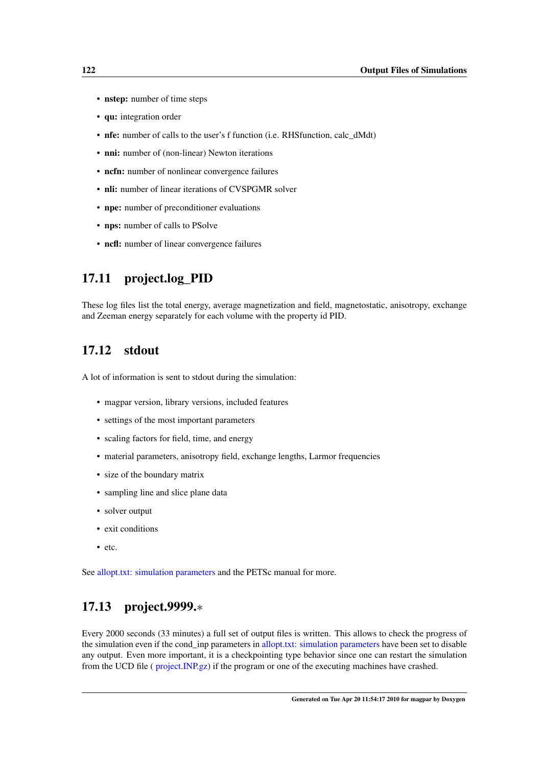- nstep: number of time steps
- qu: integration order
- nfe: number of calls to the user's f function (i.e. RHSfunction, calc dMdt)
- nni: number of (non-linear) Newton iterations
- ncfn: number of nonlinear convergence failures
- nli: number of linear iterations of CVSPGMR solver
- npe: number of preconditioner evaluations
- nps: number of calls to PSolve
- ncfl: number of linear convergence failures

## <span id="page-131-0"></span>17.11 project.log\_PID

<span id="page-131-1"></span>These log files list the total energy, average magnetization and field, magnetostatic, anisotropy, exchange and Zeeman energy separately for each volume with the property id PID.

# 17.12 stdout

A lot of information is sent to stdout during the simulation:

- magpar version, library versions, included features
- settings of the most important parameters
- scaling factors for field, time, and energy
- material parameters, anisotropy field, exchange lengths, Larmor frequencies
- size of the boundary matrix
- sampling line and slice plane data
- solver output
- exit conditions
- etc.

<span id="page-131-2"></span>See [allopt.txt: simulation parameters](#page-109-0) and the PETSc manual for more.

# 17.13 project.9999.∗

Every 2000 seconds (33 minutes) a full set of output files is written. This allows to check the progress of the simulation even if the cond\_inp parameters in [allopt.txt: simulation parameters](#page-109-0) have been set to disable any output. Even more important, it is a checkpointing type behavior since one can restart the simulation from the UCD file ( [project.INP.gz\)](#page-129-1) if the program or one of the executing machines have crashed.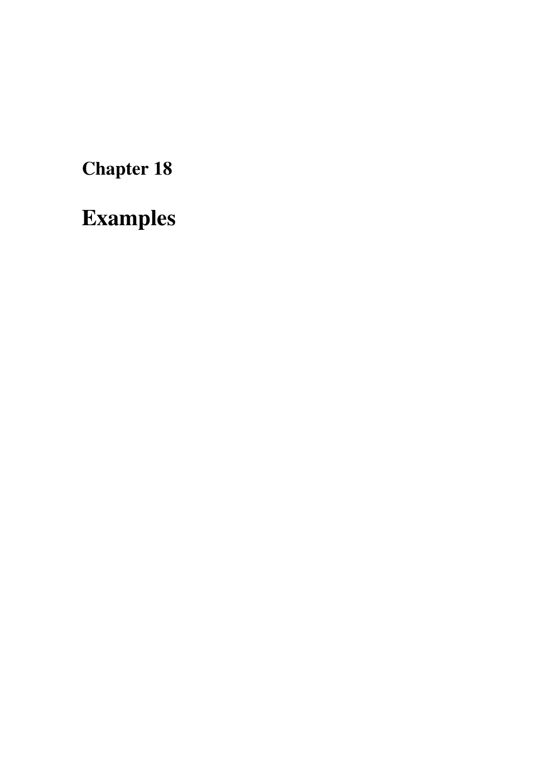Chapter 18

Examples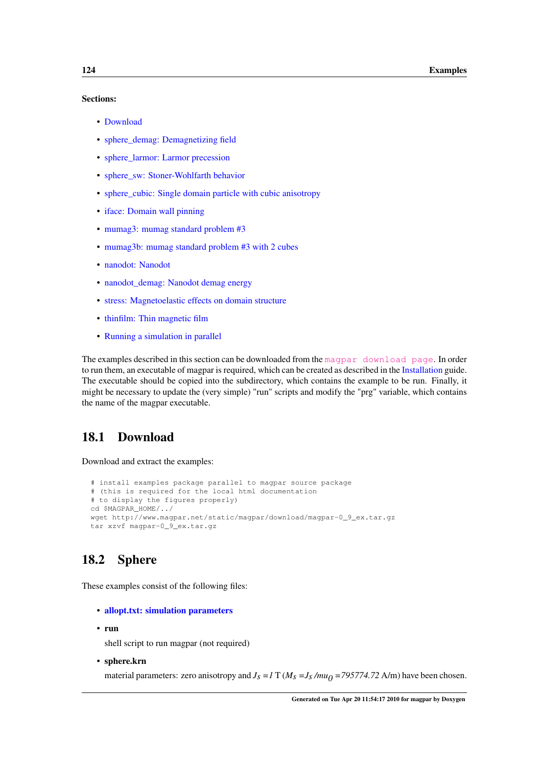#### Sections:

- [Download](#page-133-0)
- [sphere\\_demag: Demagnetizing field](#page-134-0)
- [sphere\\_larmor: Larmor precession](#page-135-0)
- [sphere\\_sw: Stoner-Wohlfarth behavior](#page-136-0)
- [sphere\\_cubic: Single domain particle with cubic anisotropy](#page-136-1)
- [iface: Domain wall pinning](#page-137-0)
- [mumag3: mumag standard problem #3](#page-139-0)
- [mumag3b: mumag standard problem #3 with 2 cubes](#page-140-0)
- [nanodot: Nanodot](#page-140-1)
- [nanodot\\_demag: Nanodot demag energy](#page-142-0)
- [stress: Magnetoelastic effects on domain structure](#page-143-0)
- [thinfilm: Thin magnetic film](#page-144-0)
- [Running a simulation in parallel](#page-145-0)

The examples described in this section can be downloaded from the [magpar download page](http://www.magpar.net/DownloadPage). In order to run them, an executable of magpar is required, which can be created as described in the [Installation](#page-50-0) guide. The executable should be copied into the subdirectory, which contains the example to be run. Finally, it might be necessary to update the (very simple) "run" scripts and modify the "prg" variable, which contains the name of the magpar executable.

# <span id="page-133-0"></span>18.1 Download

Download and extract the examples:

```
# install examples package parallel to magpar source package
# (this is required for the local html documentation
# to display the figures properly)
cd $MAGPAR_HOME/../
wget http://www.magpar.net/static/magpar/download/magpar-0_9_ex.tar.gz
tar xzvf magpar-0_9_ex.tar.gz
```
# 18.2 Sphere

These examples consist of the following files:

- [allopt.txt: simulation parameters](#page-109-0)
- run

shell script to run magpar (not required)

• sphere.krn

material parameters: zero anisotropy and  $J_s = I T (M_s = J_s /mu_0 = 795774.72 \text{ A/m})$  have been chosen.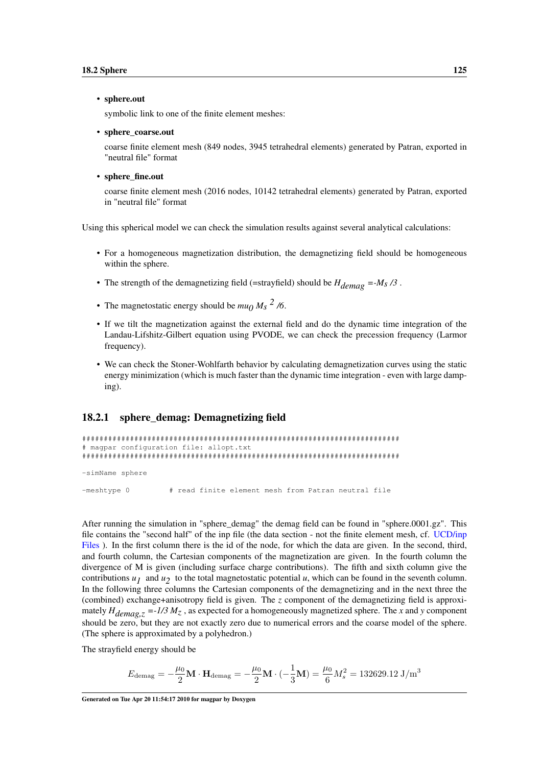#### • sphere.out

symbolic link to one of the finite element meshes:

#### • sphere\_coarse.out

coarse finite element mesh (849 nodes, 3945 tetrahedral elements) generated by Patran, exported in "neutral file" format

#### • sphere fine.out

coarse finite element mesh (2016 nodes, 10142 tetrahedral elements) generated by Patran, exported in "neutral file" format

Using this spherical model we can check the simulation results against several analytical calculations:

- For a homogeneous magnetization distribution, the demagnetizing field should be homogeneous within the sphere.
- The strength of the demagnetizing field (=strayfield) should be  $H_{demag} = -M_s/3$ .
- The magnetostatic energy should be  $mu_0 M_s$ <sup>2</sup>/6.
- If we tilt the magnetization against the external field and do the dynamic time integration of the Landau-Lifshitz-Gilbert equation using PVODE, we can check the precession frequency (Larmor frequency).
- We can check the Stoner-Wohlfarth behavior by calculating demagnetization curves using the static energy minimization (which is much faster than the dynamic time integration - even with large damping).

## <span id="page-134-0"></span>18.2.1 sphere\_demag: Demagnetizing field

```
#########################################################################
# magpar configuration file: allopt.txt
#########################################################################
-simName sphere
-meshtype 0 # read finite element mesh from Patran neutral file
```
After running the simulation in "sphere demag" the demag field can be found in "sphere.0001.gz". This file contains the "second half" of the inp file (the data section - not the finite element mesh, cf. [UCD/inp](#page-147-0) [Files](#page-147-0) ). In the first column there is the id of the node, for which the data are given. In the second, third, and fourth column, the Cartesian components of the magnetization are given. In the fourth column the divergence of M is given (including surface charge contributions). The fifth and sixth column give the contributions  $u_1$  and  $u_2$  to the total magnetostatic potential *u*, which can be found in the seventh column. In the following three columns the Cartesian components of the demagnetizing and in the next three the (combined) exchange+anisotropy field is given. The *z* component of the demagnetizing field is approximately  $H_{demag,z} = -1/3 M_z$ , as expected for a homogeneously magnetized sphere. The *x* and *y* component should be zero, but they are not exactly zero due to numerical errors and the coarse model of the sphere. (The sphere is approximated by a polyhedron.)

The strayfield energy should be

$$
E_{\text{demag}} = -\frac{\mu_0}{2} \mathbf{M} \cdot \mathbf{H}_{\text{demag}} = -\frac{\mu_0}{2} \mathbf{M} \cdot (-\frac{1}{3} \mathbf{M}) = \frac{\mu_0}{6} M_s^2 = 132629.12 \text{ J/m}^3
$$

Generated on Tue Apr 20 11:54:17 2010 for magpar by Doxygen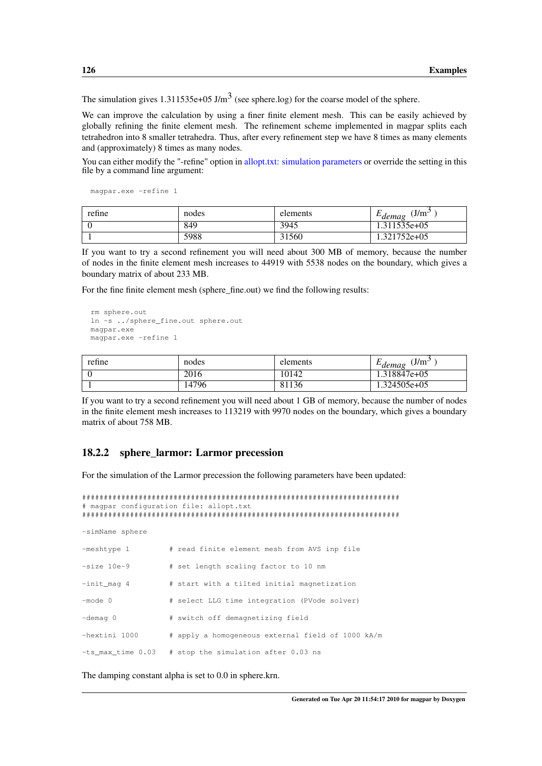The simulation gives 1.311535e+05 J/m<sup>3</sup> (see sphere.log) for the coarse model of the sphere.

We can improve the calculation by using a finer finite element mesh. This can be easily achieved by globally refining the finite element mesh. The refinement scheme implemented in magpar splits each tetrahedron into 8 smaller tetrahedra. Thus, after every refinement step we have 8 times as many elements and (approximately) 8 times as many nodes.

You can either modify the "-refine" option in [allopt.txt: simulation parameters](#page-109-0) or override the setting in this file by a command line argument:

magpar.exe -refine 1

| refine | nodes | elements | $(J/m^3)$<br>$L$ demag |
|--------|-------|----------|------------------------|
|        | 849   | 3945     | .311535e+05            |
|        | 5988  | 31560    | 1.321752e+05           |

If you want to try a second refinement you will need about 300 MB of memory, because the number of nodes in the finite element mesh increases to 44919 with 5538 nodes on the boundary, which gives a boundary matrix of about 233 MB.

For the fine finite element mesh (sphere fine.out) we find the following results:

```
rm sphere.out
ln -s ../sphere_fine.out sphere.out
magpar.exe
magpar.exe -refine 1
```

| refine | nodes | elements | J/m <sup>3</sup><br>$-aemae$ |
|--------|-------|----------|------------------------------|
|        | 2016  | 10142    | .318847e+05                  |
|        | 14796 | 81136    | .324505e+05                  |

If you want to try a second refinement you will need about 1 GB of memory, because the number of nodes in the finite element mesh increases to 113219 with 9970 nodes on the boundary, which gives a boundary matrix of about 758 MB.

## <span id="page-135-0"></span>18.2.2 sphere\_larmor: Larmor precession

For the simulation of the Larmor precession the following parameters have been updated:

```
#########################################################################
# magpar configuration file: allopt.txt
#########################################################################
-simName sphere
-meshtype 1 # read finite element mesh from AVS inp file
-size 10e-9 # set length scaling factor to 10 nm
-init mag 4 \# start with a tilted initial magnetization
-mode 0 \# select LLG time integration (PVode solver)
-demag 0 # switch off demagnetizing field
-hextini 1000 # apply a homogeneous external field of 1000 kA/m
-ts_max_time 0.03 # stop the simulation after 0.03 ns
```
The damping constant alpha is set to 0.0 in sphere.krn.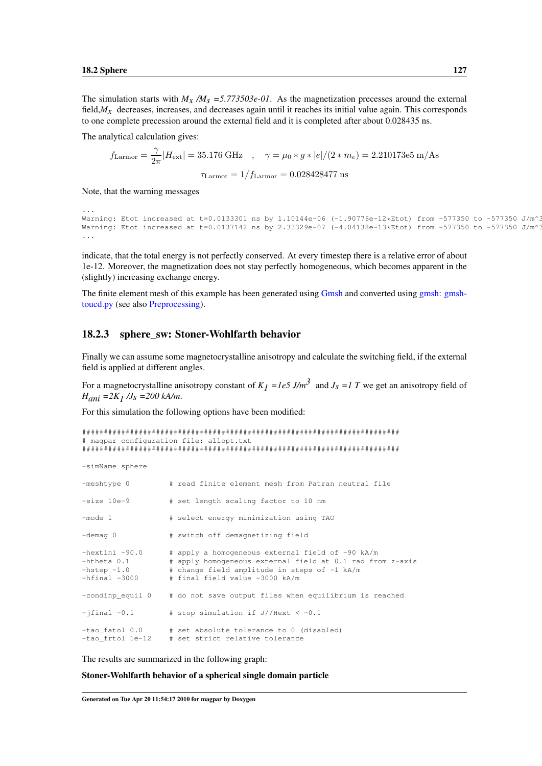...

The simulation starts with  $M_X/M_S = 5.773503e-01$ . As the magnetization precesses around the external field, $M_X$  decreases, increases, and decreases again until it reaches its initial value again. This corresponds to one complete precession around the external field and it is completed after about 0.028435 ns.

The analytical calculation gives:

$$
f_{\text{Larmor}} = \frac{\gamma}{2\pi} |H_{\text{ext}}| = 35.176 \text{ GHz} \quad , \quad \gamma = \mu_0 * g * |e| / (2 * m_e) = 2.210173e5 \text{ m/As}
$$

$$
\tau_{\text{Larmor}} = 1 / f_{\text{Larmor}} = 0.028428477 \text{ ns}
$$

Note, that the warning messages

```
Warning: Etot increased at t=0.0133301 ns by 1.10144e-06 (-1.90776e-12*Etot) from -577350 to -577350 J/m^3
Warning: Etot increased at t=0.0137142 ns by 2.33329e-07 (-4.04138e-13*Etot) from -577350 to -577350 J/m^3
...
```
indicate, that the total energy is not perfectly conserved. At every timestep there is a relative error of about 1e-12. Moreover, the magnetization does not stay perfectly homogeneous, which becomes apparent in the (slightly) increasing exchange energy.

<span id="page-136-0"></span>The finite element mesh of this example has been generated using [Gmsh](#page-103-0) and converted using [gmsh: gmsh](#page-151-0)[toucd.py](#page-151-0) (see also [Preprocessing\)](#page-102-0).

#### 18.2.3 sphere\_sw: Stoner-Wohlfarth behavior

Finally we can assume some magnetocrystalline anisotropy and calculate the switching field, if the external field is applied at different angles.

For a magnetocrystalline anisotropy constant of  $K_I = Ie5$  J/m<sup>3</sup> and  $J_s = I T$  we get an anisotropy field of *Hani =2K1 /Js =200 kA/m*.

For this simulation the following options have been modified:

```
#########################################################################
# magpar configuration file: allopt.txt
#########################################################################
-simName sphere
-meshtype 0 \# read finite element mesh from Patran neutral file
-size 10e-9 # set length scaling factor to 10 nm
-mode 1 # select energy minimization using TAO
-demag 0 # switch off demagnetizing field
-hextini -90.0 # apply a homogeneous external field of -90 kA/m
-htheta 0.1 # apply homogeneous external field at 0.1 rad from z-axis
-hstep -1.0 # change field amplitude in steps of -1 kA/m
-hfinal -3000 # final field value -3000 kA/m
-condinp equil 0 \# do not save output files when equilibrium is reached
-jfinal -0.1 # stop simulation if J//Hext < -0.1
-tao_fatol 0.0 # set absolute tolerance to 0 (disabled)
-tao_frtol 1e-12 # set strict relative tolerance
```
The results are summarized in the following graph:

<span id="page-136-1"></span>Stoner-Wohlfarth behavior of a spherical single domain particle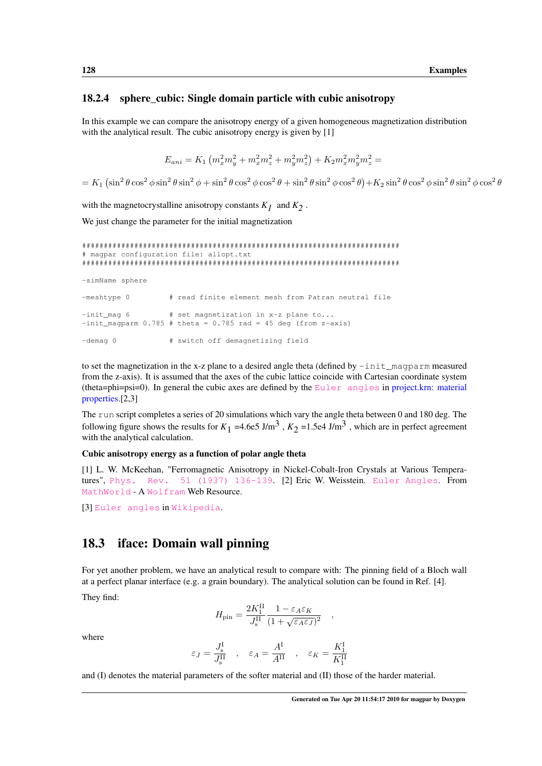### 18.2.4 sphere\_cubic: Single domain particle with cubic anisotropy

In this example we can compare the anisotropy energy of a given homogeneous magnetization distribution with the analytical result. The cubic anisotropy energy is given by [1]

$$
E_{ani} = K_1 \left( m_x^2 m_y^2 + m_x^2 m_z^2 + m_y^2 m_z^2 \right) + K_2 m_x^2 m_y^2 m_z^2 =
$$

 $= K_1 \left(\sin^2 \theta \cos^2 \phi \sin^2 \theta \sin^2 \phi + \sin^2 \theta \cos^2 \phi \cos^2 \theta + \sin^2 \theta \sin^2 \phi \cos^2 \theta \right) + K_2 \sin^2 \theta \cos^2 \phi \sin^2 \theta \sin^2 \phi \cos^2 \theta$ 

with the magnetocrystalline anisotropy constants  $K_I$  and  $K_2$ .

We just change the parameter for the initial magnetization

```
#########################################################################
# magpar configuration file: allopt.txt
#########################################################################
-simName sphere
-meshtype 0 # read finite element mesh from Patran neutral file
-int\_mag 6 # set magnetization in x-z plane to...
-int\_magparm 0.785 # theta = 0.785 rad = 45 deg (from z-axis)
-demag 0 # switch off demagnetizing field
```
to set the magnetization in the x-z plane to a desired angle theta (defined by  $-int\_mapparam$  measured from the z-axis). It is assumed that the axes of the cubic lattice coincide with Cartesian coordinate system (theta=phi=psi=0). In general the cubic axes are defined by the [Euler angles](http://mathworld.wolfram.com/EulerAngles.html) in [project.krn: material](#page-109-1) [properties.](#page-109-1)[2,3]

The run script completes a series of 20 simulations which vary the angle theta between 0 and 180 deg. The following figure shows the results for  $K_1 = 4.6e5 \text{ J/m}^3$ ,  $K_2 = 1.5e4 \text{ J/m}^3$ , which are in perfect agreement with the analytical calculation.

#### Cubic anisotropy energy as a function of polar angle theta

[1] L. W. McKeehan, "Ferromagnetic Anisotropy in Nickel-Cobalt-Iron Crystals at Various Temperatures", [Phys. Rev. 51 \(1937\) 136-139](http://dx.doi.org/10.1103/PhysRev.51.136). [2] Eric W. Weisstein. [Euler Angles](http://mathworld.wolfram.com/EulerAngles.html). From [MathWorld](http://mathworld.wolfram.com/) - A [Wolfram](http://www.wolfram.com/) Web Resource.

<span id="page-137-0"></span>[3] [Euler angles](http://en.wikipedia.org/wiki/Euler_angles) in [Wikipedia](http://www.wikipedia.org/).

## 18.3 iface: Domain wall pinning

For yet another problem, we have an analytical result to compare with: The pinning field of a Bloch wall at a perfect planar interface (e.g. a grain boundary). The analytical solution can be found in Ref. [4].

They find:

$$
H_{\rm{pin}} = \frac{2K_1^{\rm{II}}}{J_{\rm{s}}^{\rm{II}}} \frac{1 - \varepsilon_A \varepsilon_K}{(1 + \sqrt{\varepsilon_A \varepsilon_J})^2}
$$

,

where

$$
\varepsilon_J = \frac{J_{\rm s}^{\rm I}}{J_{\rm s}^{\rm II}} \quad , \quad \varepsilon_A = \frac{A^{\rm I}}{A^{\rm II}} \quad , \quad \varepsilon_K = \frac{K_1^{\rm I}}{K_1^{\rm II}}
$$

and (I) denotes the material parameters of the softer material and (II) those of the harder material.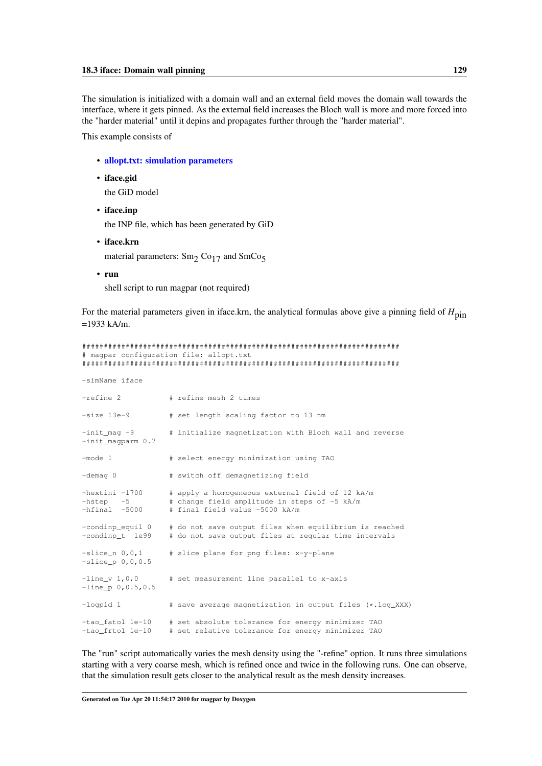The simulation is initialized with a domain wall and an external field moves the domain wall towards the interface, where it gets pinned. As the external field increases the Bloch wall is more and more forced into the "harder material" until it depins and propagates further through the "harder material".

This example consists of

- [allopt.txt: simulation parameters](#page-109-0)
- iface.gid

the GiD model

• iface.inp

the INP file, which has been generated by GiD

• iface.krn

material parameters: Sm<sub>2</sub> Co<sub>17</sub> and SmCo<sub>5</sub>

• run

shell script to run magpar (not required)

For the material parameters given in iface.krn, the analytical formulas above give a pinning field of  $H_{\text{pin}}$  $=1933$  kA/m.

|                                                    | # magpar configuration file: allopt.txt                                                                                           |
|----------------------------------------------------|-----------------------------------------------------------------------------------------------------------------------------------|
| -simName iface                                     |                                                                                                                                   |
| $-refine$ 2                                        | # refine mesh 2 times                                                                                                             |
| $-size$ 13e-9                                      | # set length scaling factor to 13 nm                                                                                              |
| $-int\_mag -9$<br>$-int_m$ aqparm $0.7$            | # initialize magnetization with Bloch wall and reverse                                                                            |
| $-mode 1$                                          | # select energy minimization using TAO                                                                                            |
| $-demaq 0$                                         | # switch off demagnetizing field                                                                                                  |
| $-hextini -1700$<br>$-hstep -5$<br>$-hfinal$ -5000 | # apply a homogeneous external field of 12 kA/m<br># change field amplitude in steps of -5 kA/m<br># final field value -5000 kA/m |
| -condinp equil 0<br>-condinp_t 1e99                | # do not save output files when equilibrium is reached<br># do not save output files at reqular time intervals                    |
| $-slice n 0, 0, 1$<br>$-slice p 0, 0, 0.5$         | # slice plane for png files: x-y-plane                                                                                            |
| $-$ line v 1,0,0<br>$-line_p 0, 0.5, 0.5$          | # set measurement line parallel to x-axis                                                                                         |
| -logpid 1                                          | # save average magnetization in output files (*.log_XXX)                                                                          |
| -tao fatol 1e-10<br>-tao_frtol le-10               | # set absolute tolerance for energy minimizer TAO<br># set relative tolerance for energy minimizer TAO                            |

The "run" script automatically varies the mesh density using the "-refine" option. It runs three simulations starting with a very coarse mesh, which is refined once and twice in the following runs. One can observe, that the simulation result gets closer to the analytical result as the mesh density increases.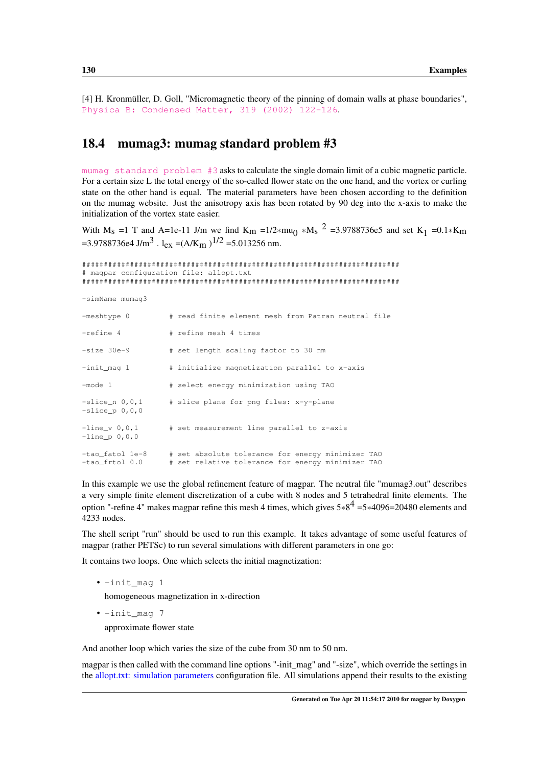<span id="page-139-0"></span>[4] H. Kronmüller, D. Goll, "Micromagnetic theory of the pinning of domain walls at phase boundaries", [Physica B: Condensed Matter, 319 \(2002\) 122-126](http://dx.doi.org/10.1016/S0921-4526(02)01113-4).

## 18.4 mumag3: mumag standard problem #3

[mumag standard problem #3](http://www.ctcms.nist.gov/mumag/mumag.org.html) asks to calculate the single domain limit of a cubic magnetic particle. For a certain size L the total energy of the so-called flower state on the one hand, and the vortex or curling state on the other hand is equal. The material parameters have been chosen according to the definition on the mumag website. Just the anisotropy axis has been rotated by 90 deg into the x-axis to make the initialization of the vortex state easier.

With M<sub>s</sub> =1 T and A=1e-11 J/m we find K<sub>m</sub> =1/2∗mu<sub>0</sub> \*M<sub>s</sub> <sup>2</sup> =3.9788736e5 and set K<sub>1</sub> =0.1\*K<sub>m</sub> =3.9788736e4 J/m<sup>3</sup>. l<sub>ex</sub> =(A/K<sub>m</sub>)<sup>1/2</sup> =5.013256 nm.

```
#########################################################################
# magpar configuration file: allopt.txt
#########################################################################
-simName mumag3
-meshtype 0 # read finite element mesh from Patran neutral file
-refine 4 # refine mesh 4 times
-size 30e-9 \qquad # set length scaling factor to 30 nm
-init mag 1 \# initialize magnetization parallel to x-axis
-mode 1 # select energy minimization using TAO
-slice_n 0,0,1 # slice plane for png files: x-y-plane
-slice\_p 0, 0, 0-line_v 0,0,1 # set measurement line parallel to z-axis
-line_p 0,0,0
-tao_fatol 1e-8 # set absolute tolerance for energy minimizer TAO
-tao_frtol 0.0 # set relative tolerance for energy minimizer TAO
```
In this example we use the global refinement feature of magpar. The neutral file "mumag3.out" describes a very simple finite element discretization of a cube with 8 nodes and 5 tetrahedral finite elements. The option "-refine 4" makes magpar refine this mesh 4 times, which gives  $5*8^4 = 5*4096 = 20480$  elements and 4233 nodes.

The shell script "run" should be used to run this example. It takes advantage of some useful features of magpar (rather PETSc) to run several simulations with different parameters in one go:

It contains two loops. One which selects the initial magnetization:

- -init\_mag 1 homogeneous magnetization in x-direction
- -init\_mag 7

approximate flower state

And another loop which varies the size of the cube from 30 nm to 50 nm.

magpar is then called with the command line options "-init\_mag" and "-size", which override the settings in the [allopt.txt: simulation parameters](#page-109-0) configuration file. All simulations append their results to the existing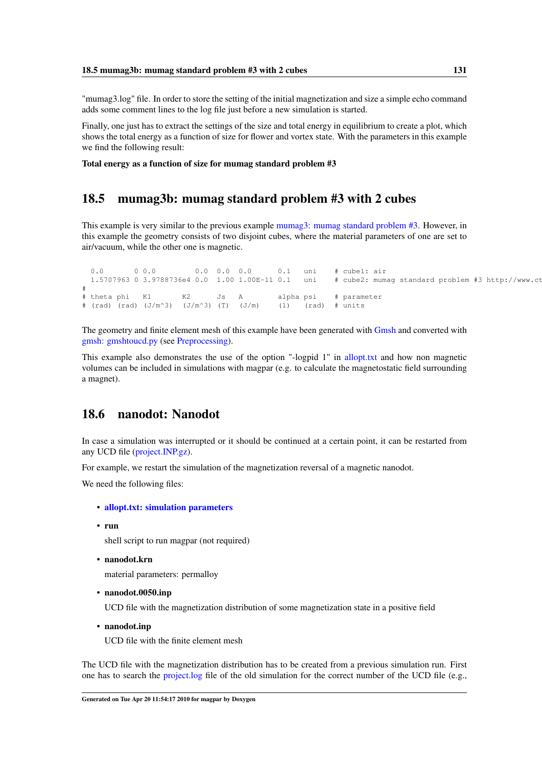"mumag3.log" file. In order to store the setting of the initial magnetization and size a simple echo command adds some comment lines to the log file just before a new simulation is started.

Finally, one just has to extract the settings of the size and total energy in equilibrium to create a plot, which shows the total energy as a function of size for flower and vortex state. With the parameters in this example we find the following result:

<span id="page-140-0"></span>Total energy as a function of size for mumag standard problem #3

## 18.5 mumag3b: mumag standard problem #3 with 2 cubes

This example is very similar to the previous example [mumag3: mumag standard problem #3.](#page-139-0) However, in this example the geometry consists of two disjoint cubes, where the material parameters of one are set to air/vacuum, while the other one is magnetic.

```
0.0 0.0 0.0 0.0 0.0 0.0 0.1 uni # cube1: air<br>1.5707963 0 3.9788736e4 0.0 1.00 1.00E-11 0.1 uni # cube2: mum
                                                        uni # cube2: mumag standard problem #3 http://www.ct
#
# theta phi K1 K2 Js A alpha psi # parameter
# (rad) (rad) (J/m<sup>^</sup>3) (J/m<sup>^</sup>3) (T) (J/m) (1) (rad) # units
```
The geometry and finite element mesh of this example have been generated with [Gmsh](#page-103-0) and converted with [gmsh: gmshtoucd.py](#page-151-0) (see [Preprocessing\)](#page-102-0).

This example also demonstrates the use of the option "-logpid 1" in [allopt.txt](#page-113-0) and how non magnetic volumes can be included in simulations with magpar (e.g. to calculate the magnetostatic field surrounding a magnet).

## <span id="page-140-1"></span>18.6 nanodot: Nanodot

In case a simulation was interrupted or it should be continued at a certain point, it can be restarted from any UCD file [\(project.INP.gz\)](#page-129-1).

For example, we restart the simulation of the magnetization reversal of a magnetic nanodot.

We need the following files:

- [allopt.txt: simulation parameters](#page-109-0)
- run

shell script to run magpar (not required)

• nanodot.krn

material parameters: permalloy

• nanodot.0050.inp

UCD file with the magnetization distribution of some magnetization state in a positive field

• nanodot.inp

UCD file with the finite element mesh

The UCD file with the magnetization distribution has to be created from a previous simulation run. First one has to search the [project.log](#page-130-0) file of the old simulation for the correct number of the UCD file (e.g.,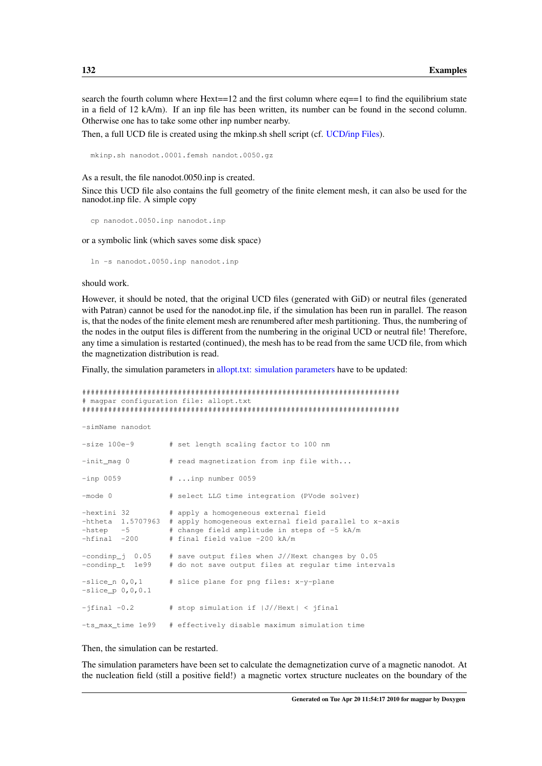search the fourth column where  $Hext==12$  and the first column where  $eq==1$  to find the equilibrium state in a field of 12 kA/m). If an inp file has been written, its number can be found in the second column. Otherwise one has to take some other inp number nearby.

Then, a full UCD file is created using the mkinp.sh shell script (cf. [UCD/inp Files\)](#page-147-0).

mkinp.sh nanodot.0001.femsh nandot.0050.gz

As a result, the file nanodot.0050.inp is created.

Since this UCD file also contains the full geometry of the finite element mesh, it can also be used for the nanodot.inp file. A simple copy

```
cp nanodot.0050.inp nanodot.inp
```
or a symbolic link (which saves some disk space)

ln -s nanodot.0050.inp nanodot.inp

should work.

However, it should be noted, that the original UCD files (generated with GiD) or neutral files (generated with Patran) cannot be used for the nanodot.inp file, if the simulation has been run in parallel. The reason is, that the nodes of the finite element mesh are renumbered after mesh partitioning. Thus, the numbering of the nodes in the output files is different from the numbering in the original UCD or neutral file! Therefore, any time a simulation is restarted (continued), the mesh has to be read from the same UCD file, from which the magnetization distribution is read.

Finally, the simulation parameters in [allopt.txt: simulation parameters](#page-109-0) have to be updated:

```
#########################################################################
# magpar configuration file: allopt.txt
#########################################################################
-simName nanodot
-size 100e-9 # set length scaling factor to 100 nm
-init_mag 0 \qquad # read magnetization from inp file with...
-inp 0059 # ...inp number 0059
-mode 0 \# select LLG time integration (PVode solver)
-hextini 32 # apply a homogeneous external field
-htheta 1.5707963 # apply homogeneous external field parallel to x-axis<br>-hstep -5 # change field amplitude in steps of -5 kA/m<br>-hfinal -200 # final field value -200 kA/m
                      # change field amplitude in steps of -5 kA/m
                      # final field value -200 kA/m
-condinp_j 0.05 # save output files when J//Hext changes by 0.05<br>-condinp t 1e99 # do not save output files at regular time inter
                      # do not save output files at regular time intervals
-slice_n 0,0,1 # slice plane for png files: x-y-plane
-slice_p 0,0,0.1
-jfinal -0.2 # stop simulation if |J//Hext| < jfinal-ts_max_time 1e99 # effectively disable maximum simulation time
```
#### Then, the simulation can be restarted.

The simulation parameters have been set to calculate the demagnetization curve of a magnetic nanodot. At the nucleation field (still a positive field!) a magnetic vortex structure nucleates on the boundary of the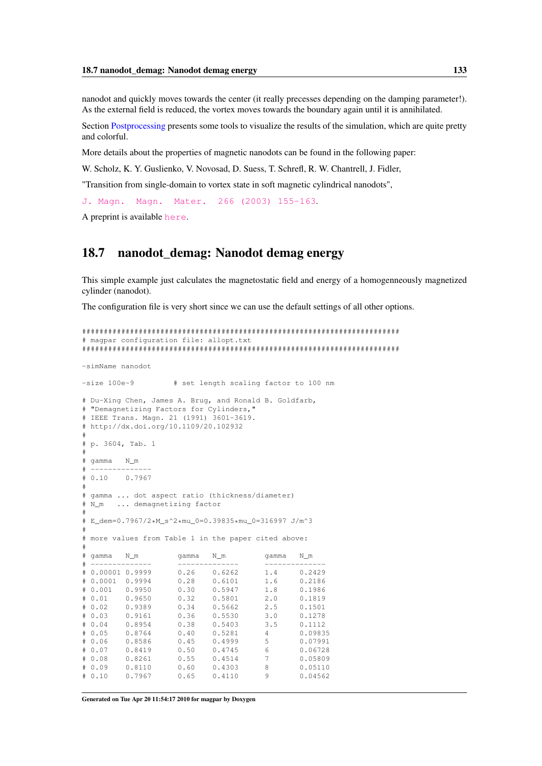nanodot and quickly moves towards the center (it really precesses depending on the damping parameter!). As the external field is reduced, the vortex moves towards the boundary again until it is annihilated.

Section [Postprocessing](#page-146-0) presents some tools to visualize the results of the simulation, which are quite pretty and colorful.

More details about the properties of magnetic nanodots can be found in the following paper:

W. Scholz, K. Y. Guslienko, V. Novosad, D. Suess, T. Schrefl, R. W. Chantrell, J. Fidler,

"Transition from single-domain to vortex state in soft magnetic cylindrical nanodots",

```
J. Magn. Magn. Mater. 266 (2003) 155-163.
```
<span id="page-142-0"></span>A preprint is available [here](http://www.cwscholz.net/Main/PublicationsList).

## 18.7 nanodot\_demag: Nanodot demag energy

This simple example just calculates the magnetostatic field and energy of a homogenneously magnetized cylinder (nanodot).

The configuration file is very short since we can use the default settings of all other options.

```
#########################################################################
# magpar configuration file: allopt.txt
#########################################################################
-simName nanodot
-size 100e-9 \qquad # set length scaling factor to 100 nm
# Du-Xing Chen, James A. Brug, and Ronald B. Goldfarb,
# "Demagnetizing Factors for Cylinders,"
# IEEE Trans. Magn. 21 (1991) 3601-3619.
# http://dx.doi.org/10.1109/20.102932
#
# p. 3604, Tab. 1
#
# gamma N_m
# --------------
# 0.10 0.7967
#
# gamma ... dot aspect ratio (thickness/diameter)
# N m ... demagnetizing factor
#
# E_dem=0.7967/2*M_s^2*mu_0=0.39835*mu_0=316997 J/m^3
#
# more values from Table 1 in the paper cited above:
#
# gamma N_m gamma N_m gamma N_m
# -------------- -------------- --------------
# 0.00001 0.9999 0.26 0.6262 1.4 0.2429
# 0.0001 0.9994 0.28 0.6101 1.6 0.2186
# 0.001 0.9950 0.30 0.5947 1.8 0.1986
# 0.01 0.9650# 0.02 0.9389 0.34 0.5662 2.5 0.1501
# 0.03 0.9161 0.36 0.5530 3.0 0.1278
# 0.04 0.8954 0.38 0.5403 3.5 0.1112
# 0.05 0.8764 0.40 0.5281 4 0.09835
                        0.4999 5 0.07991
# 0.07 0.8419 0.50 0.4745 6 0.06728
# 0.08 0.8261 0.55 0.4514 7 0.05809
# 0.09 0.8110 0.60 0.4303 8 0.05110
# 0.10 0.7967 0.65 0.4110 9 0.04562
```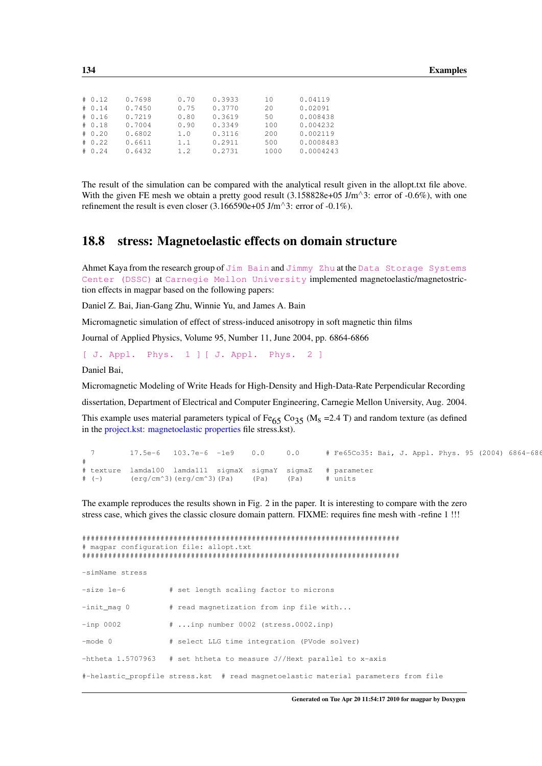| # 0.12<br># 0.14<br># 0.16<br># 0.18<br># 0.20<br># 0.22 | 0.7698<br>0.7450<br>0.7219<br>0.7004<br>0.6802<br>0.6611 | 0.70<br>0.75<br>0.80<br>0.90<br>1.0<br>1.1 | 0.3933<br>0.3770<br>0.3619<br>0.3349<br>0.3116<br>0.2911 | 10<br>2.0<br>50<br>100<br>200<br>500 | 0.04119<br>0.02091<br>0.008438<br>0.004232<br>0.002119 |
|----------------------------------------------------------|----------------------------------------------------------|--------------------------------------------|----------------------------------------------------------|--------------------------------------|--------------------------------------------------------|
| # 0.24                                                   | 0.6432                                                   | 1.2.                                       | 0.2731                                                   | 1000                                 | 0.0008483<br>0.0004243                                 |
|                                                          |                                                          |                                            |                                                          |                                      |                                                        |

The result of the simulation can be compared with the analytical result given in the allopt.txt file above. With the given FE mesh we obtain a pretty good result  $(3.158828e+05 \text{ J/m}^3)$ : error of -0.6%), with one refinement the result is even closer  $(3.166590e+05 \text{ J/m}^{\wedge}3$ : error of -0.1%).

## <span id="page-143-0"></span>18.8 stress: Magnetoelastic effects on domain structure

Ahmet Kaya from the research group of [Jim Bain](http://www.ece.cmu.edu/~jbain/) and [Jimmy Zhu](http://www.ece.cmu.edu/~jzhu/) at the [Data Storage Systems](http://www.dssc.ece.cmu.edu/) [Center \(DSSC\)](http://www.dssc.ece.cmu.edu/) at [Carnegie Mellon University](http://www.cmu.edu/index.shtml) implemented magnetoelastic/magnetostriction effects in magpar based on the following papers:

Daniel Z. Bai, Jian-Gang Zhu, Winnie Yu, and James A. Bain

Micromagnetic simulation of effect of stress-induced anisotropy in soft magnetic thin films

Journal of Applied Physics, Volume 95, Number 11, June 2004, pp. 6864-6866

[\[ J. Appl. Phys. 1 \]](http://dx.doi.org/10.1063/1.1667445) [\[ J. Appl. Phys. 2 \]](http://scitation.aip.org/journals/doc/JAPIAU-ft/vol_95/iss_11/6864_1.html)

Daniel Bai,

Micromagnetic Modeling of Write Heads for High-Density and High-Data-Rate Perpendicular Recording

dissertation, Department of Electrical and Computer Engineering, Carnegie Mellon University, Aug. 2004.

This example uses material parameters typical of Fe<sub>65</sub> Co<sub>35</sub> (M<sub>s</sub> =2.4 T) and random texture (as defined in the [project.kst: magnetoelastic properties](#page-110-0) file stress.kst).

7 17.5e-6 103.7e-6 -1e9 0.0 0.0 # Fe65Co35: Bai, J. Appl. Phys. 95 (2004) 6864-6866. # # texture lamda100 lamda111 sigmaX sigmaY sigmaZ # parameter # (-) (erg/cm^3)(erg/cm^3)(Pa) (Pa) (Pa) # units

The example reproduces the results shown in Fig. 2 in the paper. It is interesting to compare with the zero stress case, which gives the classic closure domain pattern. FIXME: requires fine mesh with -refine 1 !!!

```
#########################################################################
# magpar configuration file: allopt.txt
#########################################################################
-simName stress
-size 1e-6 # set length scaling factor to microns
-init_mag 0 # read magnetization from inp file with...
-inp 0002 # ...inp number 0002 (stress.0002.inp)
-mode 0 \# select LLG time integration (PVode solver)
-htheta 1.5707963 # set htheta to measure J//Hext parallel to x-axis
#-helastic_propfile stress.kst # read magnetoelastic material parameters from file
```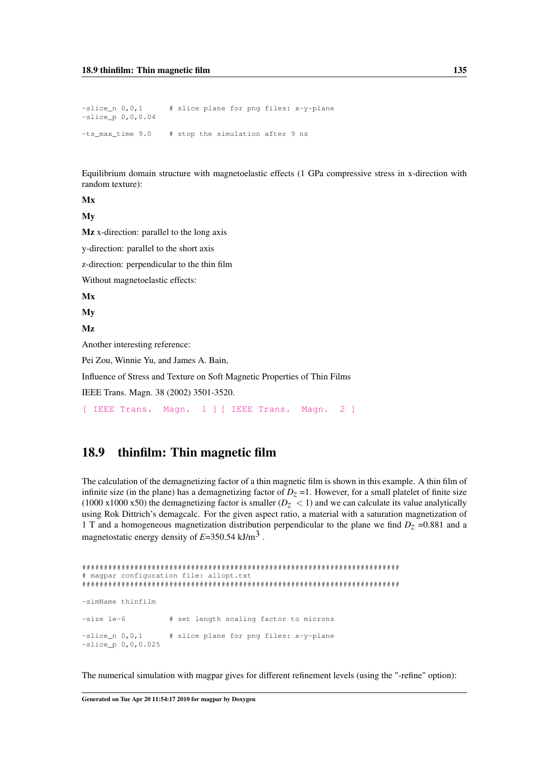$-slice_n$  0, 0, 1 # slice plane for png files: x-y-plane -slice\_p 0,0,0.04 -ts\_max\_time 9.0 # stop the simulation after 9 ns

Equilibrium domain structure with magnetoelastic effects (1 GPa compressive stress in x-direction with random texture):

Mx

My

Mz x-direction: parallel to the long axis

y-direction: parallel to the short axis

z-direction: perpendicular to the thin film

Without magnetoelastic effects:

Mx

My

Mz

Another interesting reference:

Pei Zou, Winnie Yu, and James A. Bain,

Influence of Stress and Texture on Soft Magnetic Properties of Thin Films

IEEE Trans. Magn. 38 (2002) 3501-3520.

[\[ IEEE Trans. Magn. 1 \]](http://dx.doi.org/10.1109/TMAG.2002.802705) [\[ IEEE Trans. Magn. 2 \]](http://ieeexplore.ieee.org/search/srchabstract.jsp?arnumber=1041970&isnumber=22333&punumber=20&k2dockey=1041970%40ieeejrns)

## 18.9 thinfilm: Thin magnetic film

The calculation of the demagnetizing factor of a thin magnetic film is shown in this example. A thin film of infinite size (in the plane) has a demagnetizing factor of  $D<sub>Z</sub> = 1$ . However, for a small platelet of finite size (1000 x1000 x50) the demagnetizing factor is smaller  $(D_z < 1)$  and we can calculate its value analytically using Rok Dittrich's demagcalc. For the given aspect ratio, a material with a saturation magnetization of 1 T and a homogeneous magnetization distribution perpendicular to the plane we find  $D<sub>Z</sub> = 0.881$  and a magnetostatic energy density of  $E=350.54 \text{ kJ/m}^3$ .

```
#########################################################################
# magpar configuration file: allopt.txt
#########################################################################
-simName thinfilm
-size 1e-6 \qquad # set length scaling factor to microns
-slice n 0,0,1 # slice plane for png files: x-y-plane
-slice_p 0,0,0.025
```
The numerical simulation with magpar gives for different refinement levels (using the "-refine" option):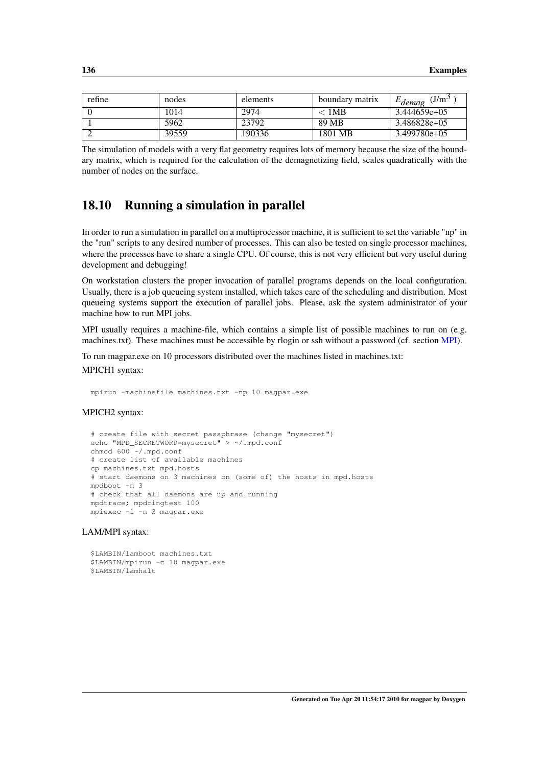| refine | nodes | elements | boundary matrix | J/m <sup>3</sup><br>$E_{demag}$ |
|--------|-------|----------|-----------------|---------------------------------|
|        | 1014  | 2974     | < 1MB           | $3.444659e+05$                  |
|        | 5962  | 23792    | 89 MB           | 3.486828e+05                    |
|        | 39559 | 190336   | 1801 MB         | $3.499780e+05$                  |

The simulation of models with a very flat geometry requires lots of memory because the size of the boundary matrix, which is required for the calculation of the demagnetizing field, scales quadratically with the number of nodes on the surface.

#### 18.10 Running a simulation in parallel

In order to run a simulation in parallel on a multiprocessor machine, it is sufficient to set the variable "np" in the "run" scripts to any desired number of processes. This can also be tested on single processor machines, where the processes have to share a single CPU. Of course, this is not very efficient but very useful during development and debugging!

On workstation clusters the proper invocation of parallel programs depends on the local configuration. Usually, there is a job queueing system installed, which takes care of the scheduling and distribution. Most queueing systems support the execution of parallel jobs. Please, ask the system administrator of your machine how to run MPI jobs.

MPI usually requires a machine-file, which contains a simple list of possible machines to run on (e.g. machines.txt). These machines must be accessible by rlogin or ssh without a password (cf. section [MPI\)](#page-53-0).

To run magpar.exe on 10 processors distributed over the machines listed in machines.txt: MPICH1 syntax:

```
mpirun -machinefile machines.txt -np 10 magpar.exe
```
#### MPICH2 syntax:

```
# create file with secret passphrase (change "mysecret")
echo "MPD_SECRETWORD=mysecret" > ~/.mpd.conf
chmod 600 ~/.mpd.conf
# create list of available machines
cp machines.txt mpd.hosts
# start daemons on 3 machines on (some of) the hosts in mpd.hosts
mndboot -n 3
# check that all daemons are up and running
mpdtrace; mpdringtest 100
mpiexec -l -n 3 magpar.exe
```
#### LAM/MPI syntax:

\$LAMBIN/lamboot machines.txt \$LAMBIN/mpirun -c 10 magpar.exe \$LAMBIN/lamhalt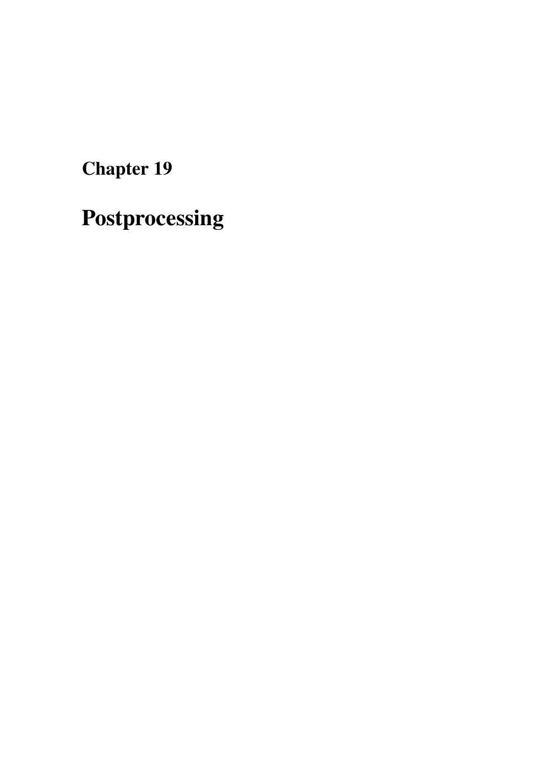<span id="page-146-0"></span>Postprocessing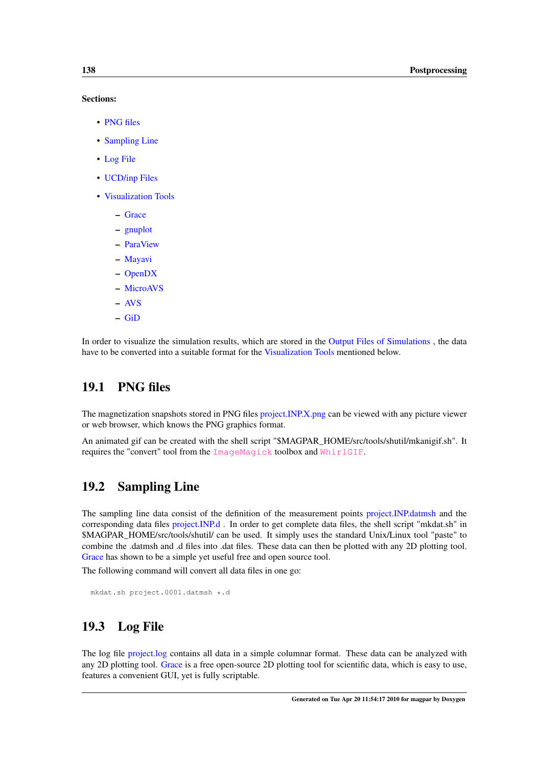#### Sections:

- [PNG files](#page-147-0)
- [Sampling Line](#page-147-1)
- [Log File](#page-147-2)
- [UCD/inp Files](#page-147-3)
- [Visualization Tools](#page-148-0)
	- [Grace](#page-148-1)
	- [gnuplot](#page-148-2)
	- [ParaView](#page-148-3)
	- [Mayavi](#page-148-4)
	- [OpenDX](#page-148-5)
	- [MicroAVS](#page-149-0)
	- [AVS](#page-149-1)
	- [GiD](#page-149-2)

<span id="page-147-0"></span>In order to visualize the simulation results, which are stored in the [Output Files of Simulations](#page-126-0) , the data have to be converted into a suitable format for the [Visualization Tools](#page-148-0) mentioned below.

## 19.1 PNG files

The magnetization snapshots stored in PNG files [project.INP.X.png](#page-127-0) can be viewed with any picture viewer or web browser, which knows the PNG graphics format.

<span id="page-147-1"></span>An animated gif can be created with the shell script "\$MAGPAR\_HOME/src/tools/shutil/mkanigif.sh". It requires the "convert" tool from the [ImageMagick](http://www.imagemagick.org/) toolbox and [WhirlGIF](http://linux.maruhn.com/sec/whirlgif.html).

## 19.2 Sampling Line

The sampling line data consist of the definition of the measurement points [project.INP.datmsh](#page-127-1) and the corresponding data files [project.INP.d](#page-127-2) . In order to get complete data files, the shell script "mkdat.sh" in \$MAGPAR\_HOME/src/tools/shutil/ can be used. It simply uses the standard Unix/Linux tool "paste" to combine the .datmsh and .d files into .dat files. These data can then be plotted with any 2D plotting tool. [Grace](#page-148-1) has shown to be a simple yet useful free and open source tool.

The following command will convert all data files in one go:

```
mkdat.sh project.0001.datmsh *.d
```
## 19.3 Log File

<span id="page-147-3"></span>The log file [project.log](#page-130-0) contains all data in a simple columnar format. These data can be analyzed with any 2D plotting tool. [Grace](#page-148-1) is a free open-source 2D plotting tool for scientific data, which is easy to use, features a convenient GUI, yet is fully scriptable.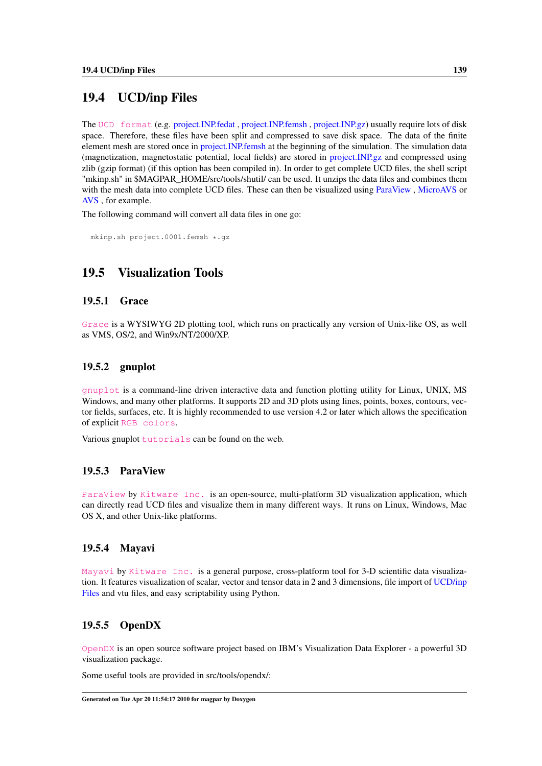## 19.4 UCD/inp Files

The [UCD format](http://help.avs.com/Express/doc/help/reference/dvmac/UCD_Form.htm) (e.g. [project.INP.fedat](#page-127-3) , [project.INP.femsh](#page-129-0) , [project.INP.gz\)](#page-129-1) usually require lots of disk space. Therefore, these files have been split and compressed to save disk space. The data of the finite element mesh are stored once in [project.INP.femsh](#page-129-0) at the beginning of the simulation. The simulation data (magnetization, magnetostatic potential, local fields) are stored in [project.INP.gz](#page-129-1) and compressed using zlib (gzip format) (if this option has been compiled in). In order to get complete UCD files, the shell script "mkinp.sh" in \$MAGPAR\_HOME/src/tools/shutil/ can be used. It unzips the data files and combines them with the mesh data into complete UCD files. These can then be visualized using [ParaView](#page-148-3) , [MicroAVS](#page-149-0) or [AVS](#page-149-1) , for example.

The following command will convert all data files in one go:

<span id="page-148-0"></span>mkinp.sh project.0001.femsh \*.gz

## 19.5 Visualization Tools

#### <span id="page-148-1"></span>19.5.1 Grace

<span id="page-148-2"></span>[Grace](http://plasma-gate.weizmann.ac.il/Grace/) is a WYSIWYG 2D plotting tool, which runs on practically any version of Unix-like OS, as well as VMS, OS/2, and Win9x/NT/2000/XP.

#### 19.5.2 gnuplot

[gnuplot](http://www.gnuplot.info/) is a command-line driven interactive data and function plotting utility for Linux, UNIX, MS Windows, and many other platforms. It supports 2D and 3D plots using lines, points, boxes, contours, vector fields, surfaces, etc. It is highly recommended to use version 4.2 or later which allows the specification of explicit [RGB colors](http://www.gnuplot.info/docs/).

<span id="page-148-3"></span>Various gnuplot [tutorials](http://t16web.lanl.gov/Kawano/gnuplot/index-e.html) can be found on the web.

#### 19.5.3 ParaView

[ParaView](http://www.paraview.org) by [Kitware Inc.](http://www.kitware.com) is an open-source, multi-platform 3D visualization application, which can directly read UCD files and visualize them in many different ways. It runs on Linux, Windows, Mac OS X, and other Unix-like platforms.

#### <span id="page-148-4"></span>19.5.4 Mayavi

[Mayavi](http://code.enthought.com/projects/mayavi/) by [Kitware Inc.](http://www.kitware.com) is a general purpose, cross-platform tool for 3-D scientific data visualization. It features visualization of scalar, vector and tensor data in 2 and 3 dimensions, file import of [UCD/inp](#page-147-3) [Files](#page-147-3) and vtu files, and easy scriptability using Python.

#### <span id="page-148-5"></span>19.5.5 OpenDX

[OpenDX](http://www.opendx.org/) is an open source software project based on IBM's Visualization Data Explorer - a powerful 3D visualization package.

Some useful tools are provided in src/tools/opendx/: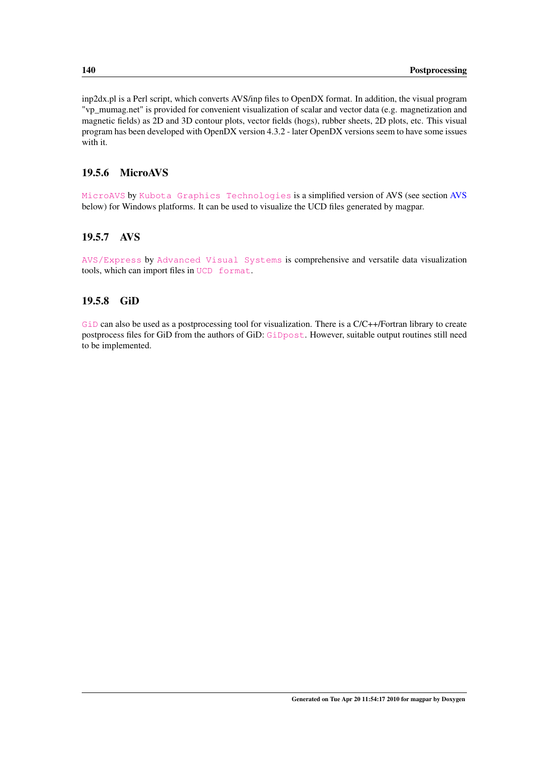inp2dx.pl is a Perl script, which converts AVS/inp files to OpenDX format. In addition, the visual program "vp\_mumag.net" is provided for convenient visualization of scalar and vector data (e.g. magnetization and magnetic fields) as 2D and 3D contour plots, vector fields (hogs), rubber sheets, 2D plots, etc. This visual program has been developed with OpenDX version 4.3.2 - later OpenDX versions seem to have some issues with it.

#### <span id="page-149-0"></span>19.5.6 MicroAVS

[MicroAVS](http://www.kgt.co.jp/english/products/microavs/index.html) by [Kubota Graphics Technologies](http://www.kgt.co.jp/index_e.html) is a simplified version of AVS (see section [AVS](#page-149-1) below) for Windows platforms. It can be used to visualize the UCD files generated by magpar.

#### <span id="page-149-1"></span>19.5.7 AVS

<span id="page-149-2"></span>[AVS/Express](http://www.avs.com/software/soft_t/avsxps.html) by [Advanced Visual Systems](http://www.avs.com/) is comprehensive and versatile data visualization tools, which can import files in [UCD format](http://help.avs.com/Express/doc/help/reference/dvmac/UCD_Form.htm).

#### 19.5.8 GiD

[GiD](http://www.gid-usa.com/) can also be used as a postprocessing tool for visualization. There is a C/C++/Fortran library to create postprocess files for GiD from the authors of GiD: [GiDpost](http://www.gid-usa.com/support/gidpost.subst). However, suitable output routines still need to be implemented.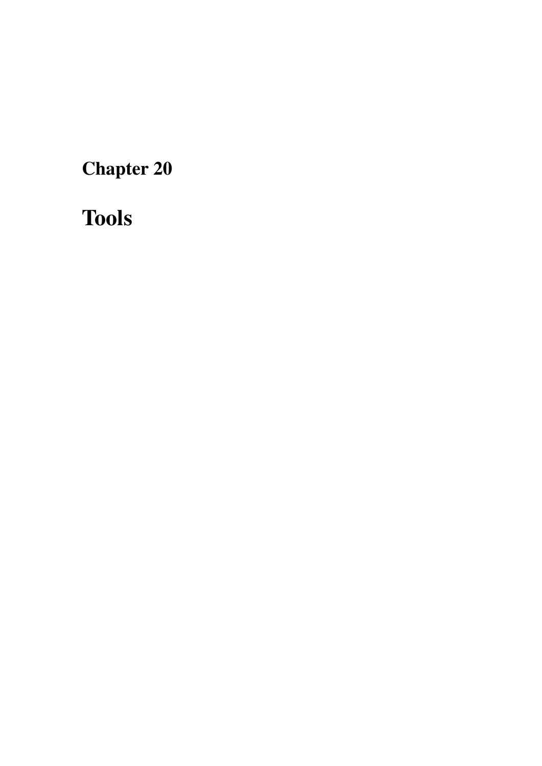Tools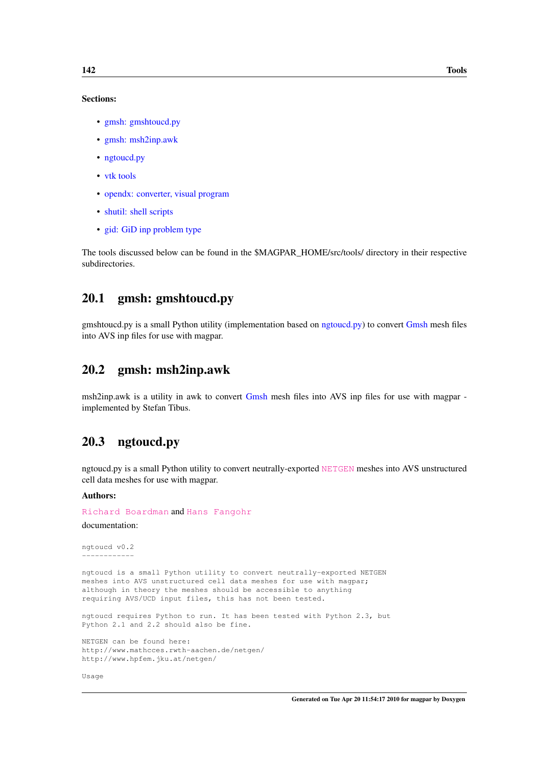#### Sections:

- [gmsh: gmshtoucd.py](#page-151-0)
- [gmsh: msh2inp.awk](#page-151-1)
- [ngtoucd.py](#page-151-2)
- [vtk tools](#page-152-0)
- [opendx: converter, visual program](#page-153-0)
- [shutil: shell scripts](#page-153-1)
- [gid: GiD inp problem type](#page-153-2)

<span id="page-151-0"></span>The tools discussed below can be found in the \$MAGPAR\_HOME/src/tools/ directory in their respective subdirectories.

## 20.1 gmsh: gmshtoucd.py

<span id="page-151-1"></span>gmshtoucd.py is a small Python utility (implementation based on [ngtoucd.py\)](#page-151-2) to convert [Gmsh](#page-103-0) mesh files into AVS inp files for use with magpar.

#### 20.2 gmsh: msh2inp.awk

<span id="page-151-2"></span>msh2inp.awk is a utility in awk to convert [Gmsh](#page-103-0) mesh files into AVS inp files for use with magpar implemented by Stefan Tibus.

### 20.3 ngtoucd.py

ngtoucd.py is a small Python utility to convert neutrally-exported [NETGEN](http://www.hpfem.jku.at/netgen/) meshes into AVS unstructured cell data meshes for use with magpar.

Authors:

[Richard Boardman](http://www.soton.ac.uk/~rpb/) and [Hans Fangohr](http://www.soton.ac.uk/~fangohr/)

```
documentation:
```

```
ngtoucd v0.2
------------
ngtoucd is a small Python utility to convert neutrally-exported NETGEN
meshes into AVS unstructured cell data meshes for use with magpar;
although in theory the meshes should be accessible to anything
requiring AVS/UCD input files, this has not been tested.
ngtoucd requires Python to run. It has been tested with Python 2.3, but
Python 2.1 and 2.2 should also be fine.
```
NETGEN can be found here: http://www.mathcces.rwth-aachen.de/netgen/ http://www.hpfem.jku.at/netgen/

Usage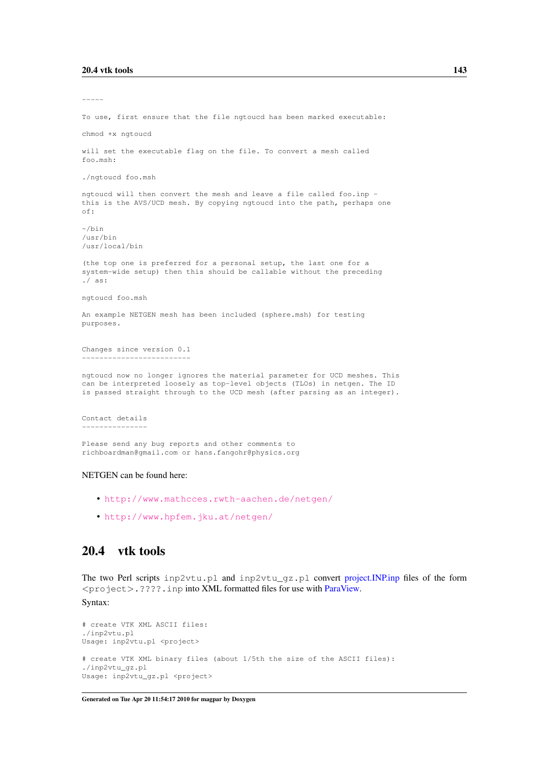----- To use, first ensure that the file ngtoucd has been marked executable: chmod +x ngtoucd will set the executable flag on the file. To convert a mesh called foo.msh: ./ngtoucd foo.msh ngtoucd will then convert the mesh and leave a file called foo.inp this is the AVS/UCD mesh. By copying ngtoucd into the path, perhaps one of:  $\sim$ /bin /usr/bin /usr/local/bin (the top one is preferred for a personal setup, the last one for a system-wide setup) then this should be callable without the preceding ./ as: ngtoucd foo.msh An example NETGEN mesh has been included (sphere.msh) for testing purposes. Changes since version 0.1 ------------------------ ngtoucd now no longer ignores the material parameter for UCD meshes. This can be interpreted loosely as top-level objects (TLOs) in netgen. The ID is passed straight through to the UCD mesh (after parsing as an integer). Contact details ---------------

Please send any bug reports and other comments to richboardman@gmail.com or hans.fangohr@physics.org

#### NETGEN can be found here:

- <http://www.mathcces.rwth-aachen.de/netgen/>
- <http://www.hpfem.jku.at/netgen/>

#### <span id="page-152-0"></span>20.4 vtk tools

The two Perl scripts inp2vtu.pl and inp2vtu\_gz.pl convert [project.INP.inp](#page-129-2) files of the form  $\langle$ project $\rangle$ .????.inp into XML formatted files for use with [ParaView.](#page-148-3)

#### Syntax:

```
# create VTK XML ASCII files:
./inp2vtu.pl
Usage: inp2vtu.pl <project>
# create VTK XML binary files (about 1/5th the size of the ASCII files):
./inp2vtu_gz.pl
Usage: inp2vtu_gz.pl <project>
```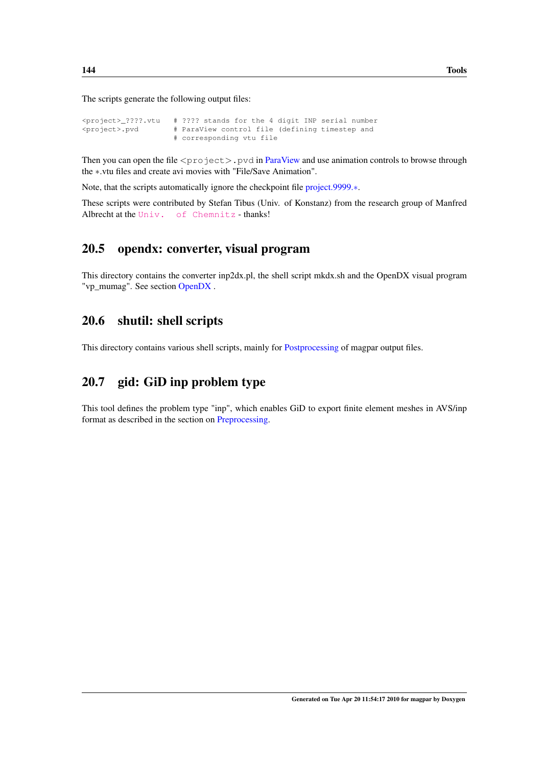The scripts generate the following output files:

```
\langleproject> ????.vtu # ???? stands for the 4 digit INP serial number
<project>.pvd # ParaView control file (defining timestep and
                    # corresponding vtu file
```
Then you can open the file  $\langle$ project $\rangle$ . pvd in [ParaView](#page-148-3) and use animation controls to browse through the ∗.vtu files and create avi movies with "File/Save Animation".

Note, that the scripts automatically ignore the checkpoint file [project.9999.](#page-131-0)∗.

<span id="page-153-0"></span>These scripts were contributed by Stefan Tibus (Univ. of Konstanz) from the research group of Manfred Albrecht at the [Univ. of Chemnitz](http://www.tu-chemnitz.de/physik/OFGF/)-thanks!

### 20.5 opendx: converter, visual program

<span id="page-153-1"></span>This directory contains the converter inp2dx.pl, the shell script mkdx.sh and the OpenDX visual program "vp\_mumag". See section [OpenDX](#page-148-5) .

## 20.6 shutil: shell scripts

<span id="page-153-2"></span>This directory contains various shell scripts, mainly for [Postprocessing](#page-146-0) of magpar output files.

## 20.7 gid: GiD inp problem type

This tool defines the problem type "inp", which enables GiD to export finite element meshes in AVS/inp format as described in the section on [Preprocessing.](#page-102-0)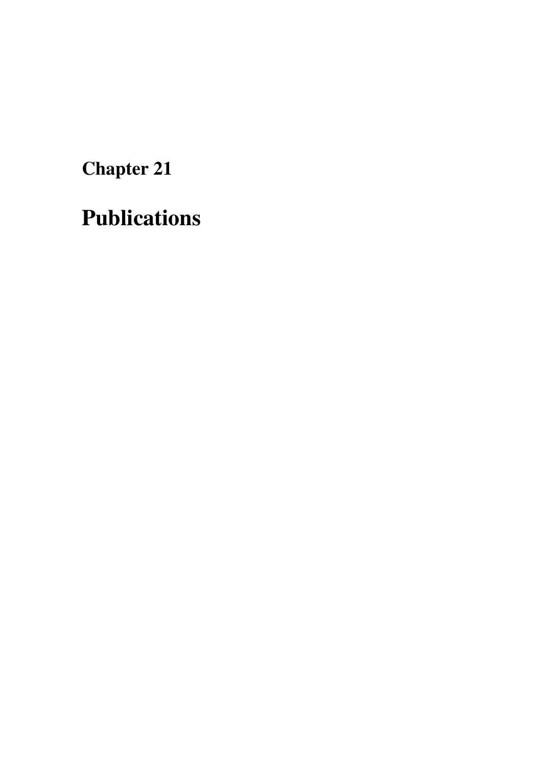Publications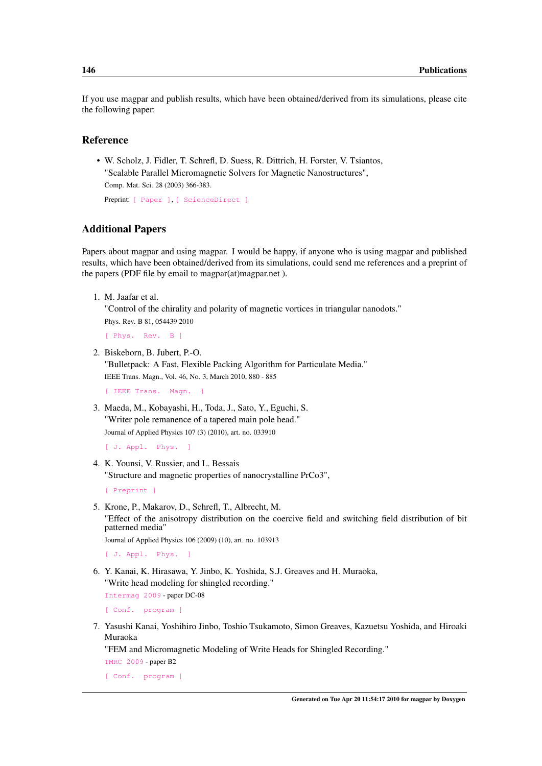If you use magpar and publish results, which have been obtained/derived from its simulations, please cite the following paper:

#### Reference

• W. Scholz, J. Fidler, T. Schrefl, D. Suess, R. Dittrich, H. Forster, V. Tsiantos, "Scalable Parallel Micromagnetic Solvers for Magnetic Nanostructures", Comp. Mat. Sci. 28 (2003) 366-383.

Preprint: [\[ Paper \]](http://www.cwscholz.net/projects/papers/preprint/scholz/cms03/magpar.pdf), [\[ ScienceDirect \]](http://dx.doi.org/10.1016/S0927-0256(03)00119-8)

#### Additional Papers

Papers about magpar and using magpar. I would be happy, if anyone who is using magpar and published results, which have been obtained/derived from its simulations, could send me references and a preprint of the papers (PDF file by email to magpar(at)magpar.net ).

1. M. Jaafar et al.

"Control of the chirality and polarity of magnetic vortices in triangular nanodots."

Phys. Rev. B 81, 054439 2010

[\[ Phys. Rev. B \]](http://dx.doi.org/10.1103/PhysRevB.81.054439)

2. Biskeborn, B. Jubert, P.-O.

"Bulletpack: A Fast, Flexible Packing Algorithm for Particulate Media." IEEE Trans. Magn., Vol. 46, No. 3, March 2010, 880 - 885

[\[ IEEE Trans. Magn. \]](http://dx.doi.org/10.1109/TMAG.2009.2034370)

3. Maeda, M., Kobayashi, H., Toda, J., Sato, Y., Eguchi, S. "Writer pole remanence of a tapered main pole head." Journal of Applied Physics 107 (3) (2010), art. no. 033910

```
[ J. Appl. Phys. ]
```
4. K. Younsi, V. Russier, and L. Bessais "Structure and magnetic properties of nanocrystalline PrCo3",

[\[ Preprint \]](http://hal.archives-ouvertes.fr/hal-00469737/en/)

5. Krone, P., Makarov, D., Schrefl, T., Albrecht, M. "Effect of the anisotropy distribution on the coercive field and switching field distribution of bit patterned media"

Journal of Applied Physics 106 (2009) (10), art. no. 103913

[\[ J. Appl. Phys. \]](http://dx.doi.org/10.1063/1.3260240)

6. Y. Kanai, K. Hirasawa, Y. Jinbo, K. Yoshida, S.J. Greaves and H. Muraoka, "Write head modeling for shingled recording."

[Intermag 2009](http://www.intermagconference.com/intermag2009/) - paper DC-08

[\[ Conf. program \]](http://www.intermagconference.com/intermag2009/src/Program1.pdf)

7. Yasushi Kanai, Yoshihiro Jinbo, Toshio Tsukamoto, Simon Greaves, Kazuetsu Yoshida, and Hiroaki Muraoka

"FEM and Micromagnetic Modeling of Write Heads for Shingled Recording."

[TMRC 2009](https://www.mint.ua.edu/tmrc2009/) - paper B2

[\[ Conf. program \]](https://www.mint.ua.edu/tmrc2009/TMRC%20Digest%202009%20v11.pdf)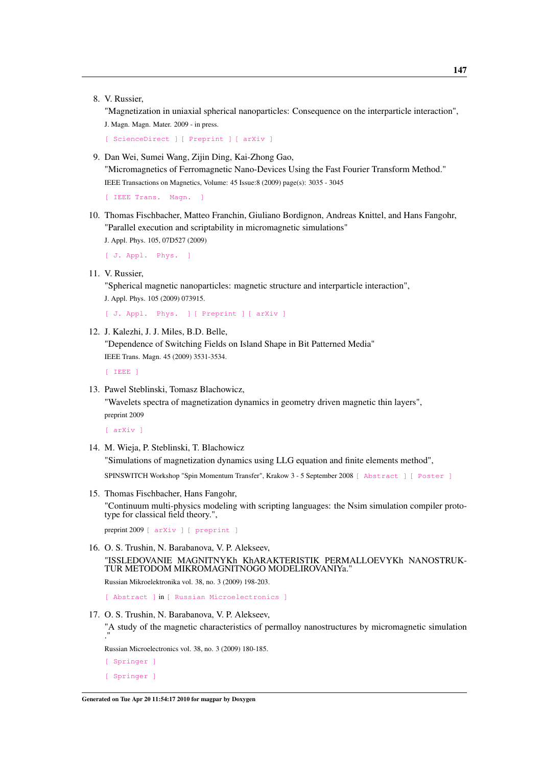8. V. Russier,

"Magnetization in uniaxial spherical nanoparticles: Consequence on the interparticle interaction", J. Magn. Magn. Mater. 2009 - in press.

```
[ ScienceDirect ] [ Preprint ] [ arXiv ]
```
9. Dan Wei, Sumei Wang, Zijin Ding, Kai-Zhong Gao,

"Micromagnetics of Ferromagnetic Nano-Devices Using the Fast Fourier Transform Method." IEEE Transactions on Magnetics, Volume: 45 Issue:8 (2009) page(s): 3035 - 3045

[ IEEE Trans. Magn.

10. Thomas Fischbacher, Matteo Franchin, Giuliano Bordignon, Andreas Knittel, and Hans Fangohr, "Parallel execution and scriptability in micromagnetic simulations" J. Appl. Phys. 105, 07D527 (2009)

[\[ J. Appl. Phys. \]](http://dx.doi.org/10.1063/1.3073937)

11. V. Russier,

"Spherical magnetic nanoparticles: magnetic structure and interparticle interaction",

J. Appl. Phys. 105 (2009) 073915.

[\[ J. Appl. Phys. \]](http://dx.doi.org/10.1063/1.3093966) [\[ Preprint \]](http://hal.archives-ouvertes.fr/hal-00366900/en/) [\[ arXiv \]](http://arxiv.org/abs/0903.1423v2)

12. J. Kalezhi, J. J. Miles, B.D. Belle,

"Dependence of Switching Fields on Island Shape in Bit Patterned Media" IEEE Trans. Magn. 45 (2009) 3531-3534.

[\[ IEEE \]](http://dx.doi.org/10.1109/TMAG.2009.2022407)

13. Pawel Steblinski, Tomasz Blachowicz,

"Wavelets spectra of magnetization dynamics in geometry driven magnetic thin layers", preprint 2009

[\[ arXiv \]](http://arxiv.org/abs/0911.1994)

14. M. Wieja, P. Steblinski, T. Blachowicz "Simulations of magnetization dynamics using LLG equation and finite elements method",

SPINSWITCH Workshop "Spin Momentum Transfer", Krakow 3 - 5 September 2008 [\[ Abstract \]](http://www.spinwork.agh.edu.pl/posters/II-P-10.pdf) [\[ Poster \]](http://www.spinwork.agh.edu.pl/posters/full/II-P-10_Blachowicz.pdf)

15. Thomas Fischbacher, Hans Fangohr, "Continuum multi-physics modeling with scripting languages: the Nsim simulation compiler prototype for classical field theory.",

preprint 2009 [\[ arXiv \]](http://arxiv.org/abs/0907.1587v1) [\[ preprint \]](http://www.soton.ac.uk/~fangohr/publications/preprint/Fischbacher_Fangohr_2009_preprint.pdf)

16. O. S. Trushin, N. Barabanova, V. P. Alekseev, "ISSLEDOVANIE MAGNITNYKh KhARAKTERISTIK PERMALLOEVYKh NANOSTRUK-TUR METODOM MIKROMAGNITNOGO MODELIROVANIYa."

Russian Mikroelektronika vol. 38, no. 3 (2009) 198-203.

[\[ Abstract \]](http://www.maikonline.com/maik/showArticle.do?auid=VAFU248SDJ) in [\[ Russian Microelectronics \]](http://www.maik.ru/cgi-perl/journal.pl?name=mikelek&lang=eng)

17. O. S. Trushin, N. Barabanova, V. P. Alekseev,

"A study of the magnetic characteristics of permalloy nanostructures by micromagnetic simulation ."

Russian Microelectronics vol. 38, no. 3 (2009) 180-185.

[\[ Springer \]](http://www.springerlink.com/content/j73qk660xj712431/) [\[ Springer \]](http://dx.doi.org/10.1134/S1063739709030056)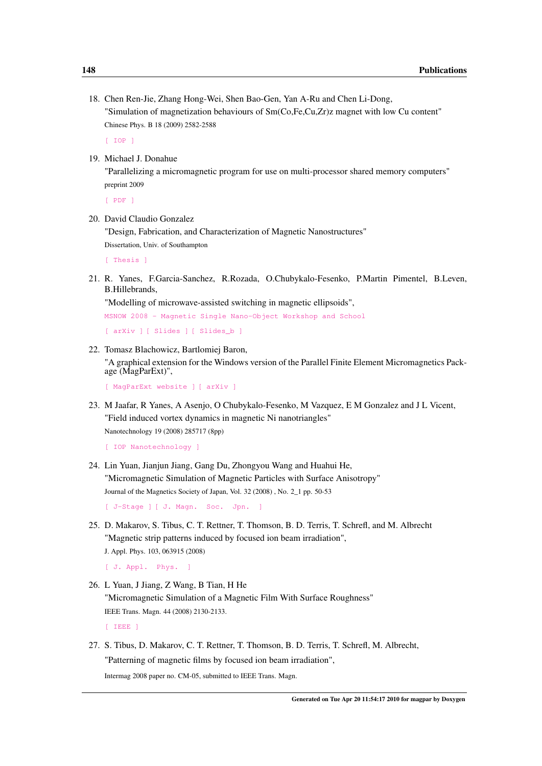18. Chen Ren-Jie, Zhang Hong-Wei, Shen Bao-Gen, Yan A-Ru and Chen Li-Dong, "Simulation of magnetization behaviours of Sm(Co,Fe,Cu,Zr)z magnet with low Cu content" Chinese Phys. B 18 (2009) 2582-2588

[\[ IOP \]](http://dx.doi.org/10.1088/1674-1056/18/6/077)

19. Michael J. Donahue

"Parallelizing a micromagnetic program for use on multi-processor shared memory computers" preprint 2009

[\[ PDF \]](http://math.nist.gov/~MDonahue/pubs/parallel-oommf-20090518.pdf)

20. David Claudio Gonzalez

"Design, Fabrication, and Characterization of Magnetic Nanostructures" Dissertation, Univ. of Southampton

[\[ Thesis \]](http://eprints.soton.ac.uk/66279/01/ThesisDCG.pdf)

21. R. Yanes, F.Garcia-Sanchez, R.Rozada, O.Chubykalo-Fesenko, P.Martin Pimentel, B.Leven, B.Hillebrands,

"Modelling of microwave-assisted switching in magnetic ellipsoids",

[MSNOW 2008 - Magnetic Single Nano-Object Workshop and School](http://www.lpm.u-nancy.fr/M-SNOW08/)

```
[ arXiv ] [ Slides ] [ Slides_b ]
```
22. Tomasz Blachowicz, Bartlomiej Baron, "A graphical extension for the Windows version of the Parallel Finite Element Micromagnetics Package (MagParExt)",

```
[ MagParExt website ] [ arXiv ]
```
23. M Jaafar, R Yanes, A Asenjo, O Chubykalo-Fesenko, M Vazquez, E M Gonzalez and J L Vicent, "Field induced vortex dynamics in magnetic Ni nanotriangles" Nanotechnology 19 (2008) 285717 (8pp)

```
[ IOP Nanotechnology ]
```
24. Lin Yuan, Jianjun Jiang, Gang Du, Zhongyou Wang and Huahui He, "Micromagnetic Simulation of Magnetic Particles with Surface Anisotropy" Journal of the Magnetics Society of Japan, Vol. 32 (2008) , No. 2\_1 pp. 50-53

[\[ J-Stage \]](http://www.jstage.jst.go.jp/article/msjmag/32/2_1/32_50/_article) [\[ J. Magn. Soc. Jpn. \]](http://dx.doi.org/10.3379/msjmag.32.50)

25. D. Makarov, S. Tibus, C. T. Rettner, T. Thomson, B. D. Terris, T. Schrefl, and M. Albrecht "Magnetic strip patterns induced by focused ion beam irradiation", J. Appl. Phys. 103, 063915 (2008)

[\[ J. Appl. Phys. \]](http://dx.doi.org/10.1063/1.2894587)

26. L Yuan, J Jiang, Z Wang, B Tian, H He "Micromagnetic Simulation of a Magnetic Film With Surface Roughness" IEEE Trans. Magn. 44 (2008) 2130-2133.

[\[ IEEE \]](http://dx.doi.org/10.1109/TMAG.2008.2000942)

27. S. Tibus, D. Makarov, C. T. Rettner, T. Thomson, B. D. Terris, T. Schrefl, M. Albrecht, "Patterning of magnetic films by focused ion beam irradiation", Intermag 2008 paper no. CM-05, submitted to IEEE Trans. Magn.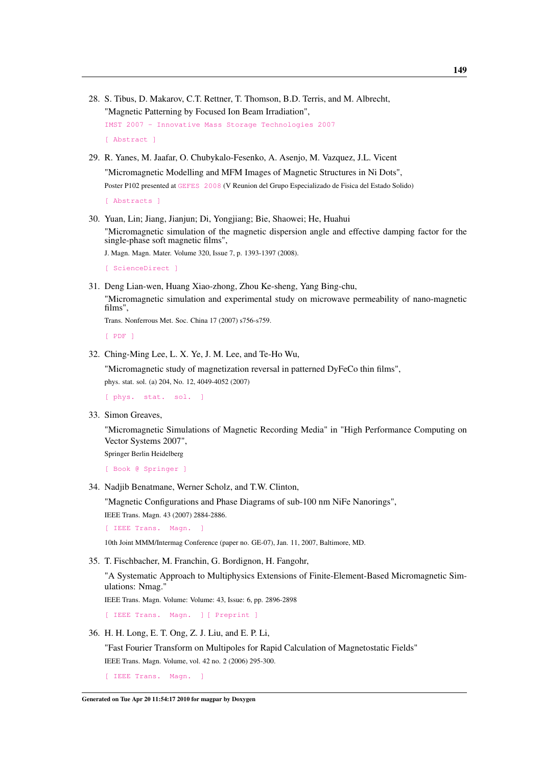- 28. S. Tibus, D. Makarov, C.T. Rettner, T. Thomson, B.D. Terris, and M. Albrecht, "Magnetic Patterning by Focused Ion Beam Irradiation", [IMST 2007 - Innovative Mass Storage Technologies 2007](http://imst2007.ewi.utwente.nl/) [\[ Abstract \]](http://imst2007.ewi.utwente.nl/imst_program.pdf)
- 29. R. Yanes, M. Jaafar, O. Chubykalo-Fesenko, A. Asenjo, M. Vazquez, J.L. Vicent "Micromagnetic Modelling and MFM Images of Magnetic Structures in Ni Dots", Poster P102 presented at [GEFES 2008](http://www.atlanticocongresos.com/gefes2008/) (V Reunion del Grupo Especializado de Fisica del Estado Solido)

[\[ Abstracts \]](http://www.atlanticocongresos.com/gefes2008/libro_abstracts.pdf)

30. Yuan, Lin; Jiang, Jianjun; Di, Yongjiang; Bie, Shaowei; He, Huahui "Micromagnetic simulation of the magnetic dispersion angle and effective damping factor for the single-phase soft magnetic films",

J. Magn. Magn. Mater. Volume 320, Issue 7, p. 1393-1397 (2008).

[\[ ScienceDirect \]](http://dx.doi.org/10.1016/j.jmmm.2007.11.025)

31. Deng Lian-wen, Huang Xiao-zhong, Zhou Ke-sheng, Yang Bing-chu, "Micromagnetic simulation and experimental study on microwave permeability of nano-magnetic films",

Trans. Nonferrous Met. Soc. China 17 (2007) s756-s759.

[\[ PDF \]](http://www.ysxbcn.com/icnfm2007/part2B/s0756.pdf)

32. Ching-Ming Lee, L. X. Ye, J. M. Lee, and Te-Ho Wu,

"Micromagnetic study of magnetization reversal in patterned DyFeCo thin films", phys. stat. sol. (a) 204, No. 12, 4049-4052 (2007)

[\[ phys. stat. sol. \]](http://dx.doi.org/10.1002/pssa.200777359)

33. Simon Greaves,

"Micromagnetic Simulations of Magnetic Recording Media" in "High Performance Computing on Vector Systems 2007",

Springer Berlin Heidelberg

[\[ Book @ Springer \]](http://dx.doi.org/10.1007/978-3-540-74384-2_17)

34. Nadjib Benatmane, Werner Scholz, and T.W. Clinton,

"Magnetic Configurations and Phase Diagrams of sub-100 nm NiFe Nanorings",

IEEE Trans. Magn. 43 (2007) 2884-2886.

[ IEEE Trans. Magn.

10th Joint MMM/Intermag Conference (paper no. GE-07), Jan. 11, 2007, Baltimore, MD.

35. T. Fischbacher, M. Franchin, G. Bordignon, H. Fangohr,

"A Systematic Approach to Multiphysics Extensions of Finite-Element-Based Micromagnetic Simulations: Nmag."

IEEE Trans. Magn. Volume: Volume: 43, Issue: 6, pp. 2896-2898

[\[ IEEE Trans. Magn. \]](http://dx.doi.org/10.1109/TMAG.2007.893843) [\[ Preprint \]](http://eprints.soton.ac.uk/46725/01/Fisc_07.pdf)

36. H. H. Long, E. T. Ong, Z. J. Liu, and E. P. Li,

"Fast Fourier Transform on Multipoles for Rapid Calculation of Magnetostatic Fields" IEEE Trans. Magn. Volume, vol. 42 no. 2 (2006) 295-300.

[\[ IEEE Trans. Magn. \]](http://dx.doi.org/10.1109/TMAG.2005.861505)

Generated on Tue Apr 20 11:54:17 2010 for magpar by Doxygen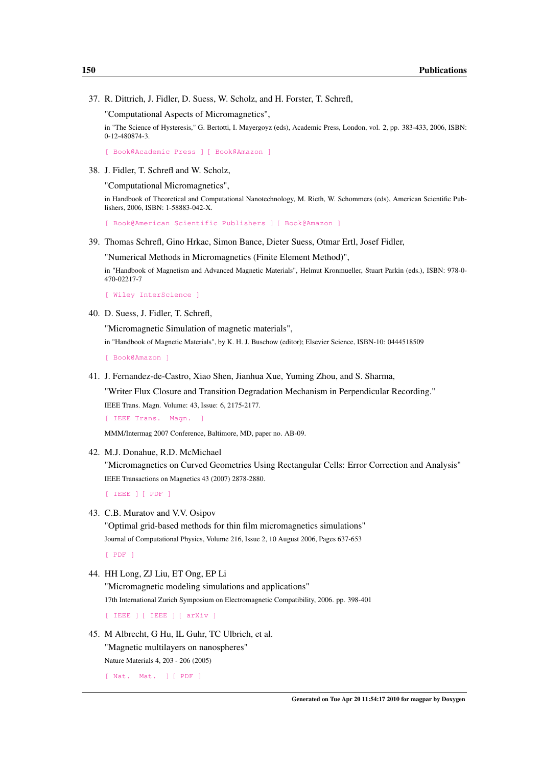37. R. Dittrich, J. Fidler, D. Suess, W. Scholz, and H. Forster, T. Schrefl,

"Computational Aspects of Micromagnetics",

in "The Science of Hysteresis," G. Bertotti, I. Mayergoyz (eds), Academic Press, London, vol. 2, pp. 383-433, 2006, ISBN: 0-12-480874-3.

[\[ Book@Academic Press \]](http://www.elsevierdirect.com/product.jsp?isbn=9780124808744) [\[ Book@Amazon \]](http://www.amazon.com/Science-Hysteresis-3-set/dp/0124808743)

38. J. Fidler, T. Schrefl and W. Scholz,

"Computational Micromagnetics",

in Handbook of Theoretical and Computational Nanotechnology, M. Rieth, W. Schommers (eds), American Scientific Publishers, 2006, ISBN: 1-58883-042-X.

[\[ Book@American Scientific Publishers \]](http://www.aspbs.com/tcn.html) [\[ Book@Amazon \]](http://www.amazon.com/Handbook-Theoretical-Computational-Nanotechnology-10/dp/158883042X)

39. Thomas Schrefl, Gino Hrkac, Simon Bance, Dieter Suess, Otmar Ertl, Josef Fidler,

"Numerical Methods in Micromagnetics (Finite Element Method)",

in "Handbook of Magnetism and Advanced Magnetic Materials", Helmut Kronmueller, Stuart Parkin (eds.), ISBN: 978-0- 470-02217-7

[\[ Wiley InterScience \]](http://dx.doi.org/10.1002/9780470022184.hmm203)

40. D. Suess, J. Fidler, T. Schrefl,

"Micromagnetic Simulation of magnetic materials",

in "Handbook of Magnetic Materials", by K. H. J. Buschow (editor); Elsevier Science, ISBN-10: 0444518509

[\[ Book@Amazon \]](http://www.amazon.com/Handbook-Magnetic-Materials-16-Vol/dp/0444518509)

41. J. Fernandez-de-Castro, Xiao Shen, Jianhua Xue, Yuming Zhou, and S. Sharma,

"Writer Flux Closure and Transition Degradation Mechanism in Perpendicular Recording." IEEE Trans. Magn. Volume: 43, Issue: 6, 2175-2177.

[ IEEE Trans. Magn.

MMM/Intermag 2007 Conference, Baltimore, MD, paper no. AB-09.

42. M.J. Donahue, R.D. McMichael

"Micromagnetics on Curved Geometries Using Rectangular Cells: Error Correction and Analysis" IEEE Transactions on Magnetics 43 (2007) 2878-2880.

[\[ IEEE \]](http://dx.doi.org/10.1109/TMAG.2007.892865) [\[ PDF \]](http://math.nist.gov/~MDonahue/pubs/jaggies_20070117.pdf)

43. C.B. Muratov and V.V. Osipov

"Optimal grid-based methods for thin film micromagnetics simulations" Journal of Computational Physics, Volume 216, Issue 2, 10 August 2006, Pages 637-653

[\[ PDF \]](http://web.njit.edu/~muratov/osgrids.pdf)

44. HH Long, ZJ Liu, ET Ong, EP Li

"Micromagnetic modeling simulations and applications" 17th International Zurich Symposium on Electromagnetic Compatibility, 2006. pp. 398-401

[\[ IEEE \]](http://dx.doi.org/10.1109/EMCZUR.2006.214955) [\[ IEEE \]](http://ieeexplore.ieee.org/xpls/abs_all.jsp?arnumber=1629645) [\[ arXiv \]](http://arxiv.org/abs/0907.1587)

45. M Albrecht, G Hu, IL Guhr, TC Ulbrich, et al. "Magnetic multilayers on nanospheres"

Nature Materials 4, 203 - 206 (2005)

[\[ Nat. Mat. \]](http://dx.doi.org/10.1038/nmat1324) [\[ PDF \]](http://sitemason.vanderbilt.edu/files/lJdK5a/Albrecht%202005%20Nat%20Mat%20online.pdf)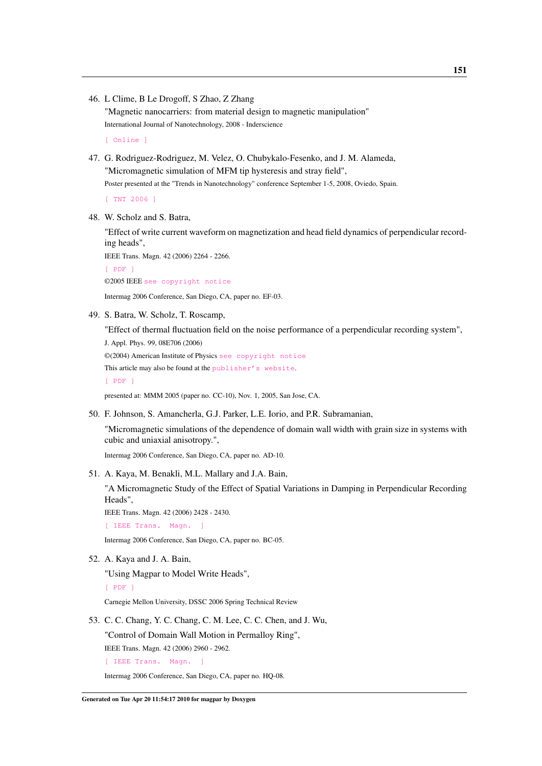46. L Clime, B Le Drogoff, S Zhao, Z Zhang

"Magnetic nanocarriers: from material design to magnetic manipulation" International Journal of Nanotechnology, 2008 - Inderscience

[\[ Online \]](http://inderscience.metapress.com/link.asp?id=8p84883g765541n0)

47. G. Rodriguez-Rodriguez, M. Velez, O. Chubykalo-Fesenko, and J. M. Alameda, "Micromagnetic simulation of MFM tip hysteresis and stray field", Poster presented at the "Trends in Nanotechnology" conference September 1-5, 2008, Oviedo, Spain.

[\[ TNT 2006 \]](http://tntconf.org/2008/Files/Abstracts/Posters/TNT2008_RodriguezGabriel.pdf)

48. W. Scholz and S. Batra,

"Effect of write current waveform on magnetization and head field dynamics of perpendicular recording heads",

IEEE Trans. Magn. 42 (2006) 2264 - 2266.

[\[ PDF \]](http://www.cwscholz.net/projects/papers/ieee/scholz_2006_42_2264.pdf)

©2005 IEEE [see copyright notice](http://www.cwscholz.net/Main/PublicationsList#cpyr_ieee)

Intermag 2006 Conference, San Diego, CA, paper no. EF-03.

49. S. Batra, W. Scholz, T. Roscamp,

"Effect of thermal fluctuation field on the noise performance of a perpendicular recording system", J. Appl. Phys. 99, 08E706 (2006)

©(2004) American Institute of Physics [see copyright notice](http://www.cwscholz.net/Main/PublicationsList#cpyr_aip) This article may also be found at the [publisher's website](http://dx.doi.org/10.1063/1.2165599).

[\[ PDF \]](http://www.cwscholz.net/projects/papers/jap/batra_2006_99.pdf)

presented at: MMM 2005 (paper no. CC-10), Nov. 1, 2005, San Jose, CA.

50. F. Johnson, S. Amancherla, G.J. Parker, L.E. Iorio, and P.R. Subramanian,

"Micromagnetic simulations of the dependence of domain wall width with grain size in systems with cubic and uniaxial anisotropy.",

Intermag 2006 Conference, San Diego, CA, paper no. AD-10.

51. A. Kaya, M. Benakli, M.L. Mallary and J.A. Bain,

"A Micromagnetic Study of the Effect of Spatial Variations in Damping in Perpendicular Recording Heads",

IEEE Trans. Magn. 42 (2006) 2428 - 2430.

[\[ IEEE Trans. Magn. \]](http://dx.doi.org/10.1109/TMAG.2006.879430)

Intermag 2006 Conference, San Diego, CA, paper no. BC-05.

52. A. Kaya and J. A. Bain,

"Using Magpar to Model Write Heads",

[\[ PDF \]](http://www.dssc.ece.cmu.edu/news_events/review/SprRev06/talks/3_Kaya_UsingMagpar.pdf)

Carnegie Mellon University, DSSC 2006 Spring Technical Review

53. C. C. Chang, Y. C. Chang, C. M. Lee, C. C. Chen, and J. Wu,

"Control of Domain Wall Motion in Permalloy Ring",

IEEE Trans. Magn. 42 (2006) 2960 - 2962.

[\[ IEEE Trans. Magn. \]](http://dx.doi.org/10.1109/TMAG.2006.878414)

Intermag 2006 Conference, San Diego, CA, paper no. HQ-08.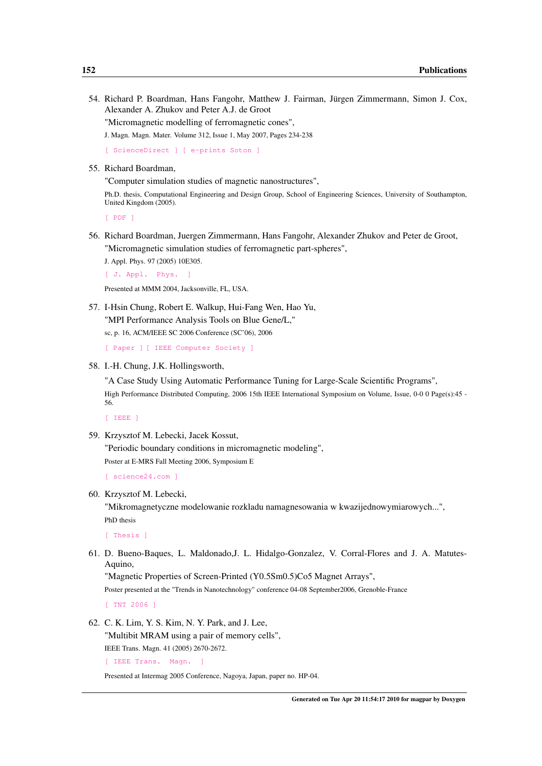54. Richard P. Boardman, Hans Fangohr, Matthew J. Fairman, Jürgen Zimmermann, Simon J. Cox, Alexander A. Zhukov and Peter A.J. de Groot

"Micromagnetic modelling of ferromagnetic cones",

J. Magn. Magn. Mater. Volume 312, Issue 1, May 2007, Pages 234-238

[\[ ScienceDirect \]](http://dx.doi.org/10.1016/j.jmmm.2006.10.731) [\[ e-prints Soton \]](http://eprints.soton.ac.uk/45900/)

55. Richard Boardman,

"Computer simulation studies of magnetic nanostructures",

Ph.D. thesis, Computational Engineering and Design Group, School of Engineering Sciences, University of Southampton, United Kingdom (2005).

[\[ PDF \]](http://www.soton.ac.uk/~rpb/thesis.pdf)

56. Richard Boardman, Juergen Zimmermann, Hans Fangohr, Alexander Zhukov and Peter de Groot, "Micromagnetic simulation studies of ferromagnetic part-spheres",

J. Appl. Phys. 97 (2005) 10E305.

[ J. Appl. Phys.

Presented at MMM 2004, Jacksonville, FL, USA.

57. I-Hsin Chung, Robert E. Walkup, Hui-Fang Wen, Hao Yu, "MPI Performance Analysis Tools on Blue Gene/L,"

sc, p. 16, ACM/IEEE SC 2006 Conference (SC'06), 2006

[\[ Paper \]](http://sc06.supercomputing.org/schedule/pdf/pap159.pdf) [\[ IEEE Computer Society \]](http://doi.ieeecomputersociety.org/10.1109/SC.2006.43)

58. I.-H. Chung, J.K. Hollingsworth,

"A Case Study Using Automatic Performance Tuning for Large-Scale Scientific Programs", High Performance Distributed Computing, 2006 15th IEEE International Symposium on Volume, Issue, 0-0 0 Page(s):45 - 56.

[\[ IEEE \]](http://dx.doi.org/10.1109/HPDC.2006.1652135)

59. Krzysztof M. Lebecki, Jacek Kossut,

"Periodic boundary conditions in micromagnetic modeling", Poster at E-MRS Fall Meeting 2006, Symposium E

[\[ science24.com \]](http://www.science24.com/paper/7552)

60. Krzysztof M. Lebecki,

"Mikromagnetyczne modelowanie rozkladu namagnesowania w kwazijednowymiarowych...", PhD thesis

[\[ Thesis \]](http://info.ifpan.edu.pl/rn_ifpan/Lebecki-doktorat.pdf)

61. D. Bueno-Baques, L. Maldonado,J. L. Hidalgo-Gonzalez, V. Corral-Flores and J. A. Matutes-Aquino,

"Magnetic Properties of Screen-Printed (Y0.5Sm0.5)Co5 Magnet Arrays",

Poster presented at the "Trends in Nanotechnology" conference 04-08 September2006, Grenoble-France

[\[ TNT 2006 \]](http://tntconf.org/2006/Abstracts/Posters/TNT2006_Bueno.pdf)

62. C. K. Lim, Y. S. Kim, N. Y. Park, and J. Lee,

"Multibit MRAM using a pair of memory cells", IEEE Trans. Magn. 41 (2005) 2670-2672.

[\[ IEEE Trans. Magn. \]](http://dx.doi.org/10.1109/TMAG.2005.855288)

Presented at Intermag 2005 Conference, Nagoya, Japan, paper no. HP-04.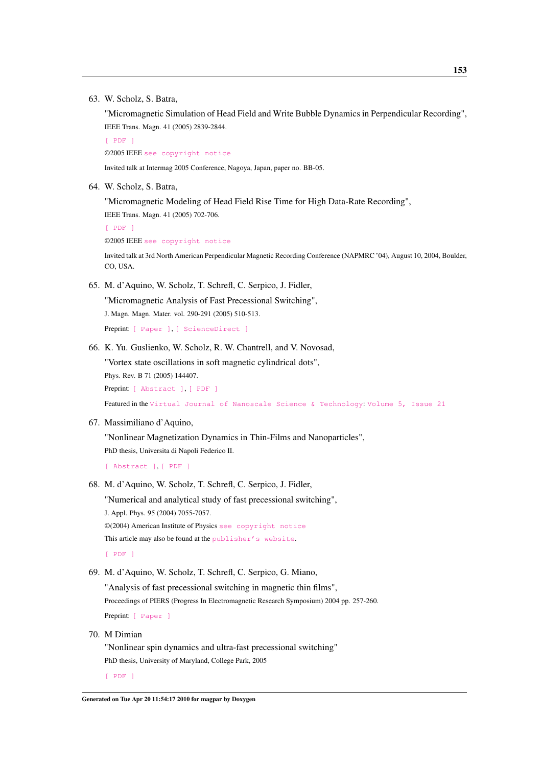63. W. Scholz, S. Batra,

"Micromagnetic Simulation of Head Field and Write Bubble Dynamics in Perpendicular Recording", IEEE Trans. Magn. 41 (2005) 2839-2844.

[\[ PDF \]](http://www.cwscholz.net/projects/papers/ieee/scholz_2005_41_2839.pdf)

©2005 IEEE [see copyright notice](http://www.cwscholz.net/Main/PublicationsList#cpyr_ieee)

Invited talk at Intermag 2005 Conference, Nagoya, Japan, paper no. BB-05.

64. W. Scholz, S. Batra,

"Micromagnetic Modeling of Head Field Rise Time for High Data-Rate Recording", IEEE Trans. Magn. 41 (2005) 702-706.

```
[ PDF ]
©2005 IEEE see copyright notice
```
Invited talk at 3rd North American Perpendicular Magnetic Recording Conference (NAPMRC '04), August 10, 2004, Boulder, CO, USA.

65. M. d'Aquino, W. Scholz, T. Schrefl, C. Serpico, J. Fidler,

"Micromagnetic Analysis of Fast Precessional Switching", J. Magn. Magn. Mater. vol. 290-291 (2005) 510-513.

Preprint: [\[ Paper \]](http://www.cwscholz.net/projects/papers/preprint/daquino/daquino_jems04.pdf), [\[ ScienceDirect \]](http://dx.doi.org/10.1016/j.jmmm.2004.11.514)

66. K. Yu. Guslienko, W. Scholz, R. W. Chantrell, and V. Novosad,

"Vortex state oscillations in soft magnetic cylindrical dots", Phys. Rev. B 71 (2005) 144407.

Preprint: [\[ Abstract \]](http://dx.doi.org/10.1103/PhysRevB.71.144407), [\[ PDF \]](http://www.cwscholz.net/projects/papers/preprint/scholz/guslienko_prb05.pdf)

Featured in the [Virtual Journal of Nanoscale Science & Technology](http://www.vjnano.org/): [Volume 5, Issue 21](http://scitation.aip.org/dbt/dbt.jsp?KEY=VIRT01&Volume=11&Issue=16)

#### 67. Massimiliano d'Aquino,

"Nonlinear Magnetization Dynamics in Thin-Films and Nanoparticles", PhD thesis, Universita di Napoli Federico II.

[\[ Abstract \]](http://www.fedoa.unina.it/148/), [\[ PDF \]](http://www.fedoa.unina.it/148/01/d_Aquino_thesis.pdf)

68. M. d'Aquino, W. Scholz, T. Schrefl, C. Serpico, J. Fidler,

"Numerical and analytical study of fast precessional switching", J. Appl. Phys. 95 (2004) 7055-7057. ©(2004) American Institute of Physics [see copyright notice](http://www.cwscholz.net/Main/PublicationsList#cpyr_aip) This article may also be found at the [publisher's website](http://dx.doi.org/10.1063/1.1689910).

[\[ PDF \]](http://www.cwscholz.net/projects/papers/jap/daquino_2004_95_7055.pdf)

#### 69. M. d'Aquino, W. Scholz, T. Schrefl, C. Serpico, G. Miano,

"Analysis of fast precessional switching in magnetic thin films", Proceedings of PIERS (Progress In Electromagnetic Research Symposium) 2004 pp. 257-260. Preprint: [\[ Paper \]](http://www.cwscholz.net/projects/papers/preprint/daquino/piers04.pdf)

70. M Dimian

"Nonlinear spin dynamics and ultra-fast precessional switching" PhD thesis, University of Maryland, College Park, 2005

[\[ PDF \]](http://tomos.umd.edu/drum/bitstream/1903/2426/1/umi-umd-2291.pdf)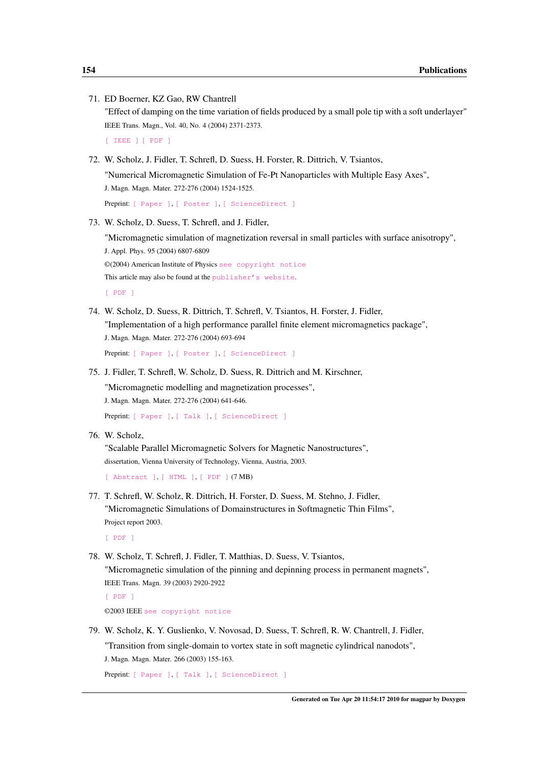| 71. ED Boerner, KZ Gao, RW Chantrell<br>"Effect of damping on the time variation of fields produced by a small pole tip with a soft underlayer"<br>IEEE Trans. Magn., Vol. 40, No. 4 (2004) 2371-2373.<br>[ IEEE ] [ PDF ]                   |  |  |  |  |  |  |  |  |  |  |  |
|----------------------------------------------------------------------------------------------------------------------------------------------------------------------------------------------------------------------------------------------|--|--|--|--|--|--|--|--|--|--|--|
| 72. W. Scholz, J. Fidler, T. Schrefl, D. Suess, H. Forster, R. Dittrich, V. Tsiantos,<br>"Numerical Micromagnetic Simulation of Fe-Pt Nanoparticles with Multiple Easy Axes",<br>J. Magn. Magn. Mater. 272-276 (2004) 1524-1525.             |  |  |  |  |  |  |  |  |  |  |  |
| Preprint [ Paper ], [ Poster ], [ ScienceDirect ]                                                                                                                                                                                            |  |  |  |  |  |  |  |  |  |  |  |
| 73. W. Scholz, D. Suess, T. Schrefl, and J. Fidler,                                                                                                                                                                                          |  |  |  |  |  |  |  |  |  |  |  |
| "Micromagnetic simulation of magnetization reversal in small particles with surface anisotropy",<br>J. Appl. Phys. 95 (2004) 6807-6809                                                                                                       |  |  |  |  |  |  |  |  |  |  |  |
| ©(2004) American Institute of Physics see copyright notice                                                                                                                                                                                   |  |  |  |  |  |  |  |  |  |  |  |
| This article may also be found at the publisher's website.                                                                                                                                                                                   |  |  |  |  |  |  |  |  |  |  |  |
| $[$ PDF $]$                                                                                                                                                                                                                                  |  |  |  |  |  |  |  |  |  |  |  |
| 74. W. Scholz, D. Suess, R. Dittrich, T. Schrefl, V. Tsiantos, H. Forster, J. Fidler,<br>"Implementation of a high performance parallel finite element micromagnetics package",<br>J. Magn. Magn. Mater. 272-276 (2004) 693-694              |  |  |  |  |  |  |  |  |  |  |  |
| Preprint [ Paper ], [ Poster ], [ ScienceDirect ]                                                                                                                                                                                            |  |  |  |  |  |  |  |  |  |  |  |
| 75. J. Fidler, T. Schrefl, W. Scholz, D. Suess, R. Dittrich and M. Kirschner,<br>"Micromagnetic modelling and magnetization processes",<br>J. Magn. Magn. Mater. 272-276 (2004) 641-646.<br>Preprint: [ Paper ], [ Talk ], [ ScienceDirect ] |  |  |  |  |  |  |  |  |  |  |  |
| 76. W. Scholz,<br>"Scalable Parallel Micromagnetic Solvers for Magnetic Nanostructures",<br>dissertation, Vienna University of Technology, Vienna, Austria, 2003.                                                                            |  |  |  |  |  |  |  |  |  |  |  |
| [ Abstract ], [ HTML ], [ PDF ] (7 MB)                                                                                                                                                                                                       |  |  |  |  |  |  |  |  |  |  |  |
| 77. T. Schrefl, W. Scholz, R. Dittrich, H. Forster, D. Suess, M. Stehno, J. Fidler,<br>"Micromagnetic Simulations of Domainstructures in Softmagnetic Thin Films",<br>Project report 2003.<br>$[$ PDF $]$                                    |  |  |  |  |  |  |  |  |  |  |  |
|                                                                                                                                                                                                                                              |  |  |  |  |  |  |  |  |  |  |  |
| 78. W. Scholz, T. Schrefl, J. Fidler, T. Matthias, D. Suess, V. Tsiantos,                                                                                                                                                                    |  |  |  |  |  |  |  |  |  |  |  |

"Micromagnetic simulation of the pinning and depinning process in permanent magnets", IEEE Trans. Magn. 39 (2003) 2920-2922

[\[ PDF \]](http://www.cwscholz.net/projects/papers/ieee/scholz_2003_39_2920.pdf)

©2003 IEEE [see copyright notice](http://www.cwscholz.net/Main/PublicationsList#cpyr_ieee)

79. W. Scholz, K. Y. Guslienko, V. Novosad, D. Suess, T. Schrefl, R. W. Chantrell, J. Fidler, "Transition from single-domain to vortex state in soft magnetic cylindrical nanodots", J. Magn. Magn. Mater. 266 (2003) 155-163.

Preprint: [\[ Paper \]](http://www.cwscholz.net/projects/papers/preprint/scholz/icfpm02/scholz.pdf), [\[ Talk \]](http://www.cwscholz.net/projects/papers/talks/icfpm.pdf), [\[ ScienceDirect \]](http://dx.doi.org/10.1016/S0304-8853(03)00466-9)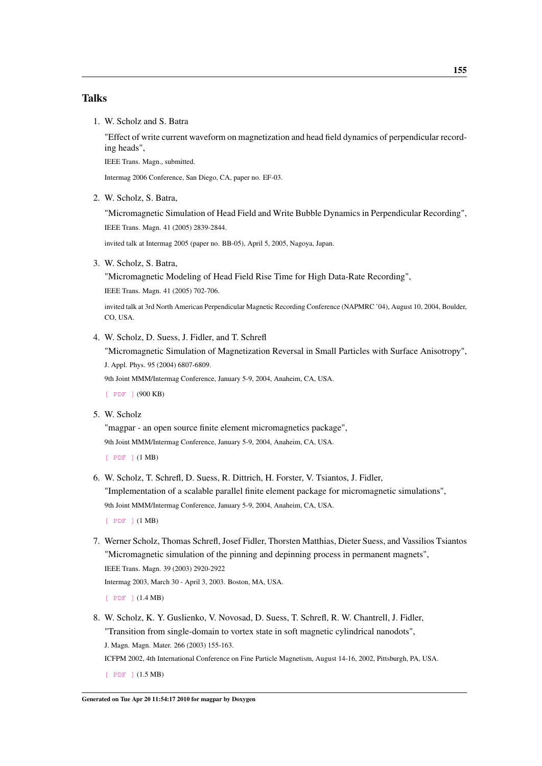#### Talks

1. W. Scholz and S. Batra

"Effect of write current waveform on magnetization and head field dynamics of perpendicular recording heads",

IEEE Trans. Magn., submitted.

Intermag 2006 Conference, San Diego, CA, paper no. EF-03.

2. W. Scholz, S. Batra,

"Micromagnetic Simulation of Head Field and Write Bubble Dynamics in Perpendicular Recording", IEEE Trans. Magn. 41 (2005) 2839-2844.

invited talk at Intermag 2005 (paper no. BB-05), April 5, 2005, Nagoya, Japan.

3. W. Scholz, S. Batra,

"Micromagnetic Modeling of Head Field Rise Time for High Data-Rate Recording", IEEE Trans. Magn. 41 (2005) 702-706.

invited talk at 3rd North American Perpendicular Magnetic Recording Conference (NAPMRC '04), August 10, 2004, Boulder, CO, USA.

4. W. Scholz, D. Suess, J. Fidler, and T. Schrefl

"Micromagnetic Simulation of Magnetization Reversal in Small Particles with Surface Anisotropy", J. Appl. Phys. 95 (2004) 6807-6809.

9th Joint MMM/Intermag Conference, January 5-9, 2004, Anaheim, CA, USA.

[\[ PDF \]](http://www.cwscholz.net/projects/papers/talks/scholz_mmm04_fept.pdf) (900 KB)

5. W. Scholz

"magpar - an open source finite element micromagnetics package", 9th Joint MMM/Intermag Conference, January 5-9, 2004, Anaheim, CA, USA.

 $[$  PDF  $]$   $(1 \text{ MB})$ 

6. W. Scholz, T. Schrefl, D. Suess, R. Dittrich, H. Forster, V. Tsiantos, J. Fidler, "Implementation of a scalable parallel finite element package for micromagnetic simulations", 9th Joint MMM/Intermag Conference, January 5-9, 2004, Anaheim, CA, USA.

[\[ PDF \]](http://www.cwscholz.net/projects/papers/talks/scholz_mmm04_magpar.pdf) (1 MB)

7. Werner Scholz, Thomas Schrefl, Josef Fidler, Thorsten Matthias, Dieter Suess, and Vassilios Tsiantos "Micromagnetic simulation of the pinning and depinning process in permanent magnets", IEEE Trans. Magn. 39 (2003) 2920-2922

Intermag 2003, March 30 - April 3, 2003. Boston, MA, USA.

 $[$  PDF  $]$   $(1.4 \text{ MB})$ 

8. W. Scholz, K. Y. Guslienko, V. Novosad, D. Suess, T. Schrefl, R. W. Chantrell, J. Fidler, "Transition from single-domain to vortex state in soft magnetic cylindrical nanodots", J. Magn. Magn. Mater. 266 (2003) 155-163.

ICFPM 2002, 4th International Conference on Fine Particle Magnetism, August 14-16, 2002, Pittsburgh, PA, USA.

[\[ PDF \]](http://www.cwscholz.net/projects/papers/talks/icfpm.pdf) (1.5 MB)

Generated on Tue Apr 20 11:54:17 2010 for magpar by Doxygen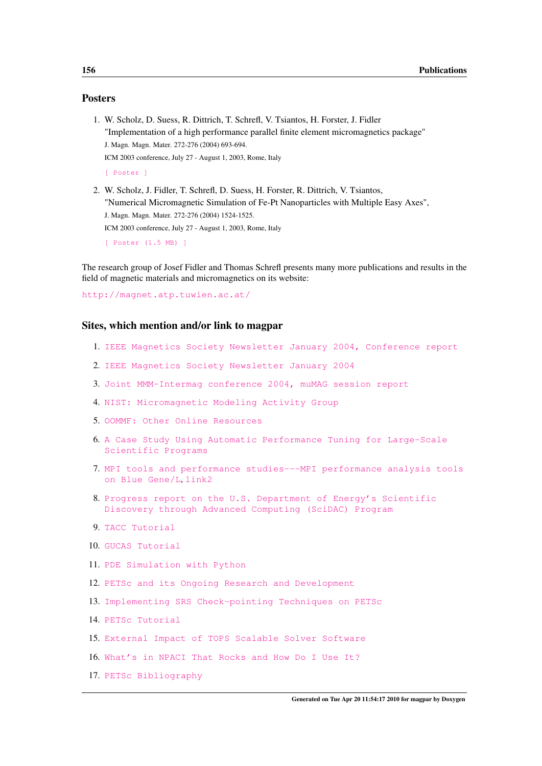#### Posters

- 1. W. Scholz, D. Suess, R. Dittrich, T. Schrefl, V. Tsiantos, H. Forster, J. Fidler "Implementation of a high performance parallel finite element micromagnetics package" J. Magn. Magn. Mater. 272-276 (2004) 693-694. ICM 2003 conference, July 27 - August 1, 2003, Rome, Italy [\[ Poster \]](http://www.cwscholz.net/projects/papers/posters/icm03_scholz_petsc.pdf) 2. W. Scholz, J. Fidler, T. Schrefl, D. Suess, H. Forster, R. Dittrich, V. Tsiantos,
- "Numerical Micromagnetic Simulation of Fe-Pt Nanoparticles with Multiple Easy Axes", J. Magn. Magn. Mater. 272-276 (2004) 1524-1525. ICM 2003 conference, July 27 - August 1, 2003, Rome, Italy

```
[ Poster (1.5 MB) ]
```
The research group of Josef Fidler and Thomas Schrefl presents many more publications and results in the field of magnetic materials and micromagnetics on its website:

<http://magnet.atp.tuwien.ac.at/>

#### Sites, which mention and/or link to magpar

- 1. [IEEE Magnetics Society Newsletter January 2004, Conference report](http://www.ieeemagnetics.org/Newsletter/Jan04/conf_report.html)
- 2. [IEEE Magnetics Society Newsletter January 2004](http://www.ieeemagnetics.org/Newsletter/Jan04/IEEE_MagSoc_NewsJan2004.pdf)
- 3. [Joint MMM-Intermag conference 2004, muMAG session report](http://www.ctcms.nist.gov/~rdm/joint04.html)
- 4. [NIST: Micromagnetic Modeling Activity Group](http://www.ctcms.nist.gov/mumag/mumag.org.html)
- 5. [OOMMF: Other Online Resources](http://math.nist.gov/oommf/otherlinks.html)
- 6. [A Case Study Using Automatic Performance Tuning for Large-Scale](http://www.cs.umd.edu/~hollings/papers/hpdc06.pdf) [Scientific Programs](http://www.cs.umd.edu/~hollings/papers/hpdc06.pdf)
- 7. [MPI tools and performance studies---MPI performance analysis tools](http://portal.acm.org/citation.cfm?id=1188583) [on Blue Gene/L](http://portal.acm.org/citation.cfm?id=1188583), [link2](http://doi.acm.org/10.1145/1188455.1188583)
- 8. [Progress report on the U.S. Department of Energy's Scientific](http://www.scidac.gov/img_results/FinalSciDACreport.pdf) [Discovery through Advanced Computing \(SciDAC\) Program](http://www.scidac.gov/img_results/FinalSciDACreport.pdf)
- 9. [TACC Tutorial](http://www.mcs.anl.gov/petsc/petsc-2/documentation/tutorials/TACCTutorial2009.pdf)
- 10. [GUCAS Tutorial](http://www.mcs.anl.gov/petsc/petsc-2/documentation/tutorials/GUCASTutorial.pdf)
- 11. [PDE Simulation with Python](http://www.scipy.org/Developer_Zone/Conferences/SciPy2005/Schedule?action=AttachFile&do=get&target=PDELibraries.pdf)
- 12. [PETSc and its Ongoing Research and Development](http://cscads.rice.edu/workshops/july2007/lib-slides-07/talk21-Hong-Zhang.pdf)
- 13. [Implementing SRS Check-pointing Techniques on PETSc](http://garl.serc.iisc.ernet.in/docs/2007/divye.pdf)
- 14. [PETSc Tutorial](http://www.mcs.anl.gov/petsc/petsc-2/documentation/tutorials/Columbia06.pdf)
- 15. [External Impact of TOPS Scalable Solver Software](http://www.scidac.gov/ASCR/ASCR_TOPS/reports/TOPS2004Annual1.html)
- 16. [What's in NPACI That Rocks and How Do I Use It?](http://stommel.tamu.edu/~baum/npaci.html#tth_sEc8.36)
- 17. [PETSc Bibliography](http://www-unix.mcs.anl.gov/petsc/petsc-2/publications/petscapps.html)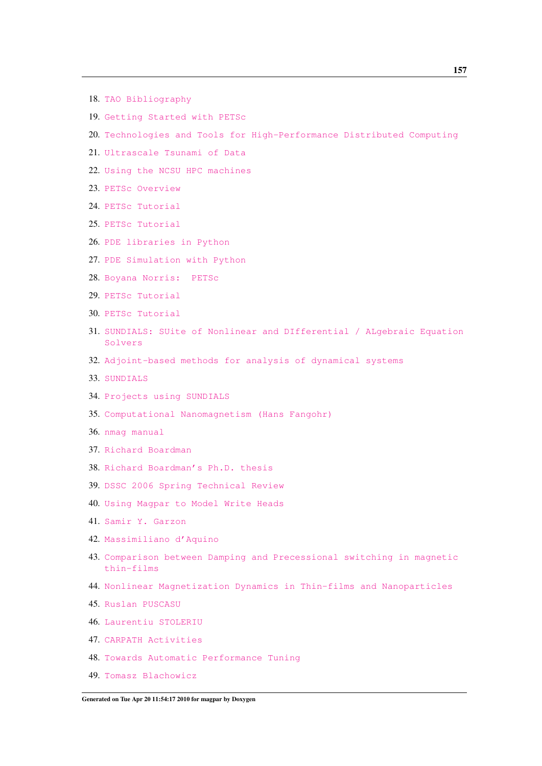- 18. [TAO Bibliography](http://www-unix.mcs.anl.gov/tao/impact/taorefs-bib.html#scholz03scalable)
- 19. [Getting Started with PETSc](http://www-unix.mcs.anl.gov/petsc/petsc-2/documentation/tutorials/INL05/tutorial.pdf)
- 20. [Technologies and Tools for High-Performance Distributed Computing](http://www.csm.ornl.gov/workshops/DOE_SciDAC/TOPS.Keyes.March2004.ppt)
- 21. [Ultrascale Tsunami of Data](http://www.csm.ornl.gov/workshops/DOE_SciDAC/TOPS_solvers_bib.doc)
- 22. [Using the NCSU HPC machines](http://www.ncsu.edu/itd/hpc/Courses/using.html#open)
- 23. [PETSc Overview](http://www-unix.mcs.anl.gov/petsc/petsc-2/documentation/tutorials/PETSc-CCT07.pdf)
- 24. [PETSc Tutorial](http://www-unix.mcs.anl.gov/petsc/petsc-2/documentation/tutorials/PCFD2007.pdf)
- 25. [PETSc Tutorial](http://acts.nersc.gov/events/Workshop2006/slides/Knepley.pdf)
- 26. [PDE libraries in Python](http://www.scipy.org/Developer_Zone/Conferences/SciPy2005/Abstracts/PDELibraries)
- 27. [PDE Simulation with Python](http://www.scipy.org/Developer_Zone/Conferences/SciPy2005/Schedule?action=AttachFile&do=get&target=PDELibraries.pdf)
- 28. [Boyana Norris: PETSc](http://csdms.colorado.edu/mediawiki/images/Cyber_March_09_Norris.pdf)
- 29. [PETSc Tutorial](http://www.mcs.anl.gov/petsc/petsc-as/documentation/tutorials/SCAT2007.pdf)
- 30. [PETSc Tutorial](http://www.geodynamics.org/cig/workinggroups/mc/workshops/litho2008/presentations/Knepley_MCW_Davis08.pdf)
- 31. [SUNDIALS: SUite of Nonlinear and DIfferential / ALgebraic Equation](https://computation.llnl.gov/casc/sundials/documentation/sundials_acts_05.pdf) [Solvers](https://computation.llnl.gov/casc/sundials/documentation/sundials_acts_05.pdf)
- 32. [Adjoint-based methods for analysis of dynamical systems](http://smartfields.stanford.edu/documents/080312_serban.pdf)
- 33. [SUNDIALS](http://acts.nersc.gov/events/Workshop2005/slides/Serban.pdf)
- 34. [Projects using SUNDIALS](http://sundials.wikidot.com/projects)
- 35. [Computational Nanomagnetism \(Hans Fangohr\)](http://www.soton.ac.uk/~fangohr/nsim/)
- 36. [nmag manual](http://nmag.soton.ac.uk/nmag/current/manual/html/manual.html)
- 37. [Richard Boardman](http://www.soton.ac.uk/~rpb/)
- 38. [Richard Boardman's Ph.D. thesis](http://www.soton.ac.uk/~rpb/thesis.pdf)
- 39. [DSSC 2006 Spring Technical Review](http://www.dssc.ece.cmu.edu/news_events/review/)
- 40. [Using Magpar to Model Write Heads](http://www.dssc.ece.cmu.edu/news_events/review/SprRev06/talks/3_Kaya_UsingMagpar.pdf)
- 41. [Samir Y. Garzon](http://www.physics.sc.edu/~garzon/links/links.htm)
- 42. [Massimiliano d'Aquino](http://wpage.unina.it/mdaquino/index_file/links.html)
- 43. [Comparison between Damping and Precessional switching in magnetic](http://wpage.unina.it/mdaquino/PhD_thesis/main/node58.html) [thin-films](http://wpage.unina.it/mdaquino/PhD_thesis/main/node58.html)
- 44. [Nonlinear Magnetization Dynamics in Thin-films and Nanoparticles](http://www.fedoa.unina.it/148/01/d_Aquino_thesis.pdf)
- 45. [Ruslan PUSCASU](http://stoner.phys.uaic.ro/DEPE/Ruslan/skills.html)
- 46. [Laurentiu STOLERIU](http://stoner.phys.uaic.ro/index.php?n=d_LSTOLERIU_cv)
- 47. [CARPATH Activities](http://stoner.phys.uaic.ro/IEEE/ieee_student_branch/activities.html)
- 48. [Towards Automatic Performance Tuning](http://www.dyninst.org/papers/ChungDissertation.pdf)
- 49. [Tomasz Blachowicz](http://tblachow-magmain.bobolin.com.pl/)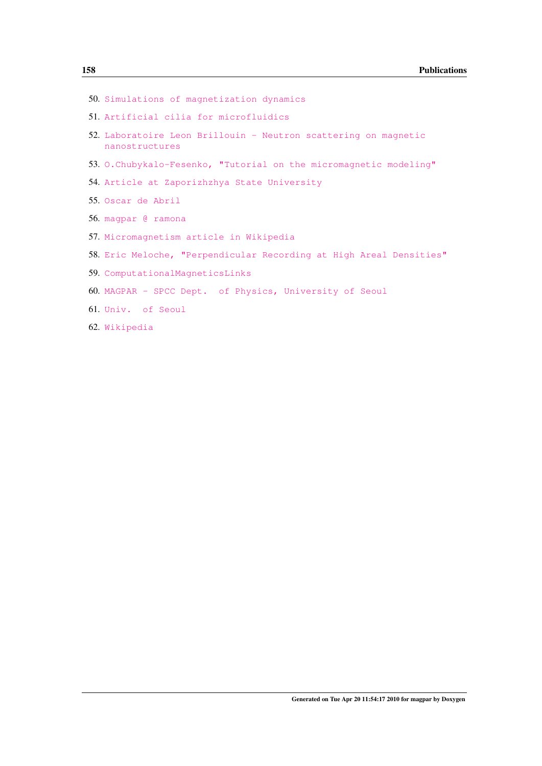- 50. [Simulations of magnetization dynamics](http://www.spinwork.agh.edu.pl/posters/full/II-P-10_Blachowicz.pdf)
- 51. [Artificial cilia for microfluidics](http://willem.engen.nl/willem/uni/intern-mbx/)
- 52. [Laboratoire Leon Brillouin Neutron scattering on magnetic](http://www-llb.cea.fr/prism/Neutron_Scattering_on_Magnetic_Nanostructures.pdf) [nanostructures](http://www-llb.cea.fr/prism/Neutron_Scattering_on_Magnetic_Nanostructures.pdf)
- 53. [O.Chubykalo-Fesenko, "Tutorial on the micromagnetic modeling"](http://esm.neel.cnrs.fr/2009/abs/chubykalo-abs2.pdf)
- 54. [Article at Zaporizhzhya State University](http://sites.znu.edu.ua/bank/public_files/2009/05/22/3172_1243513303_programa_spets_model_kompoz.pdf)
- 55. [Oscar de Abril](http://oscardeabril.net/documents/CV_odeabril_es.pdf)
- 56. [magpar @ ramona](http://magpar-ramona.blogspot.com/)
- 57. [Micromagnetism article in Wikipedia](http://en.wikipedia.org/wiki/Micromagnetism)
- 58. [Eric Meloche, "Perpendicular Recording at High Areal Densities"](http://www.physics.mun.ca/~p3800/EMeloche-PerpRec.pdf)
- 59. [ComputationalMagneticsLinks](http://femm.foster-miller.net/wiki/ComputationalMagneticsLinks)
- 60. [MAGPAR SPCC Dept. of Physics, University of Seoul](http://magpar.phys.uos.ac.kr/)
- 61. [Univ. of Seoul](http://yangd5d5.phys.uos.ac.kr/attachment/9549251141.ppt)
- 62. [Wikipedia](http://vi.wikipedia.org/wiki/Ph%C6%B0%C6%A1ng_tr%C3%ACnh_Landau-Lifshitz-Gilbert)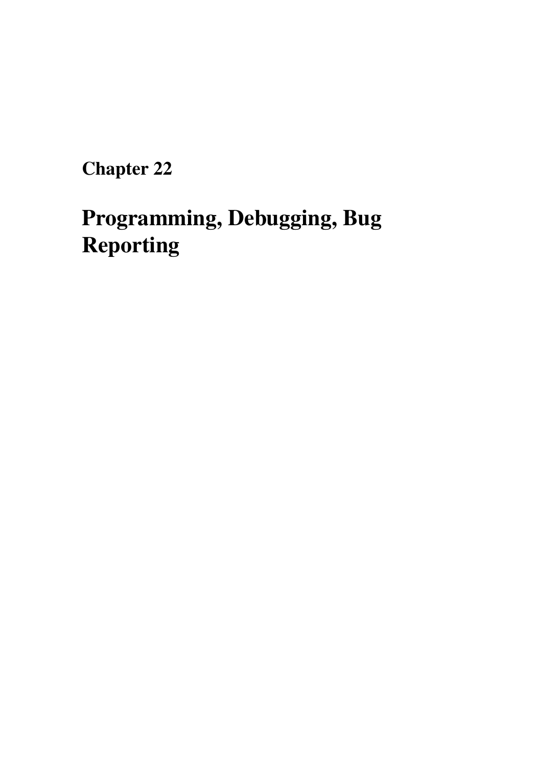# Programming, Debugging, Bug Reporting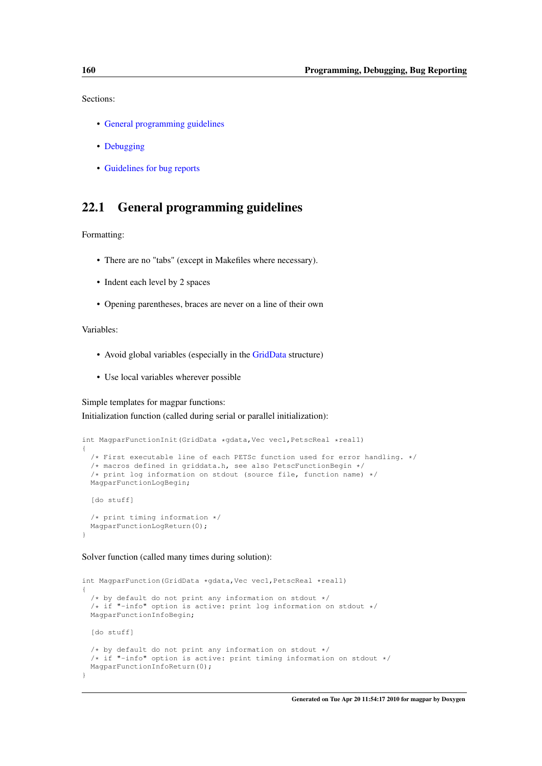Sections:

- [General programming guidelines](#page-169-0)
- [Debugging](#page-169-1)
- [Guidelines for bug reports](#page-170-0)

## <span id="page-169-0"></span>22.1 General programming guidelines

Formatting:

- There are no "tabs" (except in Makefiles where necessary).
- Indent each level by 2 spaces
- Opening parentheses, braces are never on a line of their own

Variables:

- Avoid global variables (especially in the [GridData](#page-188-0) structure)
- Use local variables wherever possible

Simple templates for magpar functions:

Initialization function (called during serial or parallel initialization):

```
int MagparFunctionInit(GridData *gdata,Vec vec1,PetscReal *real1)
{
  /* First executable line of each PETSc function used for error handling. */
  /* macros defined in griddata.h, see also PetscFunctionBegin */
  /* print log information on stdout (source file, function name) */
 MagparFunctionLogBegin;
  [do stuff]
  /* print timing information */
  MagparFunctionLogReturn(0);
}
```
#### Solver function (called many times during solution):

```
int MagparFunction(GridData *gdata, Vec vec1, PetscReal *real1)
{
  /* by default do not print any information on stdout */
  /* if "-info" option is active: print log information on stdout */
  MagparFunctionInfoBegin;
  [do stuff]
  /* by default do not print any information on stdout *//* if "-info" option is active: print timing information on stdout */
 MagparFunctionInfoReturn(0);
\mathbf{1}
```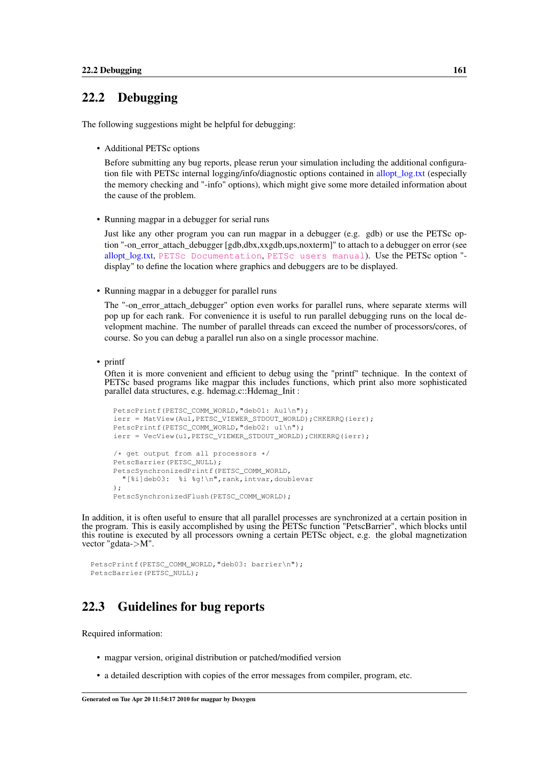## 22.2 Debugging

The following suggestions might be helpful for debugging:

• Additional PETSc options

Before submitting any bug reports, please rerun your simulation including the additional configuration file with PETSc internal logging/info/diagnostic options contained in [allopt\\_log.txt](#page-121-0) (especially the memory checking and "-info" options), which might give some more detailed information about the cause of the problem.

• Running magpar in a debugger for serial runs

Just like any other program you can run magpar in a debugger (e.g. gdb) or use the PETSc option "-on error attach debugger [gdb,dbx,xxgdb,ups,noxterm]" to attach to a debugger on error (see allopt log.txt, [PETSc Documentation](http://www.mcs.anl.gov/petsc/petsc-as/documentation/index.html), [PETSc users manual](http://www.mcs.anl.gov/petsc/petsc-as/snapshots/petsc-current/docs/manual.pdf)). Use the PETSc option "display" to define the location where graphics and debuggers are to be displayed.

• Running magpar in a debugger for parallel runs

The "-on error attach debugger" option even works for parallel runs, where separate xterms will pop up for each rank. For convenience it is useful to run parallel debugging runs on the local development machine. The number of parallel threads can exceed the number of processors/cores, of course. So you can debug a parallel run also on a single processor machine.

• printf

Often it is more convenient and efficient to debug using the "printf" technique. In the context of PETSc based programs like magpar this includes functions, which print also more sophisticated parallel data structures, e.g. hdemag.c::Hdemag\_Init :

```
PetscPrintf(PETSC_COMM_WORLD, "deb01: Au1\n");
ierr = MatView(Au1,PETSC_VIEWER_STDOUT_WORLD);CHKERRQ(ierr);
PetscPrintf(PETSC_COMM_WORLD,"deb02: u1\n");
ierr = VecView(u1,PETSC_VIEWER_STDOUT_WORLD);CHKERRQ(ierr);
/* get output from all processors */
PetscBarrier(PETSC_NULL);
PetscSynchronizedPrintf(PETSC_COMM_WORLD,
 "[%i]deb03: %i %g!\n",rank,intvar,doublevar
);
PetscSynchronizedFlush(PETSC_COMM_WORLD);
```
In addition, it is often useful to ensure that all parallel processes are synchronized at a certain position in the program. This is easily accomplished by using the PETSc function "PetscBarrier", which blocks until this routine is executed by all processors owning a certain PETSc object, e.g. the global magnetization vector "gdata->M".

```
PetscPrintf(PETSC_COMM_WORLD,"deb03: barrier\n");
PetscBarrier(PETSC_NULL);
```
## <span id="page-170-0"></span>22.3 Guidelines for bug reports

Required information:

- magpar version, original distribution or patched/modified version
- a detailed description with copies of the error messages from compiler, program, etc.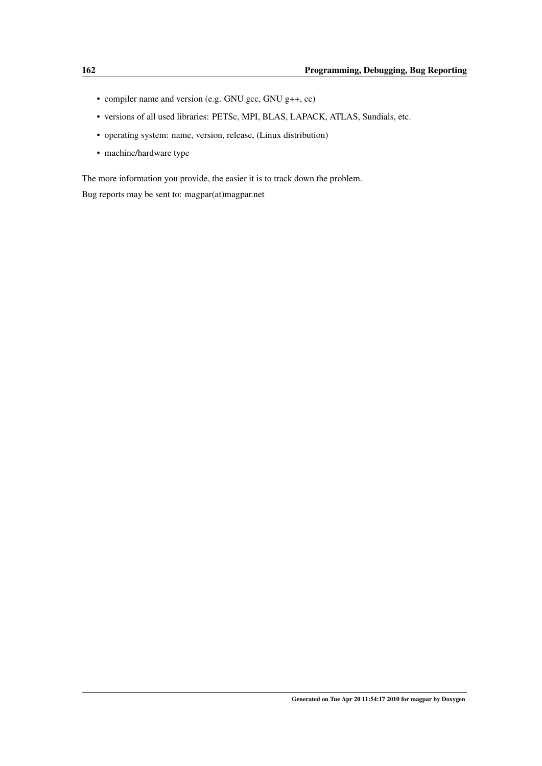- compiler name and version (e.g. GNU gcc, GNU g++, cc)
- versions of all used libraries: PETSc, MPI, BLAS, LAPACK, ATLAS, Sundials, etc.
- operating system: name, version, release, (Linux distribution)
- machine/hardware type

The more information you provide, the easier it is to track down the problem.

Bug reports may be sent to: magpar(at)magpar.net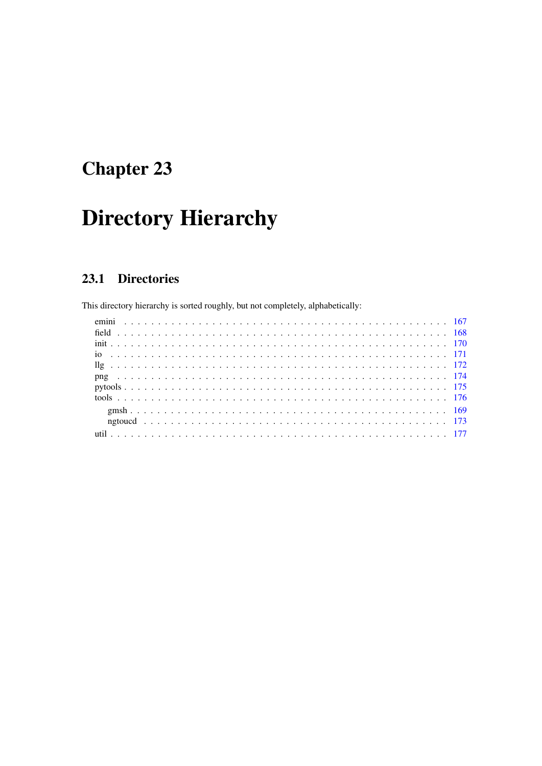# **Directory Hierarchy**

#### 23.1 **Directories**

This directory hierarchy is sorted roughly, but not completely, alphabetically: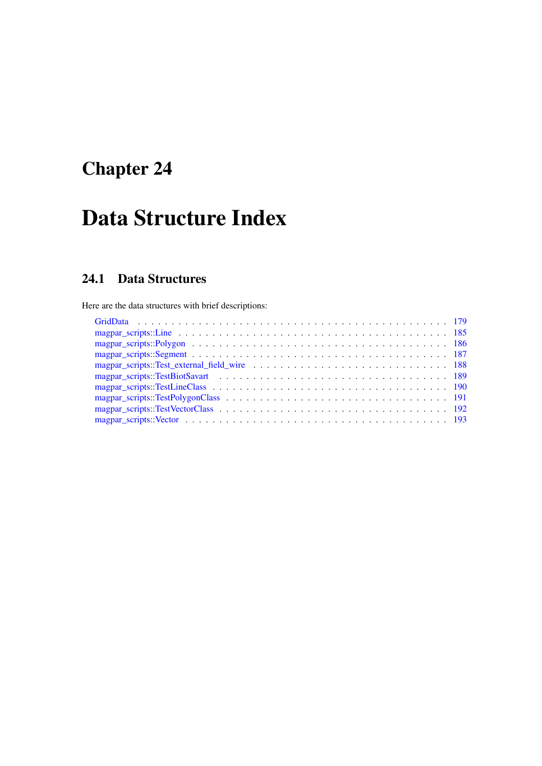# Data Structure Index

## 24.1 Data Structures

Here are the data structures with brief descriptions: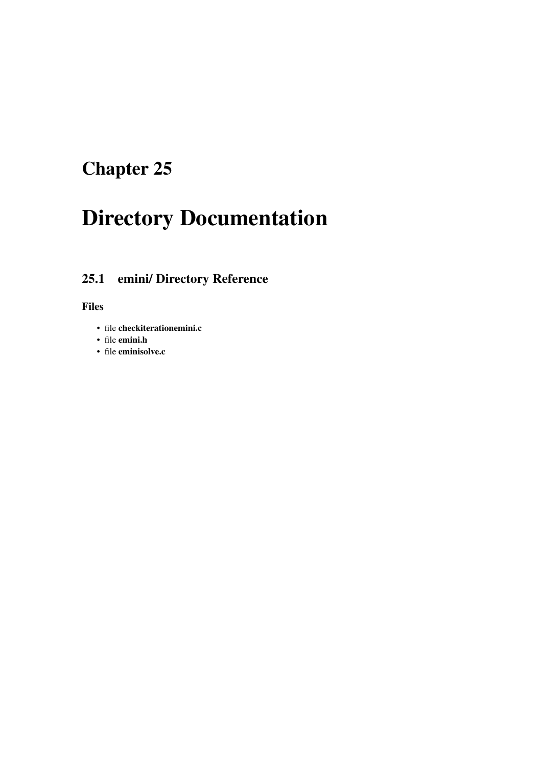# Directory Documentation

## <span id="page-176-0"></span>25.1 emini/ Directory Reference

- file checkiterationemini.c
- file emini.h
- file eminisolve.c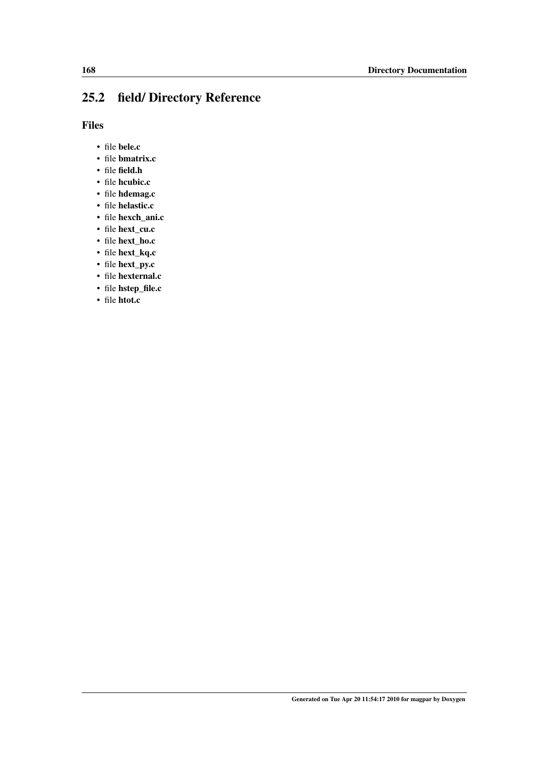## <span id="page-177-0"></span>25.2 field/ Directory Reference

- file bele.c
- file bmatrix.c
- file field.h
- file hcubic.c
- file hdemag.c
- file helastic.c
- file hexch\_ani.c
- file hext\_cu.c
- file hext\_ho.c
- file hext\_kq.c
- file hext\_py.c
- file hexternal.c
- file hstep\_file.c
- file htot.c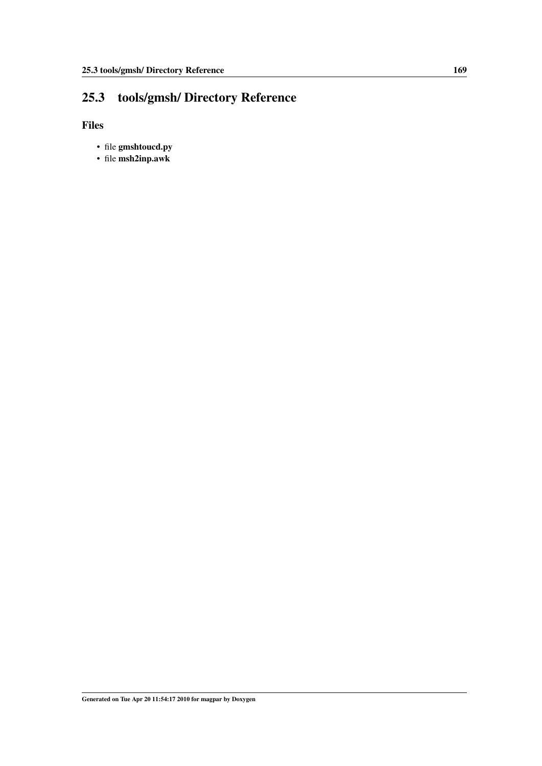## <span id="page-178-0"></span>25.3 tools/gmsh/ Directory Reference

- file gmshtoucd.py
- file msh2inp.awk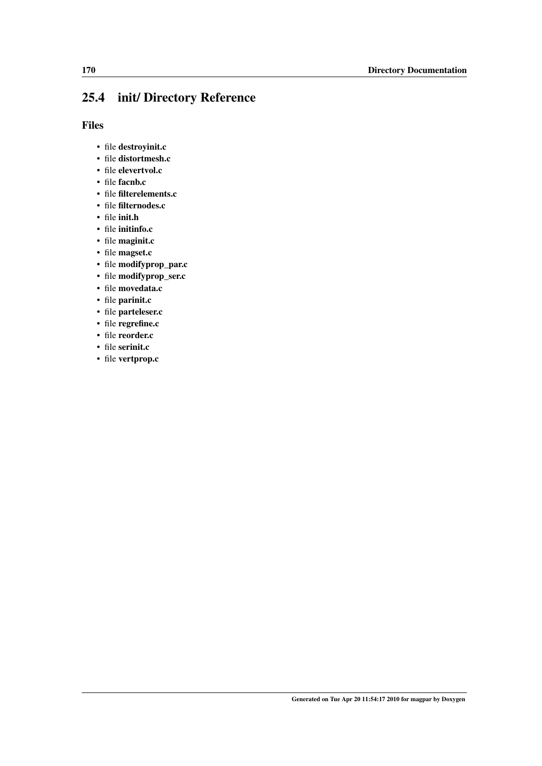## <span id="page-179-0"></span>25.4 init/ Directory Reference

- file destroyinit.c
- file distortmesh.c
- file elevertvol.c
- file facnb.c
- file filterelements.c
- file filternodes.c
- file init.h
- file initinfo.c
- file maginit.c
- file magset.c
- file modifyprop\_par.c
- file modifyprop\_ser.c
- file movedata.c
- file parinit.c
- file parteleser.c
- file regrefine.c
- file reorder.c
- file serinit.c
- file vertprop.c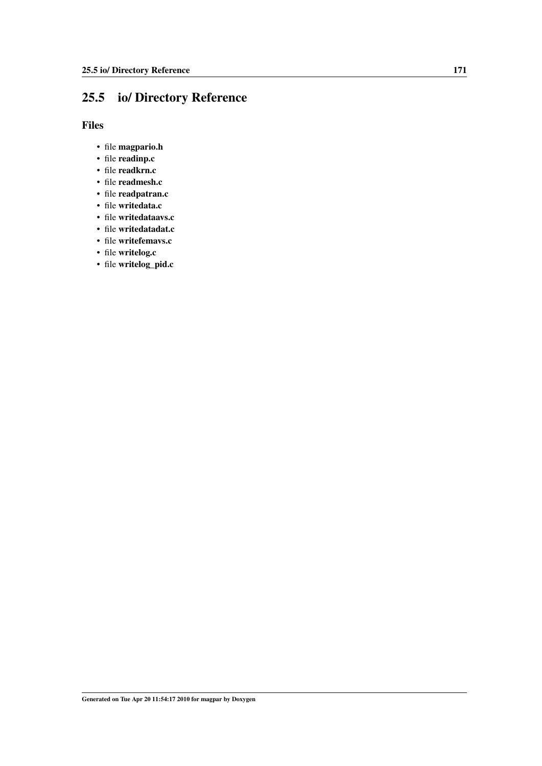## <span id="page-180-0"></span>25.5 io/ Directory Reference

Files

- file magpario.h
- file readinp.c
- file readkrn.c
- file readmesh.c
- file readpatran.c
- file writedata.c
- file writedataavs.c
- file writedatadat.c
- file writefemavs.c
- file writelog.c
- file writelog\_pid.c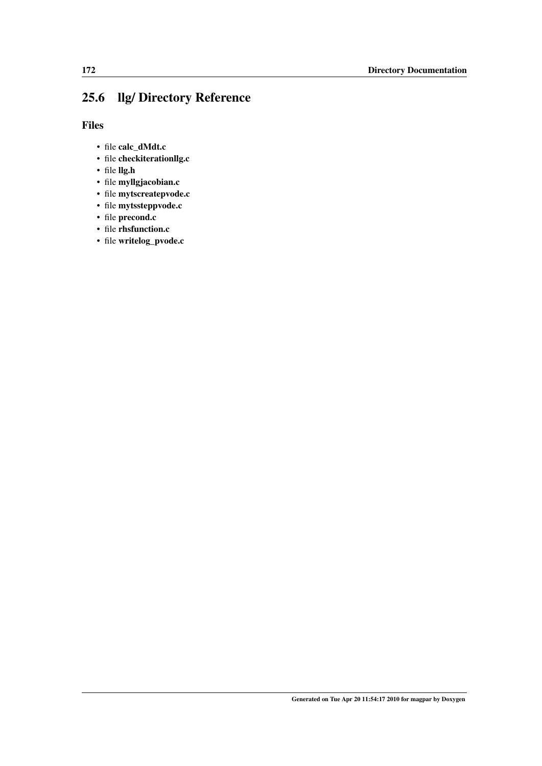## <span id="page-181-0"></span>25.6 llg/ Directory Reference

Files

- file calc\_dMdt.c
- file checkiterationllg.c
- file llg.h
- file myllgjacobian.c
- file mytscreatepvode.c
- file mytssteppvode.c
- file precond.c
- file rhsfunction.c
- file writelog\_pvode.c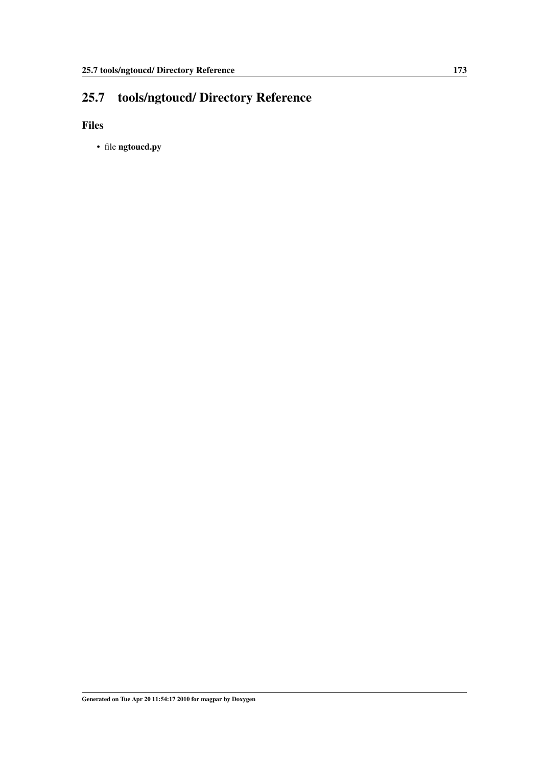## <span id="page-182-1"></span><span id="page-182-0"></span>25.7 tools/ngtoucd/ Directory Reference

Files

• file ngtoucd.py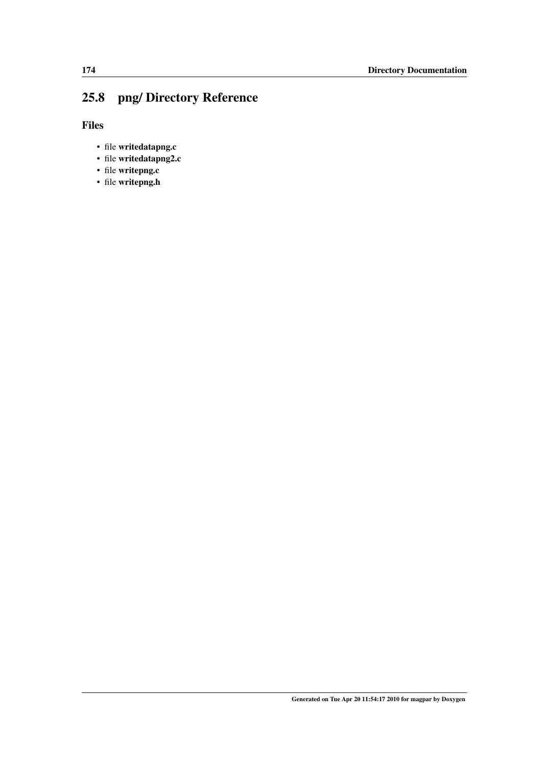## <span id="page-183-0"></span>25.8 png/ Directory Reference

Files

- file writedatapng.c
- file writedatapng2.c
- file writepng.c
- file writepng.h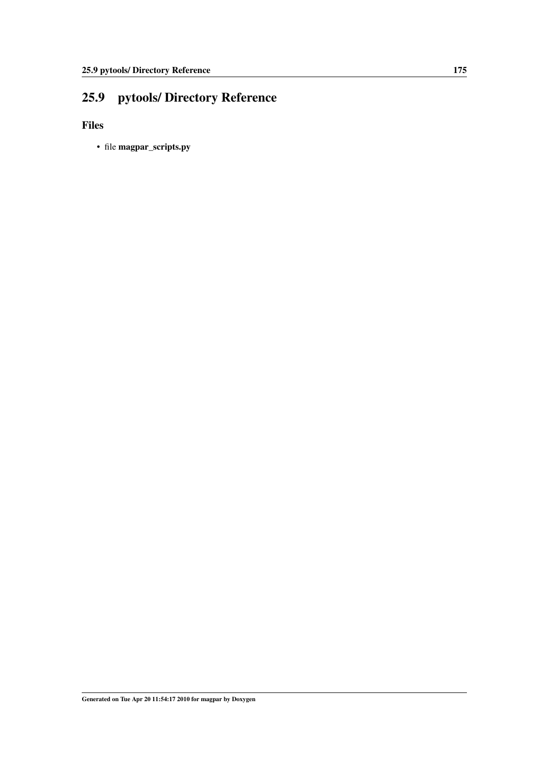## <span id="page-184-0"></span>25.9 pytools/ Directory Reference

Files

• file magpar\_scripts.py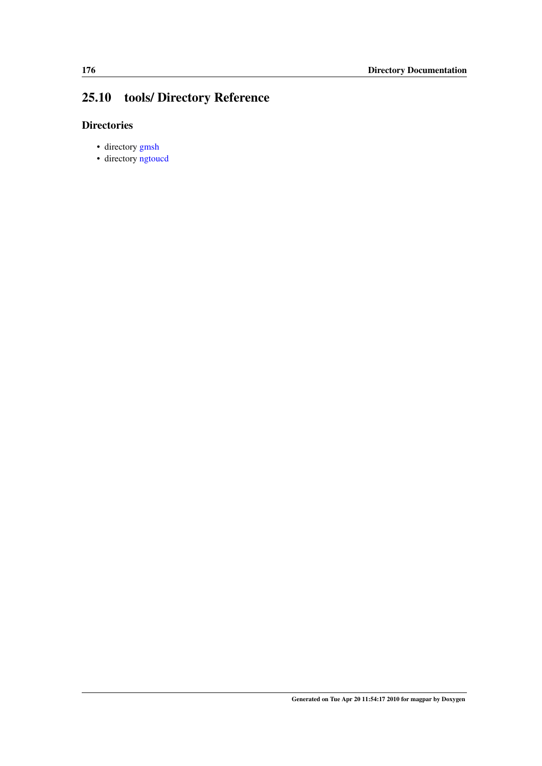## <span id="page-185-0"></span>25.10 tools/ Directory Reference

### **Directories**

- directory [gmsh](#page-178-0)
- directory [ngtoucd](#page-182-0)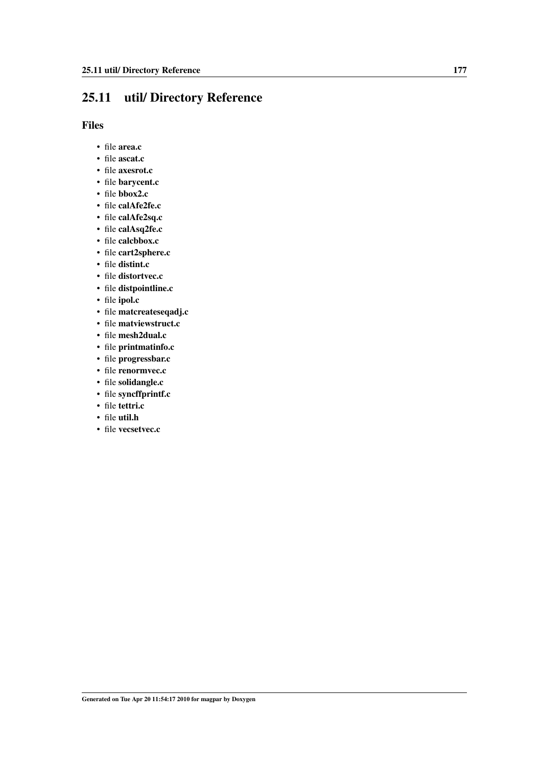## <span id="page-186-0"></span>25.11 util/ Directory Reference

### Files

- file area.c
- file ascat.c
- file axesrot.c
- file barycent.c
- file bbox2.c
- file calAfe2fe.c
- file calAfe2sq.c
- file calAsq2fe.c
- file calcbbox.c
- file cart2sphere.c
- file distint.c
- file distortvec.c
- file distpointline.c
- file ipol.c
- file matcreateseqadj.c
- file matviewstruct.c
- file mesh2dual.c
- file printmatinfo.c
- file progressbar.c
- file renormvec.c
- file solidangle.c
- file syncffprintf.c
- file tettri.c
- file util.h
- file vecsetvec.c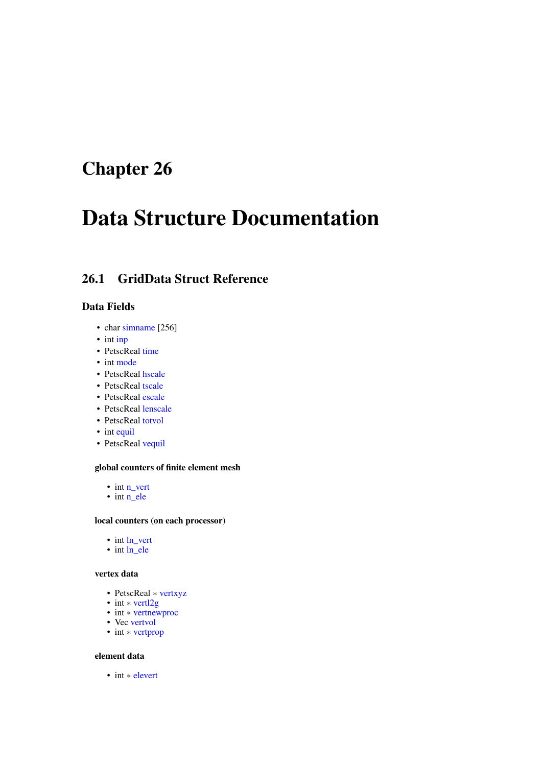# <span id="page-188-0"></span>Chapter 26

# Data Structure Documentation

## 26.1 GridData Struct Reference

### Data Fields

- char [simname](#page-191-0) [256]
- int [inp](#page-190-0)
- PetscReal [time](#page-192-0)
- int [mode](#page-191-1)
- PetscReal [hscale](#page-190-1)
- PetscReal [tscale](#page-192-1)
- PetscReal [escale](#page-190-2)
- PetscReal [lenscale](#page-190-3)
- PetscReal [totvol](#page-192-2)
- int [equil](#page-190-4)
- PetscReal [vequil](#page-192-3)

#### global counters of finite element mesh

- int [n\\_vert](#page-191-2)
- int [n\\_ele](#page-191-3)

#### local counters (on each processor)

- int [ln\\_vert](#page-191-4)
- int [ln\\_ele](#page-191-5)

#### vertex data

- PetscReal ∗ [vertxyz](#page-192-4)
- int ∗ [vertl2g](#page-192-5)
- int ∗ [vertnewproc](#page-192-6)
- Vec [vertvol](#page-192-7)
- int ∗ [vertprop](#page-192-8)

#### element data

• int ∗ [elevert](#page-190-5)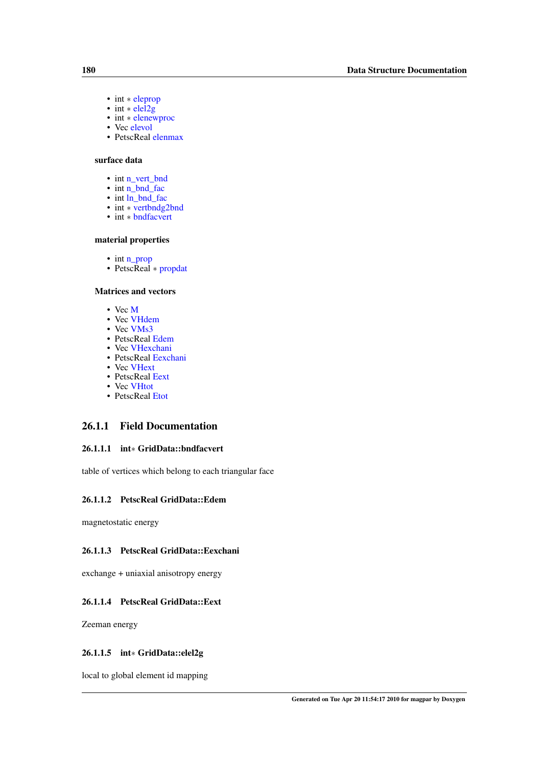- <span id="page-189-6"></span>• int ∗ [eleprop](#page-190-6)
- int  $*$  elei2g
- int ∗ [elenewproc](#page-189-1)
- Vec [elevol](#page-190-7)
- PetscReal [elenmax](#page-190-8)

#### surface data

- int [n\\_vert\\_bnd](#page-191-6)
- int [n\\_bnd\\_fac](#page-191-7)
- int [ln\\_bnd\\_fac](#page-190-9)
- int \* [vertbndg2bnd](#page-192-9)
- int ∗ [bndfacvert](#page-189-2)

#### material properties

- int [n\\_prop](#page-191-8)
- PetscReal ∗ [propdat](#page-191-9)

#### Matrices and vectors

- Vec [M](#page-191-10)
- Vec [VHdem](#page-192-10)
- Vec [VMs3](#page-193-0)
- PetscReal [Edem](#page-189-3)
- Vec [VHexchani](#page-193-1)
- PetscReal [Eexchani](#page-189-4)
- Vec [VHext](#page-193-2)
- PetscReal [Eext](#page-189-5)
- Vec [VHtot](#page-193-3)
- <span id="page-189-3"></span>• PetscReal [Etot](#page-190-10)

### 26.1.1 Field Documentation

#### <span id="page-189-2"></span>26.1.1.1 int∗ GridData::bndfacvert

table of vertices which belong to each triangular face

#### 26.1.1.2 PetscReal GridData::Edem

<span id="page-189-4"></span>magnetostatic energy

#### 26.1.1.3 PetscReal GridData::Eexchani

<span id="page-189-5"></span>exchange + uniaxial anisotropy energy

#### 26.1.1.4 PetscReal GridData::Eext

<span id="page-189-0"></span>Zeeman energy

#### 26.1.1.5 int∗ GridData::elel2g

<span id="page-189-1"></span>local to global element id mapping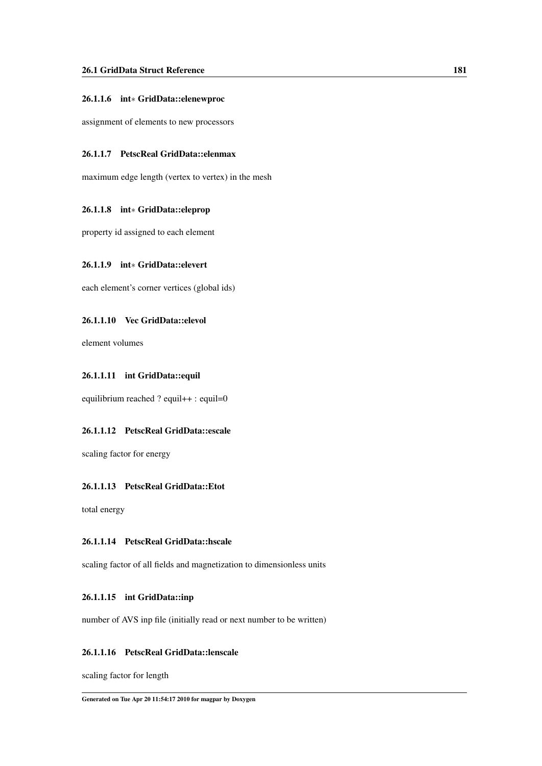#### <span id="page-190-11"></span>26.1.1.6 int∗ GridData::elenewproc

<span id="page-190-8"></span>assignment of elements to new processors

#### 26.1.1.7 PetscReal GridData::elenmax

<span id="page-190-6"></span>maximum edge length (vertex to vertex) in the mesh

#### 26.1.1.8 int∗ GridData::eleprop

<span id="page-190-5"></span>property id assigned to each element

#### 26.1.1.9 int∗ GridData::elevert

<span id="page-190-7"></span>each element's corner vertices (global ids)

#### 26.1.1.10 Vec GridData::elevol

<span id="page-190-4"></span>element volumes

#### 26.1.1.11 int GridData::equil

<span id="page-190-2"></span>equilibrium reached ? equil++ : equil=0

#### 26.1.1.12 PetscReal GridData::escale

<span id="page-190-10"></span>scaling factor for energy

#### 26.1.1.13 PetscReal GridData::Etot

<span id="page-190-1"></span>total energy

#### 26.1.1.14 PetscReal GridData::hscale

<span id="page-190-0"></span>scaling factor of all fields and magnetization to dimensionless units

#### 26.1.1.15 int GridData::inp

<span id="page-190-3"></span>number of AVS inp file (initially read or next number to be written)

#### 26.1.1.16 PetscReal GridData::lenscale

<span id="page-190-9"></span>scaling factor for length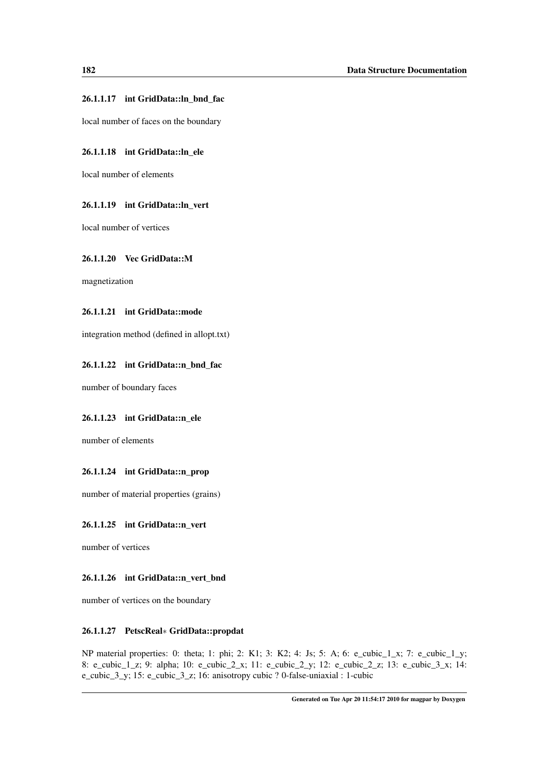#### <span id="page-191-11"></span>26.1.1.17 int GridData::ln\_bnd\_fac

<span id="page-191-5"></span>local number of faces on the boundary

#### 26.1.1.18 int GridData::ln\_ele

<span id="page-191-4"></span>local number of elements

#### 26.1.1.19 int GridData::ln\_vert

<span id="page-191-10"></span>local number of vertices

#### 26.1.1.20 Vec GridData::M

<span id="page-191-1"></span>magnetization

#### 26.1.1.21 int GridData::mode

<span id="page-191-7"></span>integration method (defined in allopt.txt)

#### 26.1.1.22 int GridData::n\_bnd\_fac

<span id="page-191-3"></span>number of boundary faces

#### 26.1.1.23 int GridData::n\_ele

<span id="page-191-8"></span>number of elements

#### 26.1.1.24 int GridData::n\_prop

<span id="page-191-2"></span>number of material properties (grains)

#### 26.1.1.25 int GridData::n\_vert

<span id="page-191-6"></span>number of vertices

#### 26.1.1.26 int GridData::n\_vert\_bnd

<span id="page-191-9"></span>number of vertices on the boundary

#### 26.1.1.27 PetscReal∗ GridData::propdat

<span id="page-191-0"></span>NP material properties: 0: theta; 1: phi; 2: K1; 3: K2; 4: Js; 5: A; 6: e\_cubic\_1\_x; 7: e\_cubic\_1\_y; 8: e\_cubic\_1\_z; 9: alpha; 10: e\_cubic\_2\_x; 11: e\_cubic\_2\_y; 12: e\_cubic\_2\_z; 13: e\_cubic\_3\_x; 14: e\_cubic\_3\_y; 15: e\_cubic\_3\_z; 16: anisotropy cubic ? 0-false-uniaxial : 1-cubic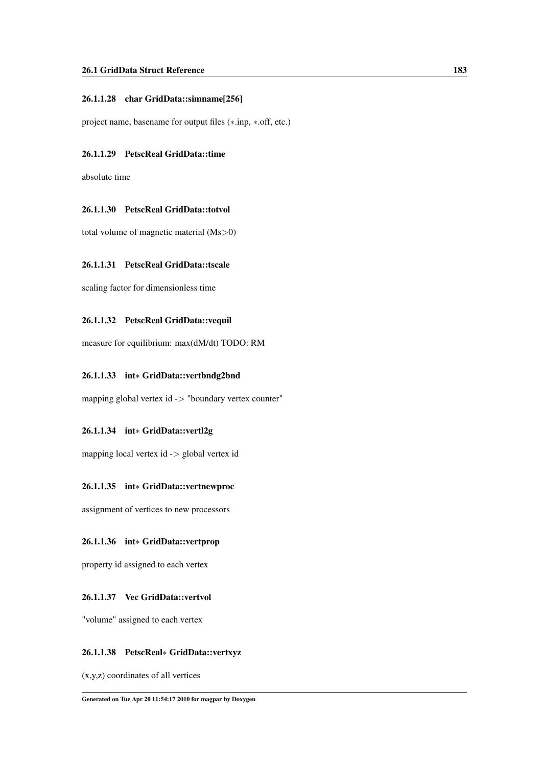#### <span id="page-192-11"></span>26.1.1.28 char GridData::simname[256]

<span id="page-192-0"></span>project name, basename for output files (∗.inp, ∗.off, etc.)

#### 26.1.1.29 PetscReal GridData::time

<span id="page-192-2"></span>absolute time

#### 26.1.1.30 PetscReal GridData::totvol

<span id="page-192-1"></span>total volume of magnetic material (Ms>0)

#### 26.1.1.31 PetscReal GridData::tscale

<span id="page-192-3"></span>scaling factor for dimensionless time

#### 26.1.1.32 PetscReal GridData::vequil

<span id="page-192-9"></span>measure for equilibrium: max(dM/dt) TODO: RM

#### 26.1.1.33 int∗ GridData::vertbndg2bnd

<span id="page-192-5"></span>mapping global vertex id -> "boundary vertex counter"

#### 26.1.1.34 int∗ GridData::vertl2g

<span id="page-192-6"></span>mapping local vertex id -> global vertex id

#### 26.1.1.35 int∗ GridData::vertnewproc

<span id="page-192-8"></span>assignment of vertices to new processors

#### 26.1.1.36 int∗ GridData::vertprop

<span id="page-192-7"></span>property id assigned to each vertex

#### 26.1.1.37 Vec GridData::vertvol

<span id="page-192-4"></span>"volume" assigned to each vertex

#### 26.1.1.38 PetscReal∗ GridData::vertxyz

<span id="page-192-10"></span>(x,y,z) coordinates of all vertices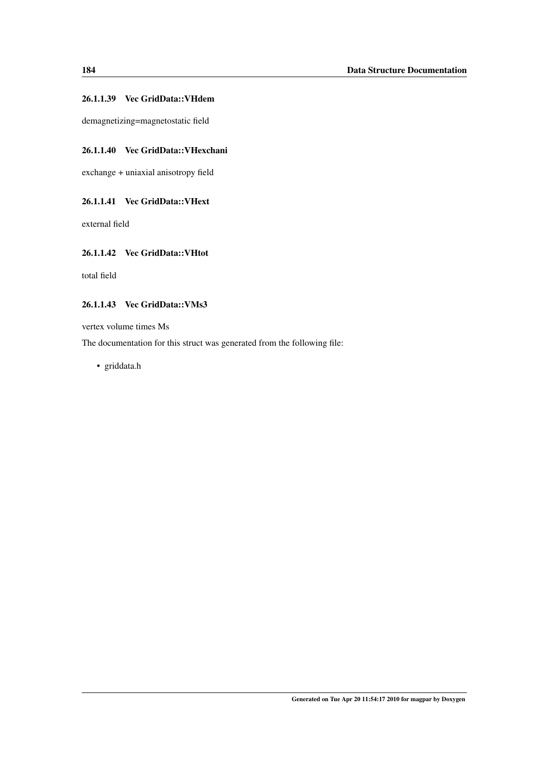#### <span id="page-193-4"></span>26.1.1.39 Vec GridData::VHdem

<span id="page-193-1"></span>demagnetizing=magnetostatic field

#### 26.1.1.40 Vec GridData::VHexchani

<span id="page-193-2"></span>exchange + uniaxial anisotropy field

#### 26.1.1.41 Vec GridData::VHext

<span id="page-193-3"></span>external field

#### 26.1.1.42 Vec GridData::VHtot

<span id="page-193-0"></span>total field

#### 26.1.1.43 Vec GridData::VMs3

vertex volume times Ms

The documentation for this struct was generated from the following file:

• griddata.h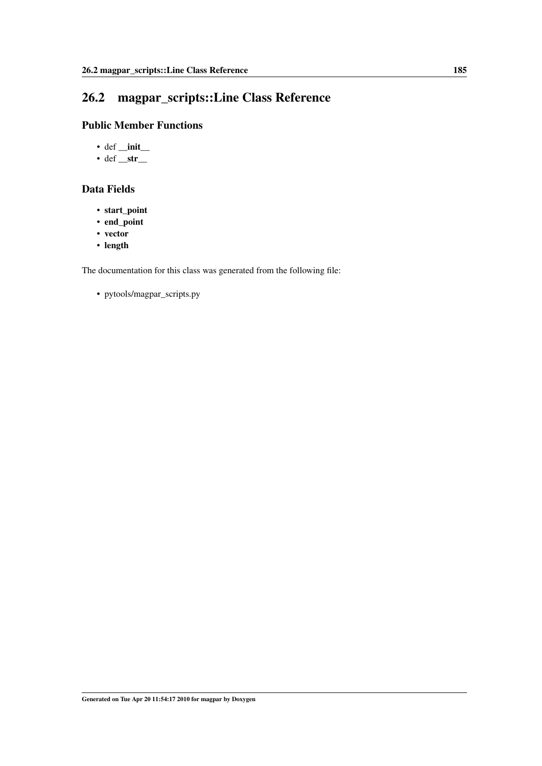## <span id="page-194-0"></span>26.2 magpar\_scripts::Line Class Reference

## Public Member Functions

- $\cdot$  def \_init\_
- def  $_str$

## Data Fields

- start\_point
- end\_point
- vector
- length

The documentation for this class was generated from the following file: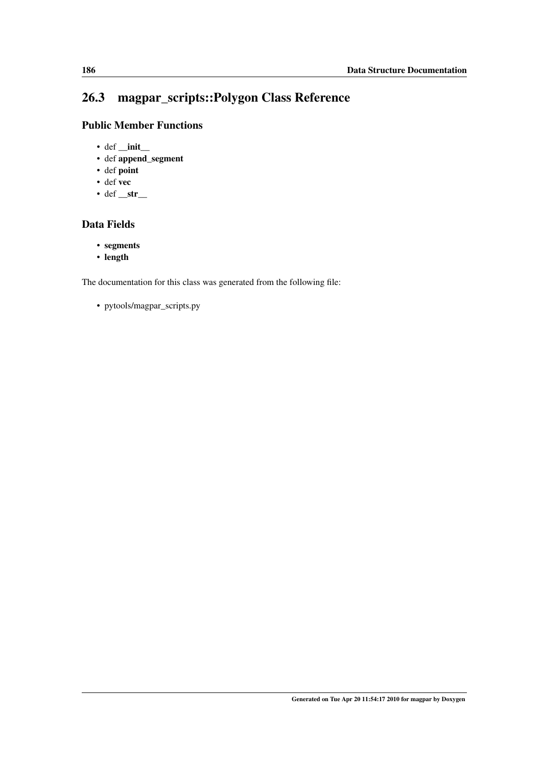## <span id="page-195-0"></span>26.3 magpar\_scripts::Polygon Class Reference

## Public Member Functions

- $\cdot$  def \_init\_
- def append\_segment
- def point
- def vec
- def  $_{str\_}$

## Data Fields

- segments
- length

The documentation for this class was generated from the following file: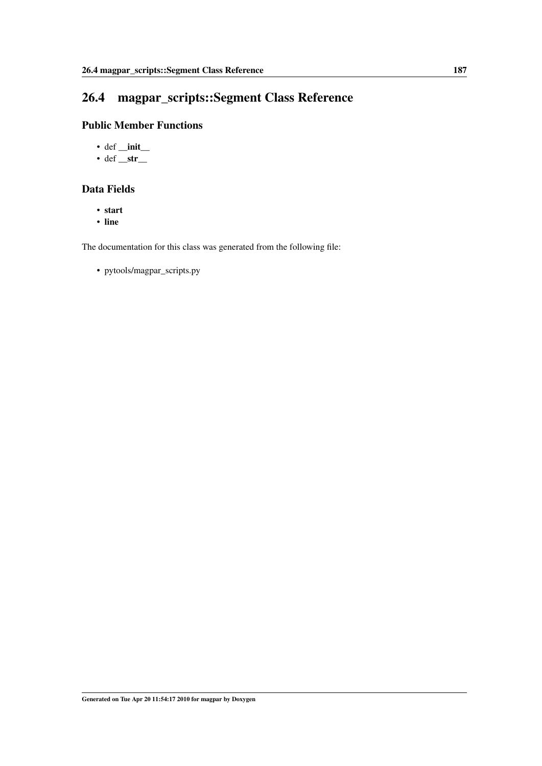## <span id="page-196-0"></span>26.4 magpar\_scripts::Segment Class Reference

## Public Member Functions

- $\cdot$  def \_init\_
- def  $_str$

## Data Fields

- start
- line

The documentation for this class was generated from the following file: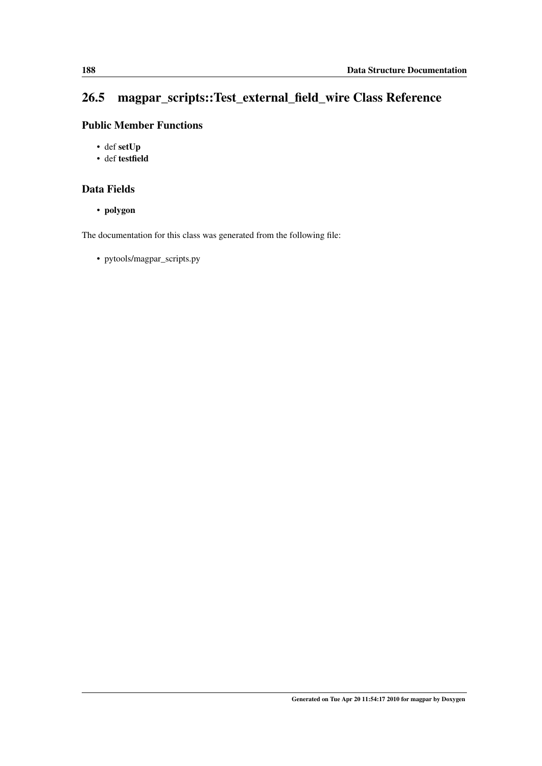## <span id="page-197-0"></span>26.5 magpar\_scripts::Test\_external\_field\_wire Class Reference

## Public Member Functions

- def setUp
- def testfield

## Data Fields

• polygon

The documentation for this class was generated from the following file: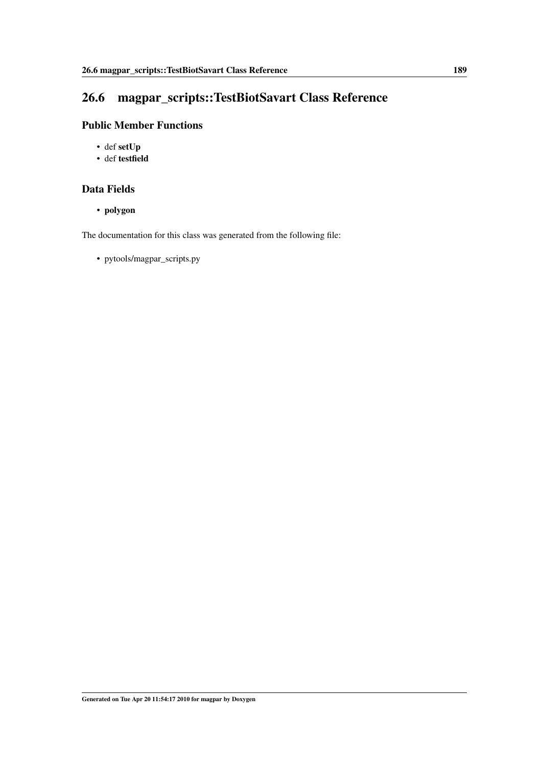## <span id="page-198-0"></span>26.6 magpar\_scripts::TestBiotSavart Class Reference

## Public Member Functions

- def setUp
- def testfield

## Data Fields

• polygon

The documentation for this class was generated from the following file: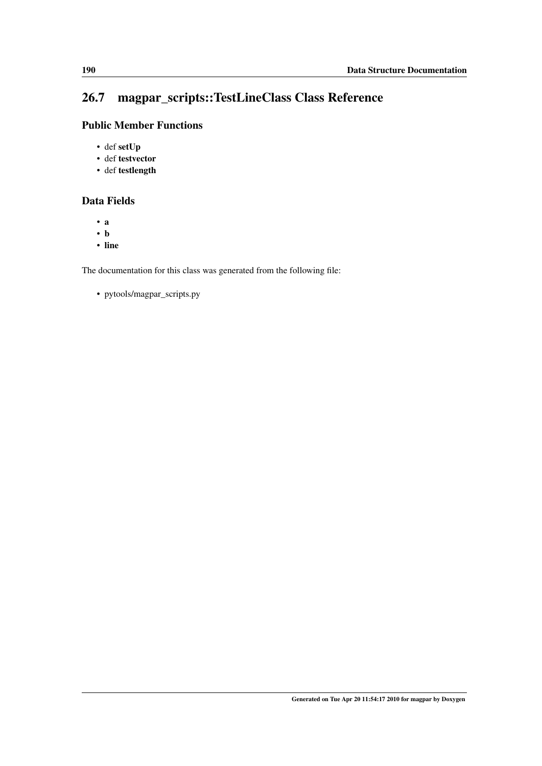## <span id="page-199-0"></span>26.7 magpar\_scripts::TestLineClass Class Reference

## Public Member Functions

- def setUp
- def testvector
- def testlength

## Data Fields

- a
- b
- line

The documentation for this class was generated from the following file: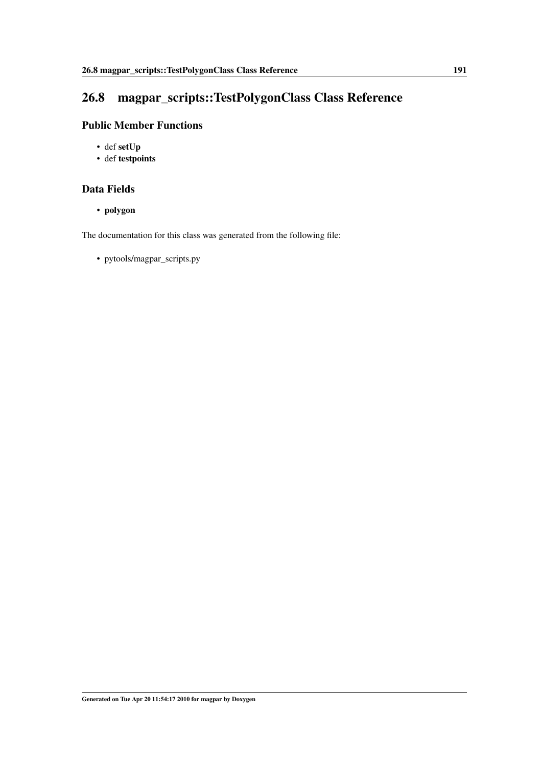## <span id="page-200-0"></span>26.8 magpar\_scripts::TestPolygonClass Class Reference

## Public Member Functions

- def setUp
- def testpoints

### Data Fields

• polygon

The documentation for this class was generated from the following file: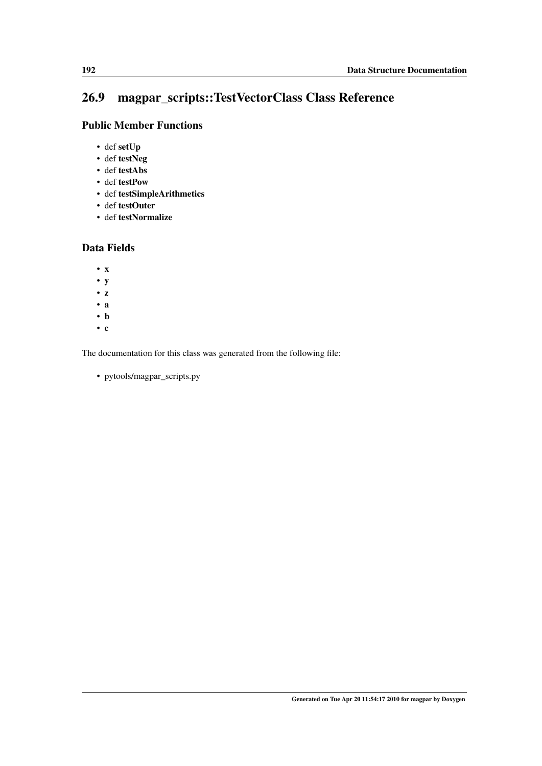## <span id="page-201-0"></span>26.9 magpar\_scripts::TestVectorClass Class Reference

## Public Member Functions

- def setUp
- def testNeg
- def testAbs
- def testPow
- def testSimpleArithmetics
- def testOuter
- def testNormalize

### Data Fields

- x
- y
- z
- a
- b
- c

The documentation for this class was generated from the following file: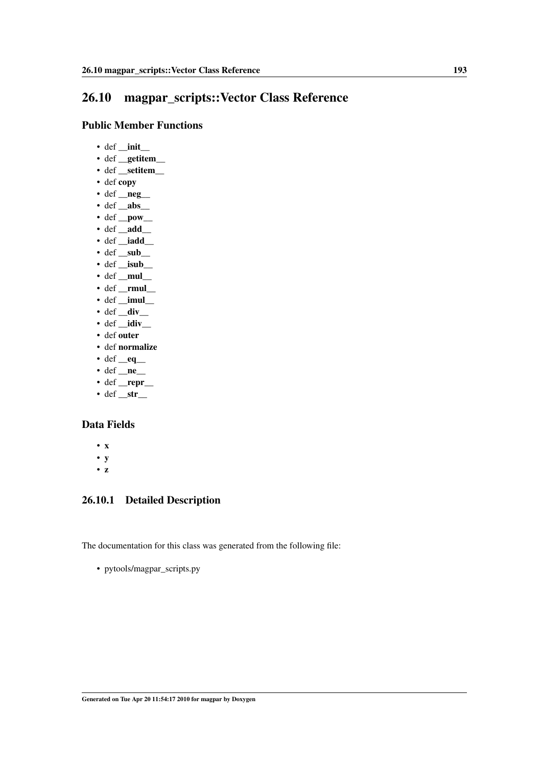## <span id="page-202-0"></span>26.10 magpar\_scripts::Vector Class Reference

#### Public Member Functions

- def \_\_init\_\_
- def \_getitem\_
- def \_\_setitem\_\_\_
- def copy
- $\cdot$  def  $\_\$ neg $\_\$
- $\cdot$  def \_abs\_
- $\cdot$  def \_pow\_
- $\cdot$  def \_add\_
- def \_iadd\_
- $\cdot$  def \_sub\_
- def \_\_isub\_\_
- $\cdot$  def  $_{\text{mul}}$
- def **rmul**
- $\cdot$  def \_\_imul\_\_
- $\cdot$  def  $\_\text{div}$
- $\cdot$  def  $\_{idiv}$ • def outer
- def normalize
- 
- def  $eq$
- def  $\_\_neq$
- def \_repr\_
- $\cdot$  def  $_{\text{str}}$

### Data Fields

- x
- y
- z

### 26.10.1 Detailed Description

The documentation for this class was generated from the following file: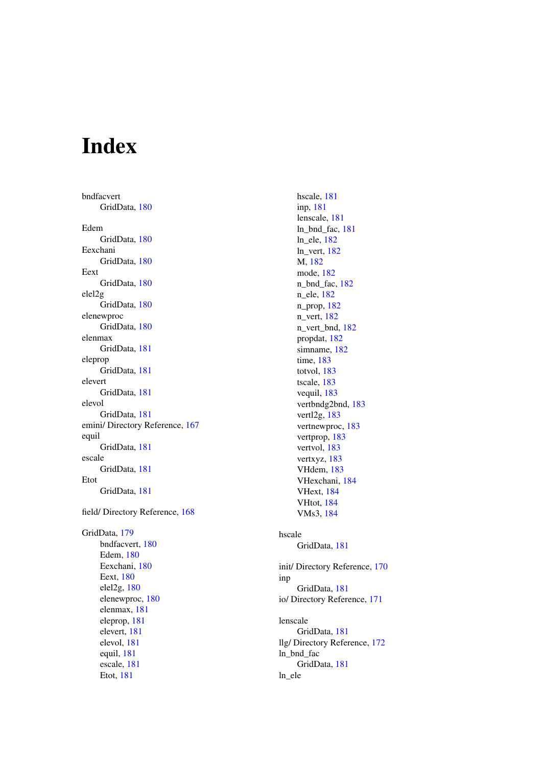# Index

bndfacvert GridData, [180](#page-189-6) Edem GridData, [180](#page-189-6) Eexchani GridData, [180](#page-189-6) Eext GridData, [180](#page-189-6) elel2g GridData, [180](#page-189-6) elenewproc GridData, [180](#page-189-6) elenmax GridData, [181](#page-190-11) eleprop GridData, [181](#page-190-11) elevert GridData, [181](#page-190-11) elevol GridData, [181](#page-190-11) emini/ Directory Reference, [167](#page-176-0) equil GridData, [181](#page-190-11) escale GridData, [181](#page-190-11) Etot GridData, [181](#page-190-11) field/ Directory Reference, [168](#page-177-0) GridData, [179](#page-188-0) bndfacvert, [180](#page-189-6) Edem, [180](#page-189-6) Eexchani, [180](#page-189-6) Eext, [180](#page-189-6) elel2g, [180](#page-189-6) elenewproc, [180](#page-189-6) elenmax, [181](#page-190-11) eleprop, [181](#page-190-11) elevert, [181](#page-190-11) elevol, [181](#page-190-11) equil, [181](#page-190-11) escale, [181](#page-190-11)

Etot, [181](#page-190-11)

hscale, [181](#page-190-11) inp, [181](#page-190-11) lenscale, [181](#page-190-11) ln\_bnd\_fac, [181](#page-190-11) ln\_ele, [182](#page-191-11) ln\_vert, [182](#page-191-11) M, [182](#page-191-11) mode, [182](#page-191-11) n\_bnd\_fac, [182](#page-191-11) n\_ele, [182](#page-191-11) n\_prop, [182](#page-191-11) n\_vert, [182](#page-191-11) n\_vert\_bnd, [182](#page-191-11) propdat, [182](#page-191-11) simname, [182](#page-191-11) time, [183](#page-192-11) totvol, [183](#page-192-11) tscale, [183](#page-192-11) vequil, [183](#page-192-11) vertbndg2bnd, [183](#page-192-11) vertl2g, [183](#page-192-11) vertnewproc, [183](#page-192-11) vertprop, [183](#page-192-11) vertvol, [183](#page-192-11) vertxyz, [183](#page-192-11) VHdem, [183](#page-192-11) VHexchani, [184](#page-193-4) VHext, [184](#page-193-4) VHtot, [184](#page-193-4) VMs3, [184](#page-193-4) hscale GridData, [181](#page-190-11) init/ Directory Reference, [170](#page-179-0) inp GridData, [181](#page-190-11) io/ Directory Reference, [171](#page-180-0) lenscale GridData, [181](#page-190-11) llg/ Directory Reference, [172](#page-181-0) ln\_bnd\_fac GridData, [181](#page-190-11) ln\_ele